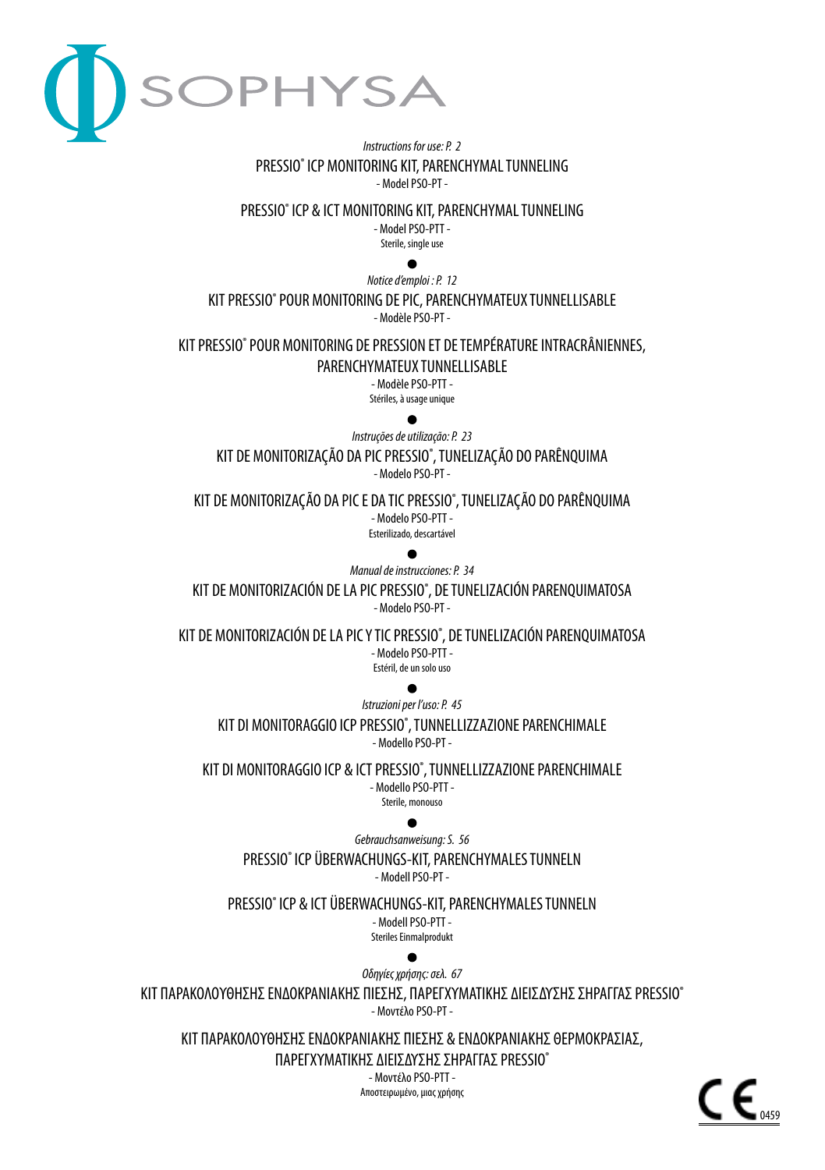

### *Instructions for use: P. 2* PRESSIO® ICP MONITORING KIT, PARENCHYMAL TUNNELING - Model PSO-PT -

PRESSIO® ICP & ICT MONITORING KIT, PARENCHYMAL TUNNELING - Model PSO-PTT -

Sterile, single use

 $\bullet$ 

*Notice d'emploi : P. 12* KIT PRESSIO® POUR MONITORING DE PIC, PARENCHYMATEUX TUNNELLISABLE - Modèle PSO-PT -

KIT PRESSIO® POUR MONITORING DE PRESSION ET DE TEMPÉRATURE INTRACRÂNIENNES,

PARENCHYMATEUX TUNNELLISABLE

- Modèle PSO-PTT - Stériles, à usage unique

 $\bullet$ 

*Instruções de utilização: P. 23*

KIT DE MONITORIZAÇÃO DA PIC PRESSIO® , TUNELIZAÇÃO DO PARÊNQUIMA - Modelo PSO-PT -

KIT DE MONITORIZAÇÃO DA PIC E DA TIC PRESSIO® , TUNELIZAÇÃO DO PARÊNQUIMA - Modelo PSO-PTT - Esterilizado, descartável

 $\bullet$ 

*Manual de instrucciones: P. 34*

KIT DE MONITORIZACIÓN DE LA PIC PRESSIO® , DE TUNELIZACIÓN PARENQUIMATOSA - Modelo PSO-PT -

KIT DE MONITORIZACIÓN DE LA PIC Y TIC PRESSIO® , DE TUNELIZACIÓN PARENQUIMATOSA - Modelo PSO-PTT - Estéril, de un solo uso

 $\bullet$ 

*Istruzioni per l'uso: P. 45* KIT DI MONITORAGGIO ICP PRESSIO® , TUNNELLIZZAZIONE PARENCHIMALE - Modello PSO-PT -

KIT DI MONITORAGGIO ICP & ICT PRESSIO® , TUNNELLIZZAZIONE PARENCHIMALE - Modello PSO-PTT - Sterile, monouso

*Gebrauchsanweisung: S. 56*

PRESSIO® ICP ÜBERWACHUNGS-KIT, PARENCHYMALES TUNNELN - Modell PSO-PT -

PRESSIO® ICP & ICT ÜBERWACHUNGS-KIT, PARENCHYMALES TUNNELN - Modell PSO-PTT - Steriles Einmalprodukt

*Οδηγίες χρήσης: σελ. 67* ΚΙΤ ΠΑΡΑΚΟΛΟΥΘΗΣΗΣ ΕΝΔΟΚΡΑΝΙΑΚΗΣ ΠΙΕΣΗΣ, ΠΑΡΕΓΧΥΜΑΤΙΚΗΣ ΔΙΕΙΣΔΥΣΗΣ ΣΗΡΑΓΓΑΣ PRESSIO® - Μοντέλο PSO-PT -

ΚΙΤ ΠΑΡΑΚΟΛΟΥΘΗΣΗΣ ΕΝΔΟΚΡΑΝΙΑΚΗΣ ΠΙΕΣΗΣ & ΕΝΔΟΚΡΑΝΙΑΚΗΣ ΘΕΡΜΟΚΡΑΣΙΑΣ,

ΠΑΡΕΓΧΥΜΑΤΙΚΗΣ ΔΙΕΙΣΔΥΣΗΣ ΣΗΡΑΓΓΑΣ PRESSIO®

- Μοντέλο PSO-PTT - Αποστειρωμένο, μιας χρήσης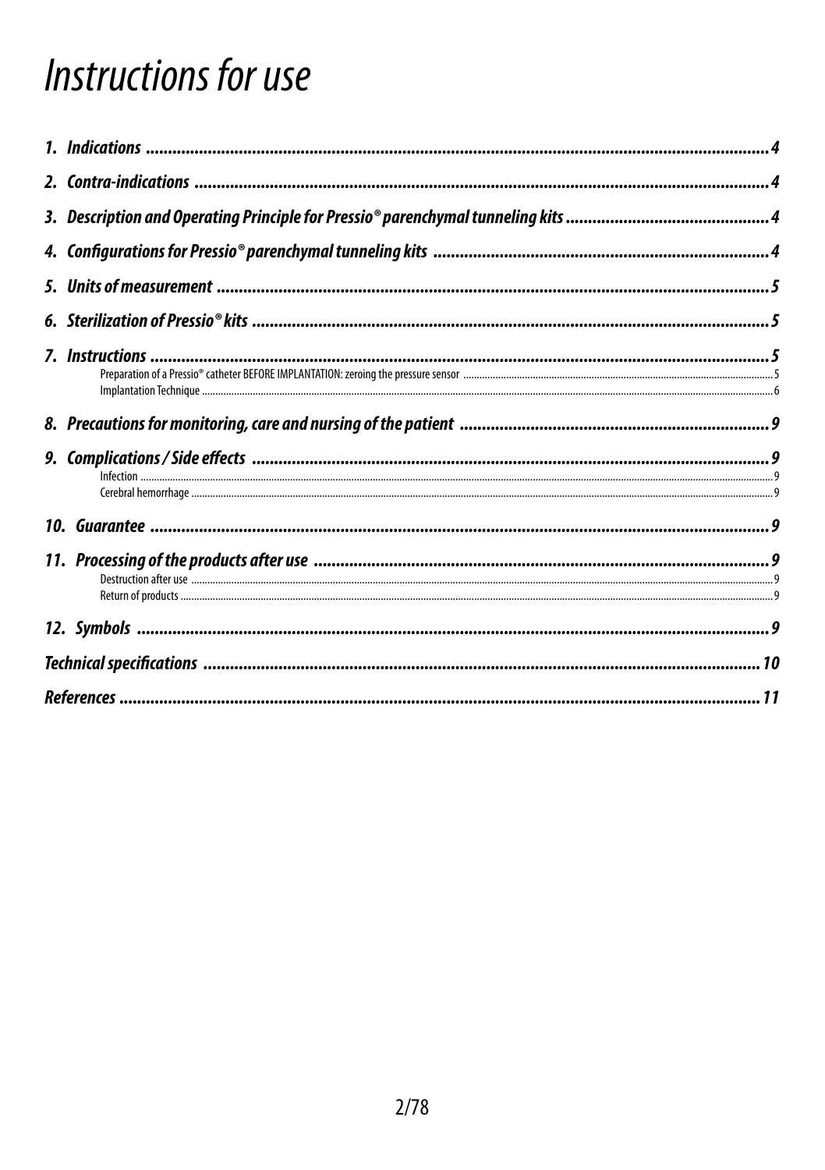# Instructions for use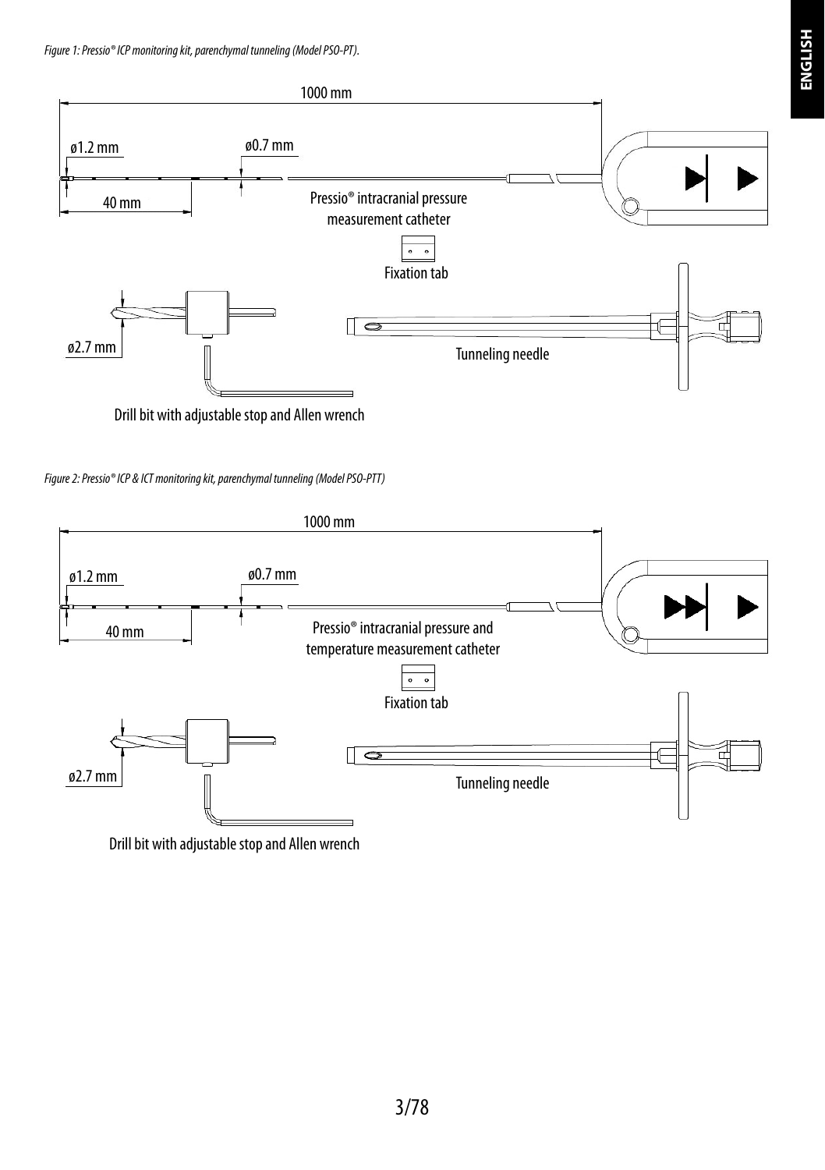

Drill bit with adjustable stop and Allen wrench





Drill bit with adjustable stop and Allen wrench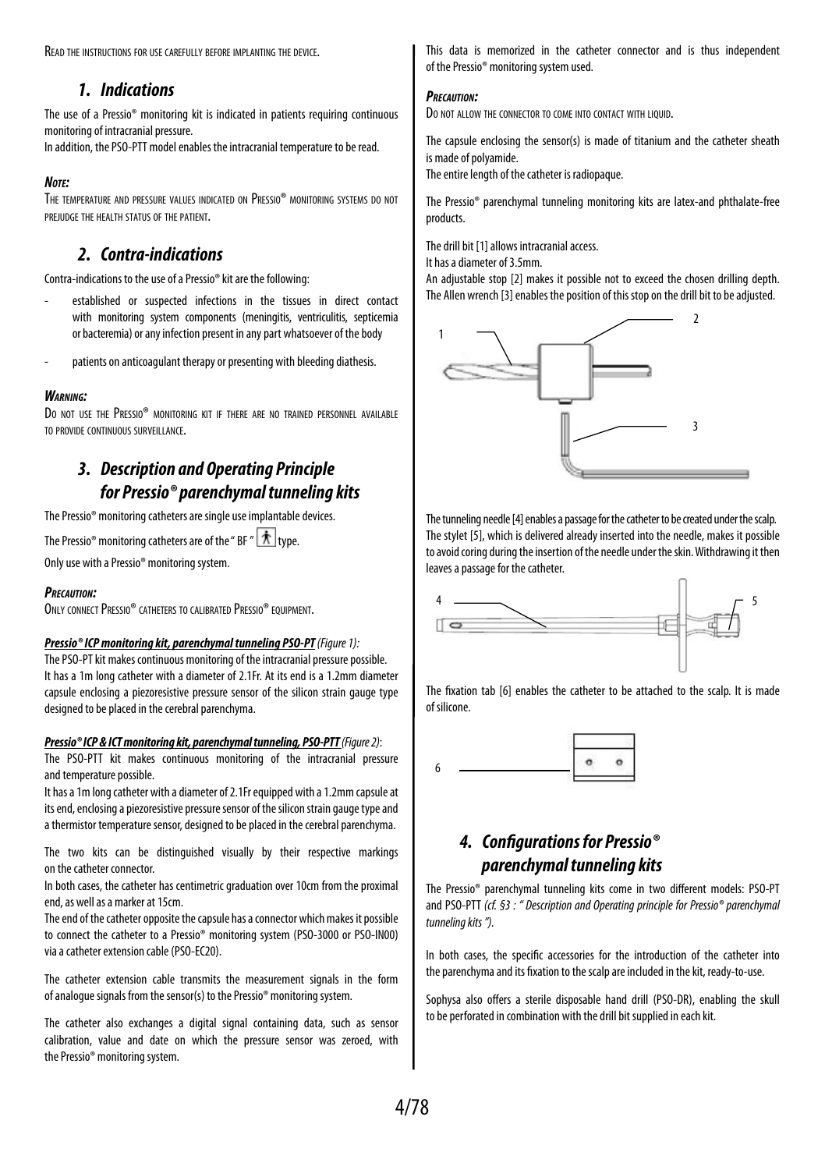Read the instructions for use carefully before implanting the device.

## *1. Indications*

The use of a Pressio® monitoring kit is indicated in patients requiring continuous monitoring of intracranial pressure.

In addition, the PSO-PTT model enables the intracranial temperature to be read.

#### *Note:*

The temperature and pressure values indicated on Pressio® monitoring systems do not prejudge the health status of the patient.

## *2. Contra-indications*

Contra-indications to the use of a Pressio® kit are the following:

- established or suspected infections in the tissues in direct contact with monitoring system components (meningitis, ventriculitis, septicemia or bacteremia) or any infection present in any part whatsoever of the body
- patients on anticoagulant therapy or presenting with bleeding diathesis.

#### *Warning:*

Do not use the Pressio® monitoring kit if there are no trained personnel available to provide continuous surveillance.

# *3. Description and Operating Principle for Pressio® parenchymal tunneling kits*

The Pressio® monitoring catheters are single use implantable devices.

The Pressio<sup>®</sup> monitoring catheters are of the "BF"  $\hat{\boldsymbol{\Lambda}}$  type.

Only use with a Pressio® monitoring system.

#### *Precaution:*

ONLY CONNECT PRESSIO® CATHETERS TO CALIBRATED PRESSIO® EQUIPMENT.

#### *Pressio® ICP monitoring kit, parenchymal tunneling PSO-PT (Figure 1):*

The PSO-PT kit makes continuous monitoring of the intracranial pressure possible. It has a 1m long catheter with a diameter of 2.1Fr. At its end is a 1.2mm diameter capsule enclosing a piezoresistive pressure sensor of the silicon strain gauge type designed to be placed in the cerebral parenchyma.

#### *Pressio® ICP & ICT monitoring kit, parenchymal tunneling, PSO-PTT (Figure 2)*:

The PSO-PTT kit makes continuous monitoring of the intracranial pressure and temperature possible.

It has a 1m long catheter with a diameter of 2.1Fr equipped with a 1.2mm capsule at its end, enclosing a piezoresistive pressure sensor of the silicon strain gauge type and a thermistor temperature sensor, designed to be placed in the cerebral parenchyma.

The two kits can be distinguished visually by their respective markings on the catheter connector.

In both cases, the catheter has centimetric graduation over 10cm from the proximal end, as well as a marker at 15cm.

The end of the catheter opposite the capsule has a connector which makes it possible to connect the catheter to a Pressio® monitoring system (PSO-3000 or PSO-IN00) via a catheter extension cable (PSO-EC20).

The catheter extension cable transmits the measurement signals in the form of analogue signals from the sensor(s) to the Pressio® monitoring system.

The catheter also exchanges a digital signal containing data, such as sensor calibration, value and date on which the pressure sensor was zeroed, with the Pressio® monitoring system.

This data is memorized in the catheter connector and is thus independent of the Pressio® monitoring system used.

#### *Precaution:*

Do not allow the connector to come into contact with Liquid.

The capsule enclosing the sensor(s) is made of titanium and the catheter sheath is made of polyamide.

The entire length of the catheter is radiopaque.

The Pressio® parenchymal tunneling monitoring kits are latex-and phthalate-free products.

The drill bit [1] allows intracranial access.

It has a diameter of 3.5mm.

An adjustable stop [2] makes it possible not to exceed the chosen drilling depth. The Allen wrench [3] enables the position of this stop on the drill bit to be adjusted.



The tunneling needle [4] enables a passage for the catheter to be created under the scalp. The stylet [5], which is delivered already inserted into the needle, makes it possible to avoid coring during the insertion of the needle under the skin. Withdrawing it then leaves a passage for the catheter.



The fixation tab [6] enables the catheter to be attached to the scalp. It is made of silicone.



# *4. Configurations for Pressio® parenchymal tunneling kits*

The Pressio® parenchymal tunneling kits come in two different models: PSO-PT and PSO-PTT *(cf. §3 : " Description and Operating principle for Pressio® parenchymal tunneling kits ").*

In both cases, the specific accessories for the introduction of the catheter into the parenchyma and its fixation to the scalp are included in the kit, ready-to-use.

Sophysa also offers a sterile disposable hand drill (PSO-DR), enabling the skull to be perforated in combination with the drill bit supplied in each kit.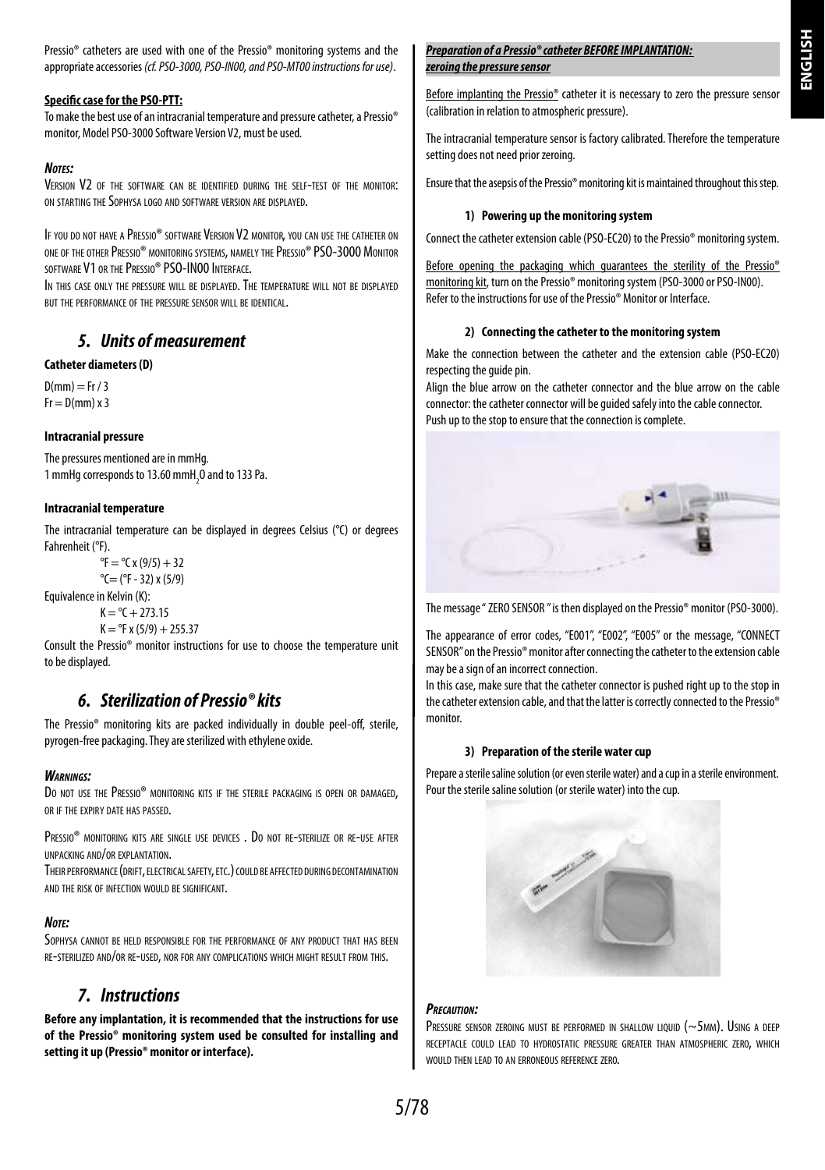Pressio® catheters are used with one of the Pressio® monitoring systems and the appropriate accessories *(cf. PSO-3000, PSO-IN00, and PSO-MT00 instructions for use)*.

#### **Specific case for the PSO-PTT:**

To make the best use of an intracranial temperature and pressure catheter, a Pressio® monitor, Model PSO-3000 Software Version V2, must be used*.*

#### *Notes:*

VERSION V<sub>2</sub> OF THE SOFTWARE CAN BE IDENTIFIED DURING THE SELF-TEST OF THE MONITOR' ON STARTING THE SOPHYSA LOGO AND SOFTWARE VERSION ARE DISPLAYED.

If you do not have a Pressio® software Version V2 monitor, you can use the catheter on one of the other Pressio® monitoring systems, namely thePressio® PSO-3000 Monitor software V1 or the Pressio® PSO-IN00 Interface.

IN THIS CASE ONLY THE PRESSURE WILL BE DISPLAYED. THE TEMPERATURE WILL NOT BE DISPLAYED but the performance of the pressure sensor will be identical.

## *5. Units of measurement*

#### **Catheter diameters (D)**

 $D(mm) = Fr / 3$  $Fr = D(mm) \times 3$ 

#### **Intracranial pressure**

The pressures mentioned are in mmHg. 1 mmHg corresponds to 13.60 mmH $_{2}$ O and to 133 Pa.

#### **Intracranial temperature**

The intracranial temperature can be displayed in degrees Celsius (°C) or degrees Fahrenheit (°F).

 ${}^{\circ}$ F =  ${}^{\circ}$ C x (9/5) + 32  $^{\circ}$ C= ( $^{\circ}$ F - 32) x (5/9)

Equivalence in Kelvin (K):

 $K = {}^{\circ}C + 273.15$ 

 $K = {}^{o}F x (5/9) + 255.37$ 

Consult the Pressio® monitor instructions for use to choose the temperature unit to be displayed.

# *6. Sterilization of Pressio® kits*

The Pressio® monitoring kits are packed individually in double peel-off, sterile, pyrogen-free packaging. They are sterilized with ethylene oxide.

#### *Warnings:*

DO NOT USE THE PRESSIO® MONITORING KITS IF THE STERILE PACKAGING IS OPEN OR DAMAGED. OR IF THE EVRIBY DATE HAS BASSED.

Pressio® monitoring kits are single use devices . Do not re-sterilize or re-use after unpacking and/or explantation.

THEIR PERFORMANCE (DRIFT, ELECTRICAL SAFETY, ETC.) COULD BE AFFECTED DURING DECONTAMINATION and the risk of infection would be significant.

#### *Note:*

SOPHYSA CANNOT BE HELD RESPONSIBLE FOR THE PERFORMANCE OF ANY PRODUCT THAT HAS BEEN re-sterilized and/or re-used, nor for any complications which might result from this.

### *7. Instructions*

**Before any implantation, it is recommended that the instructions for use of the Pressio® monitoring system used be consulted for installing and setting it up (Pressio® monitor or interface).**

#### *Preparation of a Pressio® catheter BEFORE IMPLANTATION: zeroing the pressure sensor*

Before implanting the Pressio® catheter it is necessary to zero the pressure sensor (calibration in relation to atmospheric pressure).

The intracranial temperature sensor is factory calibrated. Therefore the temperature setting does not need prior zeroing.

Ensure that the asepsis of the Pressio® monitoring kit is maintained throughout this step.

#### **1) Powering up the monitoring system**

Connect the catheter extension cable (PSO-EC20) to the Pressio® monitoring system.

Before opening the packaging which guarantees the sterility of the Pressio<sup>®</sup> monitoring kit, turn on the Pressio® monitoring system (PSO-3000 or PSO-IN00). Refer to the instructions for use of the Pressio® Monitor or Interface.

#### **2) Connecting the catheter to the monitoring system**

Make the connection between the catheter and the extension cable (PSO-EC20) respecting the guide pin.

Align the blue arrow on the catheter connector and the blue arrow on the cable connector: the catheter connector will be guided safely into the cable connector. Push up to the stop to ensure that the connection is complete.



The message " ZERO SENSOR " is then displayed on the Pressio® monitor (PSO-3000).

The appearance of error codes, "E001", "E002", "E005" or the message, "CONNECT SENSOR" on the Pressio® monitor after connecting the catheter to the extension cable may be a sign of an incorrect connection.

In this case, make sure that the catheter connector is pushed right up to the stop in the catheter extension cable, and that the latter is correctly connected to the Pressio® monitor*.*

#### **3) Preparation of the sterile water cup**

Prepare a sterile saline solution (or even sterile water) and a cup in a sterile environment. Pour the sterile saline solution (or sterile water) into the cup.



#### *Precaution:*

PRESSURE SENSOR ZEROING MUST BE PERFORMED IN SHALLOW LIQUID ( $\sim$ 5mm). Using a deep receptacle could lead to hydrostatic pressure greater than atmospheric zero, which would then lead to an erroneous reference zero.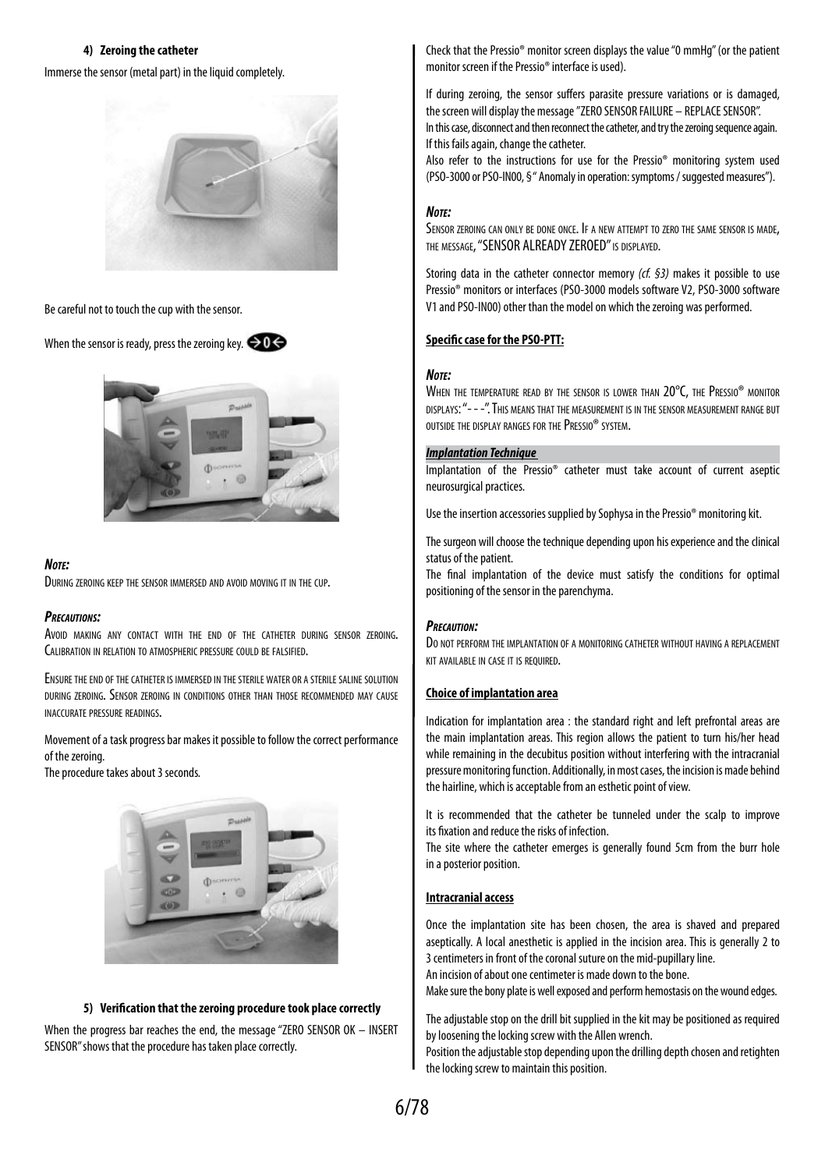#### **4) Zeroing the catheter**

Immerse the sensor (metal part) in the liquid completely.



Be careful not to touch the cup with the sensor*.* 

When the sensor is ready, press the zeroing key.  $\bigcirc$  0



#### *Note:*

During zeroing keep the sensor immersed and avoid moving it in the cup.

#### *Precautions:*

Avoid making any contact with the end of the catheter during sensor zeroing. CALIBRATION IN RELATION TO ATMOSPHERIC PRESSURE COULD BE FALSIFIED.

Ensure the end of the catheter is immersed in the sterile water or <sup>a</sup> sterile saline solution during zeroing. Sensor zeroing in conditions other than those recommended may cause inaccurate pressure readings.

Movement of a task progress bar makes it possible to follow the correct performance of the zeroing.

The procedure takes about 3 seconds*.* 



#### **5) Verification that the zeroing procedure took place correctly**

When the progress bar reaches the end, the message "ZERO SENSOR OK – INSERT SENSOR" shows that the procedure has taken place correctly.

Check that the Pressio® monitor screen displays the value "0 mmHg" (or the patient monitor screen if the Pressio® interface is used).

If during zeroing, the sensor suffers parasite pressure variations or is damaged, the screen will display the message "ZERO SENSOR FAILURE – REPLACE SENSOR".

In this case, disconnect and then reconnect the catheter, and try the zeroing sequence again. If this fails again, change the catheter.

Also refer to the instructions for use for the Pressio® monitoring system used (PSO-3000 or PSO-IN00, § " Anomaly in operation: symptoms / suggested measures").

#### *Note:*

SENSOR ZEROING CAN ONLY BE DONE ONCE. IF A NEW ATTEMPT TO ZERO THE SAME SENSOR IS MADE. THE MESSAGE, "SENSOR ALREADY ZEROED" IS DISPLAYED.

Storing data in the catheter connector memory *(cf. §3)* makes it possible to use Pressio® monitors or interfaces (PSO-3000 models software V2, PSO-3000 software V1 and PSO-IN00) other than the model on which the zeroing was performed.

#### **Specific case for the PSO-PTT:**

#### *Note:*

WHEN THE TEMPERATURE READ BY THE SENSOR IS LOWER THAN 20°C, THE PRESSIO® MONITOR displays: "- - -". This means that the measurement is in the sensor measurement range but outside the display ranges for thePressio® system.

#### *Implantation Technique*

Implantation of the Pressio® catheter must take account of current aseptic neurosurgical practices.

Use the insertion accessories supplied by Sophysa in the Pressio® monitoring kit.

The surgeon will choose the technique depending upon his experience and the clinical status of the patient.

The final implantation of the device must satisfy the conditions for optimal positioning of the sensor in the parenchyma.

#### *Precaution:*

Do not perform the implantation of a monitoring catheter without having a replacement kit available in case it is required.

#### **Choice of implantation area**

Indication for implantation area  $\cdot$  the standard right and left prefrontal areas are the main implantation areas. This region allows the patient to turn his/her head while remaining in the decubitus position without interfering with the intracranial pressure monitoring function. Additionally, in most cases, the incision is made behind the hairline, which is acceptable from an esthetic point of view.

It is recommended that the catheter be tunneled under the scalp to improve its fixation and reduce the risks of infection.

The site where the catheter emerges is generally found 5cm from the burr hole in a posterior position.

#### **Intracranial access**

Once the implantation site has been chosen, the area is shaved and prepared aseptically. A local anesthetic is applied in the incision area. This is generally 2 to 3 centimeters in front of the coronal suture on the mid-pupillary line.

An incision of about one centimeter is made down to the bone.

Make sure the bony plate is well exposed and perform hemostasis on the wound edges.

The adjustable stop on the drill bit supplied in the kit may be positioned as required by loosening the locking screw with the Allen wrench.

Position the adjustable stop depending upon the drilling depth chosen and retighten the locking screw to maintain this position.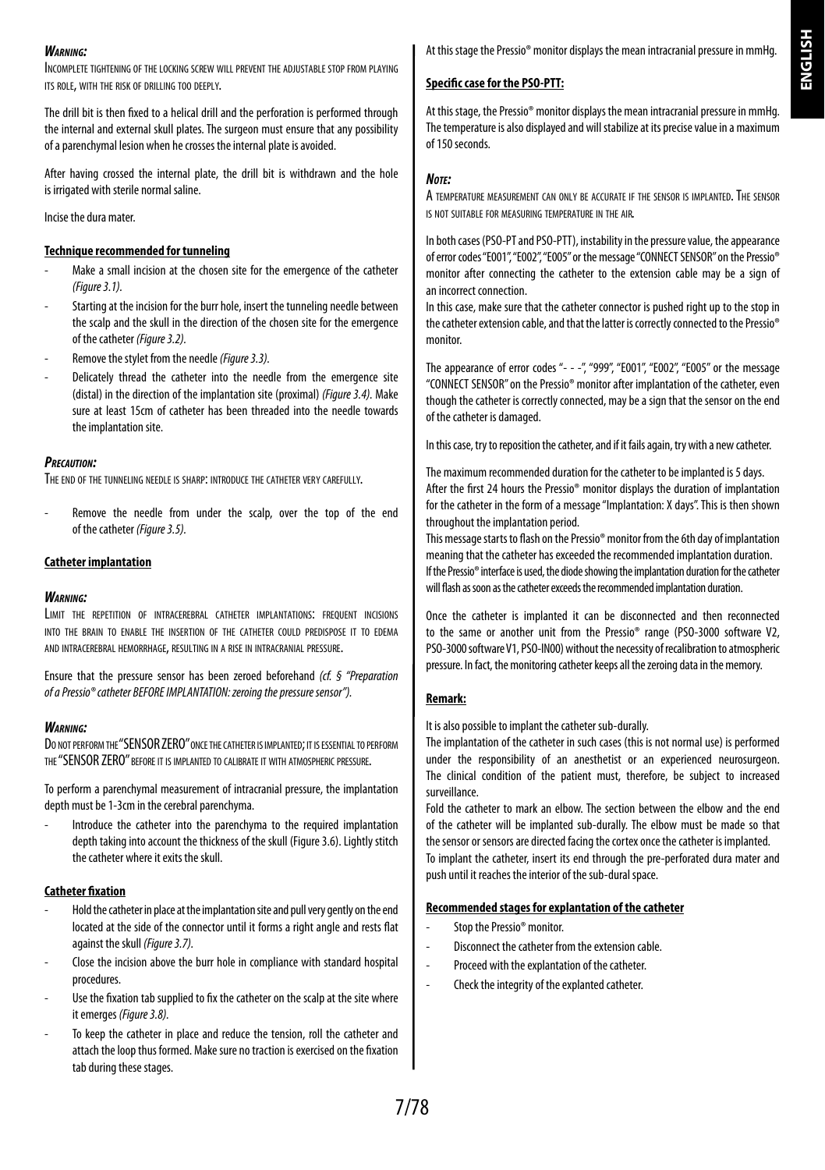#### *Warning:*

Incomplete tightening of the locking screw will prevent the adjustable stop from playing its role, with the risk of drilling too deeply.

The drill bit is then fixed to a helical drill and the perforation is performed through the internal and external skull plates. The surgeon must ensure that any possibility of a parenchymal lesion when he crosses the internal plate is avoided.

After having crossed the internal plate, the drill bit is withdrawn and the hole is irrigated with sterile normal saline.

Incise the dura mater.

#### **Technique recommended for tunneling**

- Make a small incision at the chosen site for the emergence of the catheter *(Figure 3.1).*
- Starting at the incision for the burr hole, insert the tunneling needle between the scalp and the skull in the direction of the chosen site for the emergence of the catheter *(Figure 3.2).*
- Remove the stylet from the needle *(Figure 3.3).*
- Delicately thread the catheter into the needle from the emergence site (distal) in the direction of the implantation site (proximal) *(Figure 3.4).* Make sure at least 15cm of catheter has been threaded into the needle towards the implantation site.

#### *Precaution:*

THE END OF THE TUNNELING NEEDLE IS SHARP: INTRODUCE THE CATHETER VERY CAREFULLY.

Remove the needle from under the scalp, over the top of the end of the catheter *(Figure 3.5).*

#### **Catheter implantation**

#### *Warning:*

LIMIT THE REPETITION OF INTRACEREBRAL CATHETER IMPLANTATIONS: FREQUENT INCISIONS into the brain to enable the insertion of the catheter could predispose it to edema and intracerebral hemorrhage, resulting in a rise in intracranial pressure.

Ensure that the pressure sensor has been zeroed beforehand *(cf. § "Preparation of a Pressio® catheter BEFORE IMPLANTATION: zeroing the pressure sensor").*

#### *Warning:*

DO NOT PERFORM THE "SENSOR ZERO" ONCE THE CATHETER IS IMPLANTED; IT IS ESSENTIAL TO PERFORM the "SENSOR ZERO" before it is implanted to calibrate it with atmosphericpressure.

To perform a parenchymal measurement of intracranial pressure, the implantation depth must be 1-3cm in the cerebral parenchyma.

Introduce the catheter into the parenchyma to the required implantation depth taking into account the thickness of the skull (Figure 3.6). Lightly stitch the catheter where it exits the skull.

#### **Catheter fixation**

- Hold the catheter in place at the implantation site and pull very gently on the end located at the side of the connector until it forms a right angle and rests flat against the skull *(Figure 3.7).*
- Close the incision above the burr hole in compliance with standard hospital procedures.
- Use the fixation tab supplied to fix the catheter on the scalp at the site where it emerges *(Figure 3.8).*
- To keep the catheter in place and reduce the tension, roll the catheter and attach the loop thus formed. Make sure no traction is exercised on the fixation tab during these stages.

### **Specific case for the PSO-PTT:**

At this stage, the Pressio® monitor displays the mean intracranial pressure in mmHg. The temperature is also displayed and will stabilize at its precise value in a maximum of 150 seconds.

#### *Note:*

A temperature measurement can only be accurate if the sensor is implanted. The sensor is not suitable for measuring temperature in the air.

In both cases (PSO-PT and PSO-PTT), instability in the pressure value, the appearance of error codes "E001", "E002", "E005" or the message "CONNECT SENSOR" on the Pressio® monitor after connecting the catheter to the extension cable may be a sign of an incorrect connection.

In this case, make sure that the catheter connector is pushed right up to the stop in the catheter extension cable, and that the latter is correctly connected to the Pressio® monitor.

The appearance of error codes "- - -", "999", "E001", "E002", "E005" or the message "CONNECT SENSOR" on the Pressio® monitor after implantation of the catheter, even though the catheter is correctly connected, may be a sign that the sensor on the end of the catheter is damaged.

In this case, try to reposition the catheter, and if it fails again, try with a new catheter.

The maximum recommended duration for the catheter to be implanted is 5 days. After the first 24 hours the Pressio® monitor displays the duration of implantation for the catheter in the form of a message "Implantation: X days". This is then shown throughout the implantation period.

This message starts to flash on the Pressio® monitor from the 6th day of implantation meaning that the catheter has exceeded the recommended implantation duration. If the Pressio® interface is used, the diode showing the implantation duration for the catheter will flash as soon as the catheter exceeds the recommended implantation duration.

Once the catheter is implanted it can be disconnected and then reconnected to the same or another unit from the Pressio® range (PSO-3000 software V2, PSO-3000 software V1, PSO-IN00) without the necessity of recalibration to atmospheric pressure. In fact, the monitoring catheter keeps all the zeroing data in the memory.

#### **Remark:**

It is also possible to implant the catheter sub-durally.

The implantation of the catheter in such cases (this is not normal use) is performed under the responsibility of an anesthetist or an experienced neurosurgeon. The clinical condition of the patient must, therefore, be subject to increased surveillance.

Fold the catheter to mark an elbow. The section between the elbow and the end of the catheter will be implanted sub-durally. The elbow must be made so that the sensor or sensors are directed facing the cortex once the catheter is implanted. To implant the catheter, insert its end through the pre-perforated dura mater and push until it reaches the interior of the sub-dural space.

#### **Recommended stages for explantation of the catheter**

- Stop the Pressio® monitor
- Disconnect the catheter from the extension cable.
- Proceed with the explantation of the catheter.
- Check the integrity of the explanted catheter.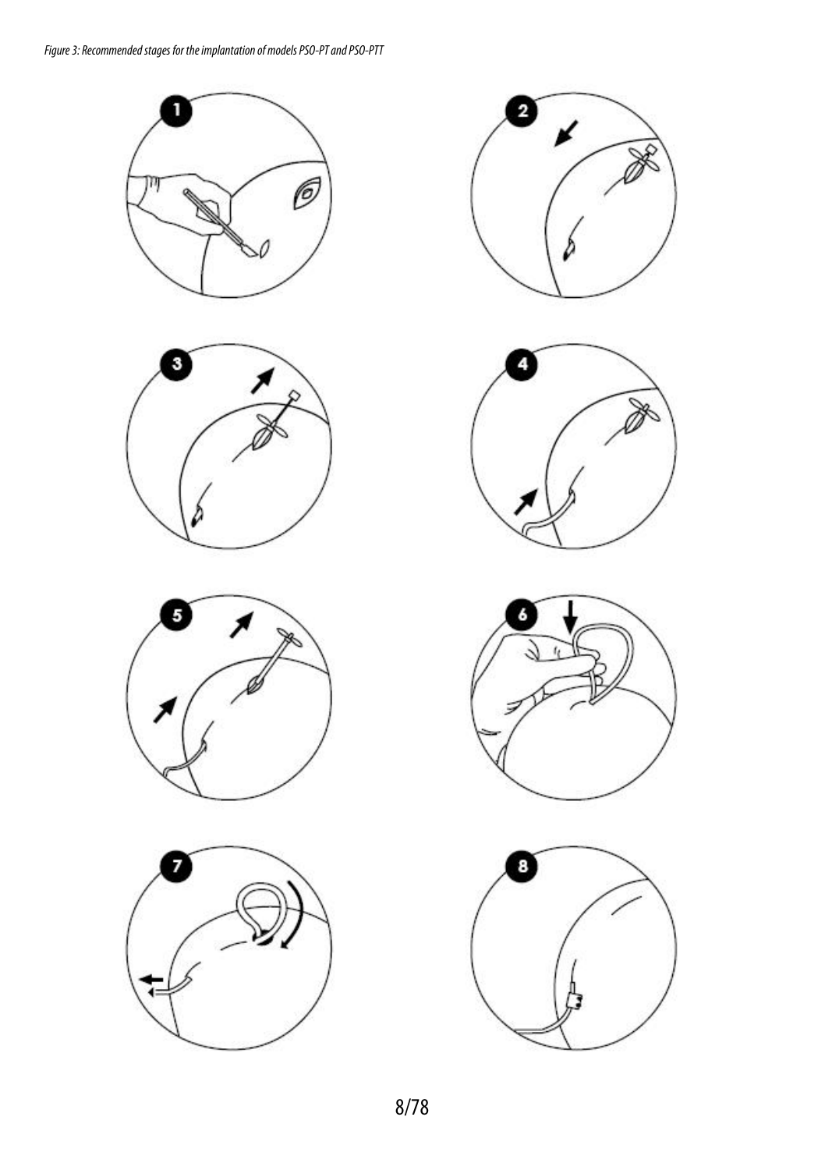













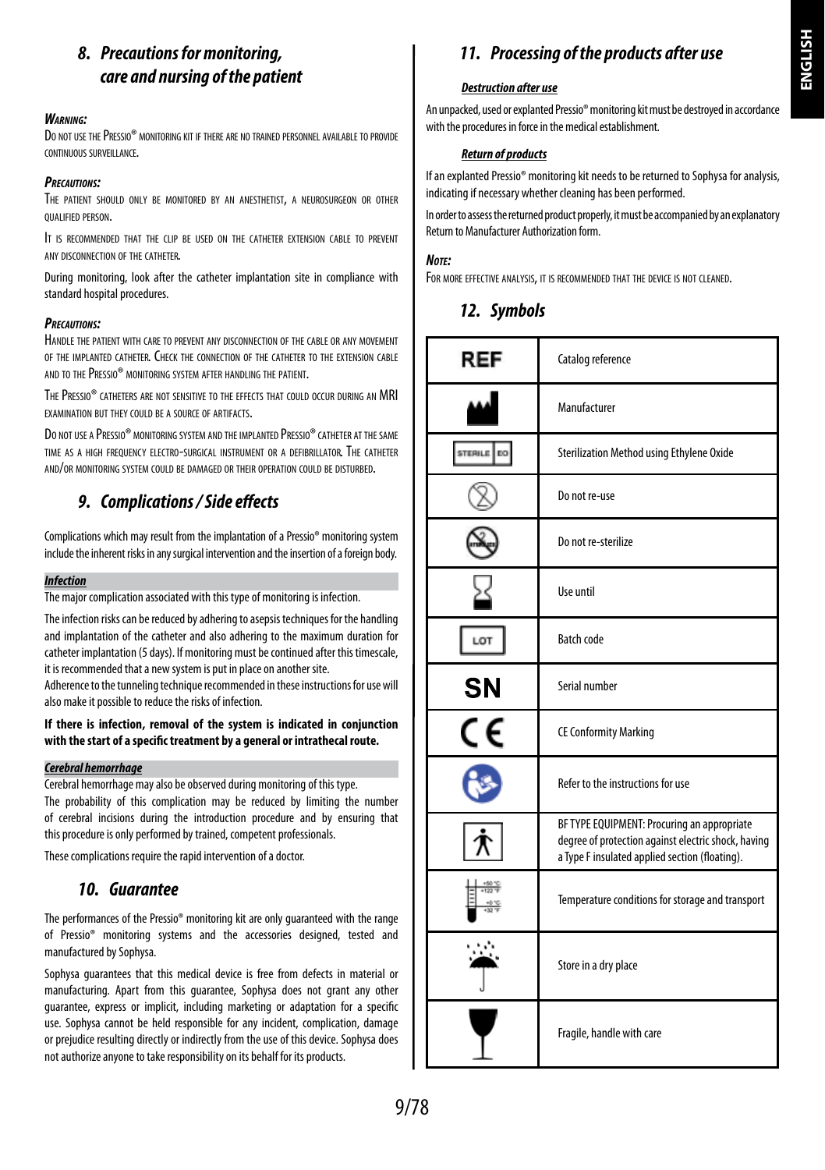# *8. Precautions for monitoring, care and nursing of the patient*

#### *Warning:*

Do not use the Pressio® monitoring kit if there are no trained personnel available to provide continuous surveillance.

#### *Precautions:*

The patient should only be monitored by an anesthetist, a neurosurgeon or other qualified person.

It is recommended that the clip be used on the catheter extension cable to prevent any disconnection of the catheter.

During monitoring, look after the catheter implantation site in compliance with standard hospital procedures.

#### *Precautions:*

Handle the patient with care to prevent any disconnection of the cable or any movement of the implanted catheter. Check the connection of the catheter to the extension cable and to thePressio® monitoring system after handling the patient.

ThePressio® catheters are not sensitive to the effects that could occur during an MRI examination but they could be a source of artifacts.

DO NOT USE A PRESSIO<sup>®</sup> MONITORING SYSTEM AND THE IMPLANTED PRESSIO<sup>®</sup> CATHETER AT THE SAME time as a high frequency electro-surgical instrument or a defibrillator. The catheter and/or monitoring system could be damaged or their operation could be disturbed.

# *9. Complications / Side effects*

Complications which may result from the implantation of a Pressio® monitoring system include the inherent risks in any surgical intervention and the insertion of a foreign body.

#### *Infection*

The major complication associated with this type of monitoring is infection.

The infection risks can be reduced by adhering to asepsis techniques for the handling and implantation of the catheter and also adhering to the maximum duration for catheter implantation (5 days). If monitoring must be continued after this timescale, it is recommended that a new system is put in place on another site.

Adherence to the tunneling technique recommended in these instructions for use will also make it possible to reduce the risks of infection.

#### **If there is infection, removal of the system is indicated in conjunction with the start of a specific treatment by a general or intrathecal route.**

#### *Cerebral hemorrhage*

Cerebral hemorrhage may also be observed during monitoring of this type. The probability of this complication may be reduced by limiting the number of cerebral incisions during the introduction procedure and by ensuring that this procedure is only performed by trained, competent professionals.

These complications require the rapid intervention of a doctor.

# *10. Guarantee*

The performances of the Pressio® monitoring kit are only guaranteed with the range of Pressio® monitoring systems and the accessories designed, tested and manufactured by Sophysa.

Sophysa guarantees that this medical device is free from defects in material or manufacturing. Apart from this guarantee, Sophysa does not grant any other guarantee, express or implicit, including marketing or adaptation for a specific use. Sophysa cannot be held responsible for any incident, complication, damage or prejudice resulting directly or indirectly from the use of this device. Sophysa does not authorize anyone to take responsibility on its behalf for its products.

# *11. Processing of the products after use*

#### *Destruction after use*

An unpacked, used or explanted Pressio® monitoring kit must be destroyed in accordance with the procedures in force in the medical establishment.

#### *Return of products*

If an explanted Pressio® monitoring kit needs to be returned to Sophysa for analysis, indicating if necessary whether cleaning has been performed.

In order to assess the returned product properly, it must be accompanied by an explanatory Return to Manufacturer Authorization form.

#### *Note:*

FOR MORE EFFECTIVE ANALYSIS, IT IS RECOMMENDED THAT THE DEVICE IS NOT CLEANED.

# *12. Symbols*

| REF           | Catalog reference                                                                                                                                    |
|---------------|------------------------------------------------------------------------------------------------------------------------------------------------------|
|               | Manufacturer                                                                                                                                         |
| STERILE<br>DO | Sterilization Method using Ethylene Oxide                                                                                                            |
|               | Do not re-use                                                                                                                                        |
|               | Do not re-sterilize                                                                                                                                  |
|               | Use until                                                                                                                                            |
| LOT           | <b>Batch code</b>                                                                                                                                    |
| <b>SN</b>     | Serial number                                                                                                                                        |
| C٤            | <b>CE Conformity Marking</b>                                                                                                                         |
|               | Refer to the instructions for use                                                                                                                    |
|               | BF TYPE EQUIPMENT: Procuring an appropriate<br>degree of protection against electric shock, having<br>a Type F insulated applied section (floating). |
|               | Temperature conditions for storage and transport                                                                                                     |
|               | Store in a dry place                                                                                                                                 |
|               | Fragile, handle with care                                                                                                                            |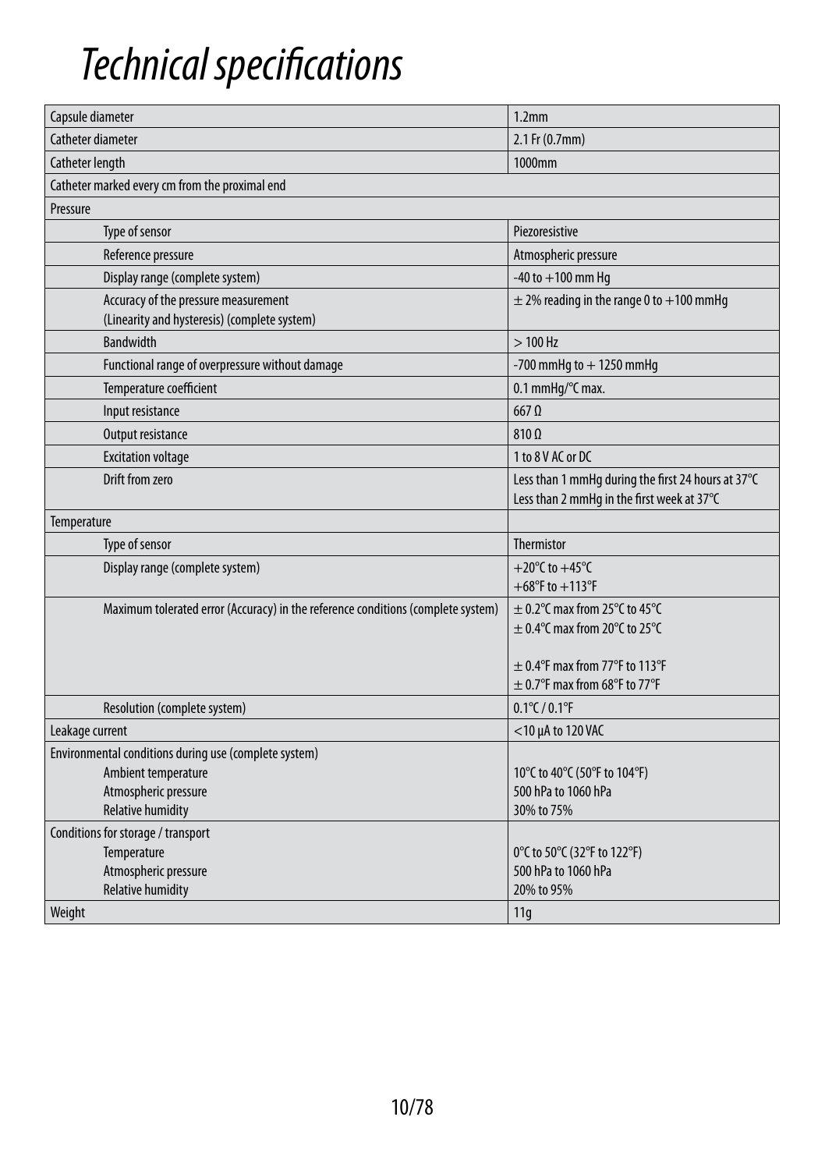# *Technical specifications*

| Capsule diameter                                                                     | 1.2 <sub>mm</sub>                                                                                |
|--------------------------------------------------------------------------------------|--------------------------------------------------------------------------------------------------|
| Catheter diameter                                                                    | 2.1 Fr (0.7mm)                                                                                   |
| Catheter length                                                                      | 1000mm                                                                                           |
| Catheter marked every cm from the proximal end                                       |                                                                                                  |
| Pressure                                                                             |                                                                                                  |
| Type of sensor                                                                       | Piezoresistive                                                                                   |
| Reference pressure                                                                   | Atmospheric pressure                                                                             |
| Display range (complete system)                                                      | $-40$ to $+100$ mm Hq                                                                            |
| Accuracy of the pressure measurement<br>(Linearity and hysteresis) (complete system) | $\pm$ 2% reading in the range 0 to $+100$ mmHg                                                   |
| <b>Bandwidth</b>                                                                     | $>100$ Hz                                                                                        |
| Functional range of overpressure without damage                                      | -700 mmHg to $+$ 1250 mmHg                                                                       |
| Temperature coefficient                                                              | 0.1 mmHq/°C max.                                                                                 |
| Input resistance                                                                     | $667$ $\Omega$                                                                                   |
| Output resistance                                                                    | 810 Q                                                                                            |
| <b>Excitation voltage</b>                                                            | 1 to 8 V AC or DC                                                                                |
| Drift from zero                                                                      | Less than 1 mmHg during the first 24 hours at 37°C<br>Less than 2 mmHq in the first week at 37°C |
| Temperature                                                                          |                                                                                                  |
| Type of sensor                                                                       | <b>Thermistor</b>                                                                                |
| Display range (complete system)                                                      | +20 $^{\circ}$ C to +45 $^{\circ}$ C                                                             |
|                                                                                      | $+68^{\circ}$ F to $+113^{\circ}$ F                                                              |
| Maximum tolerated error (Accuracy) in the reference conditions (complete system)     | $\pm$ 0.2°C max from 25°C to 45°C                                                                |
|                                                                                      | $\pm$ 0.4°C max from 20°C to 25°C                                                                |
|                                                                                      | $\pm$ 0.4°F max from 77°F to 113°F                                                               |
|                                                                                      | $\pm$ 0.7°F max from 68°F to 77°F                                                                |
| Resolution (complete system)                                                         | $0.1^{\circ}$ C / $0.1^{\circ}$ F                                                                |
| Leakage current                                                                      | <10 µA to 120 VAC                                                                                |
| Environmental conditions during use (complete system)                                |                                                                                                  |
| Ambient temperature                                                                  | 10°C to 40°C (50°F to 104°F)                                                                     |
| Atmospheric pressure                                                                 | 500 hPa to 1060 hPa                                                                              |
| <b>Relative humidity</b>                                                             | 30% to 75%                                                                                       |
| Conditions for storage / transport                                                   |                                                                                                  |
| Temperature                                                                          | 0°C to 50°C (32°F to 122°F)                                                                      |
| Atmospheric pressure                                                                 | 500 hPa to 1060 hPa                                                                              |
| <b>Relative humidity</b>                                                             | 20% to 95%                                                                                       |
| Weight                                                                               | 11q                                                                                              |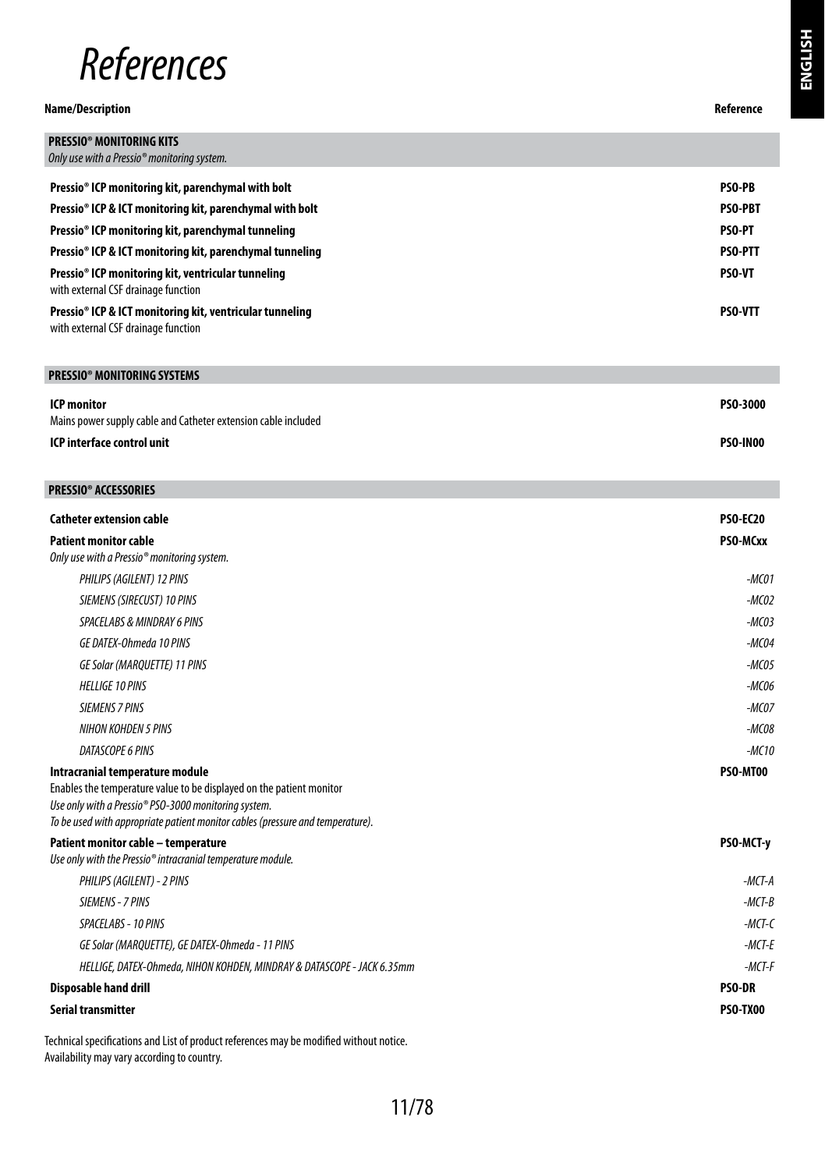

#### **Name/Description Reference**

| ٨F<br>72<br>Р | ì |
|---------------|---|

| <b>PRESSIO® MONITORING KITS</b>                                                                             |                |
|-------------------------------------------------------------------------------------------------------------|----------------|
| Only use with a Pressio <sup>®</sup> monitoring system.                                                     |                |
| Pressio <sup>®</sup> ICP monitoring kit, parenchymal with bolt                                              | <b>PSO-PB</b>  |
| Pressio <sup>®</sup> ICP & ICT monitoring kit, parenchymal with bolt                                        | <b>PSO-PBT</b> |
| Pressio <sup>®</sup> ICP monitoring kit, parenchymal tunneling                                              | <b>PSO-PT</b>  |
| Pressio <sup>®</sup> ICP & ICT monitoring kit, parenchymal tunneling                                        | <b>PSO-PTT</b> |
| Pressio <sup>®</sup> ICP monitoring kit, ventricular tunneling<br>with external CSF drainage function       | <b>PSO-VT</b>  |
| Pressio <sup>®</sup> ICP & ICT monitoring kit, ventricular tunneling<br>with external CSF drainage function | <b>PSO-VTT</b> |
|                                                                                                             |                |
| <b>PRESSIO<sup>®</sup> MONITORING SYSTEMS</b>                                                               |                |

| ICP monitor                                                    | PSO-3000        |
|----------------------------------------------------------------|-----------------|
| Mains power supply cable and Catheter extension cable included |                 |
| ICP interface control unit                                     | <b>PSO-IN00</b> |

| <b>PRESSIO® ACCESSORIES</b>                                                                                                            |                 |
|----------------------------------------------------------------------------------------------------------------------------------------|-----------------|
| <b>Catheter extension cable</b>                                                                                                        | <b>PSO-EC20</b> |
| <b>Patient monitor cable</b>                                                                                                           | PSO-MCxx        |
| Only use with a Pressio® monitoring system.                                                                                            |                 |
| PHILIPS (AGILENT) 12 PINS                                                                                                              | $-MCO1$         |
| SIEMENS (SIRECUST) 10 PINS                                                                                                             | $-MCO2$         |
| <b>SPACELABS &amp; MINDRAY 6 PINS</b>                                                                                                  | $-MCO3$         |
| GE DATEX-Ohmeda 10 PINS                                                                                                                | $-MCO4$         |
| GE Solar (MARQUETTE) 11 PINS                                                                                                           | $-MCO5$         |
| <b>HELLIGE 10 PINS</b>                                                                                                                 | $-MCO6$         |
| <b>SIEMENS 7 PINS</b>                                                                                                                  | $-MCO7$         |
| NIHON KOHDEN 5 PINS                                                                                                                    | $-MCO8$         |
| <b>DATASCOPE 6 PINS</b>                                                                                                                | $-MC1G$         |
| Intracranial temperature module                                                                                                        | PSO-MT00        |
| Enables the temperature value to be displayed on the patient monitor                                                                   |                 |
| Use only with a Pressio® PSO-3000 monitoring system.<br>To be used with appropriate patient monitor cables (pressure and temperature). |                 |
| Patient monitor cable - temperature                                                                                                    | PSO-MCT-y       |
| Use only with the Pressio® intracranial temperature module.                                                                            |                 |
| PHILIPS (AGILENT) - 2 PINS                                                                                                             | $-MCT-A$        |
| SIEMENS - 7 PINS                                                                                                                       | $-MCT-B$        |
| SPACELABS - 10 PINS                                                                                                                    | $-MCT-C$        |
| GE Solar (MARQUETTE), GE DATEX-Ohmeda - 11 PINS                                                                                        | $-MCT-E$        |
| HELLIGE, DATEX-Ohmeda, NIHON KOHDEN, MINDRAY & DATASCOPE - JACK 6.35mm                                                                 | $-MCT-F$        |
| Disposable hand drill                                                                                                                  | <b>PSO-DR</b>   |
| Serial transmitter                                                                                                                     | PSO TX00        |

Technical specifications and List of product references may be modified without notice. Availability may vary according to country.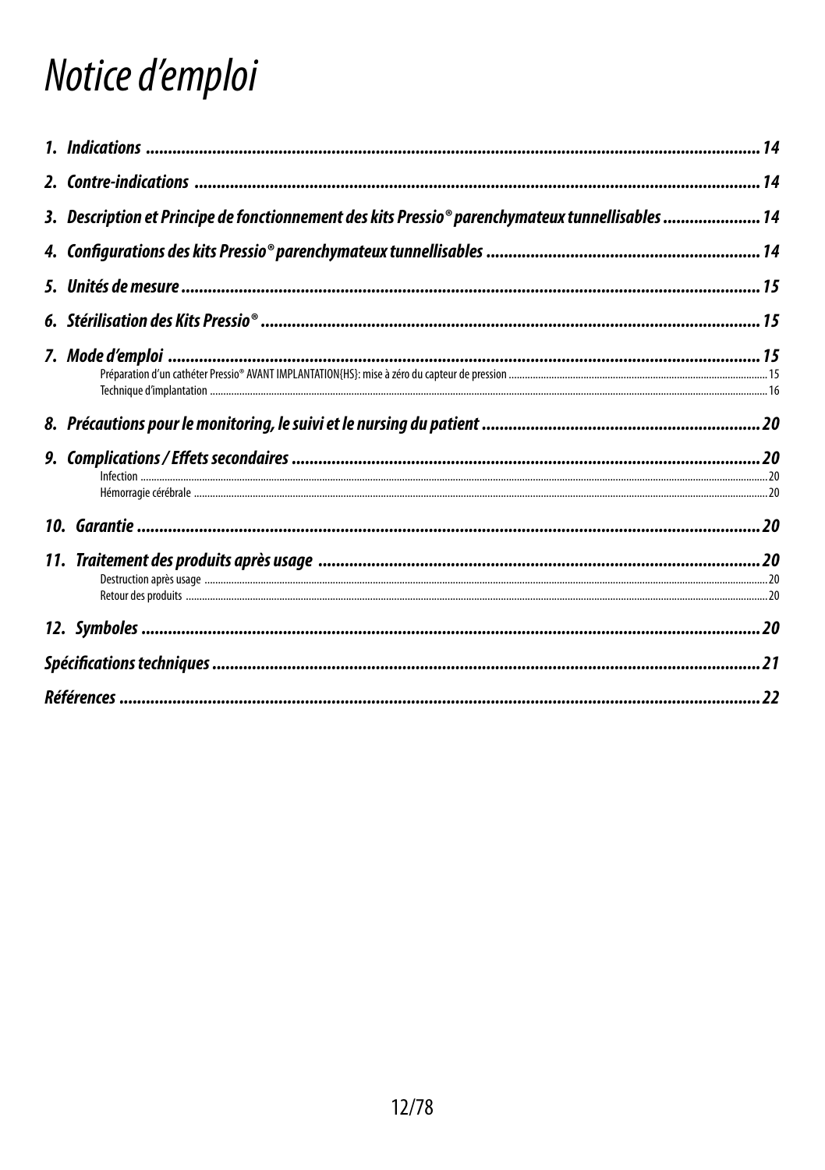# Notice d'emploi

| 3. Description et Principe de fonctionnement des kits Pressio® parenchymateux tunnellisables  14 |  |
|--------------------------------------------------------------------------------------------------|--|
|                                                                                                  |  |
|                                                                                                  |  |
|                                                                                                  |  |
|                                                                                                  |  |
|                                                                                                  |  |
|                                                                                                  |  |
|                                                                                                  |  |
|                                                                                                  |  |
|                                                                                                  |  |
|                                                                                                  |  |
|                                                                                                  |  |
|                                                                                                  |  |
|                                                                                                  |  |
|                                                                                                  |  |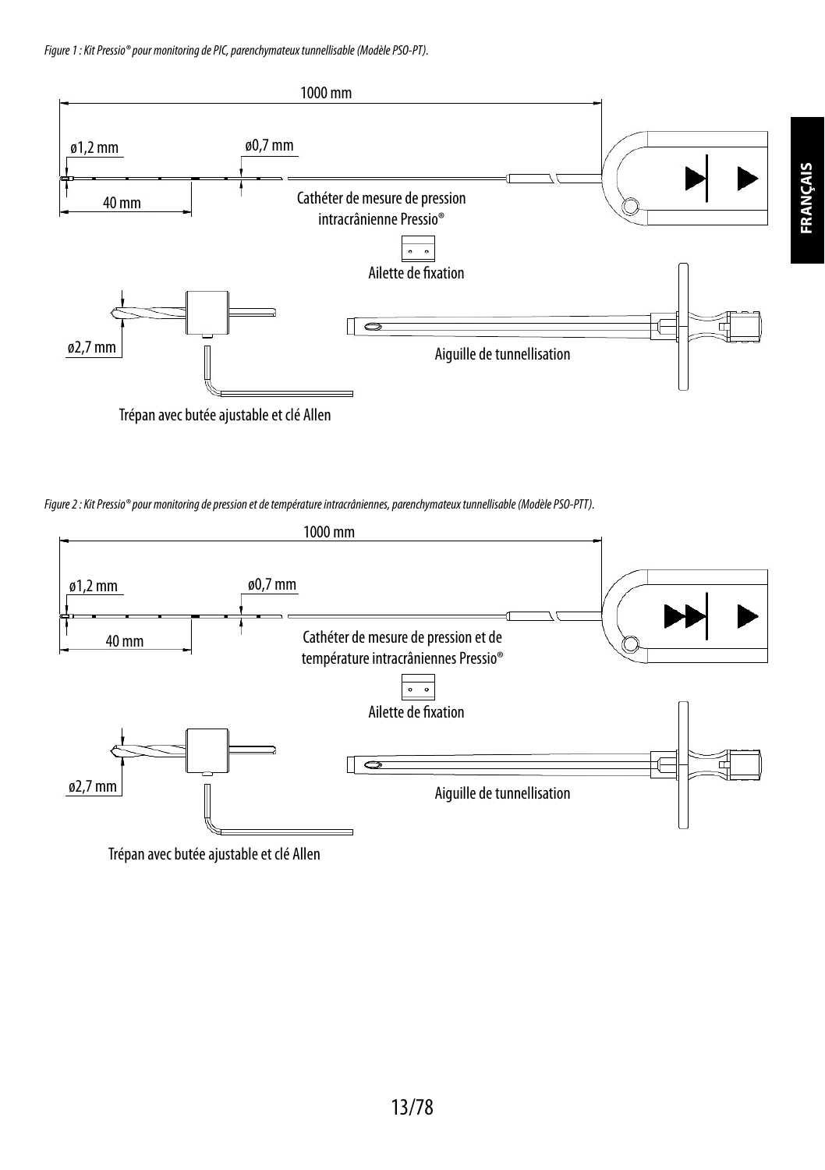

Trépan avec butée ajustable et clé Allen

*Figure 2: Kit Pressio® pour monitoring de pression et de température intracrâniennes, parenchymateux tunnellisable (Modèle PSO-PTT).*



Trépan avec butée ajustable et clé Allen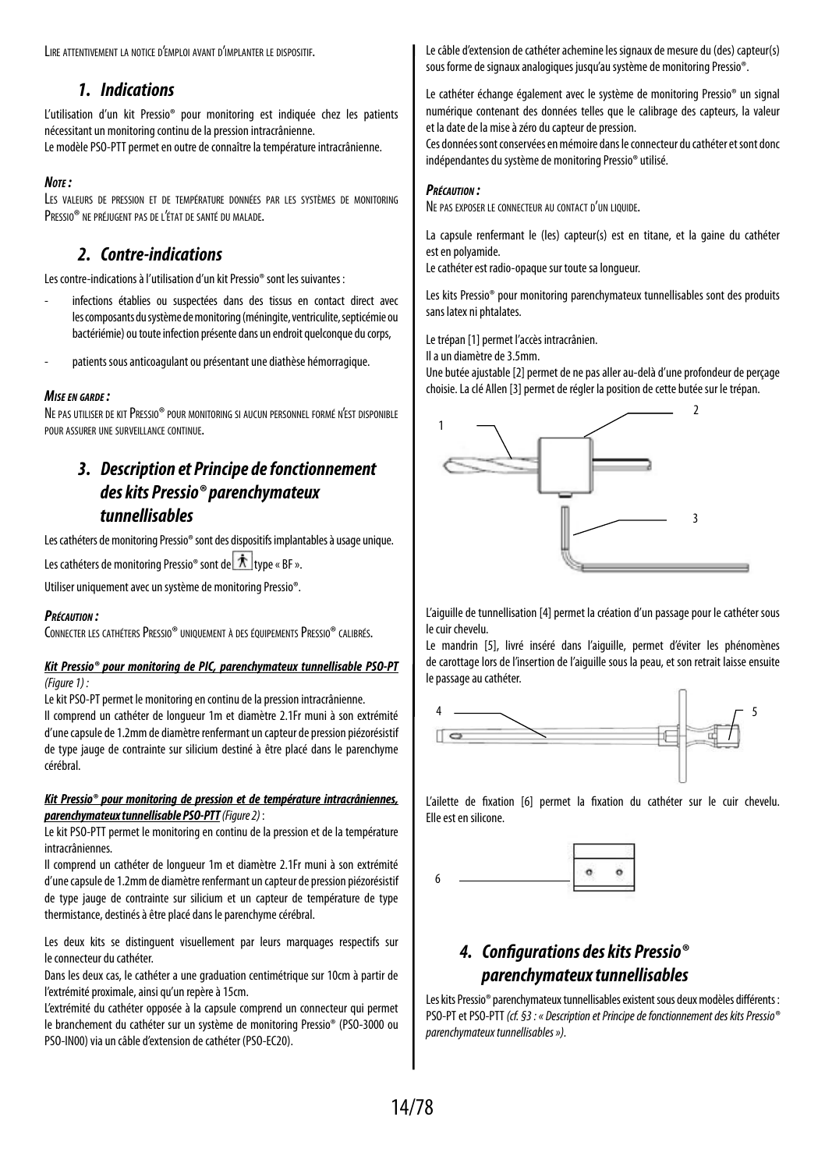Lire attentivement la notice d'emploi avant d'implanter le dispositif.

## *1. Indications*

L'utilisation d'un kit Pressio® pour monitoring est indiquée chez les patients nécessitant un monitoring continu de la pression intracrânienne. Le modèle PSO-PTT permet en outre de connaître la température intracrânienne.

#### *Note :*

Les valeurs de pression et de température données par les systèmes de monitoring PRESSIO<sup>®</sup> NE PRÉJUGENT PAS DE L'ÉTAT DE SANTÉ DU MALADE.

## *2. Contre-indications*

Les contre-indications à l'utilisation d'un kit Pressio® sont les suivantes :

- infections établies ou suspectées dans des tissus en contact direct avec les composants du système de monitoring (méningite, ventriculite, septicémie ou bactériémie) ou toute infection présente dans un endroit quelconque du corps,
- patients sous anticoagulant ou présentant une diathèse hémorragique.

#### *Mise en garde :*

NE PAS UTILISER DE KIT PRESSIO® POUR MONITORING SI AUCUN PERSONNEL FORMÉ N'EST DISPONIBLE pour assurer une surveillance continue.

# *3. Description et Principe de fonctionnement des kits Pressio® parenchymateux tunnellisables*

Les cathéters de monitoring Pressio® sont des dispositifs implantables à usage unique.

Les cathéters de monitoring Pressio<sup>®</sup> sont de  $\hat{\pi}$  type « BF ».

Utiliser uniquement avec un système de monitoring Pressio®.

#### *Précaution :*

CONNECTER LES CATHÉTERS PRESSIO® UNIQUEMENT À DES ÉQUIPEMENTS PRESSIO® CALIBRÉS.

#### *Kit Pressio® pour monitoring de PIC, parenchymateux tunnellisable PSO-PT (Figure 1) :*

Le kit PSO-PT permet le monitoring en continu de la pression intracrânienne.

Il comprend un cathéter de longueur 1m et diamètre 2.1Fr muni à son extrémité d'une capsule de 1.2mm de diamètre renfermant un capteur de pression piézorésistif de type jauge de contrainte sur silicium destiné à être placé dans le parenchyme cérébral.

#### *Kit Pressio® pour monitoring de pression et de température intracrâniennes, parenchymateux tunnellisable PSO-PTT (Figure 2)* :

Le kit PSO-PTT permet le monitoring en continu de la pression et de la température intracrâniennes.

Il comprend un cathéter de longueur 1m et diamètre 2.1Fr muni à son extrémité d'une capsule de 1.2mm de diamètre renfermant un capteur de pression piézorésistif de type jauge de contrainte sur silicium et un capteur de température de type thermistance, destinés à être placé dans le parenchyme cérébral.

Les deux kits se distinguent visuellement par leurs marquages respectifs sur le connecteur du cathéter.

Dans les deux cas, le cathéter a une graduation centimétrique sur 10cm à partir de l'extrémité proximale, ainsi qu'un repère à 15cm.

L'extrémité du cathéter opposée à la capsule comprend un connecteur qui permet le branchement du cathéter sur un système de monitoring Pressio® (PSO-3000 ou PSO-IN00) via un câble d'extension de cathéter (PSO-EC20).

Le câble d'extension de cathéter achemine les signaux de mesure du (des) capteur(s) sous forme de signaux analogiques jusqu'au système de monitoring Pressio®.

Le cathéter échange également avec le système de monitoring Pressio® un signal numérique contenant des données telles que le calibrage des capteurs, la valeur et la date de la mise à zéro du capteur de pression.

Ces données sont conservées en mémoire dans le connecteur du cathéter et sont donc indépendantes du système de monitoring Pressio® utilisé.

#### *Précaution :*

Ne pas exposer le connecteur au contact d'un liquide.

La capsule renfermant le (les) capteur(s) est en titane, et la gaine du cathéter est en polyamide.

Le cathéter est radio-opaque sur toute sa longueur.

Les kits Pressio® pour monitoring parenchymateux tunnellisables sont des produits sans latex ni phtalates.

Le trépan [1] permet l'accès intracrânien.

Il a un diamètre de 3.5mm.

Une butée ajustable [2] permet de ne pas aller au-delà d'une profondeur de perçage choisie. La clé Allen [3] permet de régler la position de cette butée sur le trépan.



L'aiguille de tunnellisation [4] permet la création d'un passage pour le cathéter sous le cuir chevelu.

Le mandrin [5], livré inséré dans l'aiguille, permet d'éviter les phénomènes de carottage lors de l'insertion de l'aiguille sous la peau, et son retrait laisse ensuite le passage au cathéter.



L'ailette de fixation [6] permet la fixation du cathéter sur le cuir chevelu. Elle est en silicone.



# *4. Configurations des kits Pressio® parenchymateux tunnellisables*

Les kits Pressio® parenchymateux tunnellisables existent sous deux modèles différents: PSO-PT et PSO-PTT *(cf. §3 : « Description et Principe de fonctionnement deskits Pressio® parenchymateux tunnellisables »).*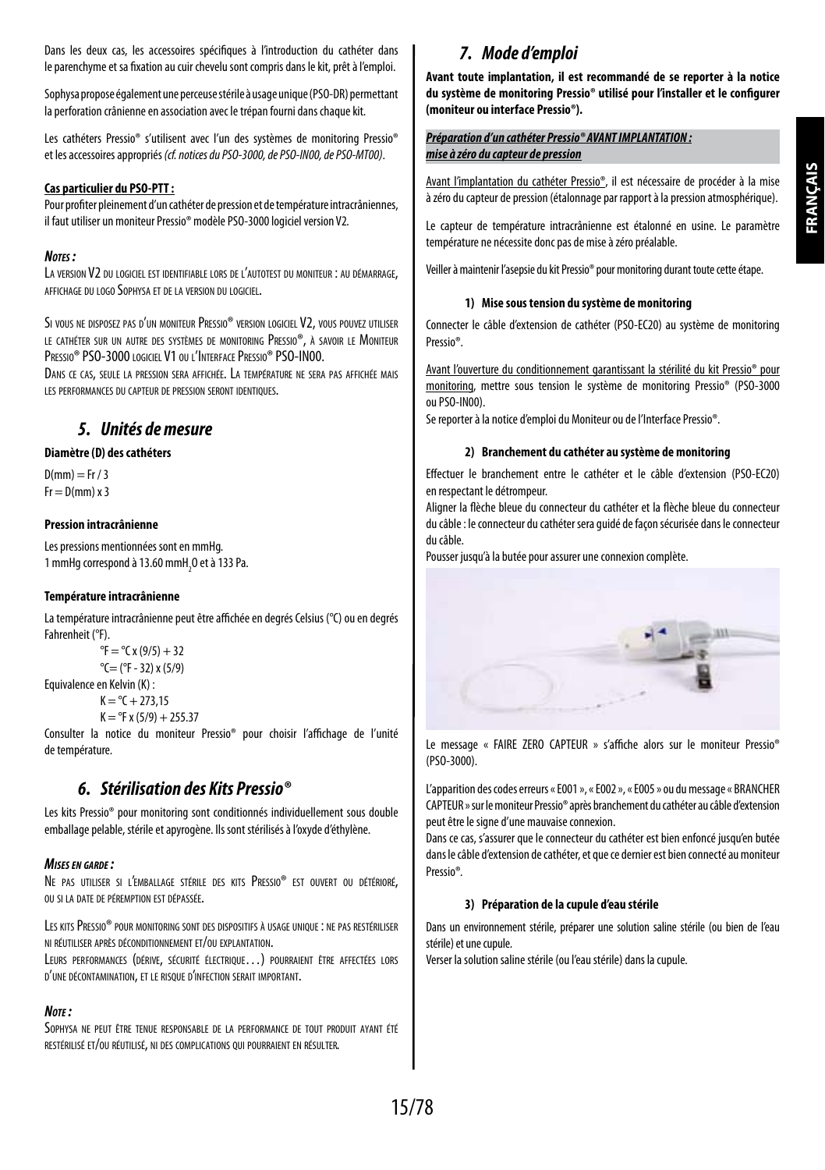Dans les deux cas, les accessoires spécifiques à l'introduction du cathéter dans leparenchyme et sa fixation au cuir chevelu sont compris dans le kit, prêt à l'emploi.

Sophysa propose également une perceuse stérile à usage unique (PSO-DR) permettant la perforation crânienne en association avec le trépan fourni dans chaque kit.

Les cathéters Pressio® s'utilisent avec l'un des systèmes de monitoring Pressio® et lesaccessoires appropriés *(cf. notices du PSO-3000, de PSO-IN00, de PSO-MT00)*.

#### **Cas particulier du PSO-PTT:**

Pour profiter pleinement d'un cathéter de pression et de température intracrâniennes, il faut utiliser un moniteur Pressio® modèle PSO-3000 logiciel version V2*.*

#### *Notes :*

La version V2 du logiciel est identifiable lors de l'autotest du moniteur : au démarrage, affichage du logo Sophysa et de la version du logiciel.

Si vous ne disposez pas d'un moniteur Pressio® version logiciel V2, vous pouvez utiliser le cathéter sur un autre des systèmes de monitoring Pressio®, à savoir le Moniteur PRESSIO<sup>®</sup> PSO-3000 logiciel V1 ou l'Interface Pressio® PSO-IN00.

Dans ce cas, seule la pression sera affichée. La température ne sera pas affichée mais les performances du capteur de pression seront identiques.

### *5. Unités de mesure*

#### **Diamètre (D) des cathéters**

 $D(mm) = Fr / 3$  $Fr = D(mm) \times 3$ 

#### **Pression intracrânienne**

Les pressions mentionnées sont en mmHg. 1 mmHg correspond à 13.60 mmH<sub>2</sub>0 et à 133 Pa.

#### **Température intracrânienne**

La température intracrânienne peut être affichée en degrés Celsius (°C) ou en degrés Fahrenheit (°F).

```
{}^{\circ}F = {}^{\circ}C x (9/5) + 32
°C = (°F - 32) x (5/9)
```
Equivalence en Kelvin (K) :  $K = {}^{\circ}C + 273.15$ 

```
K = PF x (5/9) + 255.37
```
Consulter la notice du moniteur Pressio® pour choisir l'affichage de l'unité detempérature.

## *6. Stérilisation des Kits Pressio®*

Les kits Pressio® pour monitoring sont conditionnés individuellement sous double emballage pelable, stérile et apyrogène. Ils sont stérilisés à l'oxyde d'éthylène.

#### *Mises en garde :*

Ne pas utiliser si l'emballage stérile des kits Pressio® est ouvert ou détérioré, ou si la date de péremption est dépassée.

Les kitsPressio® pour monitoring sont des dispositifs <sup>à</sup> usage unique : ne pas restériliser ni réutiliser après déconditionnement et/ou explantation.

Leurs performances (dérive, sécurité électrique…) pourraient être affectées lors d'une décontamination, et le risque d'infection serait important.

#### *Note :*

Sophysa ne peut être tenue responsable de la performance de tout produit ayant été restérilisé et/ou réutilisé, ni des complications qui pourraient en résulter.

# *7. Mode d'emploi*

**Avant toute implantation, il est recommandé de se reporter à la notice du système de monitoring Pressio® utilisé pour l'installer et le configurer (moniteur ou interface Pressio®).**

#### *Préparation d'un cathéter Pressio® AVANT IMPLANTATION : mise à zéro du capteur de pression*

Avant l'implantation du cathéter Pressio®, il est nécessaire de procéder à la mise àzéro du capteur de pression (étalonnage par rapport à la pression atmosphérique).

Le capteur de température intracrânienne est étalonné en usine. Le paramètre température ne nécessite donc pas de mise à zéro préalable.

Veiller à maintenir l'asepsie du kit Pressio® pour monitoring durant toute cette étape.

#### **1) Mise sous tension du système de monitoring**

Connecter le câble d'extension de cathéter (PSO-EC20) au système de monitoring Pressio®.

Avant l'ouverture du conditionnement garantissant la stérilité du kit Pressio® pour monitoring, mettre sous tension le système de monitoring Pressio® (PSO-3000 ouPSO-IN00).

Se reporter à la notice d'emploi du Moniteur ou de l'Interface Pressio®.

#### **2) Branchement du cathéter au système de monitoring**

Effectuer le branchement entre le cathéter et le câble d'extension (PSO-EC20) en respectant le détrompeur.

Aligner la flèche bleue du connecteur du cathéter et la flèche bleue du connecteur du câble : le connecteur du cathéter sera guidé de façon sécurisée dans le connecteur du câble.

Pousser jusqu'à la butée pour assurer une connexion complète.



Le message « FAIRE ZERO CAPTEUR » s'affiche alors sur le moniteur Pressio® (PSO-3000).

L'apparition des codes erreurs « E001 », « E002 », « E005 » ou du message « BRANCHER CAPTEUR » sur le moniteur Pressio® après branchement du cathéter au câble d'extension peut être le signe d'une mauvaise connexion.

Dans ce cas, s'assurer que le connecteur du cathéter est bien enfoncé jusqu'en butée dans le câble d'extension de cathéter, et que ce dernier est bien connecté au moniteur Pressio®*.*

#### **3) Préparation de la cupule d'eau stérile**

Dans un environnement stérile, préparer une solution saline stérile (ou bien de l'eau stérile) et une cupule.

Verser la solution saline stérile (ou l'eau stérile) dans la cupule.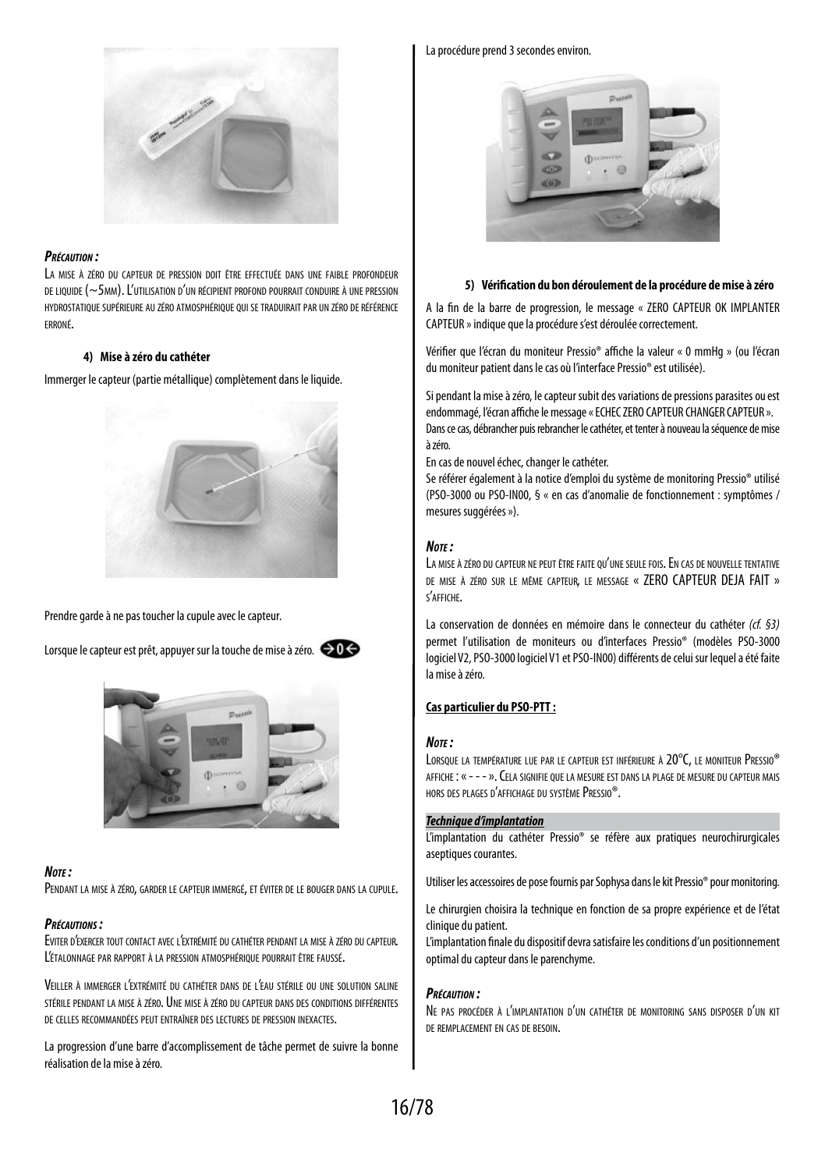

#### *Précaution :*

La mise à zéro du capteur de pression doit être effectuée dans une faible profondeur de liquide (~5mm). L'utilisation d'un récipient profond pourrait conduire à une pression hydrostatique supérieure au zéro atmosphérique qui se traduiraitpar un zéro de référence erroné.

#### **4) Mise à zéro du cathéter**

Immerger le capteur (partie métallique) complètement dans le liquide.



Prendre garde à ne pas toucher la cupule avec le capteur*.*

Lorsque le capteur est prêt, appuyer sur la touche de mise à zéro.  $\ominus$  0  $\ominus$ 



#### *Note :*

Pendant la mise <sup>à</sup> zéro, garder le capteur immergé, et éviter de le bouger dans la cupule.

#### *Précautions :*

Eviter d'exercer tout contact avec l'extrémité du cathéter pendant la mise <sup>à</sup> zéro du capteur. L'étalonnage par rapport <sup>à</sup> la pression atmosphérique pourrait être faussé.

Veiller <sup>à</sup> immerger l'extrémité du cathéter dans de l'eau stérile ou une solution saline stérile pendant la mise <sup>à</sup> zéro. Une mise <sup>à</sup> zéro du capteur dans des conditions différentes de celles recommandées peut entraîner des lectures de pression inexactes.

La progression d'une barre d'accomplissement de tâche permet de suivre la bonne réalisation de la mise à zéro.

#### La procédure prend 3 secondes environ*.*



#### **5) Vérification du bon déroulement de la procédure de mise à zéro**

A la fin de la barre de progression, le message « ZERO CAPTEUR OK IMPLANTER CAPTEUR » indique que la procédure s'est déroulée correctement.

Vérifier que l'écran du moniteur Pressio® affiche la valeur « 0 mmHg » (ou l'écran du moniteur patient dans le cas où l'interface Pressio® est utilisée).

Si pendant la mise à zéro, le capteur subit des variations de pressions parasites ou est endommagé, l'écran affiche le message « ECHEC ZERO CAPTEUR CHANGER CAPTEUR ». Dans ce cas, débrancher puis rebrancher le cathéter, et tenter à nouveau la séquence de mise à zéro.

En cas de nouvel échec, changer le cathéter.

Se référer également à la notice d'emploi du système de monitoring Pressio® utilisé (PSO-3000 ou PSO-IN00, § « en cas d'anomalie de fonctionnement : symptômes / mesures suggérées »).

#### *Note :*

LA MISE À ZÉRO DU CAPTEUR NE PEUT ÊTRE FAITE QU'UNE SEULE FOIS. EN CAS DE NOUVELLE TENTATIVE de mise à zéro sur le même capteur, le message « ZERO CAPTEUR DEJA FAIT » s'affiche.

La conservation de données en mémoire dans le connecteur du cathéter *(cf. §3)* permet l'utilisation de moniteurs ou d'interfaces Pressio® (modèles PSO-3000 logiciel V2, PSO-3000 logiciel V1 et PSO-IN00) différents de celui sur lequel a été faite la mise à zéro.

#### **Cas particulier du PSO-PTT:**

#### *Note :*

Lorsque la température lue par le capteur est inférieure à 20°C, le moniteur Pressio® affiche : « - - - ». Cela signifie que la mesure est dans la plage de mesure du capteur mais hors des plages d'affichage du systèmePressio®.

#### *Technique d'implantation*

L'implantation du cathéter Pressio® se réfère aux pratiques neurochirurgicales aseptiques courantes.

Utiliser les accessoires de pose fournis par Sophysa dans le kit Pressio® pour monitoring.

Le chirurgien choisira la technique en fonction de sa propre expérience et de l'état clinique du patient.

L'implantation finale du dispositif devra satisfaire les conditions d'un positionnement optimal du capteur dans le parenchyme.

#### *Précaution :*

Ne pas procéder <sup>à</sup> l'implantation d'un cathéter de monitoring sans disposer d'un kit DE REMPLACEMENT EN CAS DE RESOIN.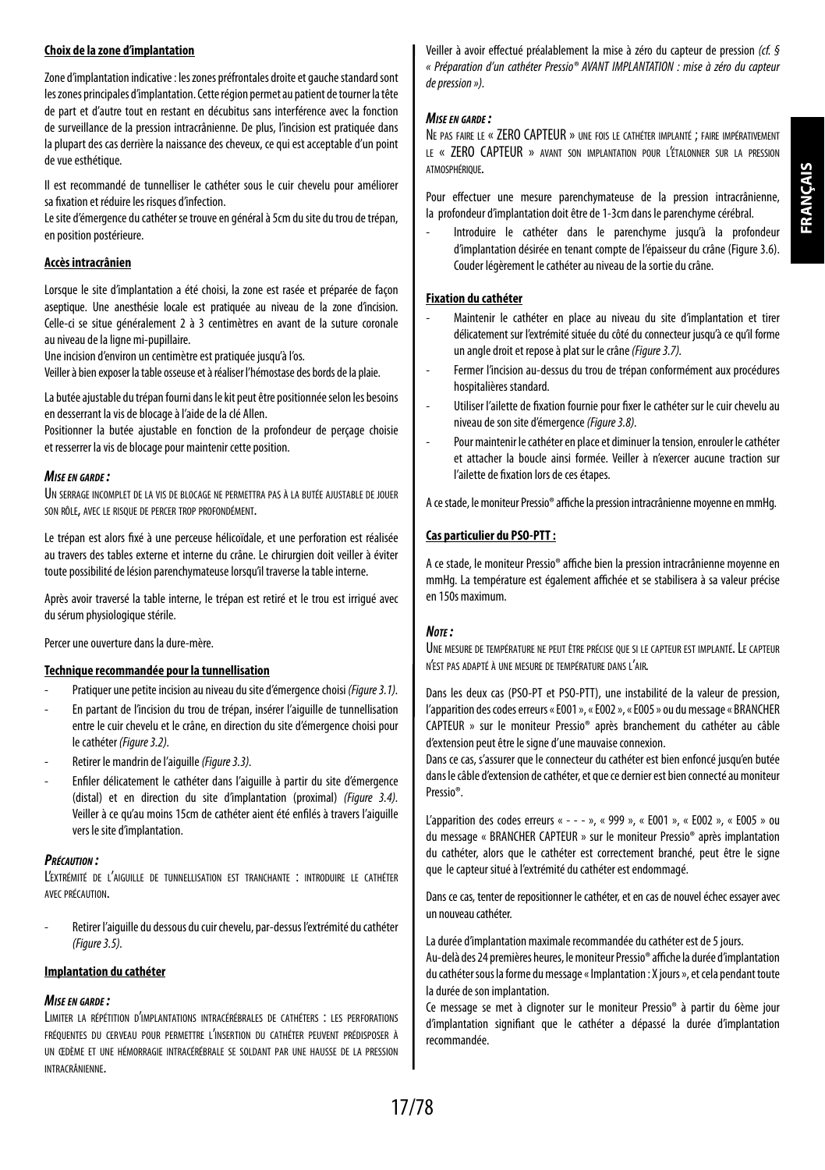#### **Choix de la zone d'implantation**

Zone d'implantation indicative: les zones préfrontales droite et gauche standard sont les zones principales d'implantation. Cette région permet au patient de tourner latête de part et d'autre tout en restant en décubitus sans interférence avec la fonction de surveillance de la pression intracrânienne. De plus, l'incision est pratiquée dans la plupart des cas derrière la naissance des cheveux, ce qui est acceptable d'un point de vue esthétique.

Il est recommandé de tunnelliser le cathéter sous le cuir chevelu pour améliorer sa fixation et réduire les risques d'infection.

Le site d'émergence du cathéter se trouve en général à 5cm du site du trou de trépan, en position postérieure.

#### **Accès intracrânien**

Lorsque le site d'implantation a été choisi, la zone est rasée et préparée de façon aseptique. Une anesthésie locale est pratiquée au niveau de la zone d'incision. Celle-ci se situe généralement 2 à 3 centimètres en avant de la suture coronale au niveau de la ligne mi-pupillaire.

Une incision d'environ un centimètre est pratiquée jusqu'à l'os.

Veiller à bien exposer la table osseuse et à réaliser l'hémostase des bords de la plaie.

La butée ajustable du trépan fourni dans le kit peut être positionnée selon les besoins en desserrant la vis de blocage à l'aide de la clé Allen.

Positionner la butée ajustable en fonction de la profondeur de perçage choisie et resserrer la vis de blocage pour maintenir cette position.

#### *Mise en garde :*

UN SERRAGE INCOMPLET DE LA VIS DE BLOCAGE NE PERMETTRA PAS À LA BUTÉE AJUSTABLE DE JOUER son rôle, avec le risque de percer trop profondément.

Le trépan est alors fixé à une perceuse hélicoïdale, et une perforation est réalisée au travers des tables externe et interne du crâne. Le chirurgien doit veiller à éviter toute possibilité de lésion parenchymateuse lorsqu'il traverse la table interne.

Après avoir traversé la table interne, le trépan est retiré et le trou est irrigué avec dusérum physiologique stérile.

Percer une ouverture dans la dure-mère.

#### **Technique recommandée pour la tunnellisation**

- Pratiquer une petite incision au niveau du site d'émergence choisi *(Figure 3.1).*
- En partant de l'incision du trou de trépan, insérer l'aiguille de tunnellisation entre le cuir chevelu et le crâne, en direction du site d'émergence choisi pour le cathéter *(Figure 3.2).*
- Retirer le mandrin de l'aiguille *(Figure 3.3).*
- Enfiler délicatement le cathéter dans l'aiguille à partir du site d'émergence (distal) et en direction du site d'implantation (proximal) *(Figure 3.4).* Veiller à ce qu'au moins 15cm de cathéter aient été enfilés à travers l'aiguille vers le site d'implantation.

#### *Précaution :*

L'extrémité de l'aiguille de tunnellisation est tranchante : introduire le cathéter avec précaution.

Retirer l'aiguille du dessous du cuir chevelu, par-dessus l'extrémité du cathéter *(Figure 3.5).*

#### **Implantation du cathéter**

#### *Mise en garde :*

Limiter la répétition d'implantations intracérébrales de cathéters : les perforations fréquentes du cerveau pour permettre l'insertion du cathéter peuvent prédisposer <sup>à</sup> un œdème et une hémorragie intracérébrale se soldant par une hausse de la pression intracrânienne.

Veiller à avoir effectué préalablement la mise à zéro du capteur de pression *(cf. § « Préparation d'un cathéter Pressio® AVANT IMPLANTATION : mise à zéro du capteur depression»).*

#### *Mise en garde :*

Ne pas faire le « ZERO CAPTEUR » une fois le cathéter implanté ; faire impérativement le « ZERO CAPTEUR » avant son implantation pour l'étalonner sur la pression **ATMOSPHÉRIQUE** 

Pour effectuer une mesure parenchymateuse de la pression intracrânienne, la profondeur d'implantation doit être de 1-3cm dans le parenchyme cérébral.

Introduire le cathéter dans le parenchyme jusqu'à la profondeur d'implantation désirée en tenant compte de l'épaisseur du crâne (Figure 3.6). Couder légèrement le cathéter au niveau de la sortie du crâne.

#### **Fixation du cathéter**

- Maintenir le cathéter en place au niveau du site d'implantation et tirer délicatement sur l'extrémité située du côté du connecteur jusqu'à ce qu'il forme un angle droit et repose à plat sur le crâne *(Figure 3.7).*
- Fermer l'incision au-dessus du trou de trépan conformément aux procédures hospitalières standard.
- Utiliser l'ailette de fixation fournie pour fixer le cathéter sur le cuir chevelu au niveau de son site d'émergence *(Figure 3.8).*
- Pour maintenir le cathéter en place et diminuer la tension, enrouler le cathéter et attacher la boucle ainsi formée. Veiller à n'exercer aucune traction sur l'ailette de fixation lors de ces étapes.

A ce stade, le moniteur Pressio® affiche la pression intracrânienne moyenne en mmHg.

#### **Cas particulier du PSO-PTT:**

A ce stade, le moniteur Pressio® affiche bien la pression intracrânienne moyenne en mmHg. La température est également affichée et se stabilisera à sa valeur précise en 150s maximum.

#### *Note :*

Une mesure de température ne peut être précise que si le capteur est implanté. Le capteur n'est pas adapté à une mesure de température dans l'air.

Dans les deux cas (PSO-PT et PSO-PTT), une instabilité de la valeur de pression, l'apparition des codes erreurs «E001», «E002», «E005» ou du message « BRANCHER CAPTEUR » sur le moniteur Pressio® après branchement du cathéter au câble d'extension peut être le signe d'une mauvaise connexion.

Dans ce cas, s'assurer que le connecteur du cathéter est bien enfoncé jusqu'en butée dans le câble d'extension de cathéter, et que ce dernier est bien connecté au moniteur Pressio®.

L'apparition des codes erreurs « - - - », « 999 », « E001 », « E002 », « E005 » ou du message « BRANCHER CAPTEUR » sur le moniteur Pressio® après implantation du cathéter, alors que le cathéter est correctement branché, peut être le signe que lecapteur situé à l'extrémité du cathéter est endommagé.

Dans ce cas, tenter de repositionner le cathéter, et en cas de nouvel échec essayer avec un nouveau cathéter.

La durée d'implantation maximale recommandée du cathéter est de 5 jours.

Au-delà des 24 premières heures, le moniteur Pressio® affiche la durée d'implantation du cathéter sous la forme du message «Implantation : X jours», et cela pendant toute la durée de son implantation.

Ce message se met à clignoter sur le moniteur Pressio® à partir du 6ème jour d'implantation signifiant que le cathéter a dépassé la durée d'implantation recommandée.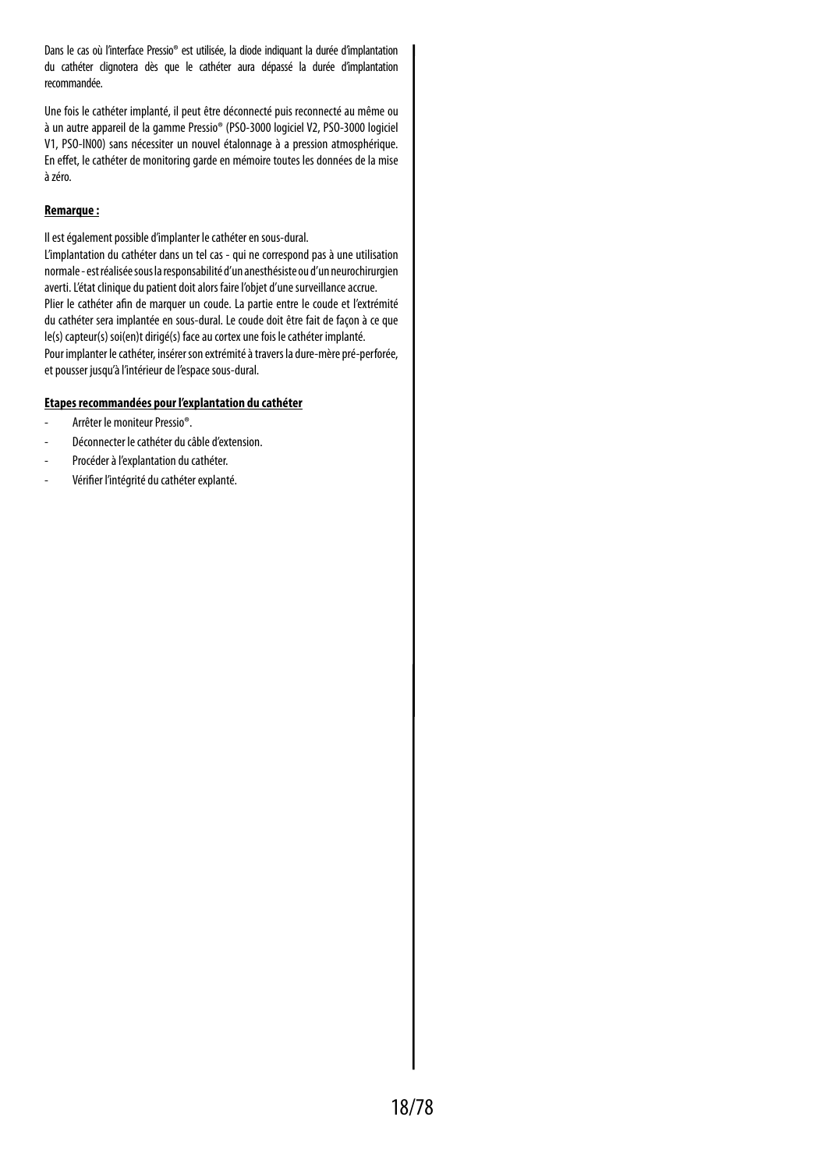Dans le cas où l'interface Pressio® est utilisée, la diode indiquant la durée d'implantation du cathéter clignotera dès que le cathéter aura dépassé la durée d'implantation recommandée.

Une fois le cathéter implanté, il peut être déconnecté puis reconnecté au même ou à un autre appareil de la gamme Pressio® (PSO-3000 logiciel V2, PSO-3000 logiciel V1, PSO-IN00) sans nécessiter un nouvel étalonnage à a pression atmosphérique. En effet, le cathéter de monitoring garde en mémoire toutes les données de la mise à zéro.

#### **Remarque :**

Il est également possible d'implanter le cathéter en sous-dural.

L'implantation du cathéter dans un tel cas - qui ne correspond pas à une utilisation normale - est réalisée sous la responsabilité d'un anesthésiste ou d'un neurochirurgien averti. L'état clinique du patient doit alors faire l'objet d'une surveillance accrue. Plier le cathéter afin de marquer un coude. La partie entre le coude et l'extrémité du cathéter sera implantée en sous-dural. Le coude doit être fait de façon à ce que le(s) capteur(s) soi(en)t dirigé(s) face au cortex une fois le cathéter implanté. Pour implanter le cathéter, insérer son extrémité à travers la dure-mère pré-perforée, et pousser jusqu'à l'intérieur de l'espace sous-dural.

#### **Etapes recommandées pour l'explantation du cathéter**

- Arrêter le moniteur Pressio®.
- Déconnecter le cathéter du câble d'extension.
- Procéder à l'explantation du cathéter.
- Vérifier l'intégrité du cathéter explanté.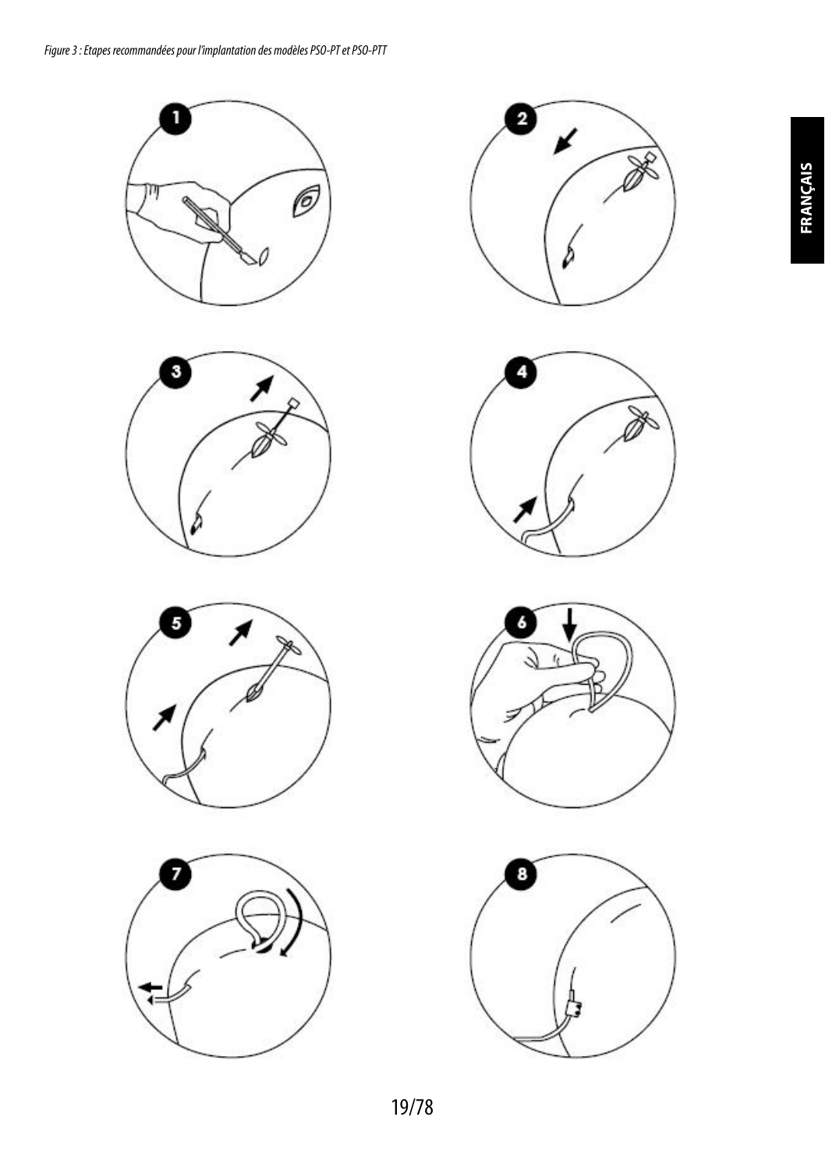













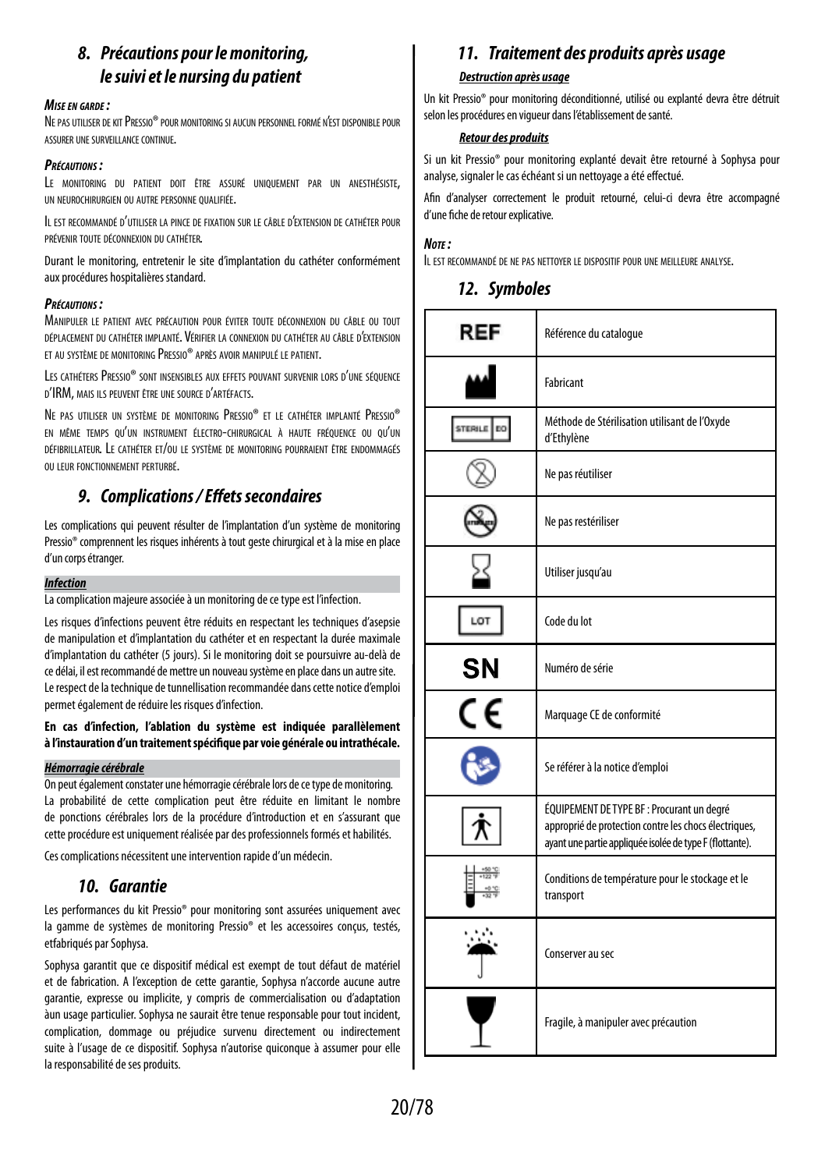# *8. Précautions pour le monitoring, le suivi et le nursing du patient*

#### *Mise en garde :*

Ne pas utiliser de kit Pressio® pour monitoring si aucun personnel formé n'est disponible pour assurer une surveillance continue.

#### *Précautions :*

Le monitoring du patient doit être assuré uniquement par un anesthésiste, un neurochirurgien ou autre personne qualifiée.

Il est recommandé d'utiliser la pince de fixation sur le câble d'extension de cathéter pour prévenir toute déconnexion du cathéter.

Durant le monitoring, entretenir le site d'implantation du cathéter conformément aux procédures hospitalières standard.

#### *Précautions :*

Manipuler le patient avec précaution pour éviter toute déconnexion du câble ou tout déplacement du cathéter implanté. Vérifier la connexion du cathéter au câble d'extension et au système de monitoring Pressio® après avoir manipulé le patient.

Les cathétersPressio® sont insensibles aux effets pouvant survenir lors d'une séquence d'IRM, mais ils peuvent être une source d'artéfacts.

Ne pas utiliser un système de monitoring Pressio® et le cathéter implanté Pressio® en même temps qu'un instrument électro-chirurgical à haute fréquence ou qu'un défibrillateur. Le cathéter et/ou le système de monitoring pourraient être endommagés ou leur fonctionnement perturbé.

## *9. Complications / Effets secondaires*

Les complications qui peuvent résulter de l'implantation d'un système de monitoring Pressio® comprennent les risques inhérents à tout geste chirurgical et à la mise en place d'un corps étranger.

#### *Infection*

La complication majeure associée à un monitoring de ce type est l'infection.

Les risques d'infections peuvent être réduits en respectant les techniques d'asepsie de manipulation et d'implantation du cathéter et en respectant la durée maximale d'implantation du cathéter (5 jours). Si le monitoring doit se poursuivre au-delà de ce délai, il est recommandé de mettre un nouveau système en place dans un autre site. Le respect de la technique de tunnellisation recommandée dans cette notice d'emploi permet également de réduire les risques d'infection.

#### **En cas d'infection, l'ablation du système est indiquée parallèlement à l'instauration d'un traitement spécifique par voie générale ou intrathécale.**

#### *Hémorragie cérébrale*

On peut également constater une hémorragie cérébrale lors de ce type de monitoring. La probabilité de cette complication peut être réduite en limitant le nombre de ponctions cérébrales lors de la procédure d'introduction et en s'assurant que cette procédure est uniquement réalisée par des professionnels formés et habilités.

Ces complications nécessitent une intervention rapide d'un médecin.

# *10. Garantie*

Les performances du kit Pressio® pour monitoring sont assurées uniquement avec la gamme de systèmes de monitoring Pressio® et les accessoires conçus, testés, etfabriqués par Sophysa.

Sophysa garantit que ce dispositif médical est exempt de tout défaut de matériel et de fabrication. A l'exception de cette garantie, Sophysa n'accorde aucune autre garantie, expresse ou implicite, y compris de commercialisation ou d'adaptation àun usage particulier. Sophysa ne saurait être tenue responsable pour tout incident, complication, dommage ou préjudice survenu directement ou indirectement suite à l'usage de ce dispositif. Sophysa n'autorise quiconque à assumer pour elle laresponsabilité de ses produits.

## *11. Traitement des produits après usage*

## *Destruction après usage*

Un kit Pressio® pour monitoring déconditionné, utilisé ou explanté devra être détruit selon les procédures en vigueur dans l'établissement de santé.

#### *Retour des produits*

Si un kit Pressio® pour monitoring explanté devait être retourné à Sophysa pour analyse, signaler le cas échéant si un nettoyage a été effectué.

Afin d'analyser correctement le produit retourné, celui-ci devra être accompagné d'une fiche de retour explicative.

#### *Note :*

IL EST RECOMMANDÉ DE NE PAS NETTOYER LE DISPOSITIE POUR UNE MEILLEURE ANALYSE.

### *12. Symboles*

| REF     | Référence du catalogue                                                                                                                                          |
|---------|-----------------------------------------------------------------------------------------------------------------------------------------------------------------|
|         | Fabricant                                                                                                                                                       |
| STERILI | Méthode de Stérilisation utilisant de l'Oxyde<br>d'Ethylène                                                                                                     |
|         | Ne pas réutiliser                                                                                                                                               |
|         | Ne pas restériliser                                                                                                                                             |
|         | Utiliser jusqu'au                                                                                                                                               |
| LOT     | Code du lot                                                                                                                                                     |
| SΝ      | Numéro de série                                                                                                                                                 |
| CE      | Marquage CE de conformité                                                                                                                                       |
|         | Se référer à la notice d'emploi                                                                                                                                 |
|         | ÉQUIPEMENT DE TYPE BF : Procurant un degré<br>approprié de protection contre les chocs électriques,<br>ayant une partie appliquée isolée de type F (flottante). |
|         | Conditions de température pour le stockage et le<br>transport                                                                                                   |
|         | Conserver au sec                                                                                                                                                |
|         | Fragile, à manipuler avec précaution                                                                                                                            |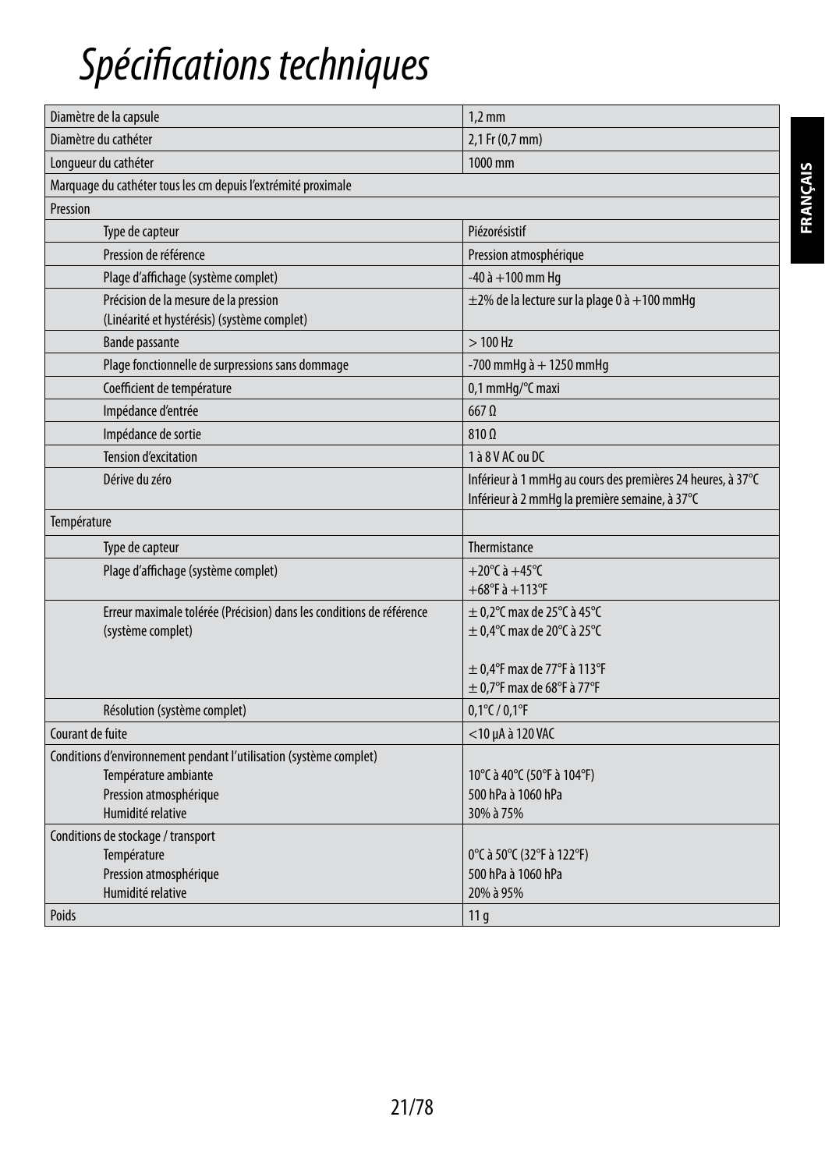# *Spécifications techniques*

| Diamètre de la capsule                                                               | $1,2$ mm                                                                                                      |
|--------------------------------------------------------------------------------------|---------------------------------------------------------------------------------------------------------------|
| Diamètre du cathéter                                                                 | 2,1 Fr (0,7 mm)                                                                                               |
| Longueur du cathéter                                                                 | 1000 mm                                                                                                       |
| Marquage du cathéter tous les cm depuis l'extrémité proximale                        |                                                                                                               |
| Pression                                                                             |                                                                                                               |
| Type de capteur                                                                      | Piézorésistif                                                                                                 |
| Pression de référence                                                                | Pression atmosphérique                                                                                        |
| Plage d'affichage (système complet)                                                  | $-40$ à $+100$ mm Hq                                                                                          |
| Précision de la mesure de la pression<br>(Linéarité et hystérésis) (système complet) | $\pm$ 2% de la lecture sur la plage 0 à +100 mmHg                                                             |
| <b>Bande passante</b>                                                                | $>100$ Hz                                                                                                     |
| Plage fonctionnelle de surpressions sans dommage                                     | -700 mmHg $\grave{a}$ + 1250 mmHg                                                                             |
| Coefficient de température                                                           | 0,1 mmHq/°C maxi                                                                                              |
| Impédance d'entrée                                                                   | $667$ $\Omega$                                                                                                |
| Impédance de sortie                                                                  | $810 \Omega$                                                                                                  |
| <b>Tension d'excitation</b>                                                          | 1 à 8 V AC ou DC                                                                                              |
| Dérive du zéro                                                                       | Inférieur à 1 mmHg au cours des premières 24 heures, à 37°C<br>Inférieur à 2 mmHq la première semaine, à 37°C |
| Température                                                                          |                                                                                                               |
| Type de capteur                                                                      | Thermistance                                                                                                  |
| Plage d'affichage (système complet)                                                  | +20 $^{\circ}$ C à +45 $^{\circ}$ C                                                                           |
|                                                                                      | $+68^{\circ}$ F à $+113^{\circ}$ F                                                                            |
| Erreur maximale tolérée (Précision) dans les conditions de référence                 | $\pm$ 0.2°C max de 25°C à 45°C                                                                                |
| (système complet)                                                                    | $\pm$ 0.4°C max de 20°C à 25°C                                                                                |
|                                                                                      | $\pm$ 0.4°F max de 77°F à 113°F                                                                               |
|                                                                                      | $\pm$ 0.7°F max de 68°F à 77°F                                                                                |
| Résolution (système complet)                                                         | $0,1^{\circ}$ C / $0,1^{\circ}$ F                                                                             |
| Courant de fuite                                                                     | <10 µA à 120 VAC                                                                                              |
| Conditions d'environnement pendant l'utilisation (système complet)                   |                                                                                                               |
| Température ambiante                                                                 | 10°C à 40°C (50°F à 104°F)                                                                                    |
| Pression atmosphérique                                                               | 500 hPa à 1060 hPa                                                                                            |
| Humidité relative                                                                    | 30% à 75%                                                                                                     |
| Conditions de stockage / transport                                                   |                                                                                                               |
| Température                                                                          | 0°C à 50°C (32°F à 122°F)                                                                                     |
| Pression atmosphérique                                                               | 500 hPa à 1060 hPa                                                                                            |
| Humidité relative                                                                    | 20% à 95%                                                                                                     |
| Poids                                                                                | 11 <sub>q</sub>                                                                                               |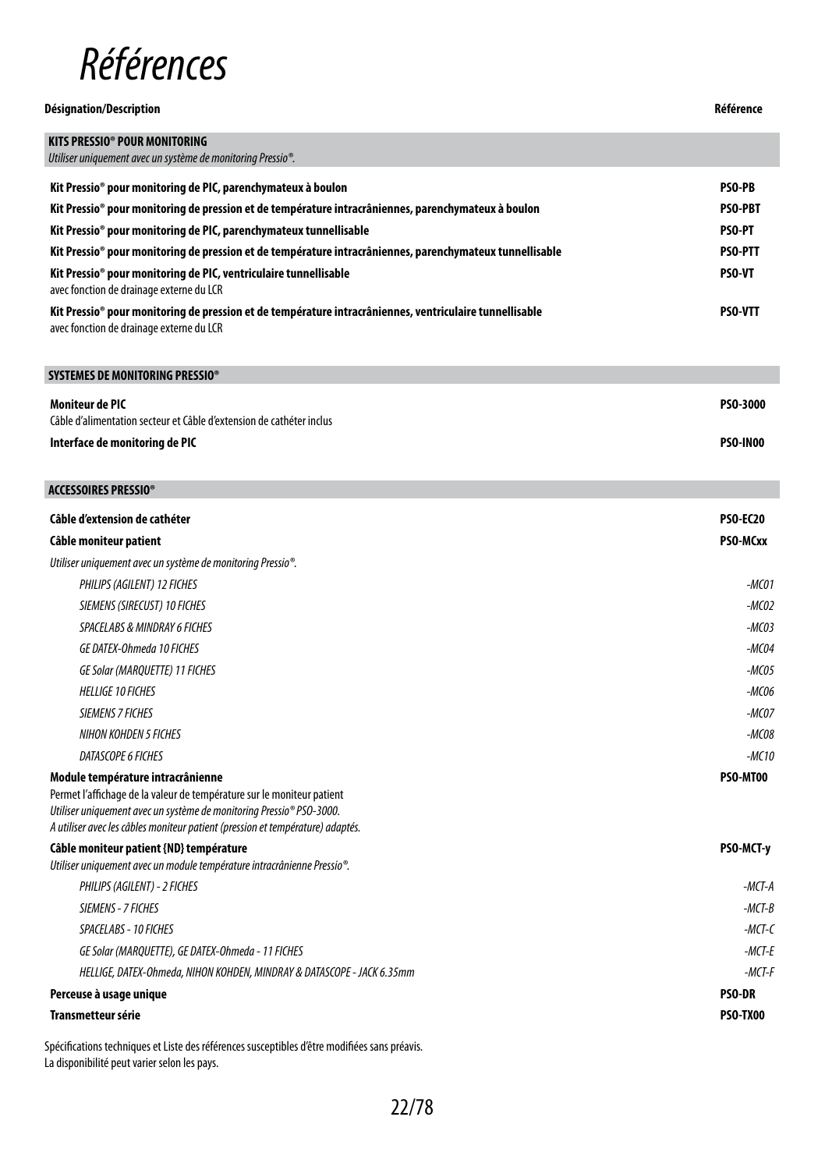

| Désignation/Description                                                                                                                             |                |
|-----------------------------------------------------------------------------------------------------------------------------------------------------|----------------|
| <b>KITS PRESSIO® POUR MONITORING</b>                                                                                                                |                |
| Utiliser uniquement avec un système de monitoring Pressio <sup>®</sup> .                                                                            |                |
| Kit Pressio® pour monitoring de PIC, parenchymateux à boulon                                                                                        | <b>PSO-PB</b>  |
| Kit Pressio® pour monitoring de pression et de température intracrâniennes, parenchymateux à boulon                                                 | <b>PSO-PBT</b> |
| Kit Pressio <sup>®</sup> pour monitoring de PIC, parenchymateux tunnellisable                                                                       | <b>PSO-PT</b>  |
| Kit Pressio® pour monitoring de pression et de température intracrâniennes, parenchymateux tunnellisable                                            | <b>PSO-PTT</b> |
| Kit Pressio <sup>®</sup> pour monitoring de PIC, ventriculaire tunnellisable<br>avec fonction de drainage externe du LCR                            | <b>PSO-VT</b>  |
| Kit Pressio® pour monitoring de pression et de température intracrâniennes, ventriculaire tunnellisable<br>avec fonction de drainage externe du LCR | <b>PSO-VTT</b> |

| SYSTEMES DE MONITORING PRESSIO®                                                         |                 |
|-----------------------------------------------------------------------------------------|-----------------|
| Moniteur de PIC<br>Câble d'alimentation secteur et Câble d'extension de cathéter inclus | PSO-3000        |
| Interface de monitoring de PIC                                                          | <b>PSO-INOO</b> |

I

| ACCESSOIRES PRESSIO®                                                                                                                                                                                                                                                  |                 |
|-----------------------------------------------------------------------------------------------------------------------------------------------------------------------------------------------------------------------------------------------------------------------|-----------------|
| Câble d'extension de cathéter                                                                                                                                                                                                                                         | <b>PSO-EC20</b> |
| Câble moniteur patient                                                                                                                                                                                                                                                | PSO-MCxx        |
| Utiliser uniquement avec un système de monitoring Pressio <sup>®</sup> .                                                                                                                                                                                              |                 |
| PHILIPS (AGILENT) 12 FICHES                                                                                                                                                                                                                                           | $-MCO1$         |
| SIEMENS (SIRECUST) 10 FICHES                                                                                                                                                                                                                                          | $-MCO2$         |
| <b>SPACELABS &amp; MINDRAY 6 FICHES</b>                                                                                                                                                                                                                               | $-MCO3$         |
| <b>GE DATEX-Ohmeda 10 FICHES</b>                                                                                                                                                                                                                                      | $-MCO4$         |
| <b>GE Solar (MARQUETTE) 11 FICHES</b>                                                                                                                                                                                                                                 | $-MCO5$         |
| <b>HELLIGE 10 FICHES</b>                                                                                                                                                                                                                                              | $-MCO6$         |
| <b>SIEMENS 7 FICHES</b>                                                                                                                                                                                                                                               | $-MCOZ$         |
| NIHON KOHDEN 5 FICHES                                                                                                                                                                                                                                                 | $-MCO8$         |
| DATASCOPE 6 FICHES                                                                                                                                                                                                                                                    | $-MC10$         |
| Module température intracrânienne<br>Permet l'affichage de la valeur de température sur le moniteur patient<br>Utiliser uniquement avec un système de monitoring Pressio® PSO-3000.<br>A utiliser avec les câbles moniteur patient (pression et température) adaptés. | PSO-MT00        |
| Câble moniteur patient {ND} température<br>Utiliser uniquement avec un module température intracrânienne Pressio <sup>®</sup> .                                                                                                                                       | PSO-MCT-y       |
| PHILIPS (AGILENT) - 2 FICHES                                                                                                                                                                                                                                          | -MCT-A          |
| SIEMENS - 7 FICHES                                                                                                                                                                                                                                                    | $-MCT-B$        |
| SPACELABS - 10 FICHES                                                                                                                                                                                                                                                 | $-MCT-C$        |
| GE Solar (MARQUETTE), GE DATEX-Ohmeda - 11 FICHES                                                                                                                                                                                                                     | $-MCT-F$        |
| HELLIGE, DATEX-Ohmeda, NIHON KOHDEN, MINDRAY & DATASCOPE - JACK 6.35mm                                                                                                                                                                                                | $-MCT-F$        |
| Perceuse à usage unique                                                                                                                                                                                                                                               | <b>PSO-DR</b>   |
| <b>Transmetteur série</b>                                                                                                                                                                                                                                             | <b>PSO-TX00</b> |

Spécifications techniques et Liste des références susceptibles d'être modifiées sans préavis. La disponibilité peut varier selon les pays.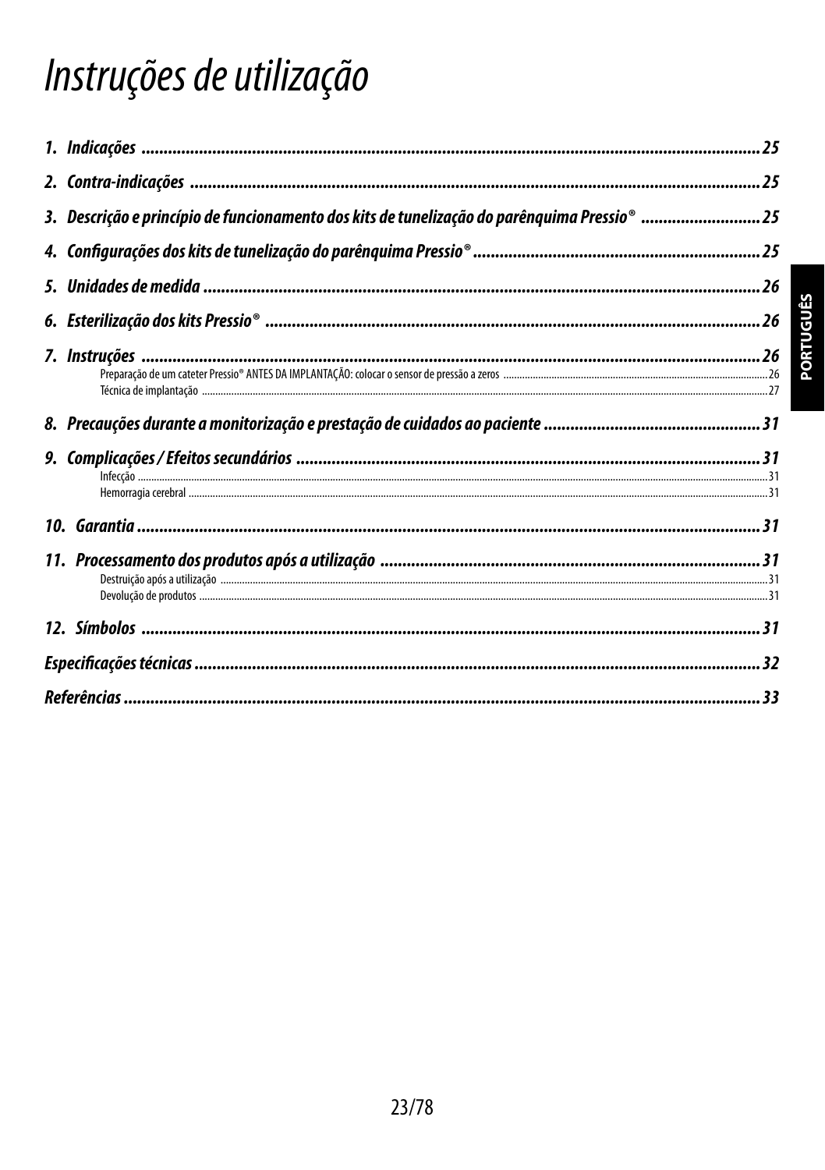# Instruções de utilização

| 3. Descrição e princípio de funcionamento dos kits de tunelização do parênquima Pressio® 25 |  |
|---------------------------------------------------------------------------------------------|--|
|                                                                                             |  |
|                                                                                             |  |
|                                                                                             |  |
|                                                                                             |  |
|                                                                                             |  |
|                                                                                             |  |
|                                                                                             |  |
|                                                                                             |  |
|                                                                                             |  |
|                                                                                             |  |
|                                                                                             |  |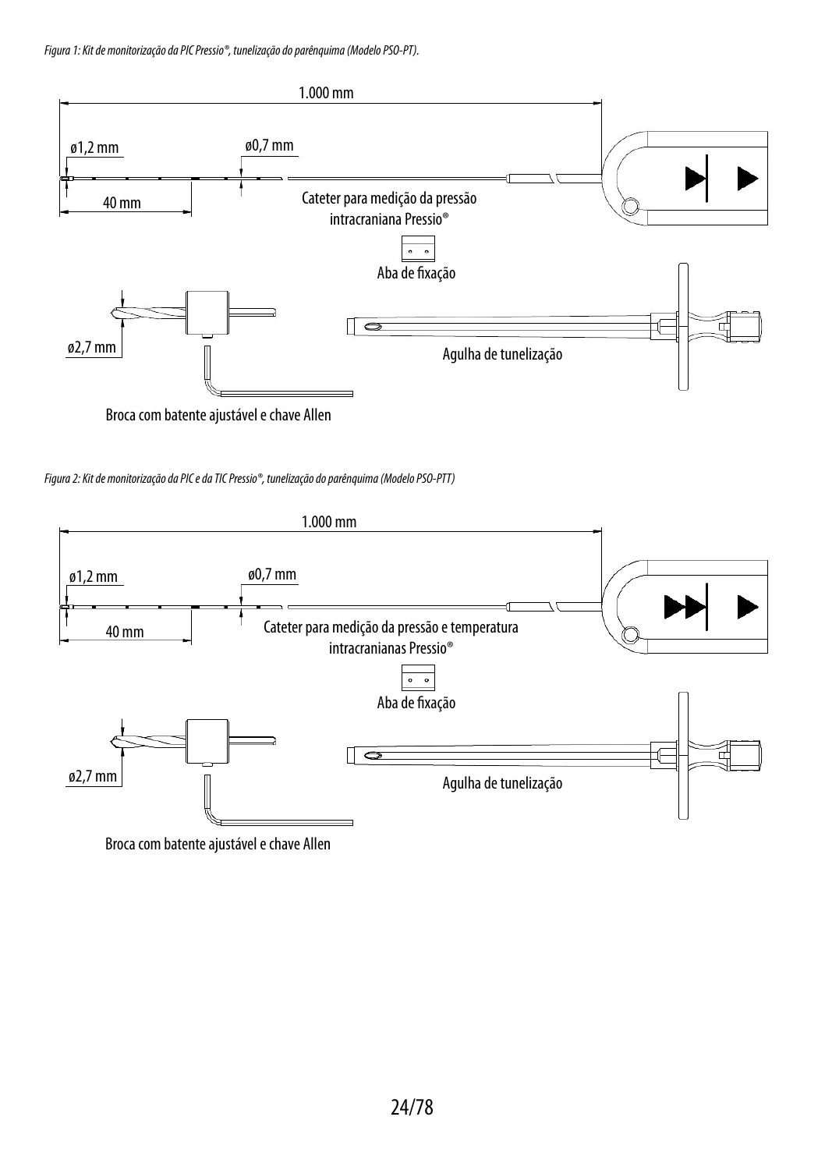*Figura 1: Kit de monitorização da PIC Pressio®, tunelização do parênquima (Modelo PSO-PT).*



Broca com batente ajustável e chave Allen

*Figura 2: Kit de monitorização da PIC e da TIC Pressio®, tunelização do parênquima (Modelo PSO-PTT)*



Broca com batente ajustável e chave Allen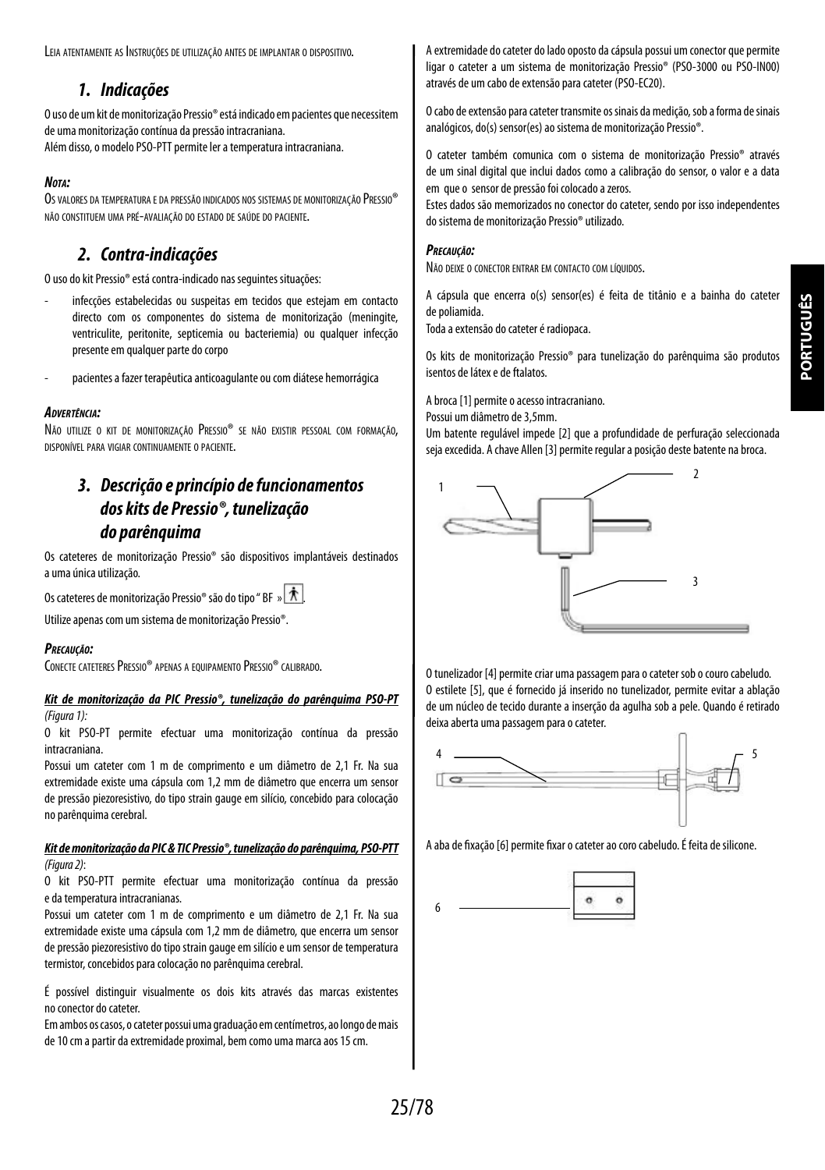**PORTUGUÊSPORTUGUÊS** 

Leia atentamente as Instruções de utilização antes de implantar o dispositivo.

## *1. Indicações*

O uso de um kit de monitorização Pressio® está indicado em pacientes que necessitem de uma monitorização contínua da pressão intracraniana. Além disso, o modelo PSO-PTT permite ler a temperatura intracraniana.

#### *Nota:*

Os valores da temperatura e da pressão indicados nos sistemas de monitorização Pressio® não constituem uma pré-avaliação do estado de saúde do paciente.

# *2. Contra-indicações*

O uso do kit Pressio® está contra-indicado nas seguintes situações:

- infecções estabelecidas ou suspeitas em tecidos que estejam em contacto directo com os componentes do sistema de monitorização (meningite, ventriculite, peritonite, septicemia ou bacteriemia) ou qualquer infecção presente em qualquer parte do corpo
- pacientes a fazer terapêutica anticoagulante ou com diátese hemorrágica

#### *Advertência:*

Não utilize o kit de monitorização Pressio® se não existir pessoal com formação. disponível para vigiar continuamente o paciente.

# *3. Descrição e princípio de funcionamentos doskits de Pressio®, tunelização do parênquima*

Os cateteres de monitorização Pressio® são dispositivos implantáveis destinados a uma única utilização.

Os cateteres de monitorização Pressio<sup>®</sup> são do tipo " BF » <del>术</del>

Utilize apenas com um sistema de monitorização Pressio®.

#### *Precaução:*

CONECTE CATETERES PRESSIO® APENAS A EQUIPAMENTO PRESSIO® CALIBRADO.

#### *Kit de monitorização da PIC Pressio®, tunelização do parênquima PSO-PT (Figura 1):*

O kit PSO-PT permite efectuar uma monitorização contínua da pressão intracraniana.

Possui um cateter com 1 m de comprimento e um diâmetro de 2,1 Fr. Na sua extremidade existe uma cápsula com 1,2 mm de diâmetro que encerra um sensor de pressão piezoresistivo, do tipo strain gauge em silício, concebido para colocação no parênquima cerebral.

#### *Kit de monitorização da PIC & TIC Pressio®, tunelização do parênquima, PSO-PTT (Figura 2)*:

O kit PSO-PTT permite efectuar uma monitorização contínua da pressão edatemperatura intracranianas.

Possui um cateter com 1 m de comprimento e um diâmetro de 2,1 Fr. Na sua extremidade existe uma cápsula com 1,2 mm de diâmetro, que encerra um sensor de pressão piezoresistivo do tipo strain gauge em silício e um sensor de temperatura termistor, concebidos para colocação no parênquima cerebral.

É possível distinguir visualmente os dois kits através das marcas existentes noconector do cateter.

Em ambos os casos, o cateter possui uma graduação em centímetros, ao longo demais de 10 cm a partir da extremidade proximal, bem como uma marca aos 15 cm.

A extremidade do cateter do lado oposto da cápsula possui um conector que permite ligar o cateter a um sistema de monitorização Pressio® (PSO-3000 ou PSO-IN00) através de um cabo de extensão para cateter (PSO-EC20).

O cabo de extensão para cateter transmite os sinais da medição, sob a forma de sinais analógicos, do(s) sensor(es) ao sistema de monitorização Pressio®.

O cateter também comunica com o sistema de monitorização Pressio® através de um sinal digital que inclui dados como a calibração do sensor, o valor e a data em que o sensor de pressão foi colocado a zeros.

Estes dados são memorizados no conector do cateter, sendo por isso independentes do sistema de monitorização Pressio® utilizado.

#### *Precaução:*

Não deixe o conector entrar em contacto com líquidos.

A cápsula que encerra o(s) sensor(es) é feita de titânio e a bainha do cateter de poliamida.

Toda a extensão do cateter é radiopaca.

Os kits de monitorização Pressio® para tunelização do parênquima são produtos isentos de látex e de ftalatos.

A broca [1] permite o acesso intracraniano.

Possui um diâmetro de 3,5mm.

Um batente regulável impede [2] que a profundidade de perfuração seleccionada seja excedida. A chave Allen [3] permite regular a posição deste batente na broca.



O tunelizador [4] permite criar uma passagem para o cateter sob o couro cabeludo. O estilete [5], que é fornecido já inserido no tunelizador, permite evitar a ablação deum núcleo de tecido durante a inserção da agulha sob a pele. Quando é retirado deixa aberta uma passagem para o cateter.



A aba de fixação [6] permite fixar o cateter ao coro cabeludo. É feita de silicone.

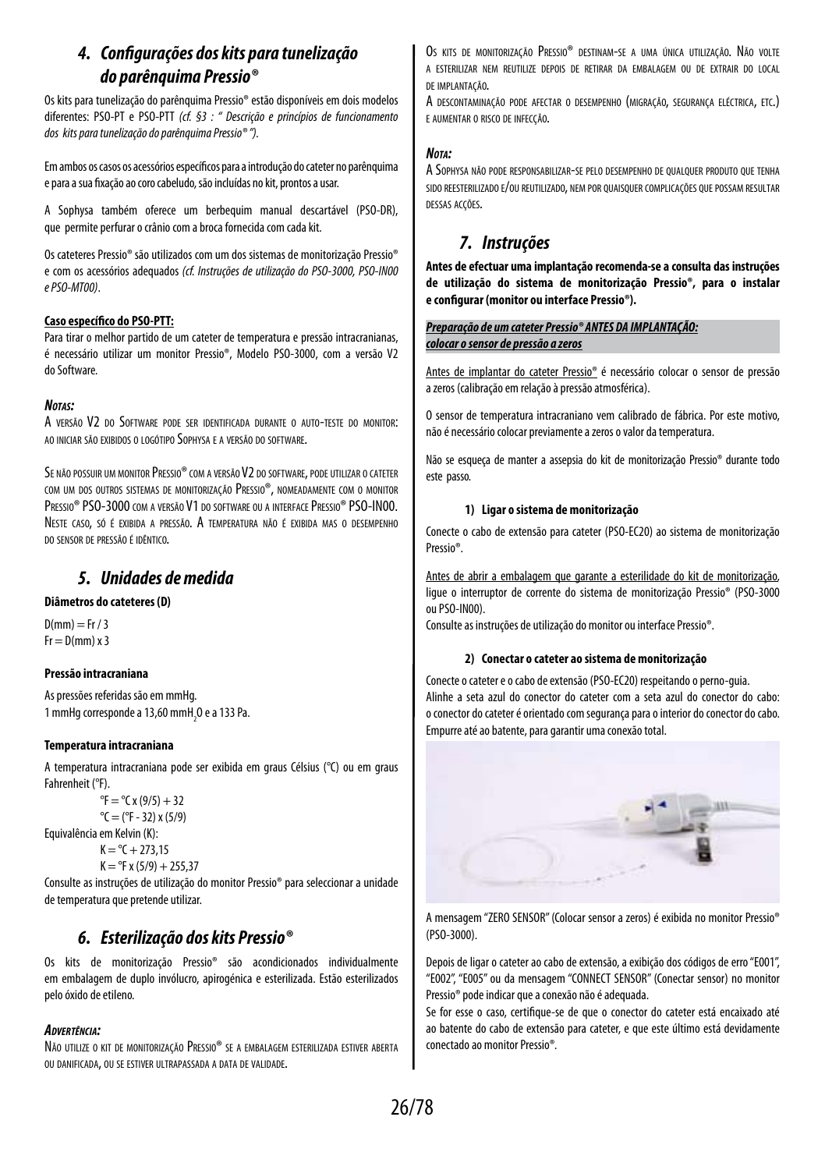# *4. Configurações dos kits para tunelização do parênquima Pressio®*

Os kits para tunelização do parênquima Pressio® estão disponíveis em dois modelos diferentes: PSO-PT e PSO-PTT *(cf. §3 : " Descrição e princípios de funcionamento dos kits para tunelização do parênquima Pressio® ").*

Em ambos os casos os acessórios específicos para a introdução do cateter noparênquima e para a sua fixação ao coro cabeludo, são incluídas no kit, prontos a usar.

A Sophysa também oferece um berbequim manual descartável (PSO-DR), que permite perfurar o crânio com a broca fornecida com cada kit.

Os cateteres Pressio® são utilizados com um dos sistemas de monitorização Pressio® e com os acessórios adequados *(cf. Instruções de utilização do PSO-3000, PSO-IN00 e PSO-MT00)*.

#### **Caso específico do PSO-PTT:**

Para tirar o melhor partido de um cateter de temperatura e pressão intracranianas, é necessário utilizar um monitor Pressio®, Modelo PSO-3000, com a versão V2 doSoftware*.*

#### *Notas:*

A versão V2 do Software pode ser identificada durante <sup>o</sup> auto-teste do monitor: ao iniciar são exibidos o logótipo Sophysa e a versão do software.

Se não possuir um monitor Pressio® com a versão V2 do software, pode utilizar o cateter com um dos outros sistemas de monitorização Pressio®, nomeadamente com o monitor PRESSIO<sup>®</sup> PSO-3000 com a versão V1 do software ou a interface Pressio® PSO-IN00. Neste caso, só <sup>é</sup> exibida <sup>a</sup> pressão. A temperatura não <sup>é</sup> exibida mas <sup>o</sup> desempenho do sensor de pressão é idêntico.

## *5. Unidades de medida*

#### **Diâmetros do cateteres (D)**

 $D(mm) = Fr / 3$  $Fr = D(mm) \times 3$ 

#### **Pressão intracraniana**

As pressões referidas são em mmHg. 1 mmHg corresponde a 13,60 mmH $_{2}$ O e a 133 Pa.

#### **Temperatura intracraniana**

A temperatura intracraniana pode ser exibida em graus Célsius (°C) ou em graus Fahrenheit (°F).

 ${}^{\circ}$ F =  ${}^{\circ}$ C x (9/5) + 32  $^{\circ}$ C = ( $^{\circ}$ F - 32) x (5/9) Equivalência em Kelvin (K):  $K = {}^{\circ}C + 273.15$ 

```
K = PF x (5/9) + 255.37
```
Consulte as instruções de utilização do monitor Pressio® para seleccionar a unidade de temperatura que pretende utilizar.

## *6. Esterilização dos kits Pressio®*

Os kits de monitorização Pressio® são acondicionados individualmente em embalagem de duplo invólucro, apirogénica e esterilizada. Estão esterilizados pelo óxido de etileno.

#### *Advertência:*

Não utilize <sup>o</sup> kit de monitorização Pressio® se <sup>a</sup> embalagem esterilizada estiver aberta ou danificada, ou se estiver ultrapassada <sup>a</sup> data de validade.

Os kits de monitorização Pressio® destinam-se a uma única utilização. Não volte a esterilizar nem reutilize depois de retirar da embalagem ou de extrair do local de implantação.

A descontaminação pode afectar <sup>o</sup> desempenho (migração, segurança eléctrica, etc.) e aumentar o risco de infecção.

#### *Nota:*

A Sophysa não pode responsabilizar-se pelo desempenho de qualquer produto que tenha sido reesterilizado e/ou reutilizado, nem por quaisquer complicações quepossam resultar dessas acções.

## *7. Instruções*

**Antes de efectuar uma implantação recomenda-se a consulta das instruções de utilização do sistema de monitorização Pressio®, para o instalar e configurar (monitor ou interface Pressio®).**

#### *Preparação de um cateter Pressio® ANTES DA IMPLANTAÇÃO: colocar o sensor de pressão a zeros*

Antes de implantar do cateter Pressio® é necessário colocar o sensor de pressão azeros (calibração em relação à pressão atmosférica).

O sensor de temperatura intracraniano vem calibrado de fábrica. Por este motivo, nãoé necessário colocar previamente a zeros o valor da temperatura.

Não se esqueça de manter a assepsia do kit de monitorização Pressio® durante todo este passo.

#### **1) Ligar o sistema de monitorização**

Conecte o cabo de extensão para cateter (PSO-EC20) ao sistema de monitorização Pressio®.

Antes de abrir a embalagem que garante a esterilidade do kit de monitorização, ligue o interruptor de corrente do sistema de monitorização Pressio® (PSO-3000 ouPSO-IN00).

Consulte as instruções de utilização do monitor ou interface Pressio®.

#### **2) Conectar o cateter ao sistema de monitorização**

Conecte o cateter e o cabo de extensão (PSO-EC20) respeitando o perno-guia. Alinhe a seta azul do conector do cateter com a seta azul do conector do cabo: oconector do cateter é orientado com segurança para o interior do conector do cabo. Empurre até ao batente, para garantir uma conexão total.



A mensagem "ZERO SENSOR" (Colocar sensor a zeros) é exibida no monitor Pressio® (PSO-3000).

Depois de ligar o cateter ao cabo de extensão, a exibição dos códigos de erro "E001", "E002", "E005" ou da mensagem "CONNECT SENSOR" (Conectar sensor) no monitor Pressio® pode indicar que a conexão não é adequada.

Se for esse o caso, certifique-se de que o conector do cateter está encaixado até ao batente do cabo de extensão para cateter, e que este último está devidamente conectado ao monitor Pressio®*.*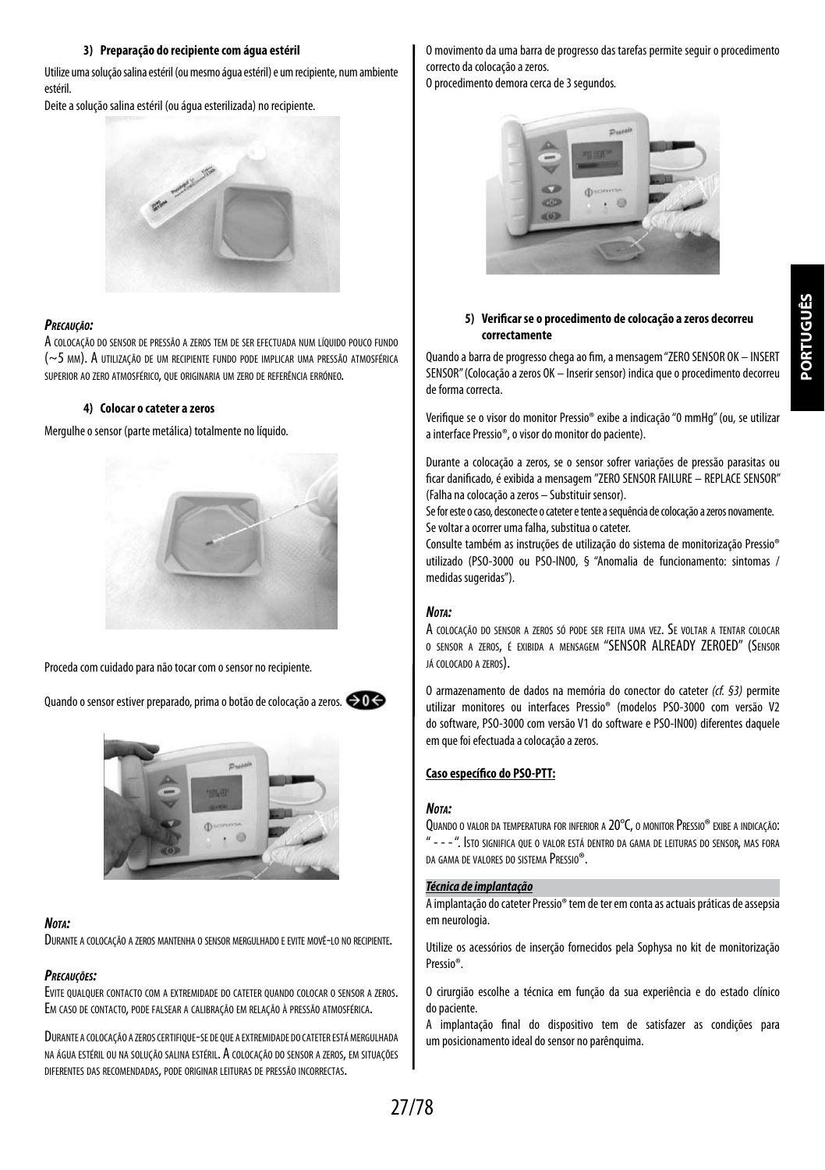#### **3) Preparação do recipiente com água estéril**

Utilize uma solução salina estéril (ou mesmo água estéril) e um recipiente, num ambiente estéril.

Deite a solução salina estéril (ou água esterilizada) no recipiente.



#### *Precaução:*

A colocação do sensor de pressão a zeros tem de ser efectuada num líquido pouco fundo (~5 mm). A utilização de um recipiente fundo pode implicar uma pressão atmosférica superior ao zero atmosférico, que originaria um zero de referência erróneo.

#### **4) Colocar o cateter a zeros**

Mergulhe o sensor (parte metálica) totalmente no líquido.



Proceda com cuidado para não tocar com o sensor no recipiente*.*

Quando o sensor estiver preparado, prima o botão de colocação a zeros*.*



#### *Nota:*

Durante <sup>a</sup> colocação <sup>a</sup> zeros mantenha <sup>o</sup> sensor mergulhado <sup>e</sup> evite movê-lo no recipiente.

#### *Precauções:*

Evite qualquer contacto com <sup>a</sup> extremidade do cateter quando colocar <sup>o</sup> sensor <sup>a</sup> zeros. Em caso de contacto, pode falsear <sup>a</sup> calibração em relação <sup>à</sup> pressão atmosférica.

Durante <sup>a</sup> colocação <sup>a</sup> zeroscertifique-se de que <sup>a</sup> extremidade do cateter estámergulhada na água estéril ou na solução salina estéril. A colocação do sensor <sup>a</sup> zeros, em situações diferentes das recomendadas, pode originar leituras de pressão incorrectas.

O movimento da uma barra de progresso das tarefas permite seguir o procedimento correcto da colocação a zeros.

O procedimento demora cerca de 3 segundos*.*



#### **5) Verificar se o procedimento de colocação a zeros decorreu correctamente**

Quando a barra de progresso chega ao fim, a mensagem "ZERO SENSOR OK – INSERT SENSOR" (Colocação a zeros OK – Inserir sensor) indica que o procedimento decorreu de forma correcta.

Verifique se o visor do monitor Pressio® exibe a indicação "0 mmHg" (ou, se utilizar ainterface Pressio®, o visor do monitor do paciente).

Durante a colocação a zeros, se o sensor sofrer variações de pressão parasitas ou ficar danificado, é exibida a mensagem "ZERO SENSOR FAILURE – REPLACE SENSOR" (Falha na colocação a zeros – Substituir sensor).

Se for este o caso, desconecte o cateter e tente a sequência de colocação a zeros novamente. Se voltar a ocorrer uma falha, substitua o cateter.

Consulte também as instruções de utilização do sistema de monitorização Pressio® utilizado (PSO-3000 ou PSO-IN00, § "Anomalia de funcionamento: sintomas / medidas sugeridas").

#### *Nota:*

A colocação do sensor <sup>a</sup> zeros só pode ser feita uma vez. Se voltar <sup>a</sup> tentar colocar o sensor a zeros, é exibida a mensagem "SENSOR ALREADY ZEROED" (Sensor já colocado a zeros).

O armazenamento de dados na memória do conector do cateter *(cf. §3)* permite utilizar monitores ou interfaces Pressio® (modelos PSO-3000 com versão V2 do software, PSO-3000 com versão V1 do software e PSO-IN00) diferentes daquele em que foi efectuada a colocação a zeros.

#### **Caso específico do PSO-PTT:**

#### *Nota:*

Quando <sup>o</sup> valor da temperatura for inferior a 20°C, o monitor Pressio® exibe <sup>a</sup> indicação: " - - - ". Isto significa que <sup>o</sup> valor está dentro da gama de leituras do sensor, mas fora da gama de valores do sistema Pressio®.

### *Técnica de implantação*

A implantação do cateter Pressio® tem de ter em conta as actuais práticas de assepsia em neurologia

Utilize os acessórios de inserção fornecidos pela Sophysa no kit de monitorização Pressio®.

O cirurgião escolhe a técnica em função da sua experiência e do estado clínico dopaciente.

A implantação final do dispositivo tem de satisfazer as condições para um posicionamento ideal do sensor no parênquima.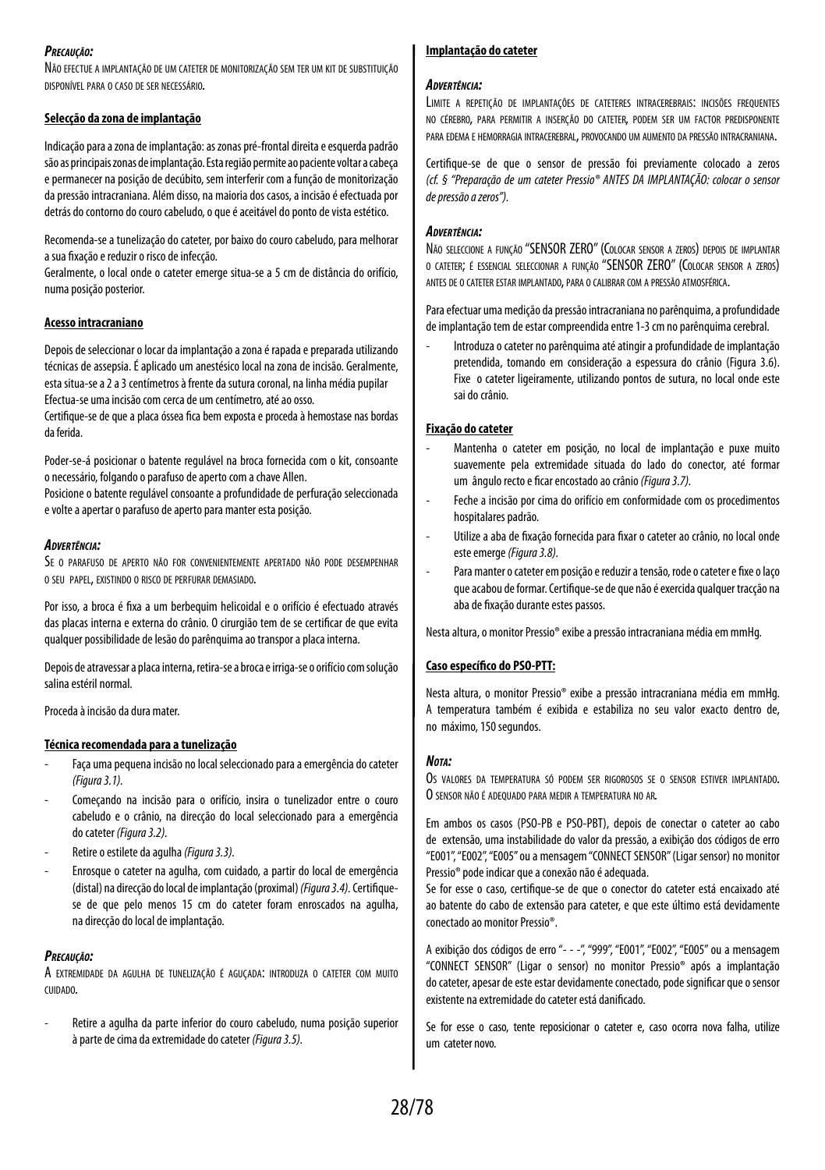#### *Precaução:*

Não efectue a implantação de um cateter de monitorização sem ter um kit de substituição disponível para o caso de ser necessário.

#### **Selecção da zona de implantação**

Indicação para a zona de implantação: as zonas pré-frontal direita e esquerda padrão são as principais zonas de implantação. Esta região permite ao paciente voltar a cabeça e permanecer na posição de decúbito, sem interferir com a função de monitorização da pressão intracraniana. Além disso, na maioria dos casos, a incisão é efectuada por detrás do contorno do couro cabeludo, o que é aceitável do ponto de vista estético.

Recomenda-se a tunelização do cateter, por baixo do couro cabeludo, para melhorar a sua fixação e reduzir o risco de infecção.

Geralmente, o local onde o cateter emerge situa-se a 5 cm de distância do orifício, numa posição posterior.

#### **Acesso intracraniano**

Depois de seleccionar o locar da implantação a zona é rapada e preparada utilizando técnicas de assepsia. É aplicado um anestésico local na zona de incisão. Geralmente, esta situa-se a 2 a 3 centímetros à frente da sutura coronal, na linha média pupilar Efectua-se uma incisão com cerca de um centímetro, até ao osso.

Certifique-se de que a placa óssea fica bem exposta e proceda à hemostase nas bordas da ferida.

Poder-se-á posicionar o batente regulável na broca fornecida com o kit, consoante o necessário, folgando o parafuso de aperto com a chave Allen.

Posicione o batente regulável consoante a profundidade de perfuração seleccionada e volte a apertar o parafuso de aperto para manter esta posição.

#### *Advertência:*

Se o parafuso de aperto não for convenientemente apertado não pode desempenhar o seu papel, existindo o risco de perfurar demasiado.

Por isso, a broca é fixa a um berbequim helicoidal e o orifício é efectuado através das placas interna e externa do crânio. O cirurgião tem de se certificar de que evita qualquer possibilidade de lesão do parênquima ao transpor a placa interna.

Depois de atravessar a placa interna, retira-se a broca e irriga-se o orifício com solução salina estéril normal.

Proceda à incisão da dura mater.

#### **Técnica recomendada para a tunelização**

- Faça uma pequena incisão no local seleccionado para a emergência do cateter *(Figura 3.1).*
- Começando na incisão para o orifício, insira o tunelizador entre o couro cabeludo e o crânio, na direcção do local seleccionado para a emergência docateter *(Figura 3.2).*
- Retire o estilete da agulha *(Figura 3.3).*
- Enrosque o cateter na agulha, com cuidado, a partir do local de emergência (distal) na direcção do local de implantação (proximal) *(Figura 3.4).* Certifiquese de que pelo menos 15 cm do cateter foram enroscados na agulha, nadirecção do local de implantação.

#### *Precaução:*

A extremidade da agulha de tunelização <sup>é</sup> aguçada: introduza <sup>o</sup> cateter com muito cuidado.

Retire a agulha da parte inferior do couro cabeludo, numa posição superior àparte de cima da extremidade do cateter *(Figura 3.5).*

#### **Implantação do cateter**

#### *Advertência:*

Limite <sup>a</sup> repetição de implantações de cateteres intracerebrais: incisões frequentes no cérebro, para permitir a inserção do cateter, podem ser um factor predisponente para edema e hemorragia intracerebral, provocando um aumento da pressão intracraniana.

Certifique-se de que o sensor de pressão foi previamente colocado a zeros *(cf. § "Preparação de um cateter Pressio® ANTES DA IMPLANTAÇÃO: colocar o sensor depressão a zeros").*

#### *Advertência:*

Não seleccione <sup>a</sup> função "SENSOR ZERO" (Colocar sensor <sup>a</sup> zeros) depois de implantar <sup>o</sup> cateter; é essencial seleccionar <sup>a</sup> função "SENSOR ZERO" (Colocar sensor <sup>a</sup> zeros) antes de <sup>o</sup> cateter estar implantado, para <sup>o</sup> calibrar com <sup>a</sup> pressão atmosférica.

Para efectuar uma medição da pressão intracraniana no parênquima, a profundidade de implantação tem de estar compreendida entre 1-3 cm no parênquima cerebral.

- Introduza o cateter no parênquima até atingir a profundidade de implantação pretendida, tomando em consideração a espessura do crânio (Figura 3.6). Fixe o cateter ligeiramente, utilizando pontos de sutura, no local onde este sai do crânio.

#### **Fixação do cateter**

- Mantenha o cateter em posição, no local de implantação e puxe muito suavemente pela extremidade situada do lado do conector, até formar um ângulo recto e ficar encostado ao crânio *(Figura 3.7).*
- Feche a incisão por cima do orifício em conformidade com os procedimentos hospitalares padrão.
- Utilize a aba de fixação fornecida para fixar o cateter ao crânio, no local onde este emerge *(Figura 3.8).*
- Para manter o cateter em posição e reduzir a tensão, rode o cateter e fixe o laço que acabou de formar. Certifique-se de que não é exercida qualquer tracção na aba de fixação durante estes passos.

Nesta altura, o monitor Pressio® exibe a pressão intracraniana média em mmHg.

#### **Caso específico do PSO-PTT:**

Nesta altura, o monitor Pressio® exibe a pressão intracraniana média em mmHg. A temperatura também é exibida e estabiliza no seu valor exacto dentro de, no máximo, 150 segundos.

#### *Nota:*

Os valores da temperatura só podem ser rigorosos se <sup>o</sup> sensor estiver implantado. O sensor não <sup>é</sup> adequado para medir <sup>a</sup> temperatura no ar.

Em ambos os casos (PSO-PB e PSO-PBT), depois de conectar o cateter ao cabo de extensão, uma instabilidade do valor da pressão, a exibição dos códigos de erro "E001", "E002", "E005" ou a mensagem "CONNECT SENSOR" (Ligar sensor) no monitor Pressio® pode indicar que a conexão não é adequada.

Se for esse o caso, certifique-se de que o conector do cateter está encaixado até ao batente do cabo de extensão para cateter, e que este último está devidamente conectado ao monitor Pressio®.

A exibição dos códigos de erro "- - -", "999", "E001", "E002", "E005" ou a mensagem "CONNECT SENSOR" (Ligar o sensor) no monitor Pressio® após a implantação docateter, apesar de este estar devidamente conectado, pode significar que o sensor existente na extremidade do cateter está danificado.

Se for esse o caso, tente reposicionar o cateter e, caso ocorra nova falha, utilize um cateter novo.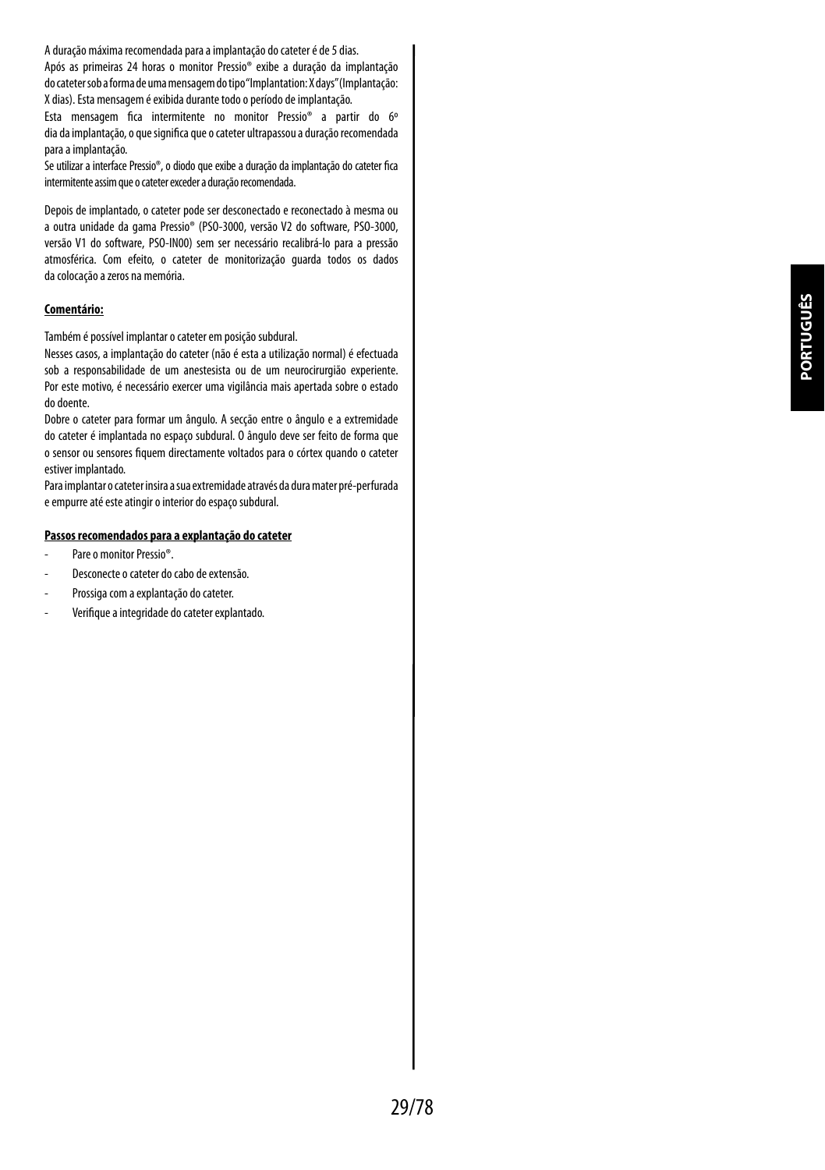A duração máxima recomendada para a implantação do cateter é de 5 dias.

Após as primeiras 24 horas o monitor Pressio® exibe a duração da implantação docateter sob a forma de uma mensagem do tipo "Implantation: X days" (Implantação: X dias). Esta mensagem é exibida durante todo o período de implantação.

Esta mensagem fica intermitente no monitor Pressio® a partir do 6º diadaimplantação, o que significa que o cateter ultrapassou a duração recomendada para a implantação.

Se utilizar a interface Pressio®, o diodo que exibe a duração da implantação do cateter fica intermitente assim que o cateter exceder a duração recomendada.

Depois de implantado, o cateter pode ser desconectado e reconectado à mesma ou a outra unidade da gama Pressio® (PSO-3000, versão V2 do software, PSO-3000, versão V1 do software, PSO-IN00) sem ser necessário recalibrá-lo para a pressão atmosférica. Com efeito, o cateter de monitorização guarda todos os dados dacolocação a zeros na memória.

#### **Comentário:**

Também é possível implantar o cateter em posição subdural.

Nesses casos, a implantação do cateter (não é esta a utilização normal) é efectuada sob a responsabilidade de um anestesista ou de um neurocirurgião experiente. Por este motivo, é necessário exercer uma vigilância mais apertada sobre o estado do doente.

Dobre o cateter para formar um ângulo. A secção entre o ângulo e a extremidade do cateter é implantada no espaço subdural. O ângulo deve ser feito de forma que o sensor ou sensores fiquem directamente voltados para o córtex quando o cateter estiver implantado.

Para implantar o cateter insira a sua extremidade através da dura mater pré-perfurada e empurre até este atingir o interior do espaço subdural.

#### **Passos recomendados para a explantação do cateter**

- Pare o monitor Pressio®
- Desconecte o cateter do cabo de extensão.
- Prossiga com a explantação do cateter.
- Verifique a integridade do cateter explantado.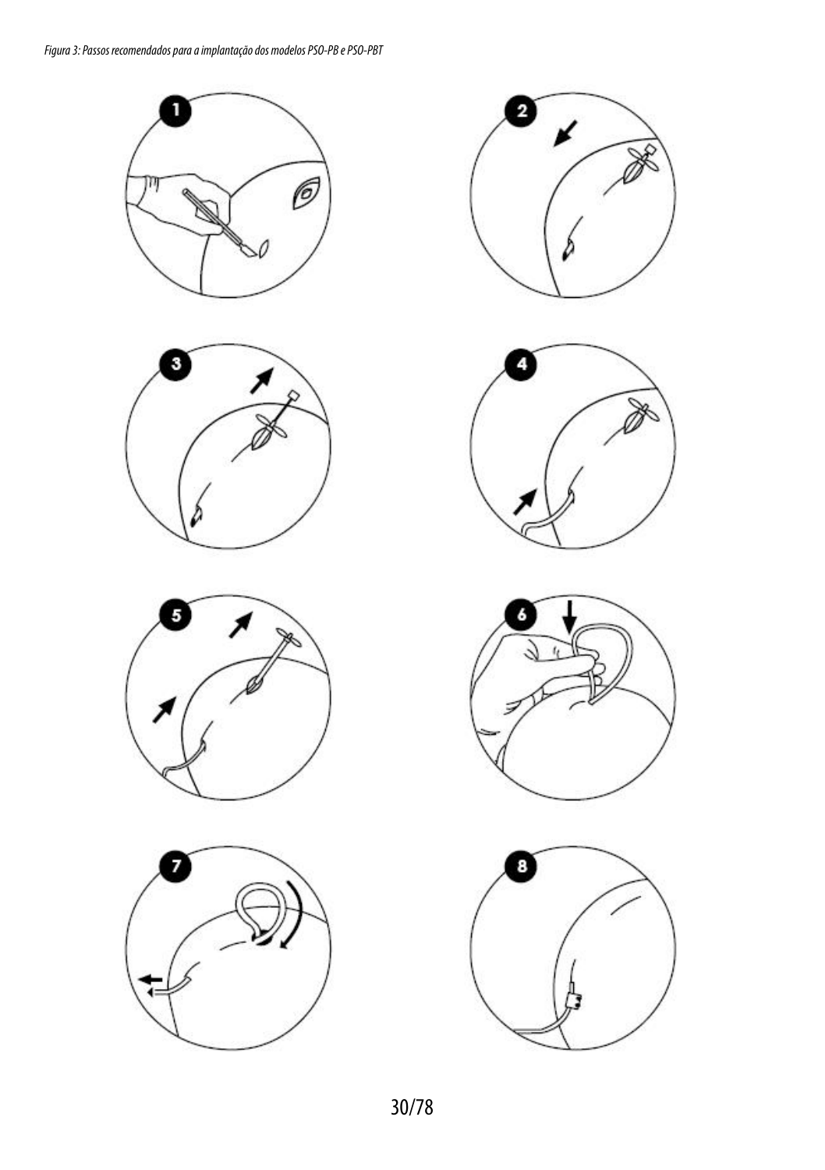













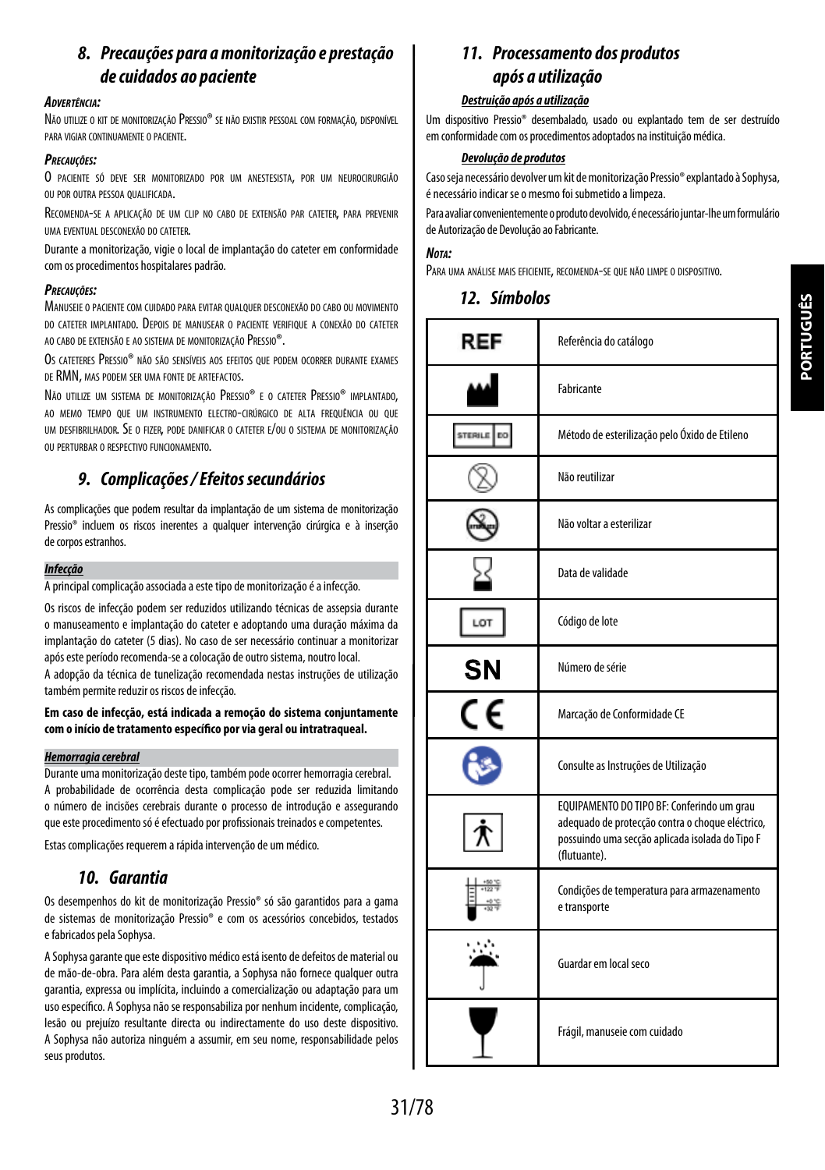# *8. Precauções para a monitorização e prestação de cuidados ao paciente*

#### *Advertência:*

Não utilize o kit de monitorização Pressio® se não existir pessoal com formação, disponível para vigiar continuamente o paciente.

#### *Precauções:*

O paciente só deve ser monitorizado por um anestesista, por um neurocirurgião ou por outra pessoa qualificada.

Recomenda-se <sup>a</sup> aplicação de um clip no cabo de extensão par cateter, para prevenir uma eventual desconexão do cateter.

Durante a monitorização, vigie o local de implantação do cateter em conformidade com os procedimentos hospitalares padrão.

#### *Precauções:*

Manuseie o paciente com cuidado para evitar qualquer desconexão do cabo ou movimento do cateter implantado. Depois de manusear o paciente verifique a conexão do cateter ao cabo de extensão e ao sistema de monitorização Pressio®.

Os cateteres Pressio® não são sensíveis aos efeitos que podem ocorrer durante exames de RMN, mas podem ser uma fonte de artefactos.

Não utilize um sistema de monitorização Pressio® e o cateter Pressio® implantado. ao memo tempo que um instrumento electro-cirúrgico de alta frequência ou que um desfibrilhador. Se o fizer, pode danificar o cateter e/ou o sistema de monitorização ou perturbar o respectivo funcionamento.

## *9. Complicações / Efeitos secundários*

As complicações que podem resultar da implantação de um sistema de monitorização Pressio® incluem os riscos inerentes a qualquer intervenção cirúrgica e à inserção decorpos estranhos.

#### *Infecção*

A principal complicação associada a este tipo de monitorização é a infecção.

Os riscos de infecção podem ser reduzidos utilizando técnicas de assepsia durante o manuseamento e implantação do cateter e adoptando uma duração máxima da implantação do cateter (5 dias). No caso de ser necessário continuar a monitorizar após este período recomenda-se a colocação de outro sistema, noutro local.

A adopção da técnica de tunelização recomendada nestas instruções de utilização também permite reduzir os riscos de infecção.

#### **Em caso de infecção, está indicada a remoção do sistema conjuntamente com o início de tratamento específico por via geral ou intratraqueal.**

#### *Hemorragia cerebral*

Durante uma monitorização deste tipo, também pode ocorrer hemorragia cerebral. A probabilidade de ocorrência desta complicação pode ser reduzida limitando o número de incisões cerebrais durante o processo de introdução e assegurando que este procedimento só é efectuado por profissionais treinados e competentes.

Estas complicações requerem a rápida intervenção de um médico.

## *10. Garantia*

Os desempenhos do kit de monitorização Pressio® só são garantidos para a gama de sistemas de monitorização Pressio® e com os acessórios concebidos, testados efabricados pela Sophysa.

A Sophysa garante que este dispositivo médico está isento de defeitos de material ou de mão-de-obra. Para além desta garantia, a Sophysa não fornece qualquer outra garantia, expressa ou implícita, incluindo a comercialização ou adaptação para um uso específico. A Sophysa não se responsabiliza por nenhum incidente, complicação, lesão ou prejuízo resultante directa ou indirectamente do uso deste dispositivo. A Sophysa não autoriza ninguém a assumir, em seu nome, responsabilidade pelos seus produtos.

# *11. Processamento dos produtos após a utilização*

#### *Destruição após a utilização*

Um dispositivo Pressio® desembalado, usado ou explantado tem de ser destruído emconformidade com os procedimentos adoptados na instituição médica.

#### *Devolução de produtos*

Caso seja necessário devolver um kit de monitorização Pressio® explantado à Sophysa, é necessário indicar se o mesmo foi submetido a limpeza.

Para avaliar convenientemente o produto devolvido, é necessário juntar-lhe um formulário de Autorização de Devolução ao Fabricante.

#### *Nota:*

Para uma análise mais eficiente, recomenda-se que não limpe <sup>o</sup> dispositivo.

| REF | Referência do catálogo                                                                                                                                            |
|-----|-------------------------------------------------------------------------------------------------------------------------------------------------------------------|
|     | Fabricante                                                                                                                                                        |
|     | Método de esterilização pelo Óxido de Etileno                                                                                                                     |
|     | Não reutilizar                                                                                                                                                    |
|     | Não voltar a esterilizar                                                                                                                                          |
|     | Data de validade                                                                                                                                                  |
| LOT | Código de lote                                                                                                                                                    |
| SΝ  | Número de série                                                                                                                                                   |
| CE  | Marcação de Conformidade CE                                                                                                                                       |
|     | Consulte as Instruções de Utilização                                                                                                                              |
|     | EQUIPAMENTO DO TIPO BF: Conferindo um grau<br>adequado de protecção contra o choque eléctrico,<br>possuindo uma secção aplicada isolada do Tipo F<br>(flutuante). |
|     | Condições de temperatura para armazenamento<br>e transporte                                                                                                       |
|     | Guardar em local seco                                                                                                                                             |
|     | Frágil, manuseie com cuidado                                                                                                                                      |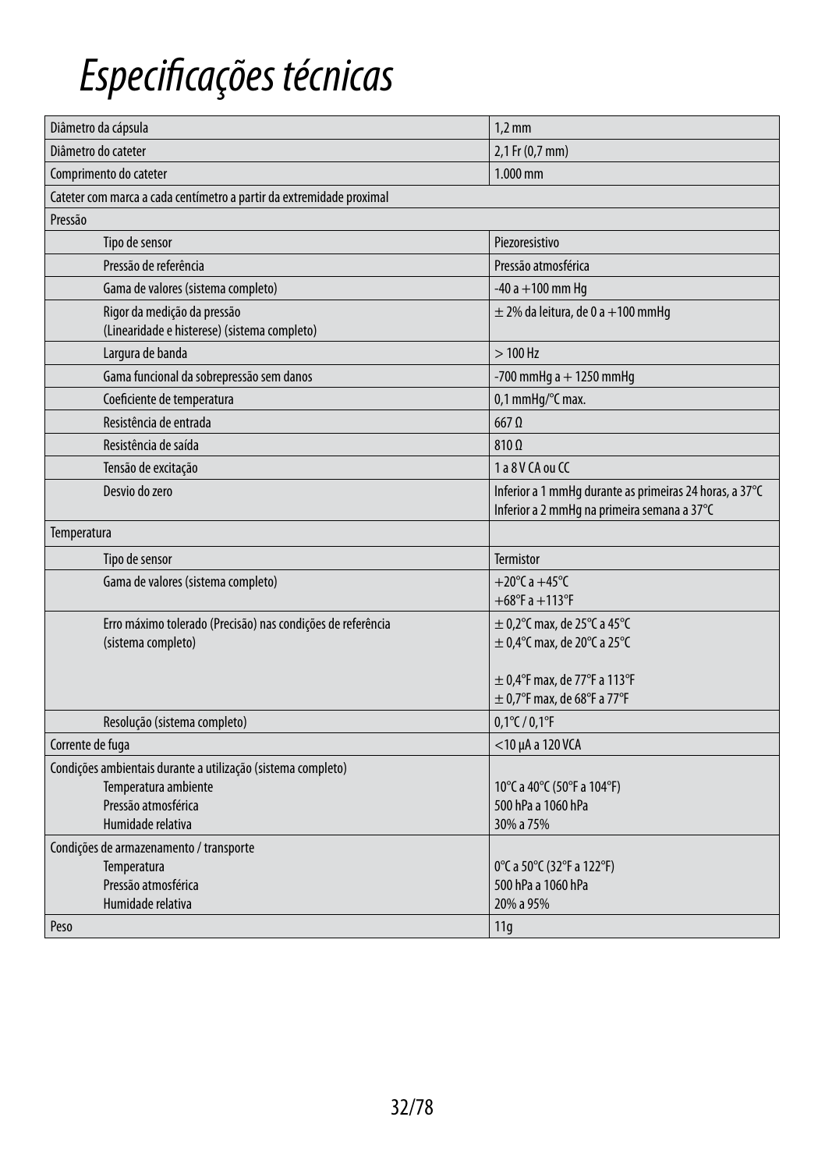# *Especificações técnicas*

| Diâmetro da cápsula                                                  | $1,2$ mm                                                                                               |
|----------------------------------------------------------------------|--------------------------------------------------------------------------------------------------------|
| Diâmetro do cateter                                                  | 2,1 Fr (0,7 mm)                                                                                        |
| Comprimento do cateter                                               | 1.000 mm                                                                                               |
| Cateter com marca a cada centímetro a partir da extremidade proximal |                                                                                                        |
| Pressão                                                              |                                                                                                        |
| Tipo de sensor                                                       | Piezoresistivo                                                                                         |
| Pressão de referência                                                | Pressão atmosférica                                                                                    |
| Gama de valores (sistema completo)                                   | $-40a + 100$ mm Hq                                                                                     |
| Rigor da medição da pressão                                          | $\pm$ 2% da leitura, de 0 a +100 mmHq                                                                  |
| (Linearidade e histerese) (sistema completo)                         |                                                                                                        |
| Largura de banda                                                     | $>100$ Hz                                                                                              |
| Gama funcional da sobrepressão sem danos                             | $-700$ mmHg a $+1250$ mmHg                                                                             |
| Coeficiente de temperatura                                           | 0,1 mmHq/°C max.                                                                                       |
| Resistência de entrada                                               | $667$ $\Omega$                                                                                         |
| Resistência de saída                                                 | $810 \Omega$                                                                                           |
| Tensão de excitação                                                  | 1 a 8 V CA ou CC                                                                                       |
| Desvio do zero                                                       | Inferior a 1 mmHq durante as primeiras 24 horas, a 37°C<br>Inferior a 2 mmHq na primeira semana a 37°C |
| Temperatura                                                          |                                                                                                        |
| Tipo de sensor                                                       | <b>Termistor</b>                                                                                       |
| Gama de valores (sistema completo)                                   | +20 $^{\circ}$ C a +45 $^{\circ}$ C                                                                    |
|                                                                      | $+68^{\circ}$ F a $+113^{\circ}$ F                                                                     |
| Erro máximo tolerado (Precisão) nas condições de referência          | $\pm$ 0,2 $\degree$ C max, de 25 $\degree$ C a 45 $\degree$ C                                          |
| (sistema completo)                                                   | $\pm$ 0,4°C max, de 20°C a 25°C                                                                        |
|                                                                      | $\pm$ 0,4°F max, de 77°F a 113°F                                                                       |
|                                                                      | $\pm$ 0,7°F max, de 68°F a 77°F                                                                        |
| Resolução (sistema completo)                                         | $0,1^{\circ}$ C / $0,1^{\circ}$ F                                                                      |
| Corrente de fuga                                                     | $<$ 10 µA a 120 VCA                                                                                    |
| Condições ambientais durante a utilização (sistema completo)         |                                                                                                        |
| Temperatura ambiente                                                 | 10°C a 40°C (50°F a 104°F)                                                                             |
| Pressão atmosférica                                                  | 500 hPa a 1060 hPa                                                                                     |
| Humidade relativa                                                    | 30% a 75%                                                                                              |
| Condições de armazenamento / transporte                              |                                                                                                        |
| Temperatura                                                          | 0°C a 50°C (32°F a 122°F)                                                                              |
| Pressão atmosférica                                                  | 500 hPa a 1060 hPa                                                                                     |
| Humidade relativa                                                    | 20% a 95%                                                                                              |
| Peso                                                                 | 11q                                                                                                    |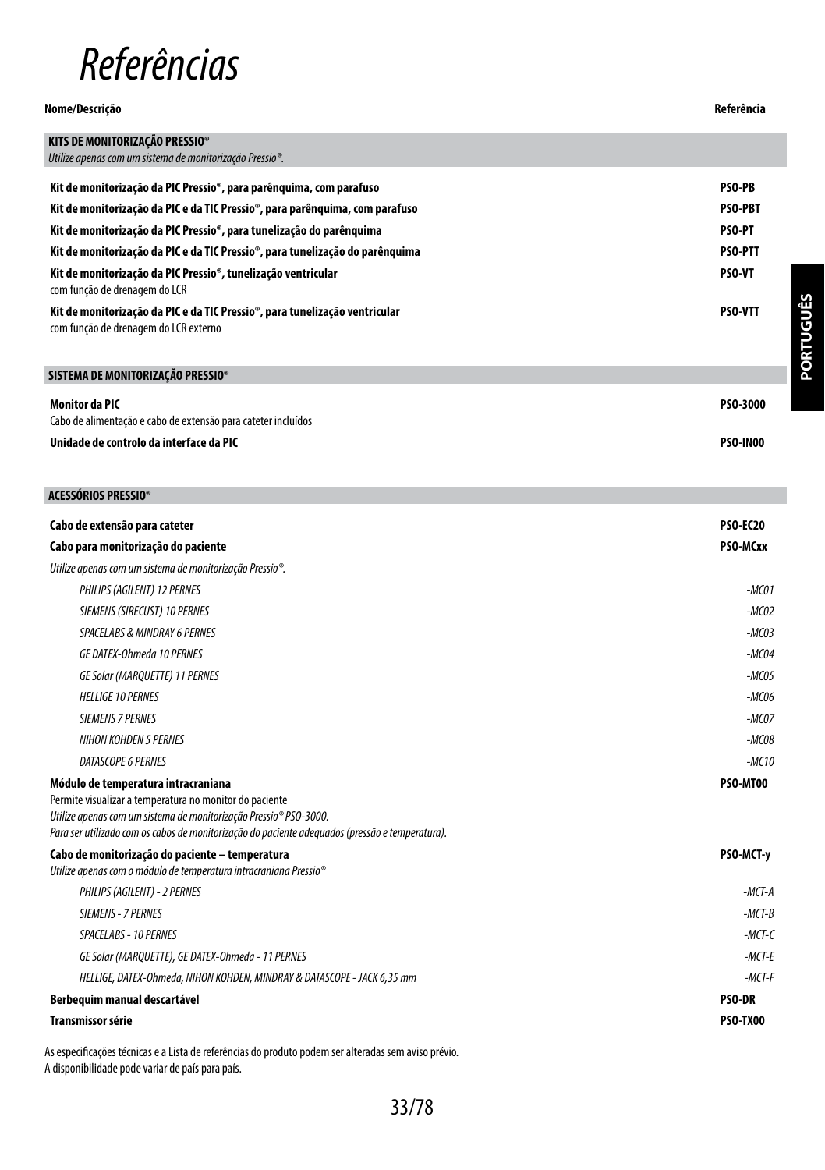# *Referências*

#### **Nome/Descrição Referência**

| KITS DE MONITORIZAÇÃO PRESSIO®                                                                                       |                 |
|----------------------------------------------------------------------------------------------------------------------|-----------------|
| Utilize apenas com um sistema de monitorização Pressio®.                                                             |                 |
|                                                                                                                      |                 |
| Kit de monitorização da PIC Pressio®, para parênguima, com parafuso                                                  | <b>PSO-PB</b>   |
| Kit de monitorização da PIC e da TIC Pressio®, para parênguima, com parafuso                                         | <b>PSO-PBT</b>  |
| Kit de monitorização da PIC Pressio®, para tunelização do parênguima                                                 | <b>PSO-PT</b>   |
| Kit de monitorização da PIC e da TIC Pressio®, para tunelização do parênguima                                        | <b>PSO-PTT</b>  |
| Kit de monitorização da PIC Pressio®, tunelização ventricular<br>com função de drenagem do LCR                       | <b>PSO-VT</b>   |
| Kit de monitorização da PIC e da TIC Pressio®, para tunelização ventricular<br>com função de drenagem do LCR externo | <b>PSO-VTT</b>  |
| SISTEMA DE MONITORIZAÇÃO PRESSIO®                                                                                    |                 |
| <b>Monitor da PIC</b><br>Cabo de alimentação e cabo de extensão para cateter incluídos                               | <b>PSO-3000</b> |
| Unidade de controlo da interface da PIC                                                                              | <b>PSO-IN00</b> |

### **ACESSÓRIOS PRESSIO®**

| Cabo de extensão para cateter                                                                                                                                                                                                                                          | <b>PSO-EC20</b> |
|------------------------------------------------------------------------------------------------------------------------------------------------------------------------------------------------------------------------------------------------------------------------|-----------------|
| Cabo para monitorização do paciente                                                                                                                                                                                                                                    | PSO-MCxx        |
| Utilize apenas com um sistema de monitorização Pressio®.                                                                                                                                                                                                               |                 |
| PHILIPS (AGILENT) 12 PERNES                                                                                                                                                                                                                                            | -MC01           |
| SIEMENS (SIRECUST) 10 PERNES                                                                                                                                                                                                                                           | $-MCO2$         |
| <b>SPACELABS &amp; MINDRAY 6 PERNES</b>                                                                                                                                                                                                                                | $-MCO3$         |
| GE DATEX-Ohmeda 10 PERNES                                                                                                                                                                                                                                              | $-MCO4$         |
| <b>GE Solar (MARQUETTE) 11 PERNES</b>                                                                                                                                                                                                                                  | $-MCO5$         |
| <b>HELLIGE 10 PERNES</b>                                                                                                                                                                                                                                               | -MC06           |
| <b>SIEMENS 7 PERNES</b>                                                                                                                                                                                                                                                | $-MCOZ$         |
| <b>NIHON KOHDEN 5 PERNES</b>                                                                                                                                                                                                                                           | $-MCO8$         |
| DATASCOPE 6 PERNES                                                                                                                                                                                                                                                     | $-MC10$         |
| Módulo de temperatura intracraniana<br>Permite visualizar a temperatura no monitor do paciente<br>Utilize apenas com um sistema de monitorização Pressio® PSO-3000.<br>Para ser utilizado com os cabos de monitorização do paciente adequados (pressão e temperatura). | PSO-MT00        |
| Cabo de monitorização do paciente - temperatura<br>Utilize apenas com o módulo de temperatura intracraniana Pressio®                                                                                                                                                   | PSO-MCT-y       |
| PHILIPS (AGILENT) - 2 PERNES                                                                                                                                                                                                                                           | $-MCT-A$        |
| SIEMENS - 7 PERNES                                                                                                                                                                                                                                                     | $-MCT-B$        |
| SPACELABS - 10 PERNES                                                                                                                                                                                                                                                  | $-MCT-C$        |
| GE Solar (MARQUETTE), GE DATEX-Ohmeda - 11 PERNES                                                                                                                                                                                                                      | $-MCT-F$        |
| HELLIGE, DATEX-Ohmeda, NIHON KOHDEN, MINDRAY & DATASCOPE - JACK 6,35 mm                                                                                                                                                                                                | $-MCT-F$        |
| Berbequim manual descartável                                                                                                                                                                                                                                           | <b>PSO-DR</b>   |
| <b>Transmissor série</b>                                                                                                                                                                                                                                               | <b>PSO-TX00</b> |

As especificações técnicas e a Lista de referências do produto podem ser alteradas sem aviso prévio. A disponibilidade pode variar de país para país.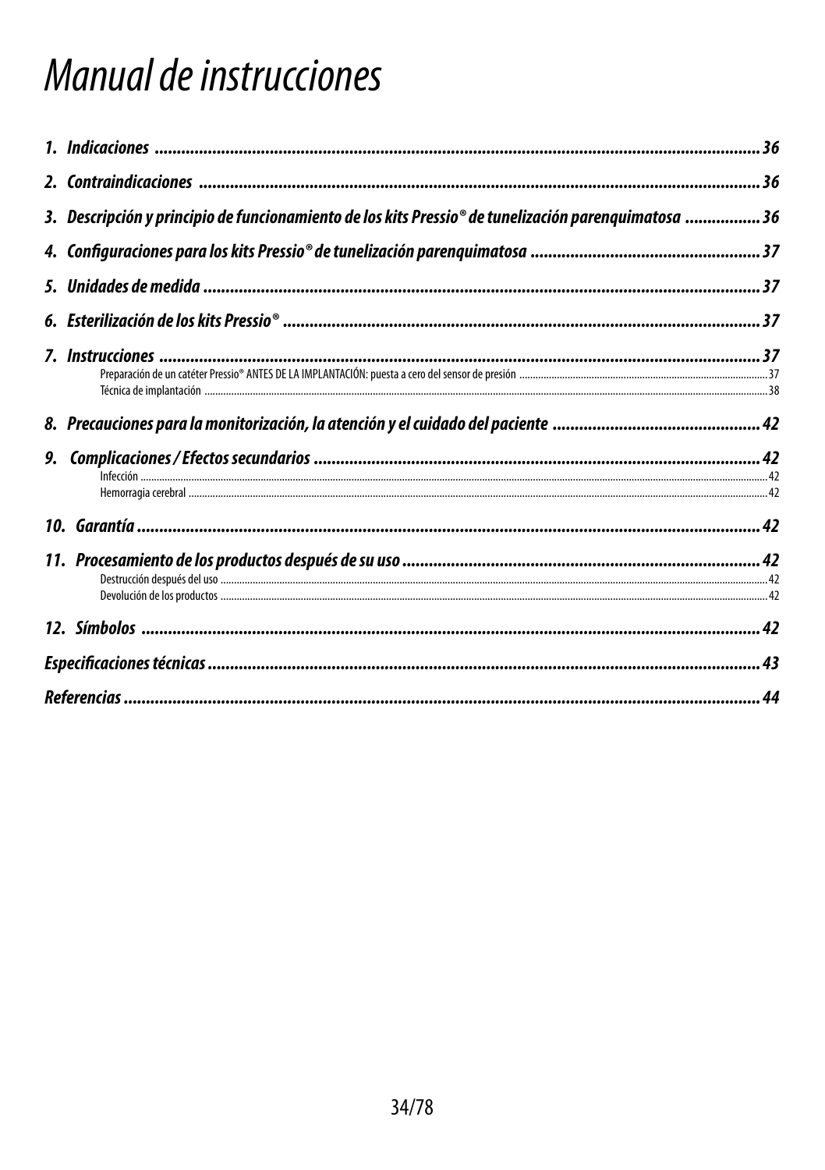# Manual de instrucciones

| 36. Descripción y principio de funcionamiento de los kits Pressio® de tunelización parenquimatosa 36 |  |
|------------------------------------------------------------------------------------------------------|--|
|                                                                                                      |  |
|                                                                                                      |  |
|                                                                                                      |  |
|                                                                                                      |  |
|                                                                                                      |  |
|                                                                                                      |  |
|                                                                                                      |  |
|                                                                                                      |  |
|                                                                                                      |  |
|                                                                                                      |  |
|                                                                                                      |  |
|                                                                                                      |  |
|                                                                                                      |  |
|                                                                                                      |  |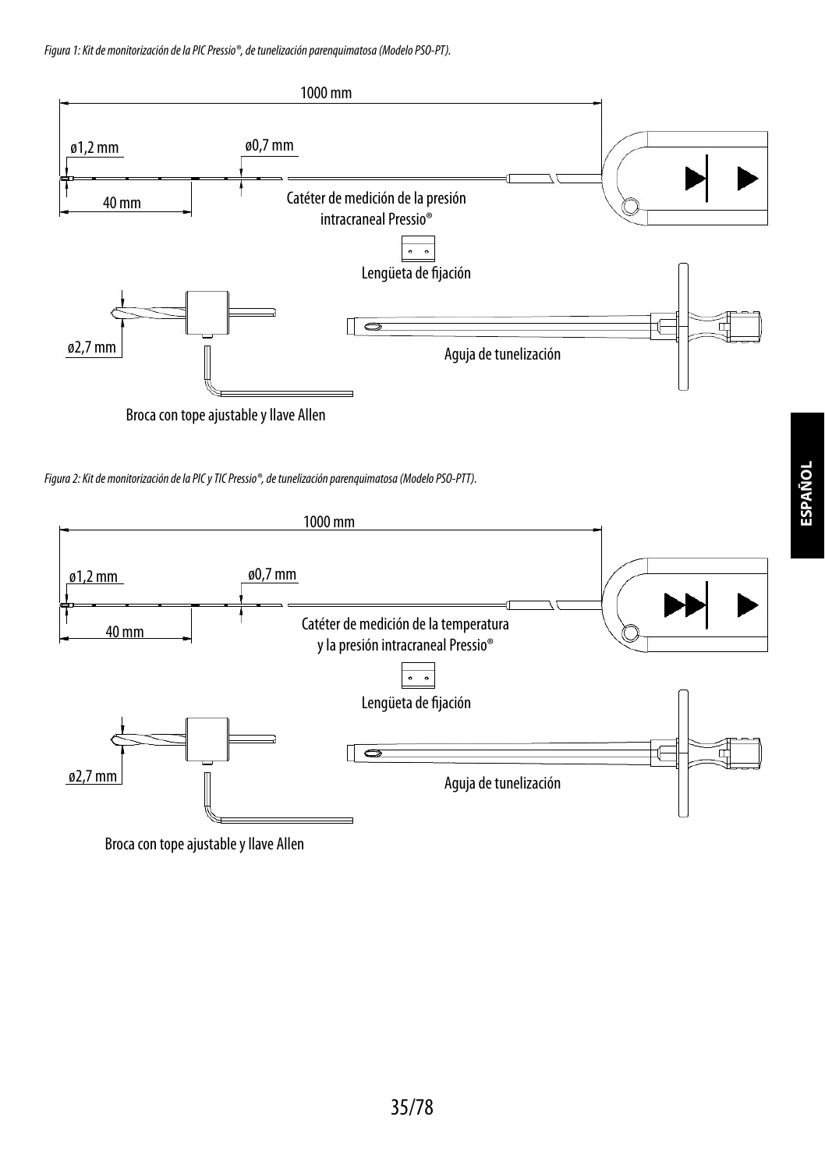*Figura 1: Kit de monitorización de la PIC Pressio®, de tunelización parenquimatosa (Modelo PSO-PT).*



*Figura 2: Kit de monitorización de la PIC y TIC Pressio®, de tunelización parenquimatosa (Modelo PSO-PTT).*



Broca con tope ajustable y llave Allen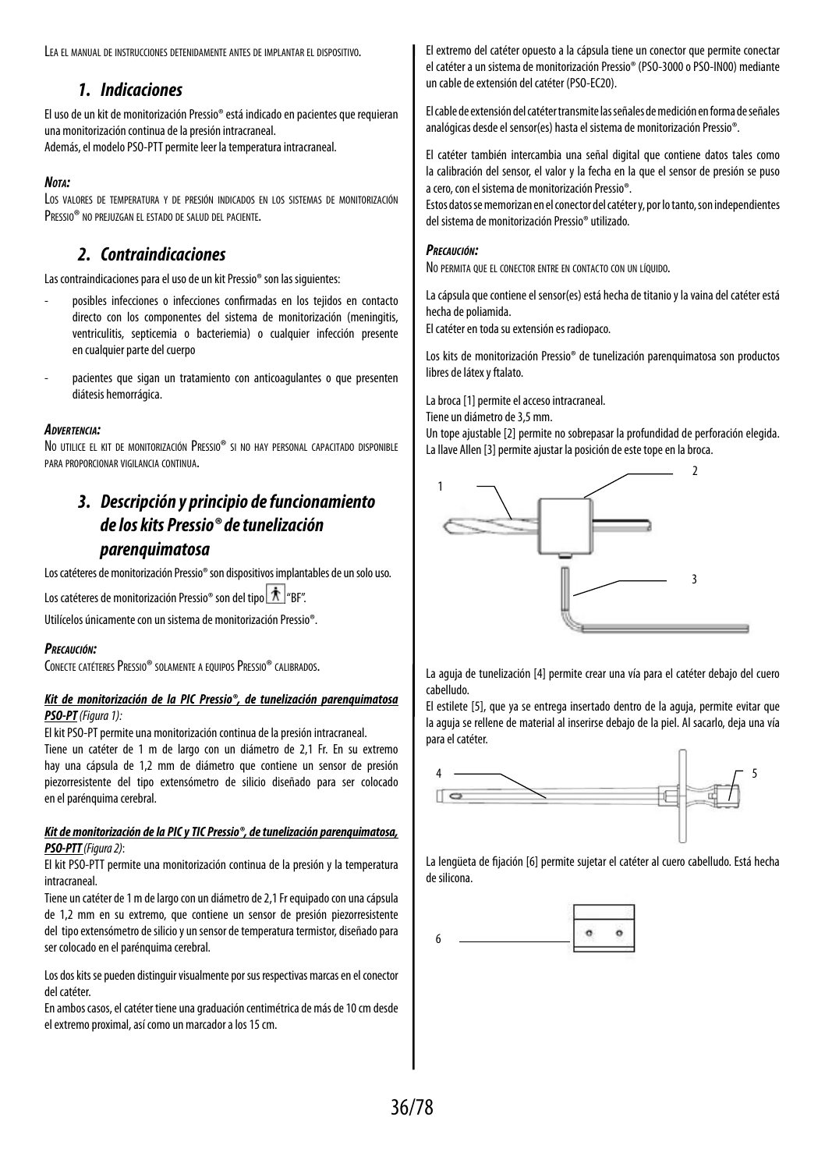Lea el manual de instrucciones detenidamente antes de implantar el dispositivo.

## *1. Indicaciones*

El uso de un kit de monitorización Pressio® está indicado en pacientes que requieran una monitorización continua de la presión intracraneal. Además, el modelo PSO-PTT permite leer la temperatura intracraneal.

#### *Nota:*

Los valores de temperatura y de presión indicados en los sistemas de monitorización PRESSIO<sup>®</sup> NO PREJUZGAN EL ESTADO DE SALUD DEL PACIENTE.

# *2. Contraindicaciones*

Las contraindicaciones para el uso de un kit Pressio® son las siguientes:

- posibles infecciones o infecciones confirmadas en los tejidos en contacto directo con los componentes del sistema de monitorización (meningitis, ventriculitis, septicemia o bacteriemia) o cualquier infección presente en cualquier parte del cuerpo
- pacientes que sigan un tratamiento con anticoagulantes o que presenten diátesis hemorrágica.

#### *Advertencia:*

No utilice el kit de monitorización Pressio® si no hay personal capacitado disponible para proporcionar vigilancia continua.

# *3. Descripción y principio de funcionamiento de los kits Pressio® de tunelización parenquimatosa*

Los catéteres de monitorización Pressio® son dispositivos implantables de un solo uso.

Los catéteres de monitorización Pressio® son del tipo | 木 | "BF".

Utilícelos únicamente con un sistema de monitorización Pressio®.

#### *Precaución:*

CONECTE CATÉTERES PRESSIO® SOLAMENTE A EQUIPOS PRESSIO® CALIBRADOS.

#### *Kit de monitorización de la PIC Pressio®, de tunelización parenquimatosa PSO-PT (Figura 1):*

El kit PSO-PT permite una monitorización continua de la presión intracraneal.

Tiene un catéter de 1 m de largo con un diámetro de 2,1 Fr. En su extremo hay una cápsula de 1,2 mm de diámetro que contiene un sensor de presión piezorresistente del tipo extensómetro de silicio diseñado para ser colocado en el parénquima cerebral.

#### *Kit de monitorización de la PIC y TIC Pressio®, de tunelización parenquimatosa, PSO-PTT (Figura 2)*:

El kit PSO-PTT permite una monitorización continua de la presión y la temperatura intracraneal.

Tiene un catéter de 1 m de largo con un diámetro de 2,1 Fr equipado con una cápsula de 1,2 mm en su extremo, que contiene un sensor de presión piezorresistente del tipo extensómetro de silicio y un sensor de temperatura termistor, diseñado para ser colocado en el parénquima cerebral.

Los dos kits se pueden distinguir visualmente por sus respectivas marcas en el conector del catéter.

En ambos casos, el catéter tiene una graduación centimétrica de más de 10 cm desde el extremo proximal, así como un marcador a los 15 cm.

El extremo del catéter opuesto a la cápsula tiene un conector que permite conectar el catéter a un sistema de monitorización Pressio® (PSO-3000 o PSO-IN00) mediante un cable de extensión del catéter (PSO-EC20).

El cable de extensión del catéter transmite las señales de medición en forma deseñales analógicas desde el sensor(es) hasta el sistema de monitorización Pressio®.

El catéter también intercambia una señal digital que contiene datos tales como la calibración del sensor, el valor y la fecha en la que el sensor de presión se puso acero, con el sistema de monitorización Pressio®.

Estos datos se memorizan en el conector del catéter y, por lo tanto, son independientes del sistema de monitorización Pressio® utilizado.

#### *Precaución:*

No permita que el conector entre en contacto con un líquido.

La cápsula que contiene el sensor(es) está hecha de titanio y la vaina del catéter está hecha de poliamida.

El catéter en toda su extensión es radiopaco.

Los kits de monitorización Pressio® de tunelización parenquimatosa son productos libres de látex y ftalato.

La broca [1] permite el acceso intracraneal.

Tiene un diámetro de 3,5 mm.

Un tope ajustable [2] permite no sobrepasar la profundidad de perforación elegida. La llave Allen [3] permite ajustar la posición de este tope en la broca.



La aguja de tunelización [4] permite crear una vía para el catéter debajo del cuero cabelludo.

El estilete [5], que ya se entrega insertado dentro de la aguja, permite evitar que la aguja se rellene de material al inserirse debajo de la piel. Al sacarlo, deja una vía para el catéter.



La lengüeta de fijación [6] permite sujetar el catéter al cuero cabelludo. Está hecha de silicona.

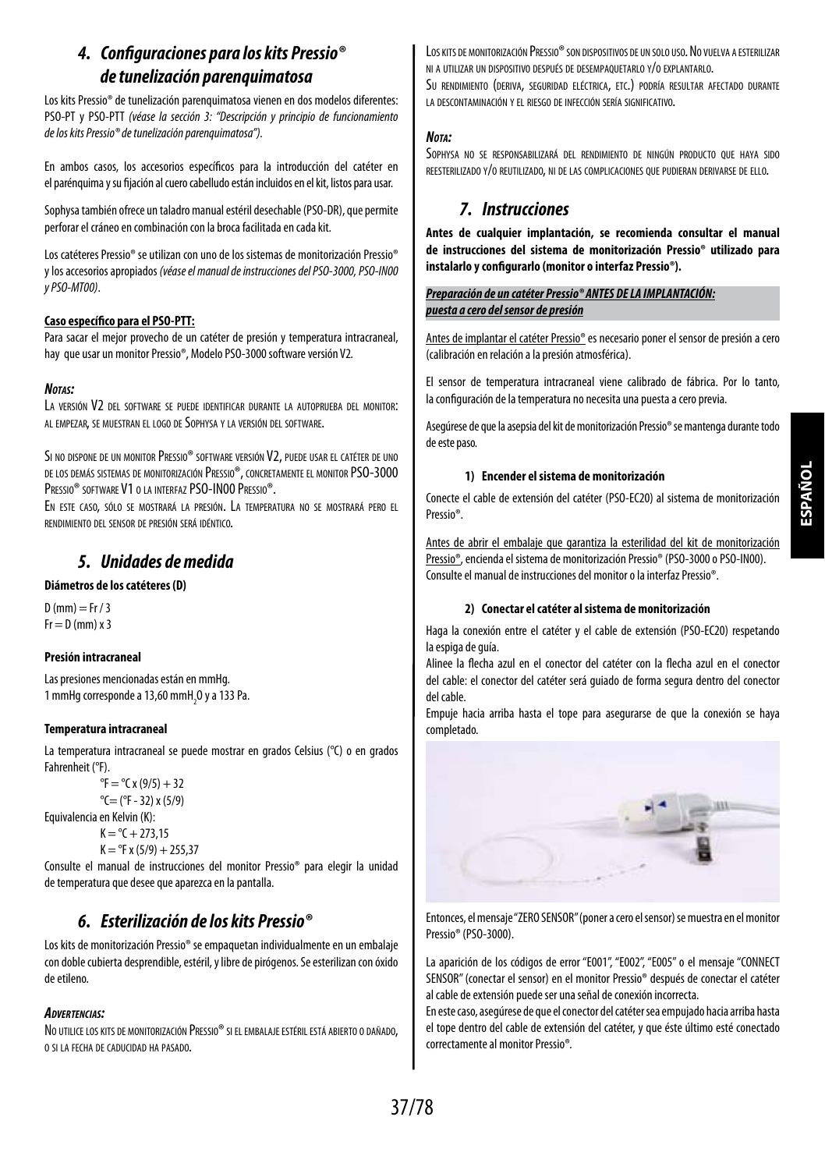## *4. Configuraciones para los kits Pressio® detunelización parenquimatosa*

Los kits Pressio® de tunelización parenquimatosa vienen en dos modelos diferentes: PSO-PT y PSO-PTT *(véase la sección 3: "Descripción y principio de funcionamiento de los kits Pressio® de tunelización parenquimatosa").*

En ambos casos, los accesorios específicos para la introducción del catéter en el parénguima y su fijación al cuero cabelludo están incluidos en el kit, listos para usar.

Sophysa también ofrece un taladro manual estéril desechable (PSO-DR), que permite perforar el cráneo en combinación con la broca facilitada en cada kit.

Los catéteres Pressio® se utilizan con uno de los sistemas de monitorización Pressio® y los accesorios apropiados *(véase el manual de instrucciones del PSO-3000, PSO-IN00 y PSO-MT00)*.

## **Caso específico para el PSO-PTT:**

Para sacar el mejor provecho de un catéter de presión y temperatura intracraneal, hay que usar un monitor Pressio®, Modelo PSO-3000 software versión V2*.*

## *Notas:*

LA VERSIÓN V2 DEL SOFTWARE SE PUEDE IDENTIFICAR DURANTE LA AUTOPRUFBA DEL MONITOR: al empezar, se muestran el logo de Sophysa y la versión del software.

SI NO DISPONE DE UN MONITOR PRESSIO® SOFTWARE VERSIÓN V2, PUEDE USAR EL CATÉTER DE UNO de los demás sistemas de monitorización Pressio®, concretamente el monitor PSO-3000 PRESSIO<sup>®</sup> SOFTWARE V1 O LA INTERFAZ PSO-INOO PRESSIO®.

En este caso, sólo se mostrará la presión. La temperatura no se mostrará pero el rendimiento del sensor de presión será idéntico.

## *5. Unidades de medida*

## **Diámetros de los catéteres (D)**

 $D$  (mm) = Fr / 3  $Fr = D$  (mm)  $x$  3

## **Presión intracraneal**

Las presiones mencionadas están en mmHg. 1 mmHg corresponde a 13,60 mmH $_{2}$ O y a 133 Pa.

## **Temperatura intracraneal**

La temperatura intracraneal se puede mostrar en grados Celsius (°C) o en grados Fahrenheit (°F).

```
{}^{\circ}F = {}^{\circ}C x (9/5) + 32
^{\circ}C= (^{\circ}F - 32) x (5/9)
```
Equivalencia en Kelvin (K):

```
K = {}^{\circ}C + 273,15
```
 $K = PF x (5/9) + 255.37$ 

Consulte el manual de instrucciones del monitor Pressio® para elegir la unidad detemperatura que desee que aparezca en la pantalla.

## *6. Esterilización de los kits Pressio®*

Los kits de monitorización Pressio® se empaquetan individualmente en un embalaje con doble cubierta desprendible, estéril, y libre de pirógenos. Se esterilizan con óxido de etileno.

## *Advertencias:*

No utilice los kits de monitorización Pressio® si el embalaje estéril está abierto o dañado. o si la fecha de caducidad ha pasado.

Los kits de monitorización Pressio® son dispositivos de un solo uso. No vuelva a esterilizar ni a utilizar un dispositivo después de desempaquetarlo y/o explantarlo. Su rendimiento (deriva, seguridad eléctrica, etc.) podría resultar afectado durante la descontaminación y el riesgo de infección sería significativo.

## *Nota:*

Sophysa no se responsabilizará del rendimiento de ningún producto que haya sido reesterilizado y/o reutilizado, ni de las complicaciones que pudieran derivarse de ello.

## *7. Instrucciones*

**Antes de cualquier implantación, se recomienda consultar el manual de instrucciones del sistema de monitorización Pressio® utilizado para instalarlo y configurarlo (monitor o interfaz Pressio®).**

## *Preparación de un catéter Pressio® ANTES DE LA IMPLANTACIÓN: puesta a cero del sensor de presión*

Antes de implantar el catéter Pressio® es necesario poner el sensor de presión a cero (calibración en relación a la presión atmosférica).

El sensor de temperatura intracraneal viene calibrado de fábrica. Por lo tanto, la configuración de la temperatura no necesita una puesta a cero previa.

Asegúrese de que la asepsia del kit de monitorización Pressio® se mantenga durante todo de este paso.

## **1) Encender el sistema de monitorización**

Conecte el cable de extensión del catéter (PSO-EC20) al sistema de monitorización Pressio®.

Antes de abrir el embalaje que garantiza la esterilidad del kit de monitorización Pressio®, encienda el sistema de monitorización Pressio® (PSO-3000 o PSO-IN00). Consulte el manual de instrucciones del monitor o la interfaz Pressio®.

## **2) Conectar el catéter al sistema de monitorización**

Haga la conexión entre el catéter y el cable de extensión (PSO-EC20) respetando la espiga de guía.

Alinee la flecha azul en el conector del catéter con la flecha azul en el conector del cable: el conector del catéter será guiado de forma segura dentro del conector del cable.

Empuje hacia arriba hasta el tope para asegurarse de que la conexión se haya completado.



Entonces, el mensaje "ZERO SENSOR" (poner a cero el sensor) se muestra en elmonitor Pressio® (PSO-3000).

La aparición de los códigos de error "E001", "E002", "E005" o el mensaje "CONNECT SENSOR" (conectar el sensor) en el monitor Pressio® después de conectar el catéter al cable de extensión puede ser una señal de conexión incorrecta.

En este caso, asegúrese de que el conector del catéter sea empujado hacia arriba hasta el tope dentro del cable de extensión del catéter, y que éste último esté conectado correctamente al monitor Pressio®*.*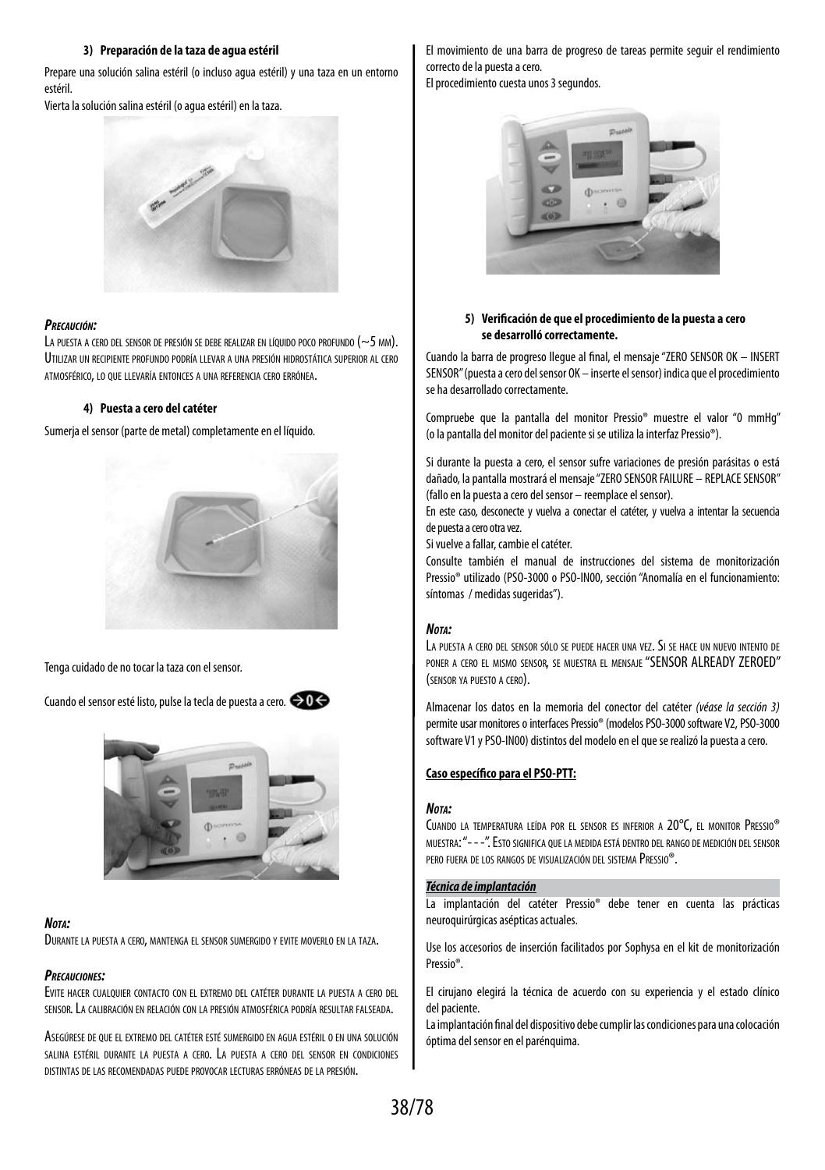## **3) Preparación de la taza de agua estéril**

Prepare una solución salina estéril (o incluso agua estéril) y una taza en un entorno estéril.

Vierta la solución salina estéril (o agua estéril) en la taza.



## *Precaución:*

LA PUESTA A CERO DEL SENSOR DE PRESIÓN SE DEBE REALIZAR EN LÍQUIDO POCO PROFUNDO (~5 MM). Utilizar un recipiente profundo podría llevar a una presión hidrostática superior al cero atmosférico, lo que llevaría entonces a una referencia cero errónea.

## **4) Puesta a cero del catéter**

Sumerja el sensor (parte de metal) completamente en el líquido.



Tenga cuidado de no tocar la taza con el sensor*.*

Cuando el sensor esté listo, pulse la tecla de puesta a cero*.* 



## *Nota:*

Durante la puesta <sup>a</sup> cero, mantenga el sensor sumergido <sup>y</sup> evite moverlo en la taza.

## *Precauciones:*

Evite hacer cualquier contacto con el extremo del catéter durante la puesta <sup>a</sup> cero del sensor. La calibración en relación con la presión atmosférica podría resultar falseada.

Asegúrese de que el extremo del catéter esté sumergido en agua estéril o en una solución salina estéril durante la puesta <sup>a</sup> cero. La puesta <sup>a</sup> cero del sensor en condiciones distintas de las recomendadas puede provocar lecturas erróneas de la presión.

El movimiento de una barra de progreso de tareas permite seguir el rendimiento correcto de la puesta a cero.

El procedimiento cuesta unos 3 segundos*.*



## **5) Verificación de que el procedimiento de la puesta a cero se desarrolló correctamente.**

Cuando la barra de progreso llegue al final, el mensaje "ZERO SENSOR OK – INSERT SENSOR" (puesta a cero del sensor OK – inserte el sensor) indica que el procedimiento se ha desarrollado correctamente.

Compruebe que la pantalla del monitor Pressio® muestre el valor "0 mmHg" (olapantalla del monitor del paciente si se utiliza la interfaz Pressio®).

Si durante la puesta a cero, el sensor sufre variaciones de presión parásitas o está dañado, la pantalla mostrará el mensaje "ZERO SENSOR FAILURE – REPLACE SENSOR" (fallo en la puesta a cero del sensor – reemplace el sensor).

En este caso, desconecte y vuelva a conectar el catéter, y vuelva a intentar la secuencia depuesta a cero otra vez.

Si vuelve a fallar, cambie el catéter.

Consulte también el manual de instrucciones del sistema de monitorización Pressio® utilizado (PSO-3000 o PSO-IN00, sección "Anomalía en el funcionamiento: síntomas / medidas sugeridas").

## *Nota:*

La puesta <sup>a</sup> cero del sensor sólo se puede hacer una vez. Si se hace un nuevo intento de poner a cero el mismo sensor, se muestra el mensaje "SENSOR ALREADY ZEROED" (sensor ya puesto <sup>a</sup> cero).

Almacenar los datos en la memoria del conector del catéter *(véase la sección 3)* permite usar monitores o interfaces Pressio® (modelos PSO-3000 software V2, PSO-3000 software V1 y PSO-IN00) distintos del modelo en el que se realizó la puesta a cero.

## **Caso específico para el PSO-PTT:**

## *Nota:*

Cuando la temperatura leída por el sensor es inferior a 20°C, el monitor Pressio® muestra: "- - -". Esto significa que la medida está dentro del rango de medición del sensor pero fuera de los rangos de visualización del sistema Pressio®.

## *Técnica de implantación*

La implantación del catéter Pressio® debe tener en cuenta las prácticas neuroquirúrgicas asépticas actuales.

Use los accesorios de inserción facilitados por Sophysa en el kit de monitorización Pressio®.

El cirujano elegirá la técnica de acuerdo con su experiencia y el estado clínico del paciente.

La implantación final del dispositivo debe cumplir las condiciones para una colocación óptima del sensor en el parénquima.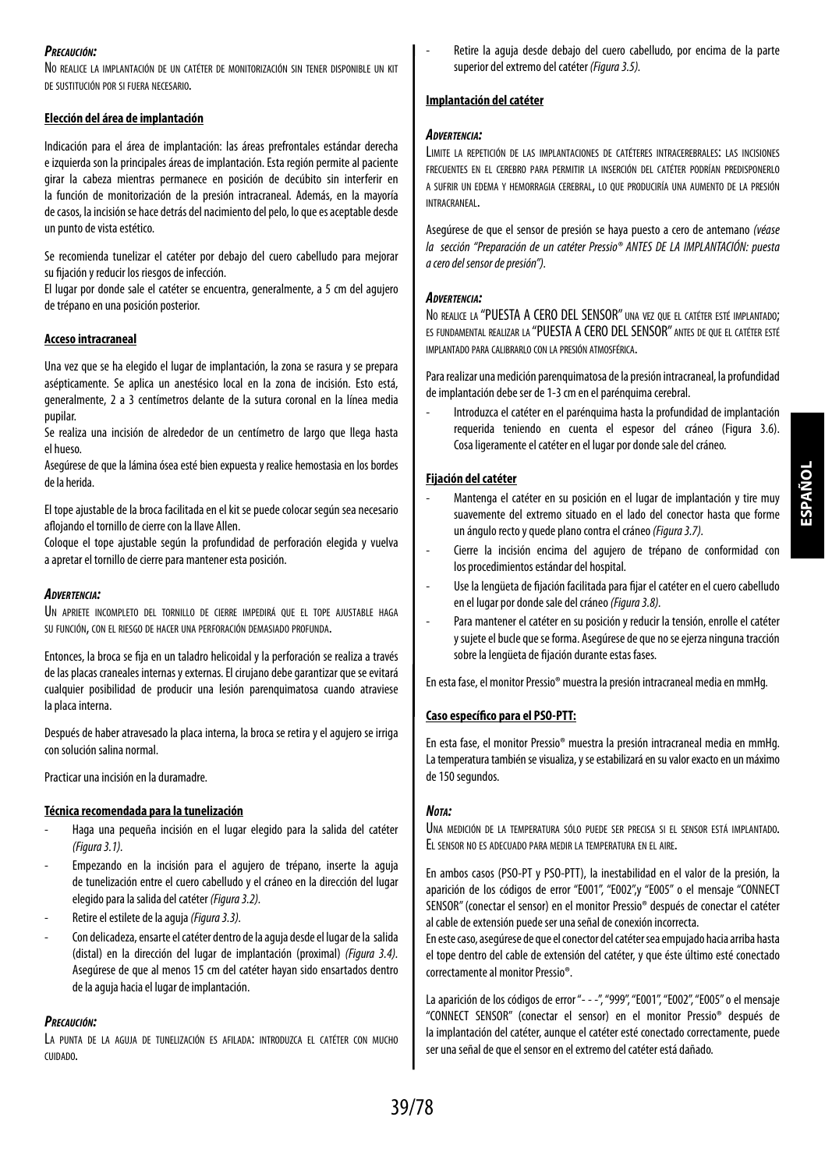## *Precaución:*

No realice la implantación de un catéter de monitorización sin tener disponible un kit de sustitución por si fuera necesario.

## **Elección del área de implantación**

Indicación para el área de implantación: las áreas prefrontales estándar derecha e izquierda son la principales áreas de implantación. Esta región permite al paciente girar la cabeza mientras permanece en posición de decúbito sin interferir en la función de monitorización de la presión intracraneal. Además, en la mayoría decasos, la incisión se hace detrás del nacimiento del pelo, lo que es aceptable desde un punto de vista estético.

Se recomienda tunelizar el catéter por debajo del cuero cabelludo para mejorar su fijación y reducir los riesgos de infección.

El lugar por donde sale el catéter se encuentra, generalmente, a 5 cm del agujero de trépano en una posición posterior.

## **Acceso intracraneal**

Una vez que se ha elegido el lugar de implantación, la zona se rasura y se prepara asépticamente. Se aplica un anestésico local en la zona de incisión. Esto está, generalmente, 2 a 3 centímetros delante de la sutura coronal en la línea media pupilar.

Se realiza una incisión de alrededor de un centímetro de largo que llega hasta el hueso.

Asegúrese de que la lámina ósea esté bien expuesta y realice hemostasia en los bordes de la herida.

El tope ajustable de la broca facilitada en el kit se puede colocar según sea necesario aflojando el tornillo de cierre con la llave Allen.

Coloque el tope ajustable según la profundidad de perforación elegida y vuelva aapretar el tornillo de cierre para mantener esta posición.

#### *Advertencia:*

UN APRIETE INCOMPLETO DEL TORNILLO DE CIERRE IMPEDIRÁ QUE EL TOPE AJUSTABLE HAGA su función, con el riesgo de hacer una perforación demasiado profunda.

Entonces, la broca se fija en un taladro helicoidal y la perforación se realiza a través de las placas craneales internas y externas. El cirujano debe garantizar que se evitará cualquier posibilidad de producir una lesión parenquimatosa cuando atraviese la placa interna.

Después de haber atravesado la placa interna, la broca se retira y el agujero se irriga con solución salina normal.

Practicar una incisión en la duramadre.

## **Técnica recomendada para la tunelización**

- Haga una pequeña incisión en el lugar elegido para la salida del catéter *(Figura3.1).*
- Empezando en la incisión para el agujero de trépano, inserte la aguja de tunelización entre el cuero cabelludo y el cráneo en la dirección del lugar elegido para la salida del catéter *(Figura 3.2).*
- Retire el estilete de la aguja *(Figura 3.3).*
- Con delicadeza, ensarte el catéter dentro de la aguja desde el lugar de la salida (distal) en la dirección del lugar de implantación (proximal) *(Figura 3.4).* Asegúrese de que al menos 15 cm del catéter hayan sido ensartados dentro dela aguja hacia el lugar de implantación.

#### *Precaución:*

La punta de la aguja de tunelización es afilada: introduzca el catéter con mucho cuidado.

Retire la aguia desde debajo del cuero cabelludo, por encima de la parte superior del extremo del catéter *(Figura 3.5).*

#### **Implantación del catéter**

#### *Advertencia:*

Limite la repetición de las implantaciones de catéteres intracerebrales: las incisiones frecuentes en el cerebro para permitir la inserción del catéter podrían predisponerlo a sufrir un edema y hemorragia cerebral, lo que produciría una aumento de la presión intracraneal.

Asegúrese de que el sensor de presión se haya puesto a cero de antemano *(véase la sección "Preparación de un catéter Pressio® ANTES DE LA IMPLANTACIÓN: puesta acero del sensor de presión").*

#### *Advertencia:*

No realice la "PUESTA A CERO DEL SENSOR" una vez que el catéter esté implantado; es fundamental realizar la "PUESTA A CERO DELSENSOR" antes de que el catéter esté implantado para calibrarlo con la presión atmosférica.

Para realizar una medición parenquimatosa de la presión intracraneal, la profundidad de implantación debe ser de 1-3 cm en el parénquima cerebral.

- Introduzca el catéter en el parénquima hasta la profundidad de implantación requerida teniendo en cuenta el espesor del cráneo (Figura 3.6). Cosaligeramente el catéter en el lugar por donde sale del cráneo.

## **Fijación del catéter**

- Mantenga el catéter en su posición en el lugar de implantación y tire muy suavemente del extremo situado en el lado del conector hasta que forme un ángulo recto y quede plano contra el cráneo *(Figura 3.7).*
- Cierre la incisión encima del agujero de trépano de conformidad con los procedimientos estándar del hospital.
- Use la lengüeta de fijación facilitada para fijar el catéter en el cuero cabelludo en el lugar por donde sale del cráneo *(Figura 3.8).*
- Para mantener el catéter en su posición y reducir la tensión, enrolle el catéter y sujete el bucle que se forma. Asegúrese de que no se ejerza ninguna tracción sobre la lengüeta de fijación durante estas fases.

En esta fase, el monitor Pressio® muestra la presión intracraneal media en mmHg.

## **Caso específico para el PSO-PTT:**

En esta fase, el monitor Pressio® muestra la presión intracraneal media en mmHg. Latemperatura también se visualiza, y se estabilizará en su valor exacto en un máximo de 150 segundos.

#### *Nota:*

Una medición de la temperatura sólo puede ser precisa si el sensor está implantado. El sensor no es adecuado para medir la temperatura en el aire.

En ambos casos (PSO-PT y PSO-PTT), la inestabilidad en el valor de la presión, la aparición de los códigos de error "E001", "E002",y "E005" o el mensaje "CONNECT SENSOR" (conectar el sensor) en el monitor Pressio® después de conectar el catéter al cable de extensión puede ser una señal de conexión incorrecta.

En este caso, asegúrese de que el conector del catéter sea empujado hacia arriba hasta el tope dentro del cable de extensión del catéter, y que éste último esté conectado correctamente al monitor Pressio®.

La aparición de los códigos de error "- - -", "999", "E001", "E002", "E005" o el mensaje "CONNECT SENSOR" (conectar el sensor) en el monitor Pressio® después de la implantación del catéter, aunque el catéter esté conectado correctamente, puede ser una señal de que el sensor en el extremo del catéter está dañado.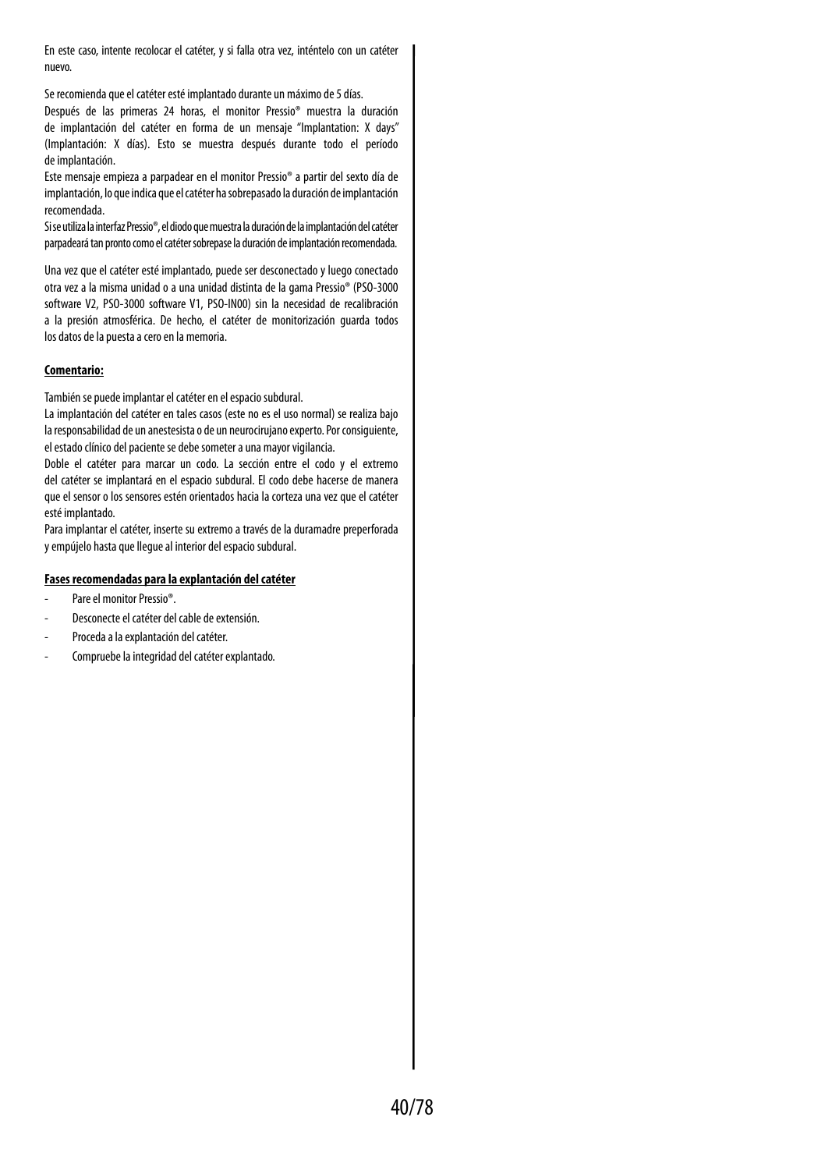En este caso, intente recolocar el catéter, y si falla otra vez, inténtelo con un catéter nuevo.

Se recomienda que el catéter esté implantado durante un máximo de 5 días.

Después de las primeras 24 horas, el monitor Pressio® muestra la duración de implantación del catéter en forma de un mensaje "Implantation: X days" (Implantación: X días). Esto se muestra después durante todo el período deimplantación.

Este mensaje empieza a parpadear en el monitor Pressio® a partir del sexto día de implantación, lo que indica que el catéter ha sobrepasado la duración de implantación recomendada.

Si se utiliza la interfaz Pressio®, el diodo que muestra la duración de la implantación del catéter parpadeará tan pronto como el catéter sobrepase la duración de implantación recomendada.

Una vez que el catéter esté implantado, puede ser desconectado y luego conectado otra vez a la misma unidad o a una unidad distinta de la gama Pressio® (PSO-3000 software V2, PSO-3000 software V1, PSO-IN00) sin la necesidad de recalibración a la presión atmosférica. De hecho, el catéter de monitorización guarda todos los datos de la puesta a cero en la memoria.

## **Comentario:**

También se puede implantar el catéter en el espacio subdural.

La implantación del catéter en tales casos (este no es el uso normal) se realiza bajo laresponsabilidad de un anestesista o de un neurocirujano experto. Por consiguiente, el estado clínico del paciente se debe someter a una mayor vigilancia.

Doble el catéter para marcar un codo. La sección entre el codo y el extremo del catéter se implantará en el espacio subdural. El codo debe hacerse de manera que el sensor o los sensores estén orientados hacia la corteza una vez que el catéter esté implantado.

Para implantar el catéter, inserte su extremo a través de la duramadre preperforada yempújelo hasta que llegue al interior del espacio subdural.

## **Fases recomendadas para la explantación del catéter**

- Pare el monitor Pressio®.
- Desconecte el catéter del cable de extensión.
- Proceda a la explantación del catéter.
- Compruebe la integridad del catéter explantado.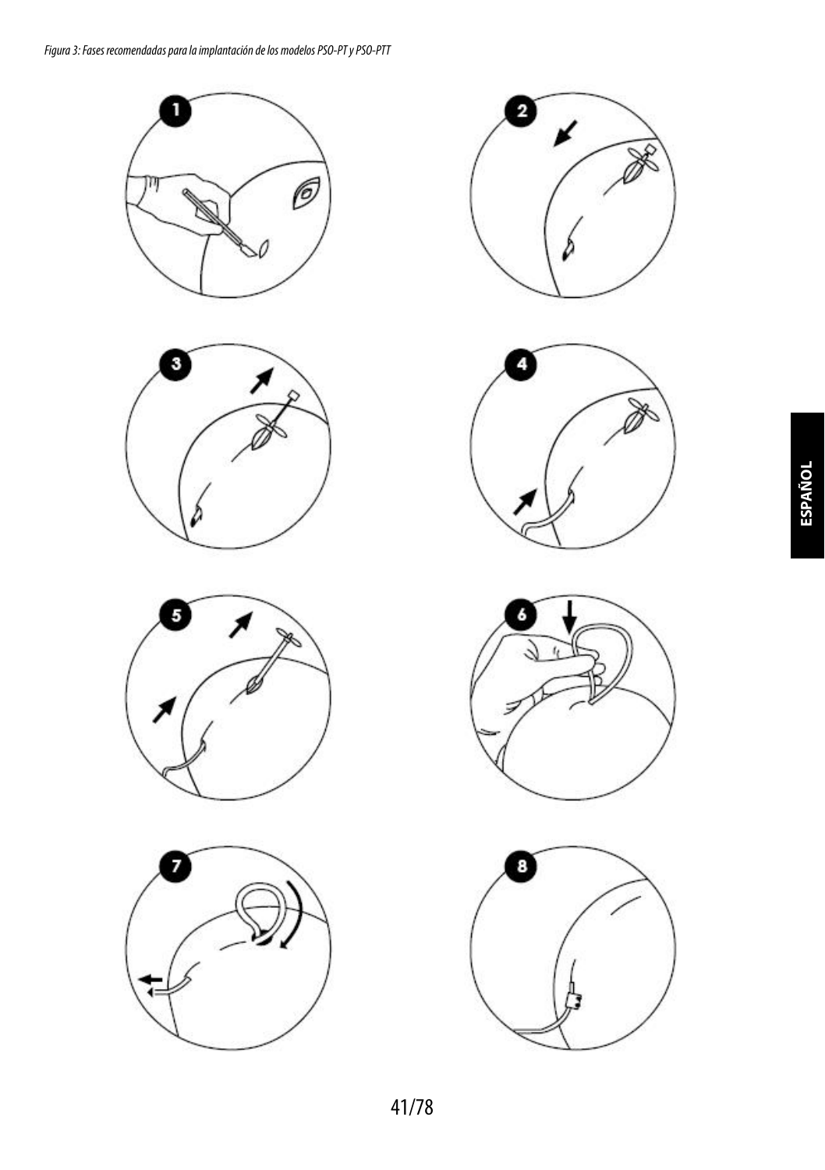













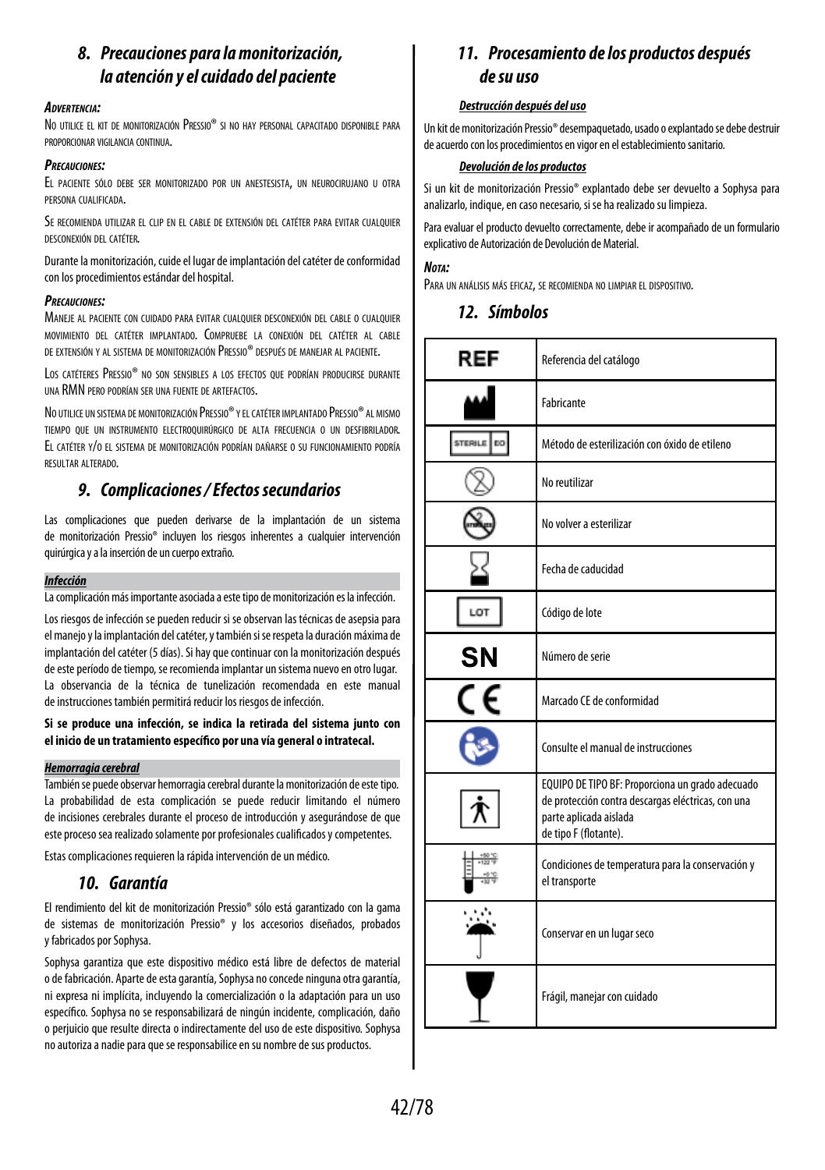## *8. Precauciones para la monitorización, la atención y el cuidado del paciente*

## *Advertencia:*

No utilice el kit de monitorización Pressio® si no hay personal capacitado disponible para proporcionar vigilancia continua.

#### *Precauciones:*

El paciente sólo debe ser monitorizado por un anestesista, un neurocirujano <sup>u</sup> otra persona cualificada.

Se recomienda utilizar el clip en el cable de extensión del catéter para evitar cualquier desconexión del catéter.

Durante la monitorización, cuide el lugar de implantación del catéter de conformidad con los procedimientos estándar del hospital.

## *Precauciones:*

Maneje al paciente con cuidado para evitar cualquier desconexión del cable o cualquier movimiento del catéter implantado. Compruebe la conexión del catéter al cable de extensión y al sistema de monitorización Pressio® después de manejar al paciente.

Los catéteres Pressio® no son sensibles a los efectos que podrían producirse durante una RMN pero podrían ser una fuente de artefactos.

No utilice un sistema de monitorización Pressio® yelcatéter implantado Pressio® al mismo tiempo que un instrumento electroquirúrgico de alta frecuencia o un desfibrilador. El catéter y/o el sistema de monitorización podrían dañarse <sup>o</sup> su funcionamiento podría resultar alterado.

## *9. Complicaciones / Efectos secundarios*

Las complicaciones que pueden derivarse de la implantación de un sistema de monitorización Pressio® incluyen los riesgos inherentes a cualquier intervención quirúrgica y a la inserción de un cuerpo extraño.

## *Infección*

La complicación más importante asociada a este tipo de monitorización es la infección.

Los riesgos de infección se pueden reducir si se observan las técnicas de asepsia para el manejo y la implantación del catéter, y también si se respeta la duración máxima de implantación del catéter (5 días). Si hay que continuar con la monitorización después de este período de tiempo, se recomienda implantar un sistema nuevo en otro lugar. La observancia de la técnica de tunelización recomendada en este manual de instrucciones también permitirá reducir los riesgos de infección.

## **Si se produce una infección, se indica la retirada del sistema junto con el inicio de un tratamiento específico por una vía general o intratecal.**

## *Hemorragia cerebral*

También se puede observar hemorragia cerebral durante la monitorización de este tipo. La probabilidad de esta complicación se puede reducir limitando el número de incisiones cerebrales durante el proceso de introducción y asegurándose de que este proceso sea realizado solamente por profesionales cualificados y competentes.

Estas complicaciones requieren la rápida intervención de un médico.

## *10. Garantía*

El rendimiento del kit de monitorización Pressio® sólo está garantizado con la gama de sistemas de monitorización Pressio® y los accesorios diseñados, probados yfabricados por Sophysa.

Sophysa garantiza que este dispositivo médico está libre de defectos de material ode fabricación. Aparte de esta garantía, Sophysa no concede ninguna otra garantía, ni expresa ni implícita, incluyendo la comercialización o la adaptación para un uso específico. Sophysa no se responsabilizará de ningún incidente, complicación, daño operjuicio que resulte directa o indirectamente del uso de este dispositivo. Sophysa no autoriza a nadie para que se responsabilice en su nombre de sus productos.

## *11. Procesamiento de los productos después desu uso*

## *Destrucción después del uso*

Un kit de monitorización Pressio® desempaquetado, usado o explantado se debe destruir de acuerdo con los procedimientos en vigor en el establecimiento sanitario.

## *Devolución de los productos*

Si un kit de monitorización Pressio® explantado debe ser devuelto a Sophysa para analizarlo, indique, en caso necesario, si se ha realizado su limpieza.

Para evaluar el producto devuelto correctamente, debe ir acompañado de un formulario explicativo de Autorización de Devolución de Material.

## *Nota:*

Para un análisis más eficaz, se recomienda no limpiar el dispositivo.

## *12. Símbolos*

| REF                  | Referencia del catálogo                                                                                                                                   |
|----------------------|-----------------------------------------------------------------------------------------------------------------------------------------------------------|
|                      | Fabricante                                                                                                                                                |
| STERILE<br><b>DO</b> | Método de esterilización con óxido de etileno                                                                                                             |
|                      | No reutilizar                                                                                                                                             |
|                      | No volver a esterilizar                                                                                                                                   |
|                      | Fecha de caducidad                                                                                                                                        |
| LOT                  | Código de lote                                                                                                                                            |
| <b>SN</b>            | Número de serie                                                                                                                                           |
|                      | Marcado CE de conformidad                                                                                                                                 |
|                      | Consulte el manual de instrucciones                                                                                                                       |
|                      | EQUIPO DE TIPO BF: Proporciona un grado adecuado<br>de protección contra descargas eléctricas, con una<br>parte aplicada aislada<br>de tipo F (flotante). |
|                      | Condiciones de temperatura para la conservación y<br>el transporte                                                                                        |
|                      | Conservar en un lugar seco                                                                                                                                |
|                      | Frágil, manejar con cuidado                                                                                                                               |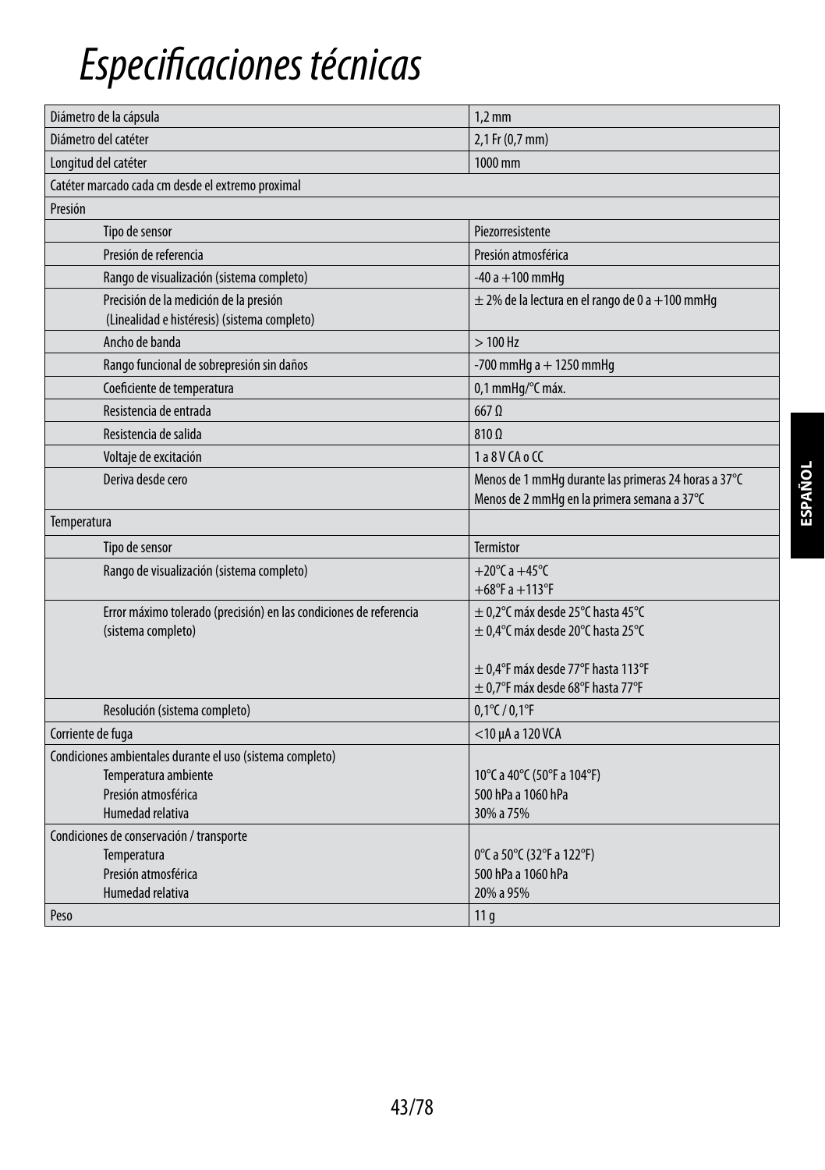## *Especificaciones técnicas*

| Diámetro de la cápsula                                             | $1.2 \text{ mm}$                                     |  |
|--------------------------------------------------------------------|------------------------------------------------------|--|
| Diámetro del catéter                                               | 2,1 Fr (0,7 mm)                                      |  |
| Longitud del catéter                                               | 1000 mm                                              |  |
| Catéter marcado cada cm desde el extremo proximal                  |                                                      |  |
| Presión                                                            |                                                      |  |
| Tipo de sensor                                                     | Piezorresistente                                     |  |
| Presión de referencia                                              | Presión atmosférica                                  |  |
| Rango de visualización (sistema completo)                          | $-40a + 100$ mmHq                                    |  |
| Precisión de la medición de la presión                             | $\pm$ 2% de la lectura en el rango de 0 a +100 mmHg  |  |
| (Linealidad e histéresis) (sistema completo)                       |                                                      |  |
| Ancho de banda                                                     | $>100$ Hz                                            |  |
| Rango funcional de sobrepresión sin daños                          | -700 mmHg $a + 1250$ mmHg                            |  |
| Coeficiente de temperatura                                         | 0,1 mmHq/°C máx.                                     |  |
| Resistencia de entrada                                             | $667$ $\Omega$                                       |  |
| Resistencia de salida                                              | 810 Q                                                |  |
| Voltaje de excitación                                              | 1a8VCAoCC                                            |  |
| Deriva desde cero                                                  | Menos de 1 mmHg durante las primeras 24 horas a 37°C |  |
|                                                                    | Menos de 2 mmHq en la primera semana a 37°C          |  |
| Temperatura                                                        |                                                      |  |
| Tipo de sensor                                                     | <b>Termistor</b>                                     |  |
| Rango de visualización (sistema completo)                          | +20 $^{\circ}$ C a +45 $^{\circ}$ C                  |  |
|                                                                    | $+68^{\circ}$ F a $+113^{\circ}$ F                   |  |
| Error máximo tolerado (precisión) en las condiciones de referencia | $\pm$ 0,2°C máx desde 25°C hasta 45°C                |  |
| (sistema completo)                                                 | ± 0,4°C máx desde 20°C hasta 25°C                    |  |
|                                                                    | $\pm$ 0.4°F máx desde 77°F hasta 113°F               |  |
|                                                                    | $\pm$ 0,7°F máx desde 68°F hasta 77°F                |  |
| Resolución (sistema completo)                                      | $0,1^{\circ}$ C / $0,1^{\circ}$ F                    |  |
| Corriente de fuga                                                  | $<$ 10 µA a 120 VCA                                  |  |
| Condiciones ambientales durante el uso (sistema completo)          |                                                      |  |
| Temperatura ambiente                                               | 10°C a 40°C (50°F a 104°F)                           |  |
| Presión atmosférica                                                | 500 hPa a 1060 hPa                                   |  |
| Humedad relativa                                                   | 30% a 75%                                            |  |
| Condiciones de conservación / transporte                           |                                                      |  |
| Temperatura                                                        | 0°C a 50°C (32°F a 122°F)                            |  |
| Presión atmosférica                                                | 500 hPa a 1060 hPa                                   |  |
| Humedad relativa                                                   | 20% a 95%                                            |  |
| Peso                                                               | 11q                                                  |  |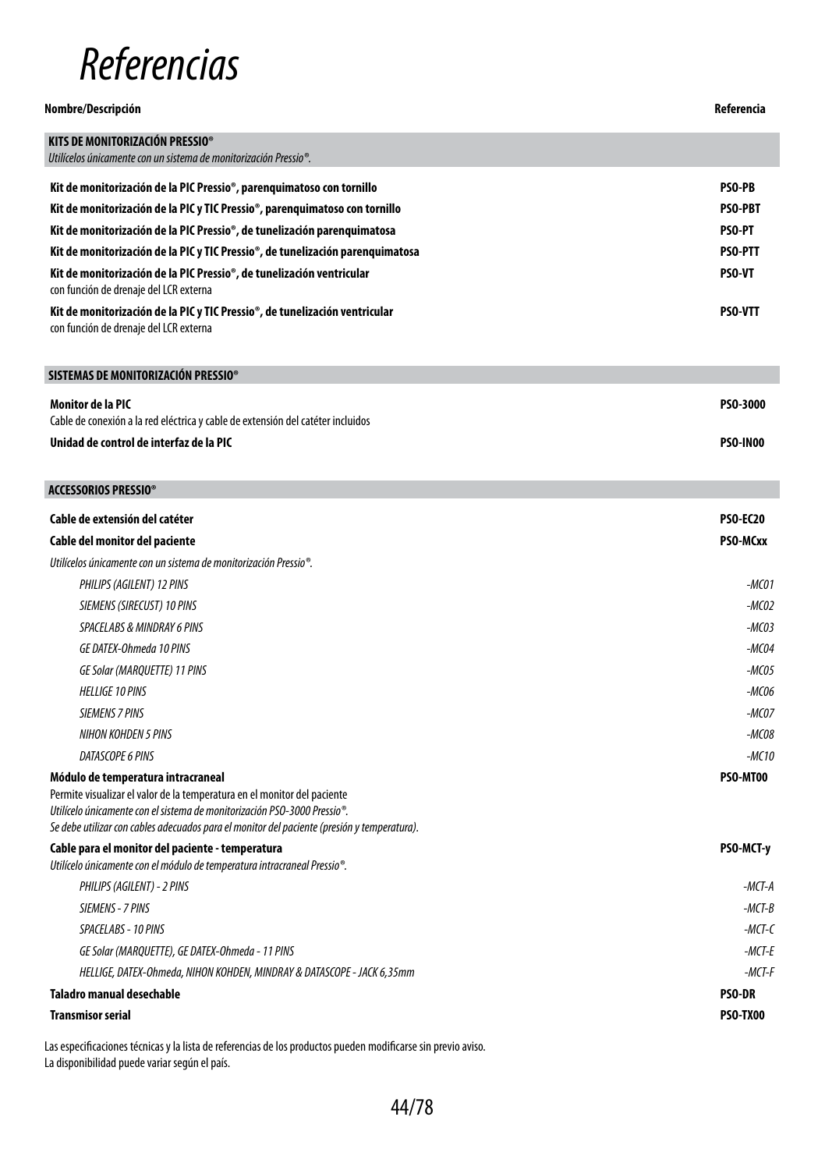## *Referencias*

| Nombre/Descripción                                                                                                    | Referencia      |
|-----------------------------------------------------------------------------------------------------------------------|-----------------|
| KITS DE MONITORIZACIÓN PRESSIO®<br>Utilícelos únicamente con un sistema de monitorización Pressio <sup>®</sup> .      |                 |
| Kit de monitorización de la PIC Pressio®, parenquimatoso con tornillo                                                 | PSO-PB          |
| Kit de monitorización de la PIC y TIC Pressio <sup>®</sup> , parenquimatoso con tornillo                              | <b>PSO-PRT</b>  |
| Kit de monitorización de la PIC Pressio®, de tunelización parenquimatosa                                              | <b>PSO-PT</b>   |
| Kit de monitorización de la PIC y TIC Pressio®, de tunelización parenquimatosa                                        | <b>PSO-PTT</b>  |
| Kit de monitorización de la PIC Pressio®, de tunelización ventricular<br>con función de drenaje del LCR externa       | PSO-VT          |
| Kit de monitorización de la PIC y TIC Pressio®, de tunelización ventricular<br>con función de drenaje del LCR externa | <b>PSO-VTT</b>  |
| SISTEMAS DE MONITORIZACIÓN PRESSIO®                                                                                   |                 |
| Monitor de la PIC                                                                                                     | PSO-3000        |
| Cable de conexión a la red eléctrica y cable de extensión del catéter incluidos                                       |                 |
| Unidad de control de interfaz de la PIC                                                                               | <b>PSO-IN00</b> |
| <b>ACCESSORIOS PRESSIO®</b>                                                                                           |                 |
| Cable de extensión del catéter                                                                                        | <b>PSO-EC20</b> |
| Cable del monitor del paciente                                                                                        | PSO-MCxx        |
| Utilícelos únicamente con un sistema de monitorización Pressio®.                                                      |                 |
| PHILIPS (AGILENT) 12 PINS                                                                                             | $-MCO1$         |
| SIEMENS (SIRECUST) 10 PINS                                                                                            | $-MCO2$         |
| SPACELABS & MINDRAY 6 PINS                                                                                            | $-MCO3$         |
| GE DATEX-Ohmeda 10 PINS                                                                                               | $-MCO4$         |
| GE Solar (MARQUETTE) 11 PINS                                                                                          | $-MCO5$         |
| <b>HELLIGE 10 PINS</b>                                                                                                | -MC06           |
| <b>SIEMENS 7 PINS</b>                                                                                                 | $-MCOZ$         |

*NIHON KOHDEN 5 PINS -MC08 DATASCOPE 6 PINS -MC10*

## **Módulo de temperatura intracraneal**

Permite visualizar el valor de la temperatura en el monitor del paciente *Utilícelo únicamente con el sistema de monitorización PSO-3000 Pressio®. Se debe utilizar con cables adecuados para el monitor del paciente (presión y temperatura).*

## **Cable para el monitor del paciente - temperatura**

*Utilícelo únicamente con el módulo de temperatura intracraneal Pressio®.*

| Transmisor serial                                                      | PSO-TX00      |
|------------------------------------------------------------------------|---------------|
| Taladro manual desechable                                              | <b>PSO-DR</b> |
| HELLIGE. DATEX-Ohmeda. NIHON KOHDEN. MINDRAY & DATASCOPE - JACK 6.35mm | -MCT-F        |
| GE Solar (MAROUETTE). GE DATEX-Ohmeda - 11 PINS                        | -MCT-E        |
| SPACELABS - 10 PINS                                                    | -MCT-C        |
| SIEMENS - 7 PINS                                                       | $-MCT-B$      |
| PHILIPS (AGILENT) - 2 PINS                                             | -MCT-A        |
|                                                                        |               |

**PSO-MT00**

**PSO-MCT-y**

Las especificaciones técnicas y la lista de referencias de los productos pueden modificarse sin previo aviso. La disponibilidad puede variar según el país.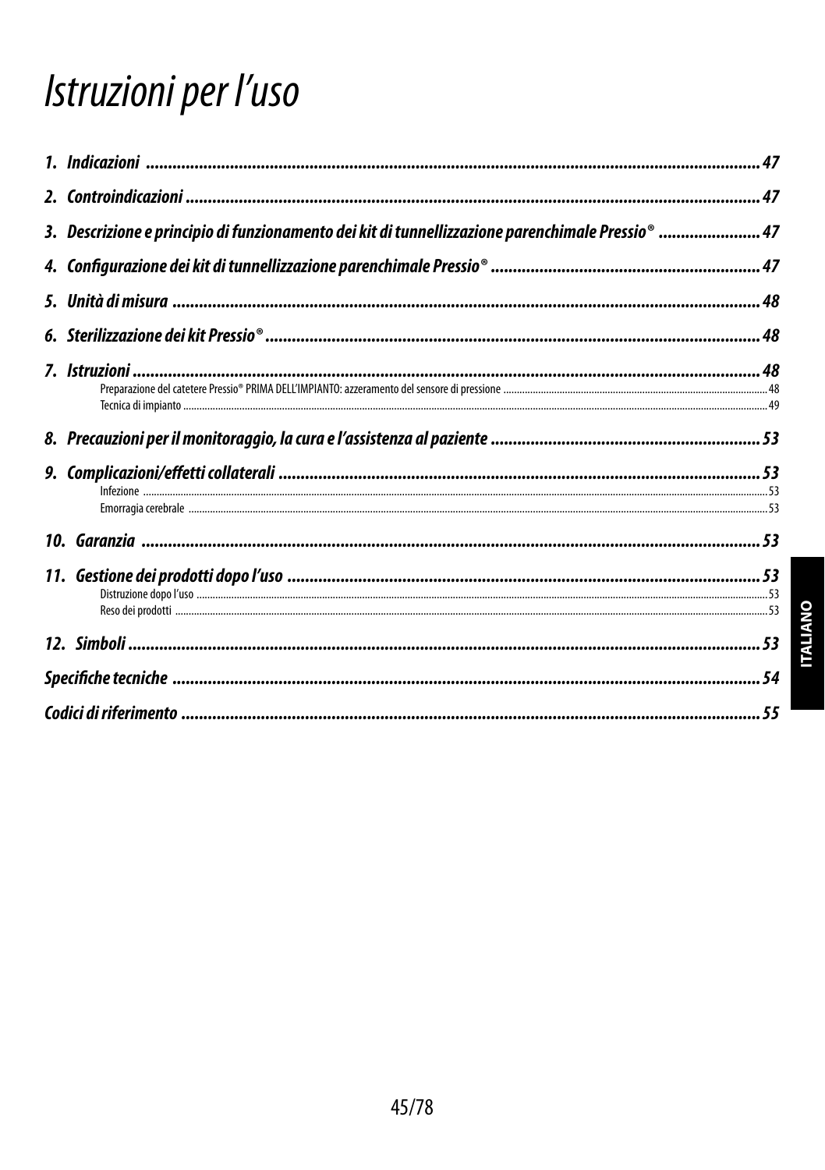## Istruzioni per l'uso

| 3. Descrizione e principio di funzionamento dei kit di tunnellizzazione parenchimale Pressio®  47 |  |
|---------------------------------------------------------------------------------------------------|--|
|                                                                                                   |  |
|                                                                                                   |  |
|                                                                                                   |  |
|                                                                                                   |  |
|                                                                                                   |  |
|                                                                                                   |  |
|                                                                                                   |  |
|                                                                                                   |  |
|                                                                                                   |  |
|                                                                                                   |  |
|                                                                                                   |  |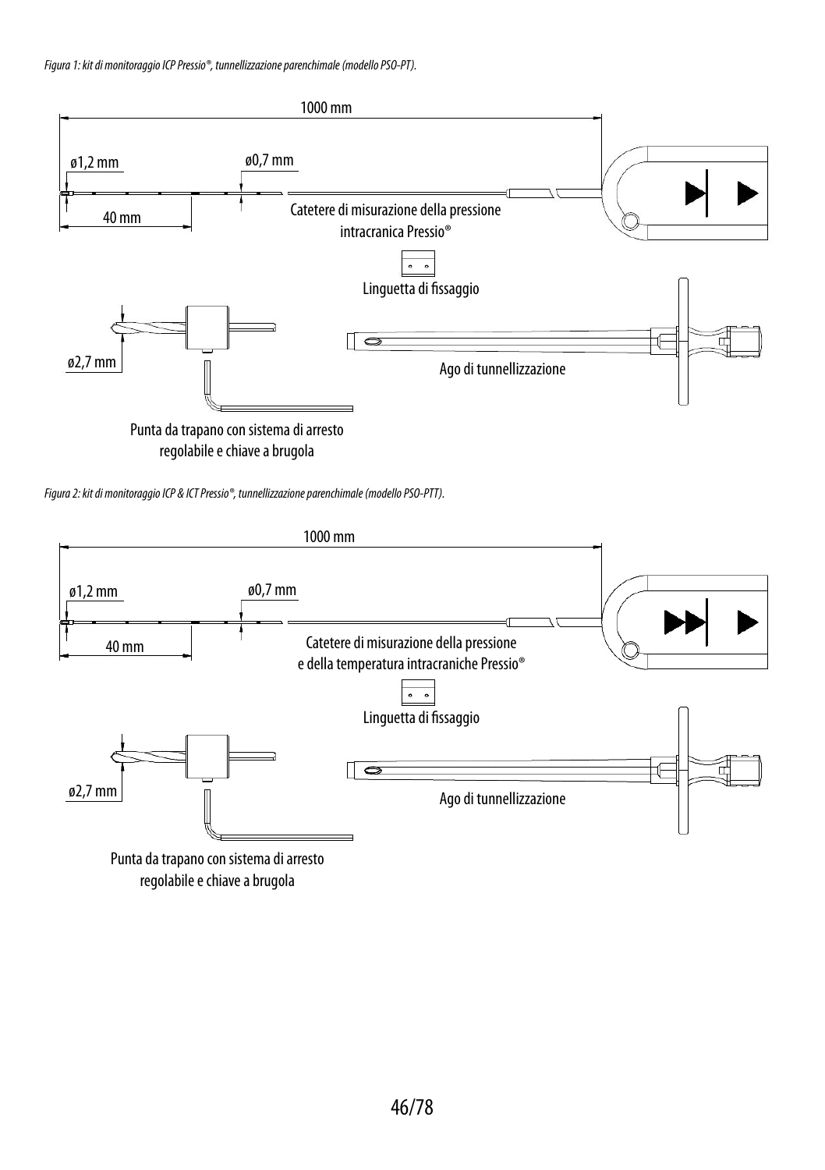

regolabile e chiave a brugola

*Figura 2: kit di monitoraggio ICP & ICT Pressio®, tunnellizzazione parenchimale (modello PSO-PTT).*



regolabile e chiave a brugola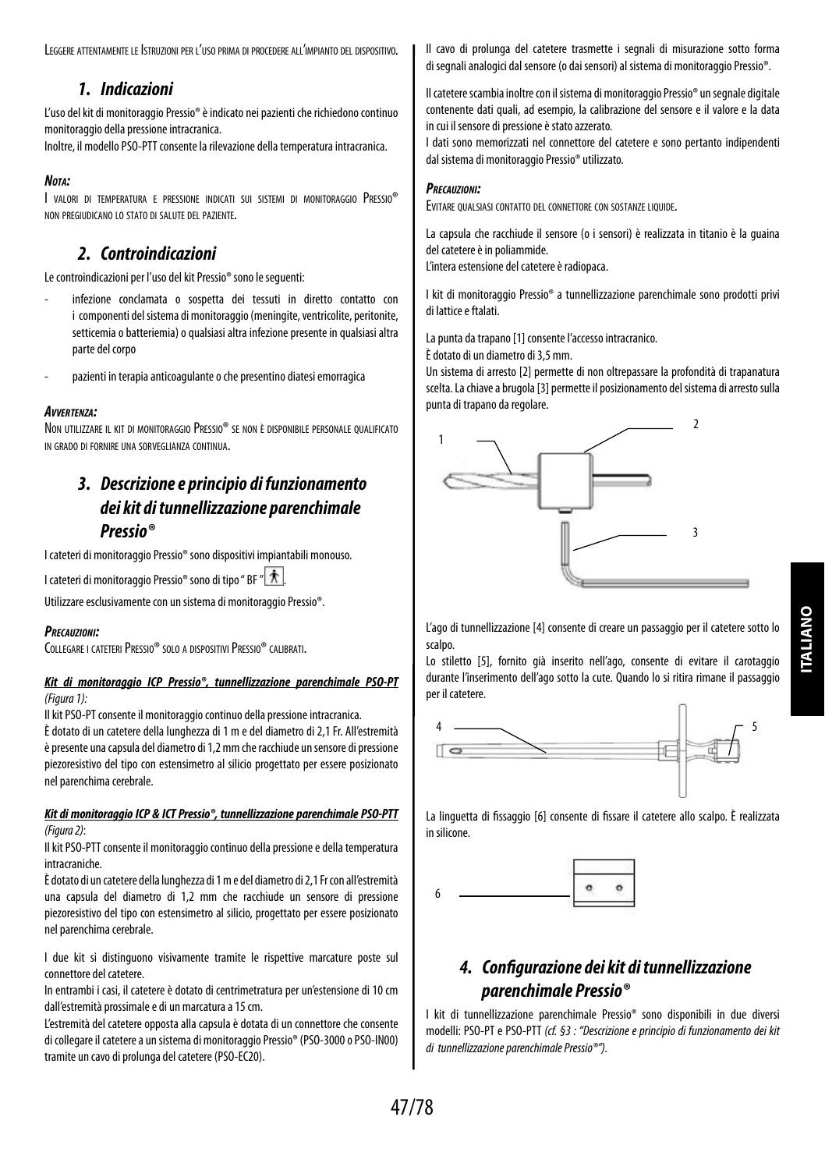Leggere attentamente le Istruzioni per l'uso prima di procedere all'impianto del dispositivo.

## *1. Indicazioni*

L'uso del kit di monitoraggio Pressio® è indicato nei pazienti che richiedono continuo monitoraggio della pressione intracranica.

Inoltre, il modello PSO-PTT consente la rilevazione della temperatura intracranica.

## *Nota:*

I valori di temperatura <sup>e</sup> pressione indicati sui sistemi di monitoraggio Pressio® non pregiudicano lo stato di salute del paziente.

## *2. Controindicazioni*

Le controindicazioni per l'uso del kit Pressio® sono le seguenti:

- infezione conclamata o sospetta dei tessuti in diretto contatto con i componenti del sistema di monitoraggio (meningite, ventricolite, peritonite, setticemia o batteriemia) o qualsiasi altra infezione presente in qualsiasi altra parte del corpo
- pazienti in terapia anticoagulante o che presentino diatesi emorragica

## *Avvertenza:*

Non utilizzare il kit di monitoraggio Pressio® se non <sup>è</sup> disponibile personale qualificato in grado di fornire una sorveglianza continua.

## *3. Descrizione e principio di funzionamento deikit di tunnellizzazione parenchimale Pressio®*

I cateteri di monitoraggio Pressio® sono dispositivi impiantabili monouso.

I cateteri di monitoraggio Pressio® sono di tipo " BF "  $\hat{\mathcal{R}}$ 

Utilizzare esclusivamente con un sistema di monitoraggio Pressio®.

## *Precauzioni:*

COLLEGARE I CATETERI PRESSIO® SOLO A DISPOSITIVI PRESSIO® CALIBRATI.

## *Kit di monitoraggio ICP Pressio®, tunnellizzazione parenchimale PSO-PT (Figura 1):*

Il kit PSO-PT consente il monitoraggio continuo della pressione intracranica.

È dotato di un catetere della lunghezza di 1 m e del diametro di 2,1 Fr. All'estremità èpresente una capsula del diametro di 1,2 mm che racchiude un sensore di pressione piezoresistivo del tipo con estensimetro al silicio progettato per essere posizionato nel parenchima cerebrale.

## *Kit di monitoraggio ICP & ICT Pressio®, tunnellizzazione parenchimale PSO-PTT (Figura 2)*:

Il kit PSO-PTT consente il monitoraggio continuo della pressione e della temperatura intracraniche.

È dotato di un catetere della lunghezza di 1 m e del diametro di 2,1 Fr con all'estremità una capsula del diametro di 1,2 mm che racchiude un sensore di pressione piezoresistivo del tipo con estensimetro al silicio, progettato per essere posizionato nel parenchima cerebrale.

I due kit si distinguono visivamente tramite le rispettive marcature poste sul connettore del catetere.

In entrambi i casi, il catetere è dotato di centrimetratura per un'estensione di 10 cm dall'estremità prossimale e di un marcatura a 15 cm.

L'estremità del catetere opposta alla capsula è dotata di un connettore che consente di collegare il catetere a un sistema di monitoraggio Pressio® (PSO-3000 o PSO-IN00) tramite un cavo di prolunga del catetere (PSO-EC20).

Il cavo di prolunga del catetere trasmette i segnali di misurazione sotto forma di segnali analogici dal sensore (o dai sensori) al sistema di monitoraggio Pressio®.

Il catetere scambia inoltre con il sistema di monitoraggio Pressio® un segnale digitale contenente dati quali, ad esempio, la calibrazione del sensore e il valore e la data in cui il sensore di pressione è stato azzerato.

I dati sono memorizzati nel connettore del catetere e sono pertanto indipendenti dal sistema di monitoraggio Pressio® utilizzato.

## *Precauzioni:*

Evitare qualsiasi contatto del connettore con sostanze liquide.

La capsula che racchiude il sensore (o i sensori) è realizzata in titanio è la guaina del catetere è in poliammide.

L'intera estensione del catetere è radiopaca.

I kit di monitoraggio Pressio® a tunnellizzazione parenchimale sono prodotti privi di lattice e ftalati.

La punta da trapano [1] consente l'accesso intracranico.

È dotato di un diametro di 3,5 mm.

Un sistema di arresto [2] permette di non oltrepassare la profondità di trapanatura scelta. La chiave a brugola [3] permette il posizionamento del sistema di arresto sulla punta di trapano da regolare.



L'ago di tunnellizzazione [4] consente di creare un passaggio per il catetere sotto lo scalpo.

Lo stiletto [5], fornito già inserito nell'ago, consente di evitare il carotaggio durante l'inserimento dell'ago sotto la cute. Quando lo si ritira rimane il passaggio per il catetere.



La linguetta di fissaggio [6] consente di fissare il catetere allo scalpo. È realizzata in silicone.



## *4. Configurazione dei kit di tunnellizzazione parenchimale Pressio®*

I kit di tunnellizzazione parenchimale Pressio® sono disponibili in due diversi modelli: PSO-PT e PSO-PTT *(cf. §3 : "Descrizione e principio di funzionamento dei kit di tunnellizzazione parenchimale Pressio®").*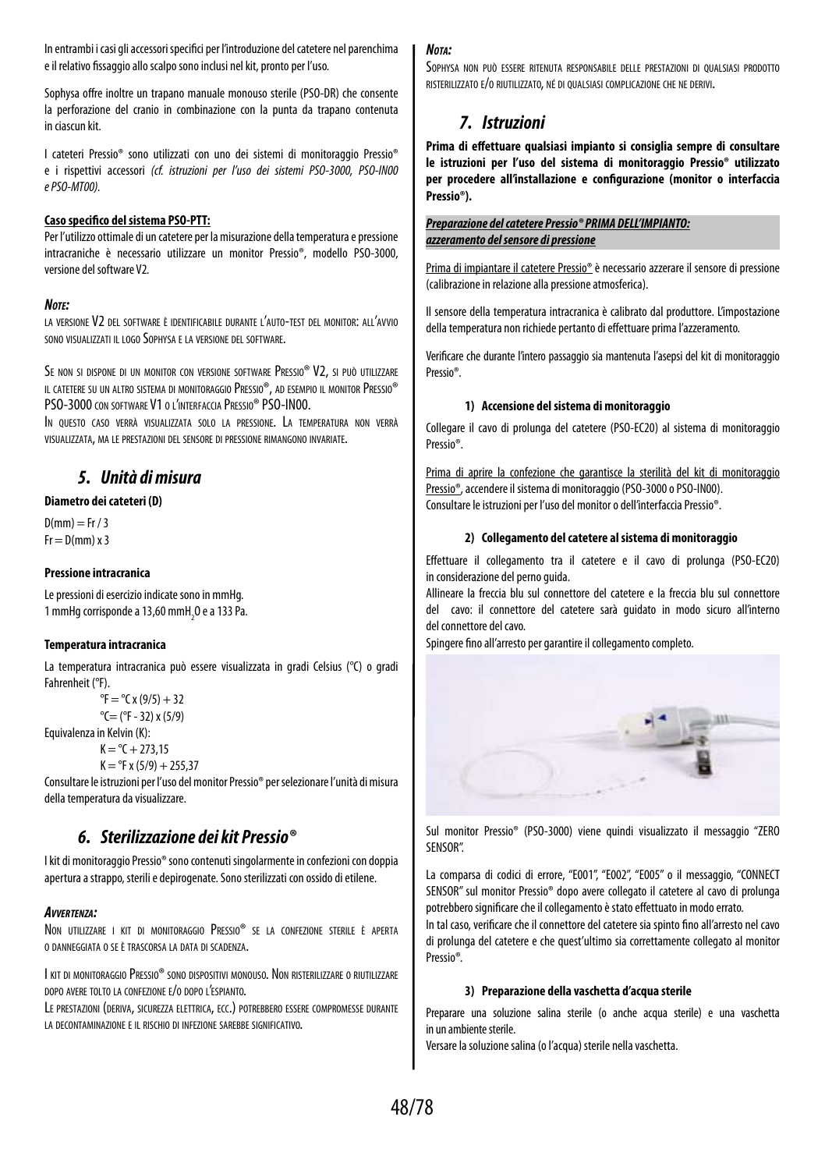In entrambi i casi gli accessori specifici per l'introduzione del catetere nel parenchima e il relativo fissaggio allo scalpo sono inclusi nel kit, pronto per l'uso.

Sophysa offre inoltre un trapano manuale monouso sterile (PSO-DR) che consente la perforazione del cranio in combinazione con la punta da trapano contenuta in ciascun kit.

I cateteri Pressio® sono utilizzati con uno dei sistemi di monitoraggio Pressio® e i rispettivi accessori *(cf. istruzioni per l'uso dei sistemi PSO-3000, PSO-IN00 e PSO-MT00).*

## **Caso specifico del sistema PSO-PTT:**

Per l'utilizzo ottimale di un catetere per la misurazione della temperatura e pressione intracraniche è necessario utilizzare un monitor Pressio®, modello PSO-3000, versione del software V2*.*

## *Note:*

la versione V2 del software è identificabile durante l'auto-test del monitor: all'avvio sono visualizzati il logo Sophysa e la versione del software.

Se non si dispone di un monitor con versione software Pressio® V2, si può utilizzare il catetere su un altro sistema di monitoraggio Pressio®, ad esempio il monitor Pressio® PSO-3000 con software V1 o l'interfaccia Pressio® PSO-IN00.

In questo caso verrà visualizzata solo la pressione. La temperatura non verrà visualizzata, ma le prestazioni del sensore di pressione rimangono invariate.

## *5. Unità di misura*

## **Diametro dei cateteri (D)**

 $D(mm) = Fr / 3$  $Fr = D(mm) \times 3$ 

## **Pressione intracranica**

Le pressioni di esercizio indicate sono in mmHg. 1 mmHg corrisponde a 13,60 mmH $_{2}$ O e a 133 Pa.

## **Temperatura intracranica**

La temperatura intracranica può essere visualizzata in gradi Celsius (°C) o gradi Fahrenheit (°F).

```
{}^{\circ}F = {}^{\circ}C x (9/5) + 32
^{\circ}C= (^{\circ}F - 32) x (5/9)
```
Equivalenza in Kelvin (K):

 $K = {}^{\circ}C + 273.15$ 

 $K = PF x (5/9) + 255.37$ 

Consultare le istruzioni per l'uso del monitor Pressio® per selezionare l'unità di misura della temperatura da visualizzare.

## *6. Sterilizzazione dei kit Pressio®*

I kit di monitoraggio Pressio® sono contenuti singolarmente in confezioni con doppia apertura a strappo, sterili e depirogenate. Sono sterilizzati con ossido di etilene.

## *Avvertenza:*

Non utilizzare <sup>i</sup> kit di monitoraggio Pressio® se la confezione sterile <sup>è</sup> aperta <sup>o</sup> danneggiata <sup>o</sup> se <sup>è</sup> trascorsa la data di scadenza.

I kit di monitoraggio Pressio® sono dispositivi monouso. Non risterilizzare o riutilizzare dopo avere tolto la confezione e/o dopo l'espianto.

Le prestazioni (deriva, sicurezza elettrica, ecc.) potrebbero essere compromesse durante la decontaminazione <sup>e</sup> il rischio di infezione sarebbe significativo.

## *Nota:*

Sophysa non può essere ritenuta responsabile delle prestazioni di qualsiasi prodotto risterilizzato e/o riutilizzato, né di qualsiasi complicazione che ne derivi.

## *7. Istruzioni*

**Prima di effettuare qualsiasi impianto si consiglia sempre di consultare le istruzioni per l'uso del sistema di monitoraggio Pressio® utilizzato per procedere all'installazione e configurazione (monitor o interfaccia Pressio®).**

## *Preparazione del catetere Pressio® PRIMA DELL'IMPIANTO: azzeramento del sensore di pressione*

Prima di impiantare il catetere Pressio® è necessario azzerare il sensore di pressione (calibrazione in relazione alla pressione atmosferica).

Il sensore della temperatura intracranica è calibrato dal produttore. L'impostazione della temperatura non richiede pertanto di effettuare prima l'azzeramento.

Verificare che durante l'intero passaggio sia mantenuta l'asepsi del kit di monitoraggio Pressio®.

## **1) Accensione del sistema di monitoraggio**

Collegare il cavo di prolunga del catetere (PSO-EC20) al sistema di monitoraggio Pressio®.

Prima di aprire la confezione che garantisce la sterilità del kit di monitoraggio Pressio®, accendere il sistema di monitoraggio (PSO-3000 o PSO-IN00). Consultare le istruzioni per l'uso del monitor o dell'interfaccia Pressio®.

## **2) Collegamento del catetere al sistema di monitoraggio**

Effettuare il collegamento tra il catetere e il cavo di prolunga (PSO-EC20) in considerazione del perno guida.

Allineare la freccia blu sul connettore del catetere e la freccia blu sul connettore del cavo: il connettore del catetere sarà guidato in modo sicuro all'interno del connettore del cavo.

Spingere fino all'arresto per garantire il collegamento completo.



Sul monitor Pressio® (PSO-3000) viene quindi visualizzato il messaggio "ZERO SENSOR".

La comparsa di codici di errore, "E001", "E002", "E005" o il messaggio, "CONNECT SENSOR" sul monitor Pressio® dopo avere collegato il catetere al cavo di prolunga potrebbero significare che il collegamento è stato effettuato in modo errato.

In tal caso, verificare che il connettore del catetere sia spinto fino all'arresto nel cavo di prolunga del catetere e che quest'ultimo sia correttamente collegato al monitor Pressio®*.*

## **3) Preparazione della vaschetta d'acqua sterile**

Preparare una soluzione salina sterile (o anche acqua sterile) e una vaschetta in un ambiente sterile.

Versare la soluzione salina (o l'acqua) sterile nella vaschetta.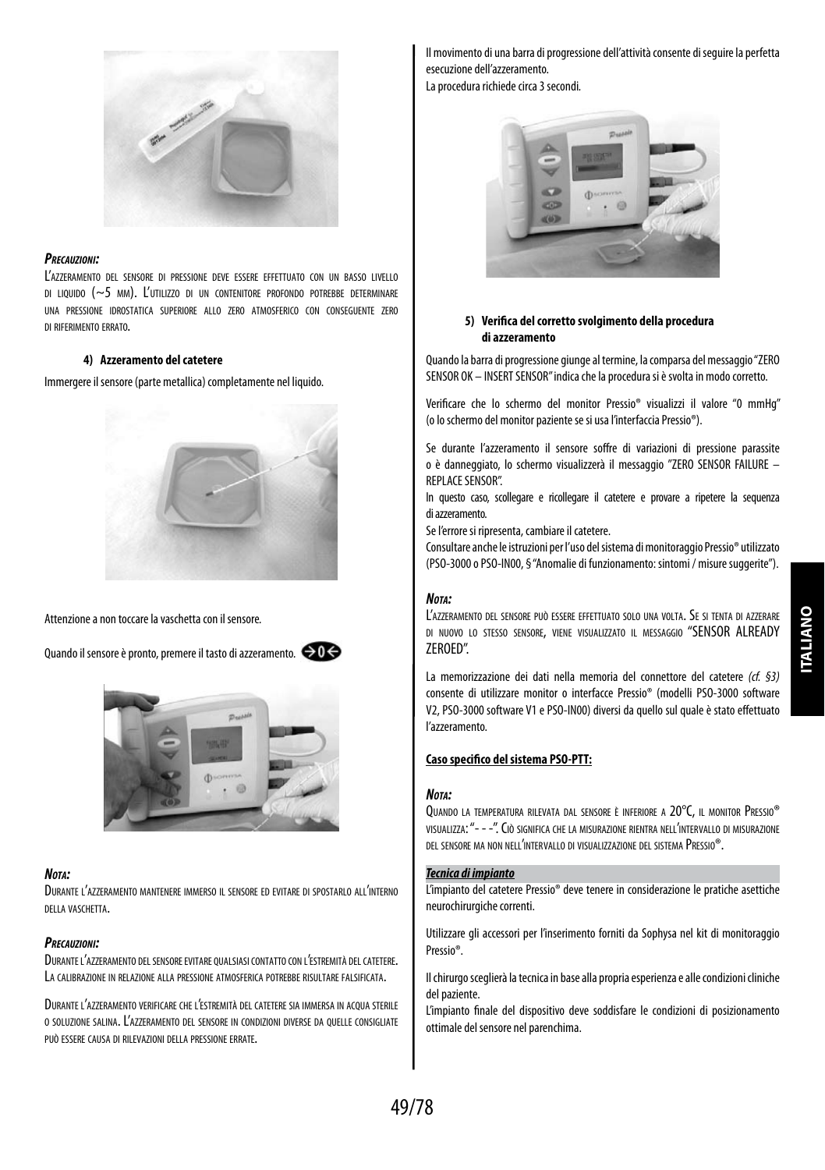

## *Precauzioni:*

L'azzeramento del sensore di pressione deve essere effettuato con un basso livello di liquido ( $\sim$ 5 mm). L'utilizzo di un contenitore profondo potrebbe determinare una pressione idrostatica superiore allo zero atmosferico con conseguente zero di riferimento errato.

## **4) Azzeramento del catetere**

Immergere il sensore (parte metallica) completamente nel liquido.



Attenzione a non toccare la vaschetta con il sensore*.*

Quando il sensore è pronto, premere il tasto di azzeramento*.*



#### *Nota:*

Durante l'azzeramento mantenere immerso il sensore ed evitare di spostarlo all'interno della vaschetta.

#### *Precauzioni:*

DURANTE L'AZZERAMENTO DEL SENSORE EVITARE QUALSIASI CONTATTO CON L'ESTREMITÀ DEL CATETERE. LA CALIBRAZIONE IN RELAZIONE ALLA PRESSIONE ATMOSFERICA POTREBBE RISULTARE FALSIFICATA.

Durante l'azzeramento verificare che l'estremità del catetere sia immersa in acqua sterile <sup>o</sup> soluzione salina. L'azzeramento del sensore in condizioni diverse da quelle consigliate può essere causa di rilevazioni della pressione errate.

Il movimento di una barra di progressione dell'attività consente di seguire la perfetta esecuzione dell'azzeramento.

La procedura richiede circa 3 secondi*.*



## **5) Verifica del corretto svolgimento della procedura di azzeramento**

Quando la barra di progressione giunge al termine, la comparsa del messaggio "ZERO SENSOR OK – INSERT SENSOR" indica che la procedura si è svolta in modo corretto.

Verificare che lo schermo del monitor Pressio® visualizzi il valore "0 mmHg" (oloschermo del monitor paziente se si usa l'interfaccia Pressio®).

Se durante l'azzeramento il sensore soffre di variazioni di pressione parassite o è danneggiato, lo schermo visualizzerà il messaggio "ZERO SENSOR FAILURE – REPLACE SENSOR".

In questo caso, scollegare e ricollegare il catetere e provare a ripetere la sequenza diazzeramento.

Se l'errore si ripresenta, cambiare il catetere.

Consultare anche le istruzioni per l'uso del sistema di monitoraggio Pressio® utilizzato (PSO-3000 o PSO-IN00, § "Anomalie di funzionamento: sintomi / misure suggerite").

## *Nota:*

L'azzeramento del sensore può essere effettuato solo una volta. Se si tenta di azzerare di nuovo lo stesso sensore, viene visualizzato il messaggio "SENSOR ALREADY ZEROED".

La memorizzazione dei dati nella memoria del connettore del catetere *(cf. §3)* consente di utilizzare monitor o interfacce Pressio® (modelli PSO-3000 software V2, PSO-3000 software V1 e PSO-IN00) diversi da quello sul quale è stato effettuato l'azzeramento.

## **Caso specifico del sistema PSO-PTT:**

#### *Nota:*

Quando la temperatura rilevata dal sensore <sup>è</sup> inferiore a 20°C, il monitor Pressio® visualizza: "- - -". Ciò significa che la misurazione rientra nell'intervallo di misurazione del sensore ma non nell'intervallo di visualizzazione del sistema Pressio®.

## *Tecnica di impianto*

L'impianto del catetere Pressio® deve tenere in considerazione le pratiche asettiche neurochirurgiche correnti.

Utilizzare gli accessori per l'inserimento forniti da Sophysa nel kit di monitoraggio Pressio®.

Il chirurgo sceglierà la tecnica in base alla propria esperienza e alle condizioni cliniche del paziente.

L'impianto finale del dispositivo deve soddisfare le condizioni di posizionamento ottimale del sensore nel parenchima.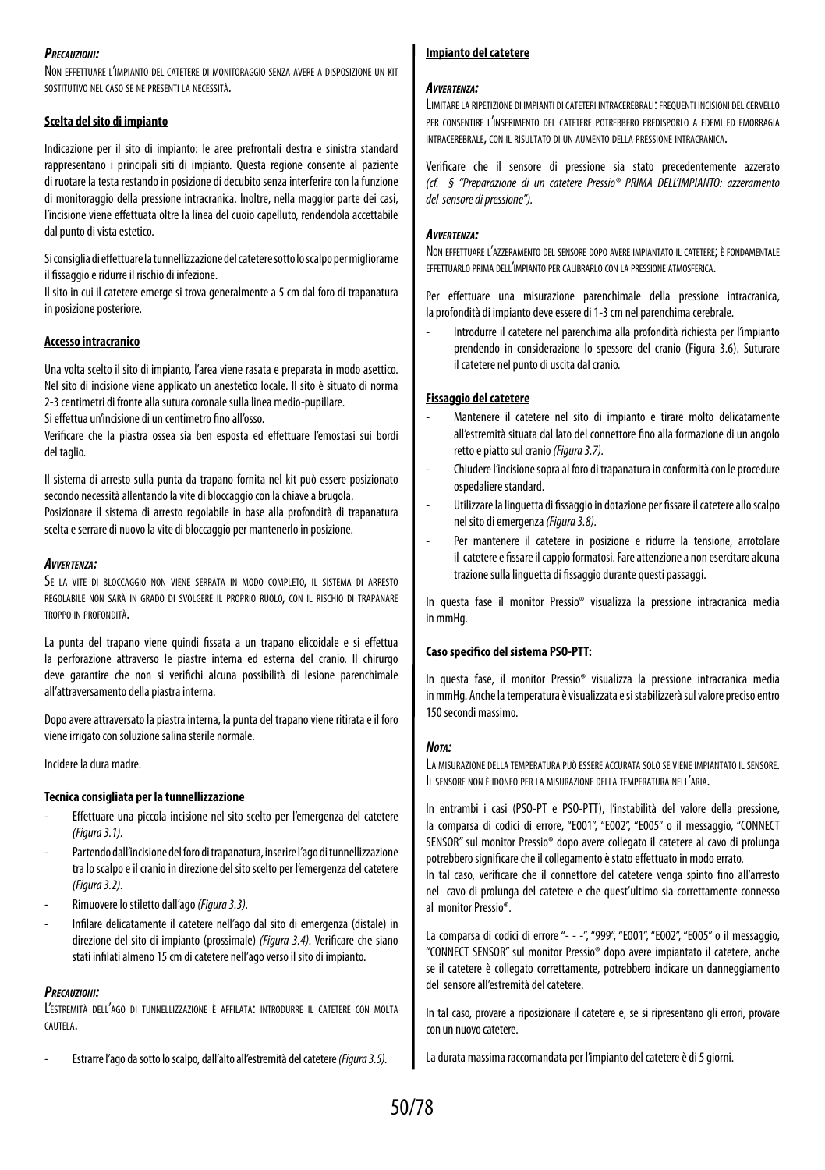#### *Precauzioni:*

Non effettuare l'impianto del catetere di monitoraggio senza avere a disposizione un kit sostitutivo nel caso se ne presenti la necessità.

## **Scelta del sito di impianto**

Indicazione per il sito di impianto: le aree prefrontali destra e sinistra standard rappresentano i principali siti di impianto. Questa regione consente al paziente di ruotare la testa restando in posizione di decubito senza interferire con la funzione di monitoraggio della pressione intracranica. Inoltre, nella maggior parte dei casi, l'incisione viene effettuata oltre la linea del cuoio capelluto, rendendola accettabile dal punto di vista estetico.

Si consiglia di effettuare la tunnellizzazione del catetere sotto lo scalpo permigliorarne il fissaggio e ridurre il rischio di infezione.

Il sito in cui il catetere emerge si trova generalmente a 5 cm dal foro di trapanatura in posizione posteriore.

## **Accesso intracranico**

Una volta scelto il sito di impianto, l'area viene rasata e preparata in modo asettico. Nel sito di incisione viene applicato un anestetico locale. Il sito è situato di norma 2-3 centimetri di fronte alla sutura coronale sulla linea medio-pupillare.

Si effettua un'incisione di un centimetro fino all'osso.

Verificare che la piastra ossea sia ben esposta ed effettuare l'emostasi sui bordi del taglio.

Il sistema di arresto sulla punta da trapano fornita nel kit può essere posizionato secondo necessità allentando la vite di bloccaggio con la chiave a brugola. Posizionare il sistema di arresto regolabile in base alla profondità di trapanatura scelta e serrare di nuovo la vite di bloccaggio per mantenerlo in posizione.

## *Avvertenza:*

Se la vite di bloccaggio non viene serrata in modo completo, il sistema di arresto regolabile non sarà in grado di svolgere il proprio ruolo, con il rischio di trapanare troppo in profondità.

La punta del trapano viene quindi fissata a un trapano elicoidale e si effettua la perforazione attraverso le piastre interna ed esterna del cranio. Il chirurgo deve garantire che non si verifichi alcuna possibilità di lesione parenchimale all'attraversamento della piastra interna.

Dopo avere attraversato la piastra interna, la punta del trapano viene ritirata e il foro viene irrigato con soluzione salina sterile normale.

Incidere la dura madre.

## **Tecnica consigliata per la tunnellizzazione**

- Effettuare una piccola incisione nel sito scelto per l'emergenza del catetere *(Figura 3.1).*
- Partendo dall'incisione del foro di trapanatura, inserire l'ago di tunnellizzazione tra lo scalpo e il cranio in direzione del sito scelto per l'emergenza del catetere *(Figura 3.2).*
- Rimuovere lo stiletto dall'ago *(Figura 3.3).*
- Infilare delicatamente il catetere nell'ago dal sito di emergenza (distale) in direzione del sito di impianto (prossimale) *(Figura 3.4).* Verificare che siano stati infilati almeno 15 cm di catetere nell'ago verso il sito di impianto.

## *Precauzioni:*

L'estremità dell'ago di tunnellizzazione <sup>è</sup> affilata: introdurre il catetere con molta cautela.

- Estrarre l'ago da sotto lo scalpo, dall'alto all'estremità del catetere *(Figura 3.5).*

## **Impianto del catetere**

## *Avvertenza:*

LIMITARE LA RIPETIZIONE DI IMPIANTI DI CATETERI INTRACEREBRALI: FREQUENTI INCISIONI DEL CERVELLO per consentire l'inserimento del catetere potrebbero predisporlo a edemi ed emorragia intracerebrale, con il risultato di un aumento della pressione intracranica.

Verificare che il sensore di pressione sia stato precedentemente azzerato *(cf. § "Preparazione di un catetere Pressio® PRIMA DELL'IMPIANTO: azzeramento del sensore di pressione").*

## *Avvertenza:*

Non effettuare l'azzeramento del sensore dopo avere impiantato il catetere; è fondamentale effettuarlo prima dell'impianto per calibrarlo con la pressione atmosferica.

Per effettuare una misurazione parenchimale della pressione intracranica, la profondità di impianto deve essere di 1-3 cm nel parenchima cerebrale.

- Introdurre il catetere nel parenchima alla profondità richiesta per l'impianto prendendo in considerazione lo spessore del cranio (Figura 3.6). Suturare il catetere nel punto di uscita dal cranio.

## **Fissaggio del catetere**

- Mantenere il catetere nel sito di impianto e tirare molto delicatamente all'estremità situata dal lato del connettore fino alla formazione di un angolo retto e piatto sul cranio *(Figura 3.7).*
- Chiudere l'incisione sopra al foro di trapanatura in conformità con le procedure ospedaliere standard.
- Utilizzare la linguetta di fissaggio in dotazione per fissare il catetere allo scalpo nel sito di emergenza *(Figura 3.8).*
- Per mantenere il catetere in posizione e ridurre la tensione, arrotolare il catetere e fissare il cappio formatosi. Fare attenzione a non esercitare alcuna trazione sulla linguetta di fissaggio durante questi passaggi.

In questa fase il monitor Pressio® visualizza la pressione intracranica media in mmHg.

## **Caso specifico del sistema PSO-PTT:**

In questa fase, il monitor Pressio® visualizza la pressione intracranica media inmmHg. Anche la temperatura è visualizzata e si stabilizzerà sul valore preciso entro 150 secondi massimo.

## *Nota:*

La misurazione della temperatura può essere accurata solo se viene impiantato il sensore. Il sensore non <sup>è</sup> idoneo per la misurazione della temperatura nell'aria.

In entrambi i casi (PSO-PT e PSO-PTT), l'instabilità del valore della pressione, la comparsa di codici di errore, "E001", "E002", "E005" o il messaggio, "CONNECT SENSOR" sul monitor Pressio® dopo avere collegato il catetere al cavo di prolunga potrebbero significare che il collegamento è stato effettuato in modo errato.

In tal caso, verificare che il connettore del catetere venga spinto fino all'arresto nel cavo di prolunga del catetere e che quest'ultimo sia correttamente connesso al monitor Pressio®.

La comparsa di codici di errore "- - -", "999", "E001", "E002", "E005" o il messaggio, "CONNECT SENSOR" sul monitor Pressio® dopo avere impiantato il catetere, anche se il catetere è collegato correttamente, potrebbero indicare un danneggiamento del sensore all'estremità del catetere.

In tal caso, provare a riposizionare il catetere e, se si ripresentano gli errori, provare con un nuovo catetere.

La durata massima raccomandata per l'impianto del catetere è di 5 giorni.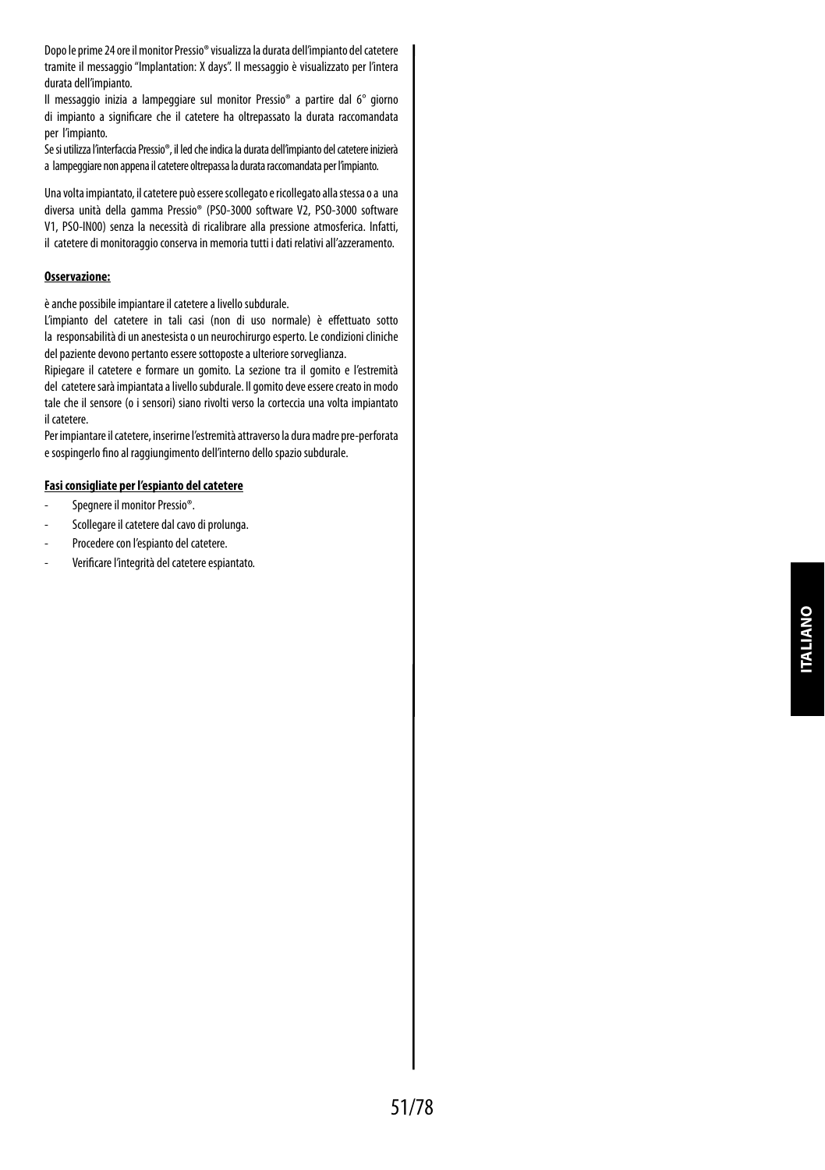Dopo le prime 24 ore il monitor Pressio® visualizza la durata dell'impianto del catetere tramite il messaggio "Implantation: X days". Il messaggio è visualizzato per l'intera durata dell'impianto.

Il messaggio inizia a lampeggiare sul monitor Pressio® a partire dal 6° giorno di impianto a significare che il catetere ha oltrepassato la durata raccomandata per l'impianto.

Se si utilizza l'interfaccia Pressio®, il led che indica la durata dell'impianto del catetere inizierà a lampeggiare non appena il catetere oltrepassa la durata raccomandata per l'impianto.

Una volta impiantato, il catetere può essere scollegato e ricollegato alla stessa o a una diversa unità della gamma Pressio® (PSO-3000 software V2, PSO-3000 software V1, PSO-IN00) senza la necessità di ricalibrare alla pressione atmosferica. Infatti, il catetere di monitoraggio conserva in memoria tutti i dati relativi all'azzeramento.

## **Osservazione:**

è anche possibile impiantare il catetere a livello subdurale.

L'impianto del catetere in tali casi (non di uso normale) è effettuato sotto la responsabilità di un anestesista o un neurochirurgo esperto. Le condizioni cliniche del paziente devono pertanto essere sottoposte a ulteriore sorveglianza.

Ripiegare il catetere e formare un gomito. La sezione tra il gomito e l'estremità del catetere sarà impiantata a livello subdurale. Il gomito deve essere creato in modo tale che il sensore (o i sensori) siano rivolti verso la corteccia una volta impiantato il catetere.

Per impiantare il catetere, inserirne l'estremità attraverso la dura madre pre-perforata e sospingerlo fino al raggiungimento dell'interno dello spazio subdurale.

#### **Fasi consigliate per l'espianto del catetere**

- Spegnere il monitor Pressio®.
- Scollegare il catetere dal cavo di prolunga.
- Procedere con l'espianto del catetere.
- Verificare l'integrità del catetere espiantato.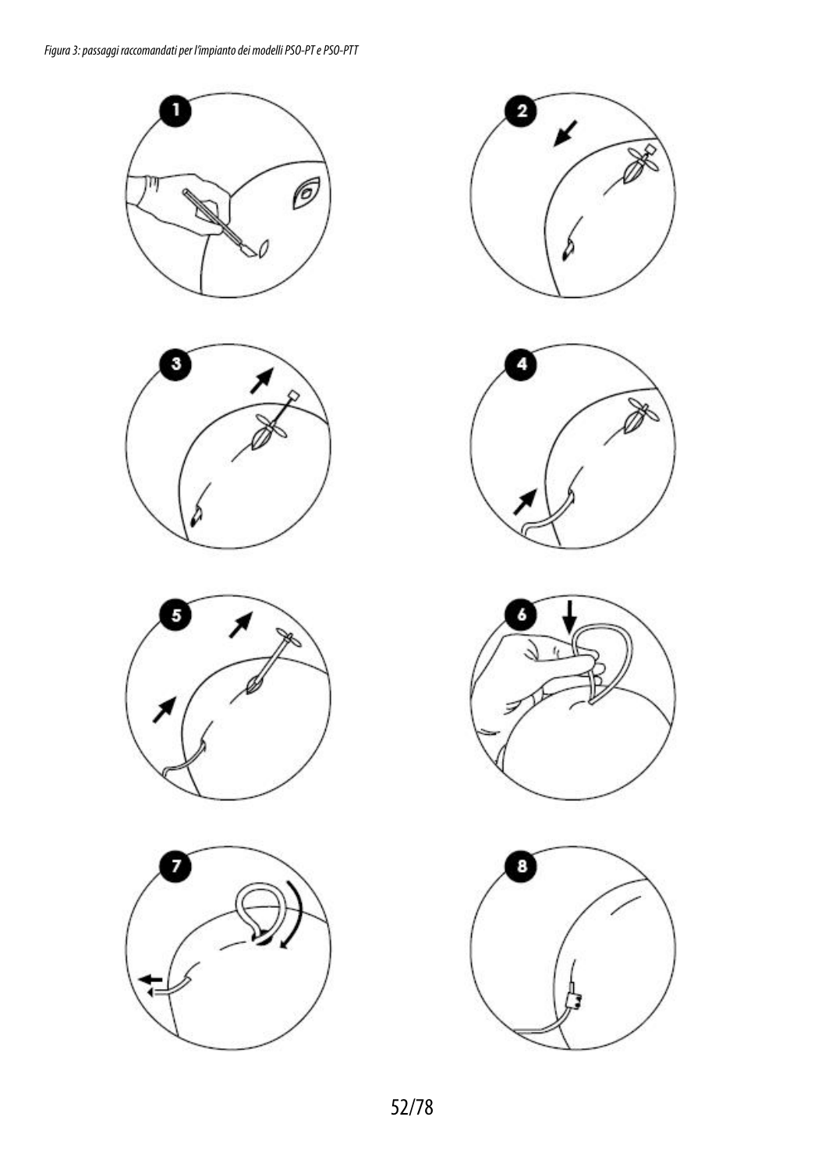













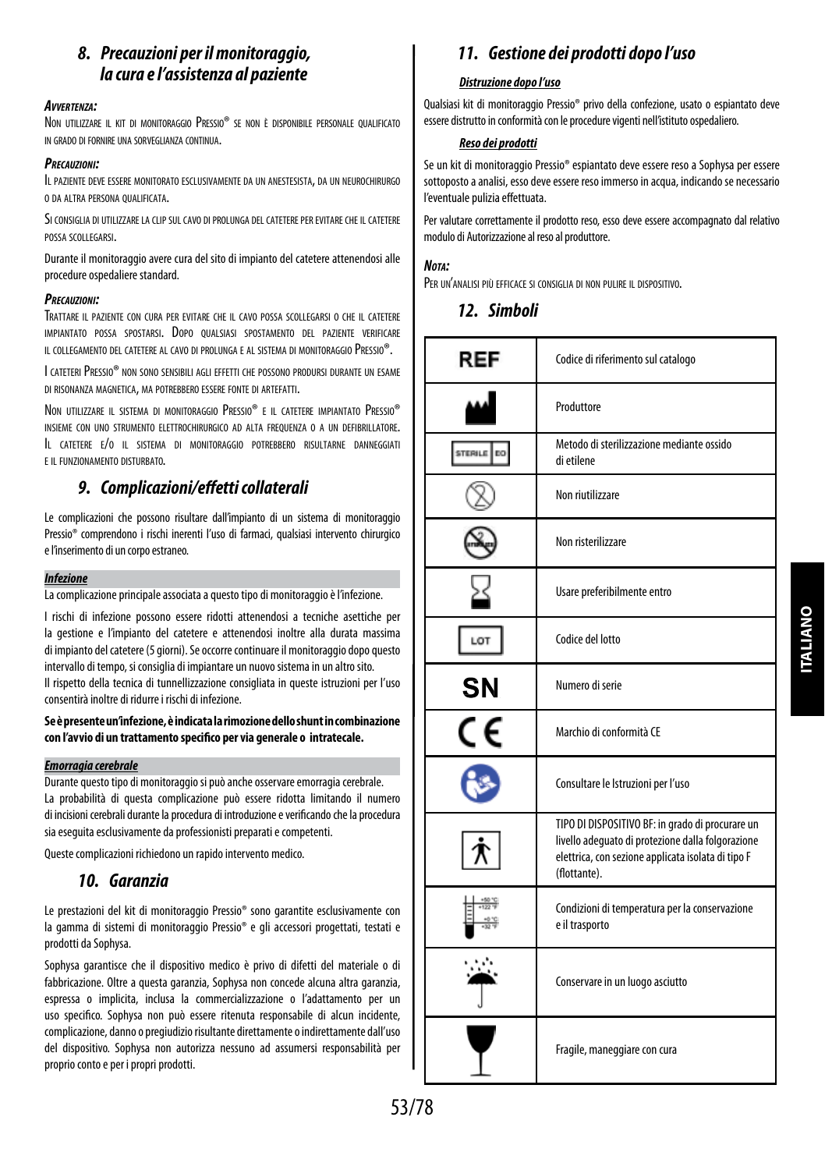## *8. Precauzioni per il monitoraggio, la cura e l'assistenza al paziente*

## *Avvertenza:*

Non utilizzare il kit di monitoraggio Pressio® se non è disponibile personale qualificato in grado di fornire una sorveglianza continua.

#### *Precauzioni:*

Il paziente deve essere monitorato esclusivamente da un anestesista, da un neurochirurgo o da altra persona qualificata.

Si consiglia di utilizzare la clip sul cavo di prolunga del catetere per evitare che il catetere possa scollegarsi.

Durante il monitoraggio avere cura del sito di impianto del catetere attenendosi alle procedure ospedaliere standard.

## *Precauzioni:*

Trattare il paziente con cura per evitare che il cavo possa scollegarsi o che il catetere impiantato possa spostarsi. Dopo qualsiasi spostamento del paziente verificare il collegamento del catetere al cavo di prolunga e al sistema di monitoraggio Pressio®.

I cateteri Pressio® non sono sensibili agli effetti che possono prodursi durante un esame di risonanza magnetica, ma potrebbero essere fonte di artefatti.

Non utilizzare il sistema di monitoraggio Pressio® e il catetere impiantato Pressio® insieme con uno strumento elettrochirurgico ad alta frequenza o a un defibrillatore. Il catetere e/o il sistema di monitoraggio potrebbero risultarne danneggiati e il funzionamento disturbato.

## *9. Complicazioni/effetti collaterali*

Le complicazioni che possono risultare dall'impianto di un sistema di monitoraggio Pressio® comprendono i rischi inerenti l'uso di farmaci, qualsiasi intervento chirurgico el'inserimento di un corpo estraneo.

## *Infezione*

La complicazione principale associata a questo tipo di monitoraggio è l'infezione.

I rischi di infezione possono essere ridotti attenendosi a tecniche asettiche per la gestione e l'impianto del catetere e attenendosi inoltre alla durata massima di impianto del catetere (5 giorni). Se occorre continuare il monitoraggio dopo questo intervallo di tempo, si consiglia di impiantare un nuovo sistema in un altro sito. Il rispetto della tecnica di tunnellizzazione consigliata in queste istruzioni per l'uso

consentirà inoltre di ridurre i rischi di infezione.

## **Se è presente un'infezione, è indicata la rimozione dello shunt in combinazione con l'avvio di un trattamento specifico per via generale o intratecale.**

## *Emorragia cerebrale*

Durante questo tipo di monitoraggio si può anche osservare emorragia cerebrale. La probabilità di questa complicazione può essere ridotta limitando il numero di incisioni cerebrali durante la procedura di introduzione e verificando che la procedura sia eseguita esclusivamente da professionisti preparati e competenti.

Queste complicazioni richiedono un rapido intervento medico.

## *10. Garanzia*

Le prestazioni del kit di monitoraggio Pressio® sono garantite esclusivamente con la gamma di sistemi di monitoraggio Pressio® e gli accessori progettati, testati e prodotti da Sophysa.

Sophysa garantisce che il dispositivo medico è privo di difetti del materiale o di fabbricazione. Oltre a questa garanzia, Sophysa non concede alcuna altra garanzia, espressa o implicita, inclusa la commercializzazione o l'adattamento per un uso specifico. Sophysa non può essere ritenuta responsabile di alcun incidente, complicazione, danno o pregiudizio risultante direttamente o indirettamente dall'uso del dispositivo. Sophysa non autorizza nessuno ad assumersi responsabilità per proprio conto e per i propri prodotti.

## *11. Gestione dei prodotti dopo l'uso*

## *Distruzione dopo l'uso*

Qualsiasi kit di monitoraggio Pressio® privo della confezione, usato o espiantato deve essere distrutto in conformità con le procedure vigenti nell'istituto ospedaliero.

## *Reso dei prodotti*

Se un kit di monitoraggio Pressio® espiantato deve essere reso a Sophysa per essere sottoposto a analisi, esso deve essere reso immerso in acqua, indicando se necessario l'eventuale pulizia effettuata.

Per valutare correttamente il prodotto reso, esso deve essere accompagnato dal relativo modulo di Autorizzazione al reso al produttore.

## *Nota:*

Per un'analisi più efficace si consiglia di non pulire il dispositivo.

## *12. Simboli*

| REF | Codice di riferimento sul catalogo                                                                                                                                          |
|-----|-----------------------------------------------------------------------------------------------------------------------------------------------------------------------------|
|     | Produttore                                                                                                                                                                  |
|     | Metodo di sterilizzazione mediante ossido<br>di etilene                                                                                                                     |
|     | Non riutilizzare                                                                                                                                                            |
|     | Non risterilizzare                                                                                                                                                          |
|     | Usare preferibilmente entro                                                                                                                                                 |
| LOT | Codice del lotto                                                                                                                                                            |
| SN  | Numero di serie                                                                                                                                                             |
| C٤  | Marchio di conformità CE                                                                                                                                                    |
|     | Consultare le Istruzioni per l'uso                                                                                                                                          |
|     | TIPO DI DISPOSITIVO BF: in grado di procurare un<br>livello adeguato di protezione dalla folgorazione<br>elettrica, con sezione applicata isolata di tipo F<br>(flottante). |
|     | Condizioni di temperatura per la conservazione<br>e il trasporto                                                                                                            |
|     | Conservare in un luogo asciutto                                                                                                                                             |
|     | Fragile, maneggiare con cura                                                                                                                                                |

**TALIANO ITALIANO**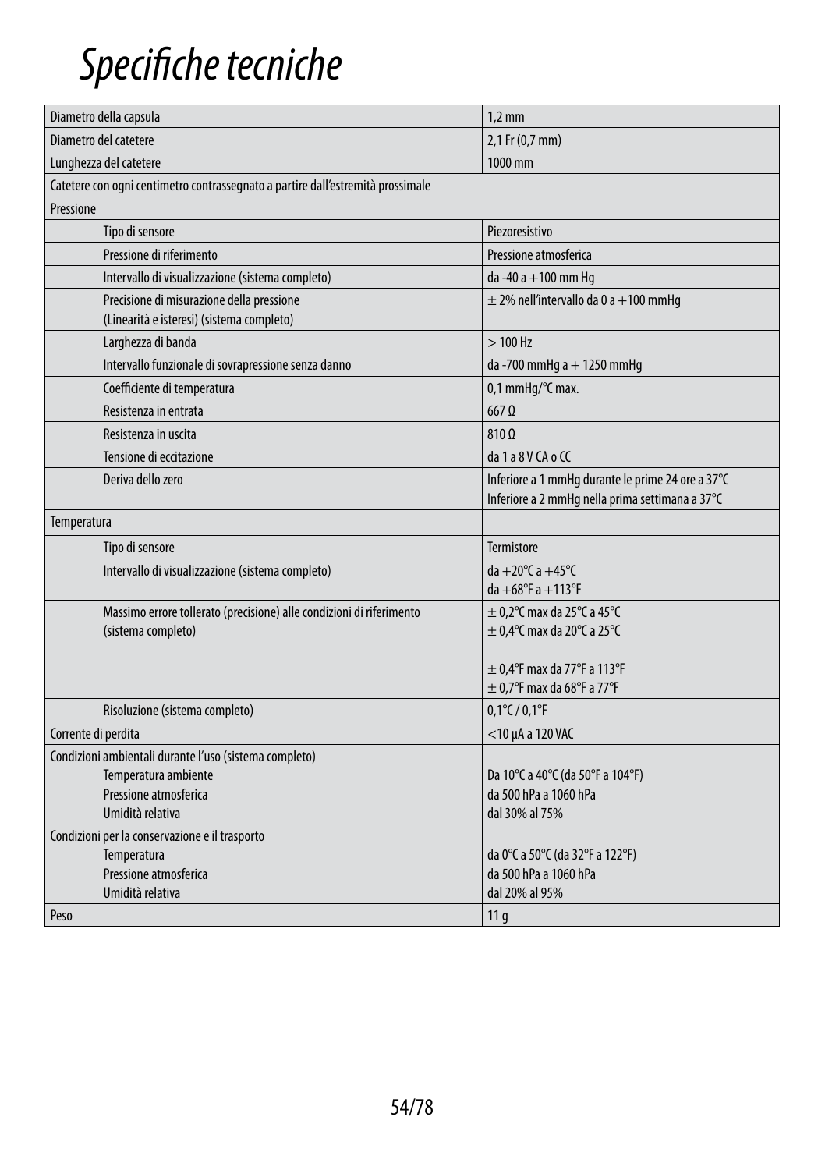## *Specifiche tecniche*

| Diametro della capsula                                                                 | $1.2 \text{ mm}$                                                                                     |  |
|----------------------------------------------------------------------------------------|------------------------------------------------------------------------------------------------------|--|
| Diametro del catetere                                                                  | 2,1 Fr (0,7 mm)                                                                                      |  |
| Lunghezza del catetere                                                                 | 1000 mm                                                                                              |  |
| Catetere con ogni centimetro contrassegnato a partire dall'estremità prossimale        |                                                                                                      |  |
| Pressione                                                                              |                                                                                                      |  |
| Tipo di sensore                                                                        | Piezoresistivo                                                                                       |  |
| Pressione di riferimento                                                               | Pressione atmosferica                                                                                |  |
| Intervallo di visualizzazione (sistema completo)                                       | da -40 a +100 mm Hg                                                                                  |  |
| Precisione di misurazione della pressione<br>(Linearità e isteresi) (sistema completo) | $\pm$ 2% nell'intervallo da 0 a +100 mmHg                                                            |  |
| Larghezza di banda                                                                     | $>100$ Hz                                                                                            |  |
| Intervallo funzionale di sovrapressione senza danno                                    | da -700 mmHg a + 1250 mmHg                                                                           |  |
| Coefficiente di temperatura                                                            | 0,1 mmHq/°C max.                                                                                     |  |
| Resistenza in entrata                                                                  | $667$ $\Omega$                                                                                       |  |
| Resistenza in uscita                                                                   | $810 \Omega$                                                                                         |  |
| Tensione di eccitazione                                                                | da 1 a 8 V CA o CC                                                                                   |  |
| Deriva dello zero                                                                      | Inferiore a 1 mmHg durante le prime 24 ore a 37°C<br>Inferiore a 2 mmHg nella prima settimana a 37°C |  |
| Temperatura                                                                            |                                                                                                      |  |
| Tipo di sensore                                                                        | Termistore                                                                                           |  |
| Intervallo di visualizzazione (sistema completo)                                       | da +20 $^{\circ}$ C a +45 $^{\circ}$ C                                                               |  |
|                                                                                        | $da + 68^{\circ}F a + 113^{\circ}F$                                                                  |  |
| Massimo errore tollerato (precisione) alle condizioni di riferimento                   | $\pm$ 0,2°C max da 25°C a 45°C                                                                       |  |
| (sistema completo)                                                                     | $\pm$ 0,4°C max da 20°C a 25°C                                                                       |  |
|                                                                                        | $\pm$ 0.4°F max da 77°F a 113°F                                                                      |  |
|                                                                                        | $\pm$ 0.7°F max da 68°F a 77°F                                                                       |  |
| Risoluzione (sistema completo)                                                         | $0,1^{\circ}$ C / $0,1^{\circ}$ F                                                                    |  |
| Corrente di perdita                                                                    | $<$ 10 µA a 120 VAC                                                                                  |  |
| Condizioni ambientali durante l'uso (sistema completo)                                 |                                                                                                      |  |
| Temperatura ambiente                                                                   | Da 10°C a 40°C (da 50°F a 104°F)                                                                     |  |
| Pressione atmosferica                                                                  | da 500 hPa a 1060 hPa                                                                                |  |
| Umidità relativa                                                                       | dal 30% al 75%                                                                                       |  |
| Condizioni per la conservazione e il trasporto                                         |                                                                                                      |  |
| Temperatura                                                                            | da 0°C a 50°C (da 32°F a 122°F)                                                                      |  |
| Pressione atmosferica                                                                  | da 500 hPa a 1060 hPa                                                                                |  |
| Umidità relativa                                                                       | dal 20% al 95%                                                                                       |  |
| Peso                                                                                   | 11 <sub>g</sub>                                                                                      |  |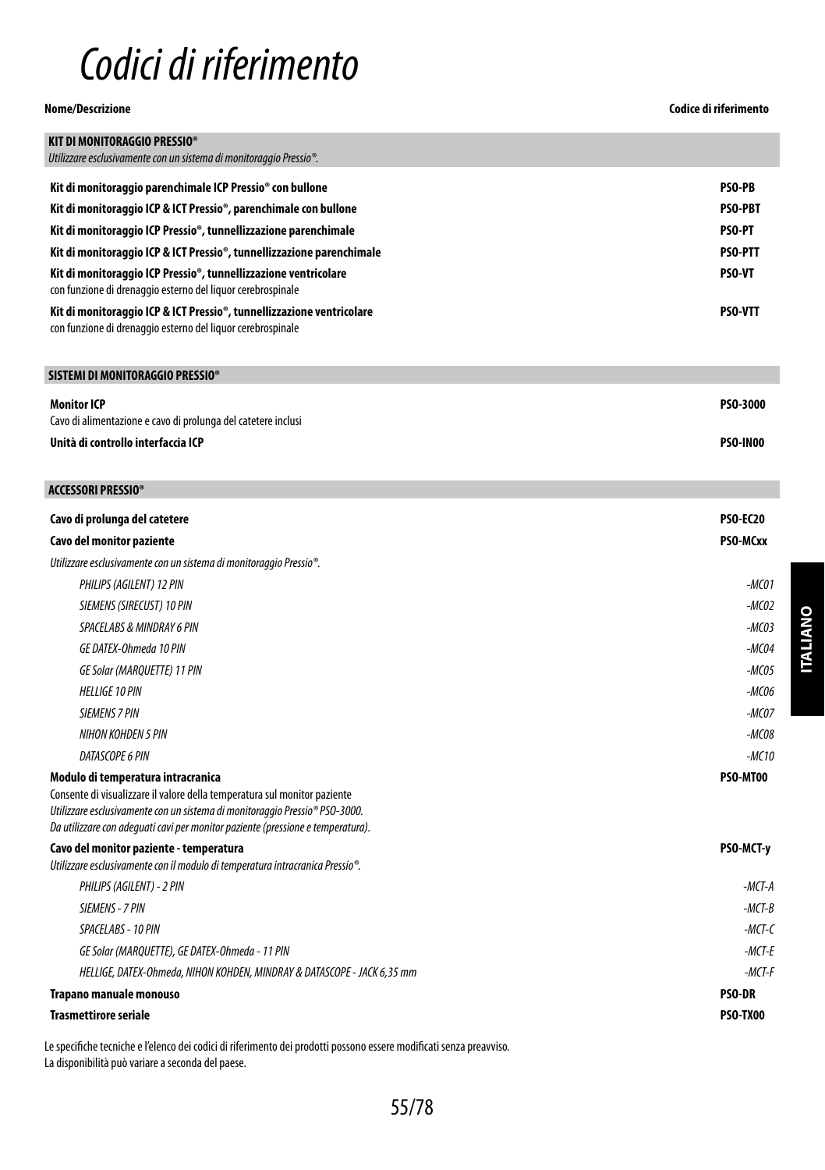## *Codici di riferimento*

## **Nome/Descrizione Codice di riferimento**

| <b>KIT DI MONITORAGGIO PRESSIO®</b>                                                                                                  |                |
|--------------------------------------------------------------------------------------------------------------------------------------|----------------|
| Utilizzare esclusivamente con un sistema di monitoraggio Pressio <sup>®</sup> .                                                      |                |
| Kit di monitoraggio parenchimale ICP Pressio <sup>®</sup> con bullone                                                                | <b>PSO-PB</b>  |
| Kit di monitoraggio ICP & ICT Pressio®, parenchimale con bullone                                                                     | <b>PSO-PBT</b> |
| Kit di monitoraggio ICP Pressio®, tunnellizzazione parenchimale                                                                      | <b>PSO-PT</b>  |
| Kit di monitoraggio ICP & ICT Pressio®, tunnellizzazione parenchimale                                                                | <b>PSO-PTT</b> |
| Kit di monitoraggio ICP Pressio®, tunnellizzazione ventricolare<br>con funzione di drenaggio esterno del liguor cerebrospinale       | <b>PSO-VT</b>  |
| Kit di monitoraggio ICP & ICT Pressio®, tunnellizzazione ventricolare<br>con funzione di drenaggio esterno del liguor cerebrospinale | <b>PSO-VTT</b> |

## **SISTEMI DI MONITORAGGIO PRESSIO®**

| Monitor ICP                                                   | PS0-3000        |
|---------------------------------------------------------------|-----------------|
| Cavo di alimentazione e cavo di prolunga del catetere inclusi |                 |
| Unità di controllo interfaccia ICP                            | <b>PSO-IN00</b> |

## **ACCESSORI PRESSIO®**

| Cavo di prolunga del catetere                                                                                                                                                                                                                                                                 | <b>PSO-EC20</b> |
|-----------------------------------------------------------------------------------------------------------------------------------------------------------------------------------------------------------------------------------------------------------------------------------------------|-----------------|
| Cavo del monitor paziente                                                                                                                                                                                                                                                                     | PSO-MCxx        |
| Utilizzare esclusivamente con un sistema di monitoraggio Pressio <sup>®</sup> .                                                                                                                                                                                                               |                 |
| PHILIPS (AGILENT) 12 PIN                                                                                                                                                                                                                                                                      | $-MCO1$         |
| SIEMENS (SIRECUST) 10 PIN                                                                                                                                                                                                                                                                     | $-MCO2$         |
| SPACELABS & MINDRAY 6 PIN                                                                                                                                                                                                                                                                     | $-MCO3$         |
| GE DATEX-Ohmeda 10 PIN                                                                                                                                                                                                                                                                        | $-MCO4$         |
| GE Solar (MARQUETTE) 11 PIN                                                                                                                                                                                                                                                                   | $-MCO5$         |
| <b>HELLIGE 10 PIN</b>                                                                                                                                                                                                                                                                         | $-MCO6$         |
| <b>SIEMENS 7 PIN</b>                                                                                                                                                                                                                                                                          | $-MCOZ$         |
| NIHON KOHDEN 5 PIN                                                                                                                                                                                                                                                                            | $-MCO8$         |
| DATASCOPE 6 PIN                                                                                                                                                                                                                                                                               | $-MC10$         |
| Modulo di temperatura intracranica<br>Consente di visualizzare il valore della temperatura sul monitor paziente<br>Utilizzare esclusivamente con un sistema di monitoraggio Pressio <sup>®</sup> PSO-3000.<br>Da utilizzare con adeguati cavi per monitor paziente (pressione e temperatura). | PSO-MT00        |
| Cavo del monitor paziente - temperatura<br>Utilizzare esclusivamente con il modulo di temperatura intracranica Pressio <sup>®</sup> .                                                                                                                                                         | PSO-MCT-y       |
| PHILIPS (AGILENT) - 2 PIN                                                                                                                                                                                                                                                                     | $-MCT-A$        |
| SIEMENS - 7 PIN                                                                                                                                                                                                                                                                               | $-MCT-B$        |
| SPACELABS - 10 PIN                                                                                                                                                                                                                                                                            | $-MCT-C$        |
| GE Solar (MARQUETTE), GE DATEX-Ohmeda - 11 PIN                                                                                                                                                                                                                                                | $-MCT-F$        |
| HELLIGE, DATEX-Ohmeda, NIHON KOHDEN, MINDRAY & DATASCOPE - JACK 6,35 mm                                                                                                                                                                                                                       | $-MCT-F$        |
| Trapano manuale monouso                                                                                                                                                                                                                                                                       | <b>PSO-DR</b>   |
| <b>Trasmettirore seriale</b>                                                                                                                                                                                                                                                                  | PSO-TX00        |

Le specifiche tecniche e l'elenco dei codici di riferimento dei prodotti possono essere modificati senza preavviso. La disponibilità può variare a seconda del paese.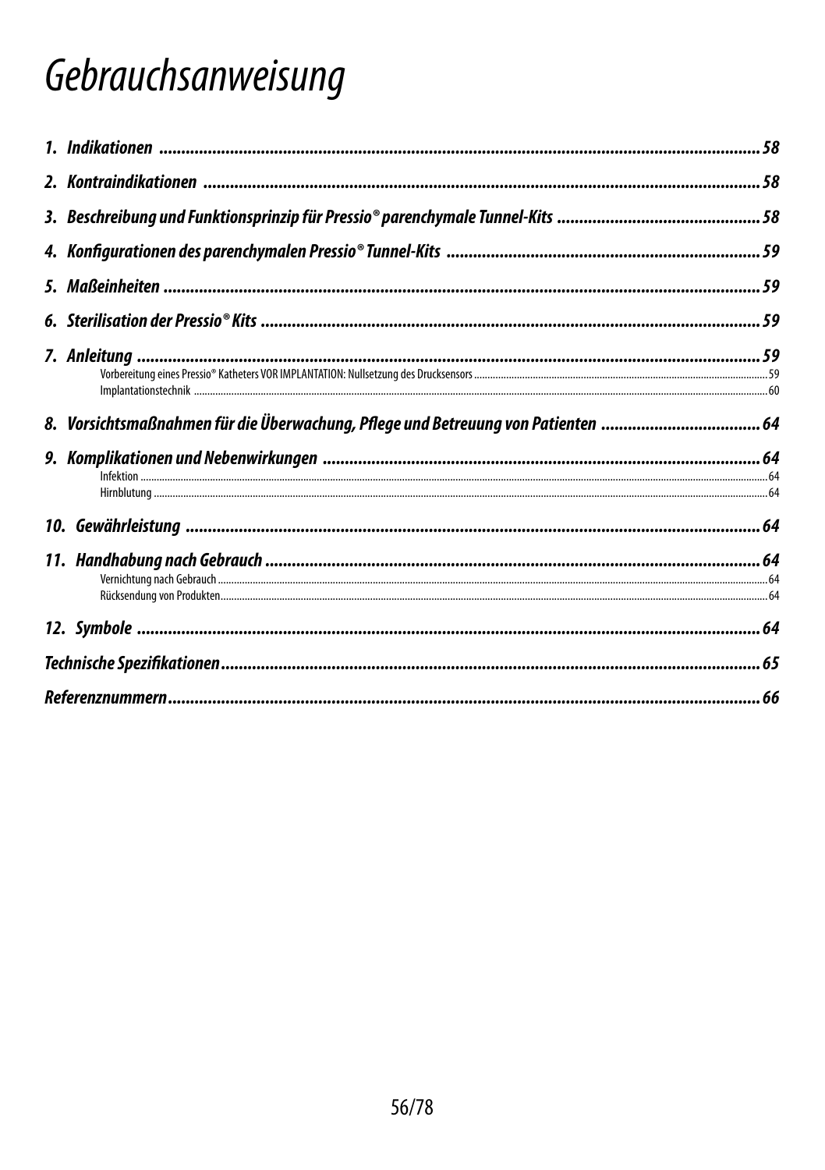## Gebrauchsanweisung

| 8. Vorsichtsmaßnahmen für die Überwachung, Pflege und Betreuung von Patienten |  |
|-------------------------------------------------------------------------------|--|
|                                                                               |  |
|                                                                               |  |
|                                                                               |  |
|                                                                               |  |
|                                                                               |  |
|                                                                               |  |
|                                                                               |  |
|                                                                               |  |
|                                                                               |  |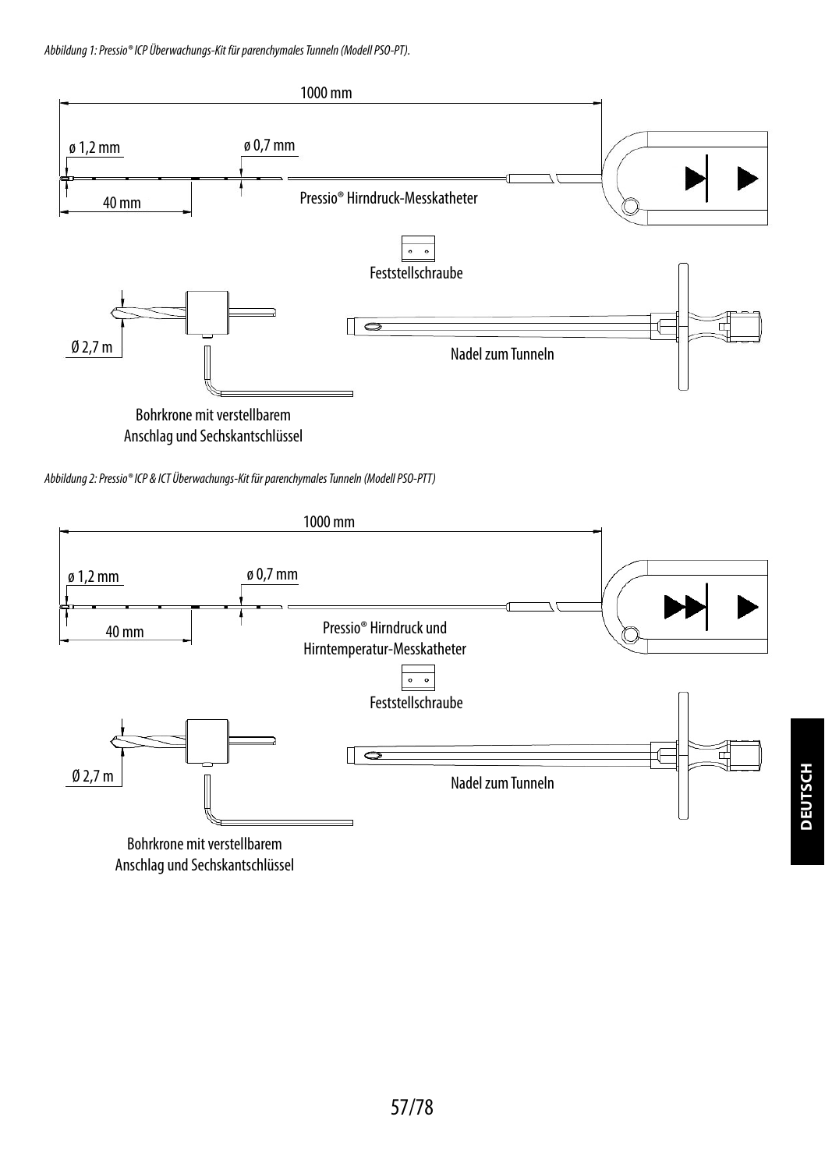*Abbildung 1: Pressio® ICP Überwachungs-Kit für parenchymales Tunneln (Modell PSO-PT).*



Anschlag und Sechskantschlüssel





Bohrkrone mit verstellbarem Anschlag und Sechskantschlüssel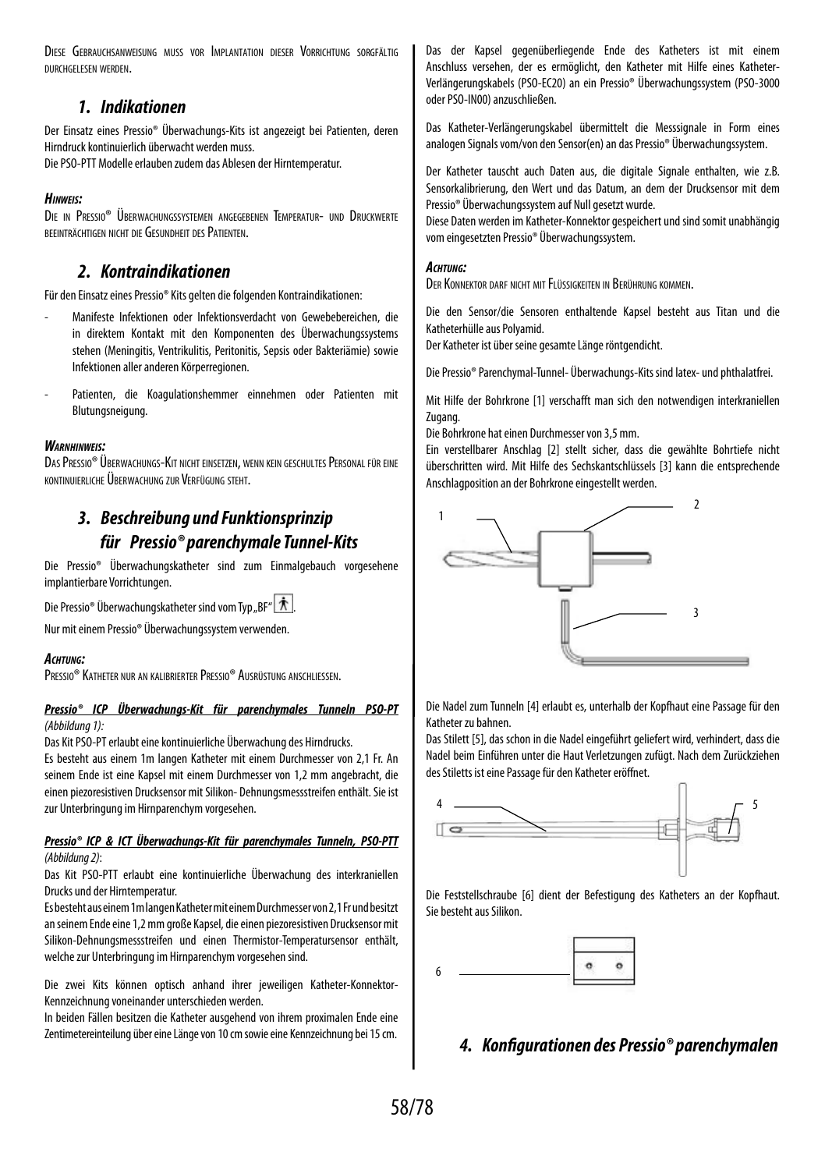DIESE GEBRAUCHSANWEISUNG MUSS VOR IMPLANTATION DIESER VORRICHTUNG SORGEÄLTIG durchgelesen werden.

## *1. Indikationen*

Der Einsatz eines Pressio® Überwachungs-Kits ist angezeigt bei Patienten, deren Hirndruck kontinuierlich überwacht werden muss.

Die PSO-PTT Modelle erlauben zudem das Ablesen der Hirntemperatur.

## *Hinweis:*

Die in Pressio® Überwachungssystemen angegebenen Temperatur- und Druckwerte beeinträchtigen nicht die Gesundheit desPatienten.

## *2. Kontraindikationen*

Für den Einsatz eines Pressio® Kits gelten die folgenden Kontraindikationen:

- Manifeste Infektionen oder Infektionsverdacht von Gewebebereichen, die in direktem Kontakt mit den Komponenten des Überwachungssystems stehen (Meningitis, Ventrikulitis, Peritonitis, Sepsis oder Bakteriämie) sowie Infektionen aller anderen Körperregionen.
- Patienten, die Koagulationshemmer einnehmen oder Patienten mit Blutungsneigung.

## *Warnhinweis:*

DAS PRESSIO® ÜBERWACHUNGS-KIT NICHT EINSETZEN, WENN KEIN GESCHULTES PERSONAL FÜR EINE kontinuierliche Überwachung zur Verfügung steht.

## *3. Beschreibung und Funktionsprinzip für Pressio® parenchymale Tunnel-Kits*

Die Pressio® Überwachungskatheter sind zum Einmalgebauch vorgesehene implantierbare Vorrichtungen.

Die Pressio® Überwachungskatheter sind vom Typ "BF"  $|\mathbf{\hat{\pi}}|$ 

Nur mit einem Pressio® Überwachungssystem verwenden.

## *Achtung:*

Pressio® Katheter nur an kalibrierter Pressio® Ausrüstung anschliessen.

## *Pressio® ICP Überwachungs-Kit für parenchymales Tunneln PSO-PT (Abbildung 1):*

Das Kit PSO-PT erlaubt eine kontinuierliche Überwachung des Hirndrucks.

Es besteht aus einem 1m langen Katheter mit einem Durchmesser von 2,1 Fr. An seinem Ende ist eine Kapsel mit einem Durchmesser von 1,2 mm angebracht, die einen piezoresistiven Drucksensor mit Silikon- Dehnungsmessstreifen enthält. Sie ist zur Unterbringung im Hirnparenchym vorgesehen.

## *Pressio® ICP & ICT Überwachungs-Kit für parenchymales Tunneln, PSO-PTT (Abbildung 2)*:

Das Kit PSO-PTT erlaubt eine kontinuierliche Überwachung des interkraniellen Drucks und der Hirntemperatur.

Es besteht aus einem 1m langen Katheter mit einem Durchmesser von 2,1 Fr und besitzt an seinem Ende eine 1,2 mm große Kapsel, die einen piezoresistiven Drucksensor mit Silikon-Dehnungsmessstreifen und einen Thermistor-Temperatursensor enthält, welche zur Unterbringung im Hirnparenchym vorgesehen sind.

Die zwei Kits können optisch anhand ihrer jeweiligen Katheter-Konnektor-Kennzeichnung voneinander unterschieden werden.

In beiden Fällen besitzen die Katheter ausgehend von ihrem proximalen Ende eine Zentimetereinteilung über eine Länge von 10 cm sowie eine Kennzeichnung bei 15 cm.

Das der Kapsel gegenüberliegende Ende des Katheters ist mit einem Anschluss versehen, der es ermöglicht, den Katheter mit Hilfe eines Katheter-Verlängerungskabels (PSO-EC20) an ein Pressio® Überwachungssystem (PSO-3000 oder PSO-IN00) anzuschließen.

Das Katheter-Verlängerungskabel übermittelt die Messsignale in Form eines analogen Signals vom/von den Sensor(en) an das Pressio® Überwachungssystem.

Der Katheter tauscht auch Daten aus, die digitale Signale enthalten, wie z.B. Sensorkalibrierung, den Wert und das Datum, an dem der Drucksensor mit dem Pressio® Überwachungssystem auf Null gesetzt wurde.

Diese Daten werden im Katheter-Konnektor gespeichert und sind somit unabhängig vom eingesetzten Pressio® Überwachungssystem.

## *Achtung:*

Der Konnektor darf nicht mit Flüssigkeiten in Berührung kommen.

Die den Sensor/die Sensoren enthaltende Kapsel besteht aus Titan und die Katheterhülle aus Polyamid.

Der Katheter ist über seine gesamte Länge röntgendicht.

Die Pressio® Parenchymal-Tunnel- Überwachungs-Kits sind latex- und phthalatfrei.

Mit Hilfe der Bohrkrone [1] verschafft man sich den notwendigen interkraniellen Zugang.

Die Bohrkrone hat einen Durchmesser von 3,5 mm.

Ein verstellbarer Anschlag [2] stellt sicher, dass die gewählte Bohrtiefe nicht überschritten wird. Mit Hilfe des Sechskantschlüssels [3] kann die entsprechende Anschlagposition an der Bohrkrone eingestellt werden.



Die Nadel zum Tunneln [4] erlaubt es, unterhalb der Kopfhaut eine Passage für den Katheter zu bahnen.

Das Stilett [5], das schon in die Nadel eingeführt geliefert wird, verhindert, dass die Nadel beim Einführen unter die Haut Verletzungen zufügt. Nach dem Zurückziehen des Stiletts ist eine Passage für den Katheter eröffnet.



Die Feststellschraube [6] dient der Befestigung des Katheters an der Kopfhaut. Sie besteht aus Silikon.



## *4. Konfigurationen des Pressio® parenchymalen*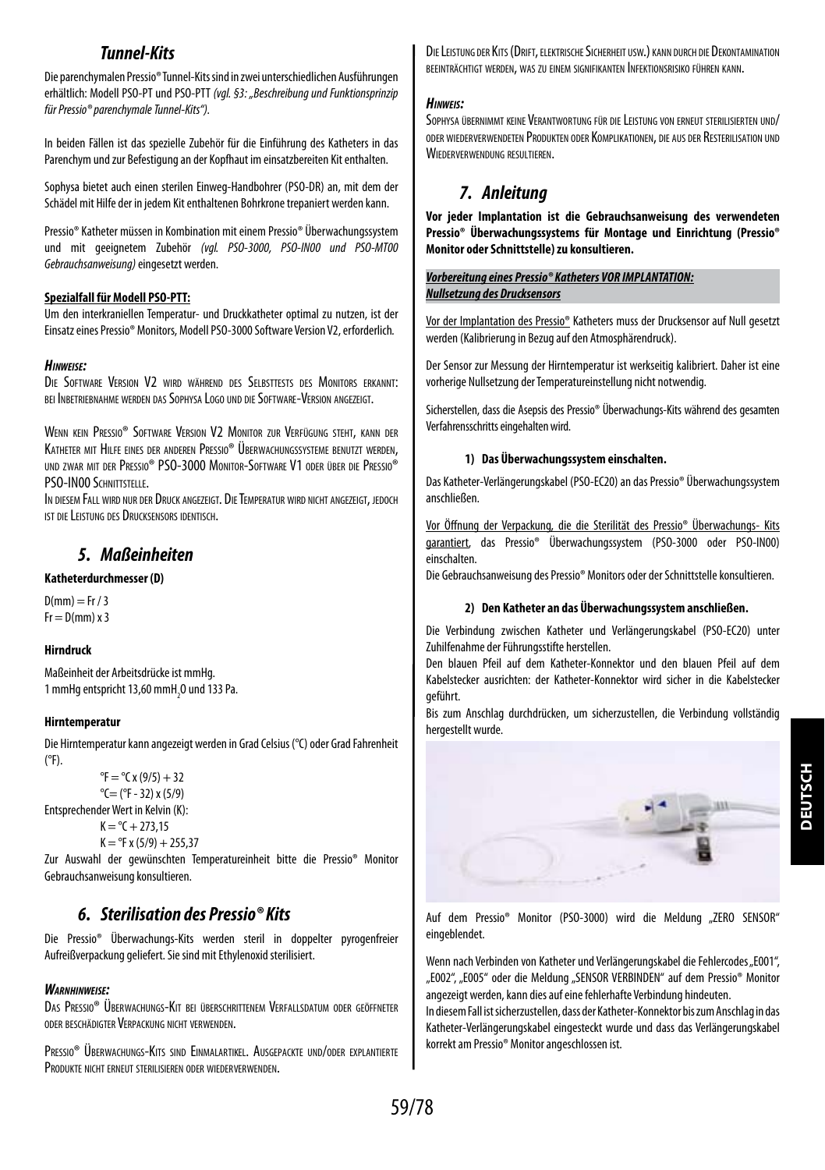## *Tunnel-Kits*

Die parenchymalen Pressio® Tunnel-Kits sind in zwei unterschiedlichen Ausführungen erhältlich: Modell PSO-PT und PSO-PTT *(vgl. §3: "Beschreibung und Funktionsprinzip für Pressio® parenchymale Tunnel-Kits").*

In beiden Fällen ist das spezielle Zubehör für die Einführung des Katheters in das Parenchym und zur Befestigung an der Kopfhaut im einsatzbereiten Kit enthalten.

Sophysa bietet auch einen sterilen Einweg-Handbohrer (PSO-DR) an, mit dem der Schädel mit Hilfe der in jedem Kit enthaltenen Bohrkrone trepaniert werden kann.

Pressio® Katheter müssen in Kombination mit einem Pressio® Überwachungssystem und mit geeignetem Zubehör *(vgl. PSO-3000, PSO-IN00 und PSO-MT00 Gebrauchsanweisung)* eingesetzt werden.

## **Spezialfall für Modell PSO-PTT:**

Um den interkraniellen Temperatur- und Druckkatheter optimal zu nutzen, ist der Einsatz eines Pressio® Monitors, Modell PSO-3000 Software Version V2, erforderlich*.*

## *Hinweise:*

Die Software Version V2 wird während des Selbsttests des Monitors erkannt: bei Inbetriebnahme werden das Sophysa Logo und dieSoftware-Version angezeigt.

Wenn kein Pressio® Software Version V2 Monitor zur Verfügung steht, kann der Katheter mit Hilfe eines der anderen Pressio® Überwachungssysteme benutzt werden. und zwar mit der Pressio® PSO-3000 Monitor-Software V1 oder über die Pressio® PSO-IN00 SCHNITTSTELLE

In diesem Fall wird nur der Druck angezeigt. Die Temperatur wird nicht angezeigt, jedoch ist die Leistung des Drucksensors identisch.

## *5. Maßeinheiten*

## **Katheterdurchmesser (D)**

 $D(mm) = Fr / 3$  $Fr = D(mm) \times 3$ 

## **Hirndruck**

Maßeinheit der Arbeitsdrücke ist mmHg. 1 mmHg entspricht 13,60 mmH $_{_2}$ O und 133 Pa.

## **Hirntemperatur**

Die Hirntemperatur kann angezeigt werden in Grad Celsius (°C) oder Grad Fahrenheit  $(°F)$ 

```
{}^{\circ}F = {}^{\circ}C x (9/5) + 32
                   ^{\circ}C= (^{\circ}F - 32) x (5/9)
Entsprechender Wert in Kelvin (K):
```
 $K = {}^{\circ}C + 273.15$  $K = {}^{9}F x (5/9) + 255.37$ 

Zur Auswahl der gewünschten Temperatureinheit bitte die Pressio® Monitor Gebrauchsanweisung konsultieren.

## *6. Sterilisation des Pressio® Kits*

Die Pressio® Überwachungs-Kits werden steril in doppelter pyrogenfreier Aufreißverpackung geliefert. Sie sind mit Ethylenoxid sterilisiert.

## *Warnhinweise:*

Das Pressio® Überwachungs-Kit bei überschrittenem Verfallsdatum oder geöffneter oder beschädigter Verpackung nicht verwenden.

Pressio® Überwachungs-Kits sind Einmalartikel. Ausgepackte und/oder explantierte Produkte nicht erneut sterilisieren oder wiederverwenden.

DieLeistung der Kits (Drift, elektrischeSicherheit usw.) kann durch dieDekontamination beeinträchtigt werden, was zu einem signifikanten Infektionsrisiko führen kann.

## *Hinweis:*

Sophysa übernimmt keine Verantwortung für die Leistung von erneut sterilisierten und/ oder wiederverwendeten Produkten oder Komplikationen, die aus der Resterilisation und WIEDERVERWENDUNG RESULTIEREN

## *7. Anleitung*

**Vor jeder Implantation ist die Gebrauchsanweisung des verwendeten Pressio® Überwachungssystems für Montage und Einrichtung (Pressio® Monitor oder Schnittstelle) zu konsultieren.**

## *Vorbereitung eines Pressio® Katheters VOR IMPLANTATION: Nullsetzung des Drucksensors*

Vor der Implantation des Pressio® Katheters muss der Drucksensor auf Null gesetzt werden (Kalibrierung in Bezug auf den Atmosphärendruck).

Der Sensor zur Messung der Hirntemperatur ist werkseitig kalibriert. Daher ist eine vorherige Nullsetzung der Temperatureinstellung nicht notwendig.

Sicherstellen, dass die Asepsis des Pressio® Überwachungs-Kits während des gesamten Verfahrensschritts eingehalten wird.

## **1) Das Überwachungssystem einschalten.**

Das Katheter-Verlängerungskabel (PSO-EC20) an das Pressio® Überwachungssystem anschließen.

Vor Öffnung der Verpackung, die die Sterilität des Pressio® Überwachungs- Kits garantiert, das Pressio® Überwachungssystem (PSO-3000 oder PSO-IN00) einschalten.

Die Gebrauchsanweisung des Pressio® Monitors oder der Schnittstelle konsultieren.

## **2) Den Katheter an das Überwachungssystem anschließen.**

Die Verbindung zwischen Katheter und Verlängerungskabel (PSO-EC20) unter Zuhilfenahme der Führungsstifte herstellen.

Den blauen Pfeil auf dem Katheter-Konnektor und den blauen Pfeil auf dem Kabelstecker ausrichten: der Katheter-Konnektor wird sicher in die Kabelstecker geführt.

Bis zum Anschlag durchdrücken, um sicherzustellen, die Verbindung vollständig hergestellt wurde.



Auf dem Pressio® Monitor (PSO-3000) wird die Meldung "ZERO SENSOR" eingeblendet.

Wenn nach Verbinden von Katheter und Verlängerungskabel die Fehlercodes "E001", "E002", "E005" oder die Meldung "SENSOR VERBINDEN" auf dem Pressio® Monitor angezeigt werden, kann dies auf eine fehlerhafte Verbindung hindeuten.

In diesem Fall ist sicherzustellen, dass der Katheter-Konnektor bis zum Anschlag in das Katheter-Verlängerungskabel eingesteckt wurde und dass das Verlängerungskabel korrekt am Pressio® Monitor angeschlossen ist.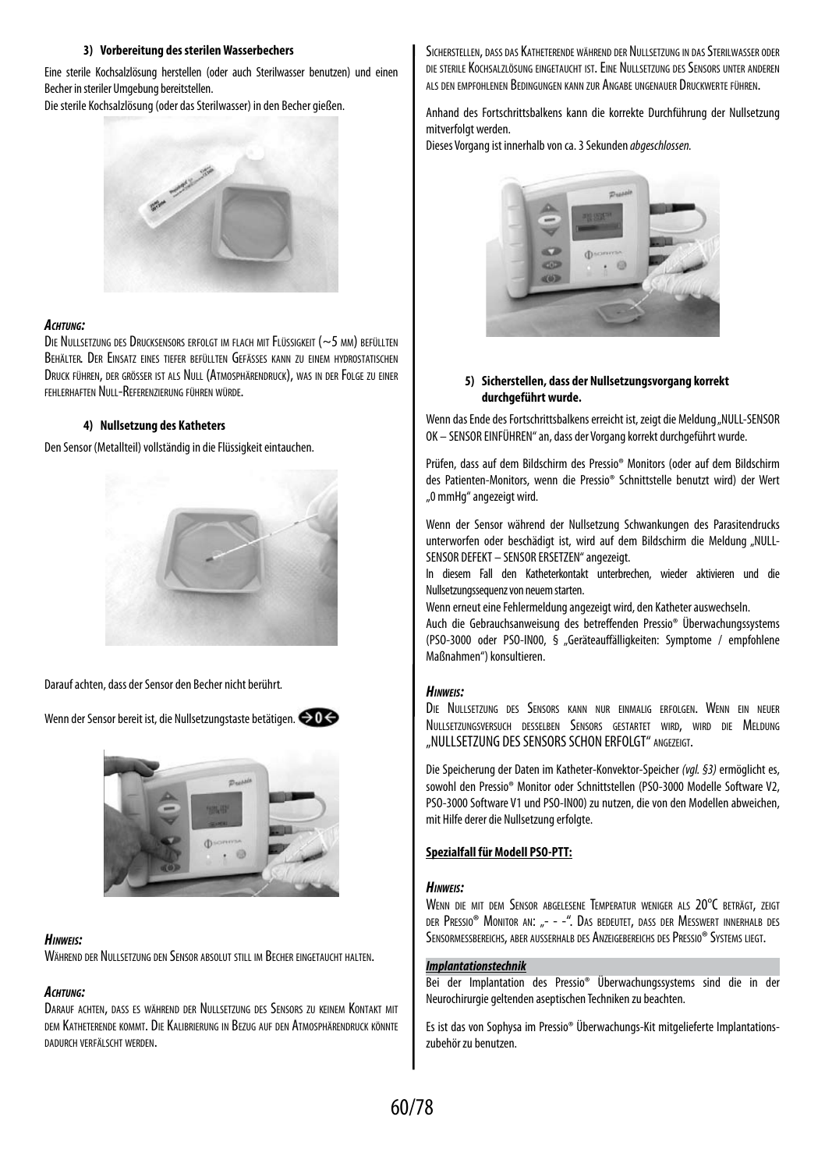#### **3) Vorbereitung des sterilen Wasserbechers**

Eine sterile Kochsalzlösung herstellen (oder auch Sterilwasser benutzen) und einen Becher in steriler Umgebung bereitstellen.

Die sterile Kochsalzlösung (oder das Sterilwasser) in den Becher gießen.



#### *Achtung:*

Die Nullsetzung des Drucksensors erfolgt im flach mit Flüssigkeit (~5 mm) befüllten Behälter. Der Einsatz eines tiefer befüllten Gefässes kann zu einem hydrostatischen Druck führen, der grösser ist als Null (Atmosphärendruck), was in der Folge zu einer fehlerhaften Null-Referenzierung führen würde.

#### **4) Nullsetzung des Katheters**

Den Sensor (Metallteil) vollständig in die Flüssigkeit eintauchen.



Darauf achten, dass der Sensor den Becher nicht berührt*.*

Wenn der Sensor bereit ist, die Nullsetzungstaste betätigen.  $\bigcirc$ 0



## *Hinweis:*

Während der Nullsetzung den Sensor absolut still im Becher eingetaucht halten.

#### *Achtung:*

Darauf achten, dass es während der Nullsetzung des Sensors zu keinem Kontakt mit dem Katheterende kommt. Die Kalibrierung in Bezug auf den Atmosphärendruck könnte dadurch verfälscht werden.

Sicherstellen, dass das Katheterende während der Nullsetzung in das Sterilwasser oder die sterile Kochsalzlösung eingetaucht ist. Eine Nullsetzung des Sensors unter anderen als den empfohlenen Bedingungen kann zur Angabe ungenauer Druckwerte führen.

Anhand des Fortschrittsbalkens kann die korrekte Durchführung der Nullsetzung mitverfolgt werden.

Dieses Vorgang ist innerhalb von ca. 3 Sekunden *abgeschlossen.*



#### **5) Sicherstellen, dass der Nullsetzungsvorgang korrekt durchgeführt wurde.**

Wenn das Ende des Fortschrittsbalkens erreicht ist, zeigt die Meldung "NULL-SENSOR OK – SENSOR EINFÜHREN" an, dass der Vorgang korrekt durchgeführt wurde.

Prüfen, dass auf dem Bildschirm des Pressio® Monitors (oder auf dem Bildschirm des Patienten-Monitors, wenn die Pressio® Schnittstelle benutzt wird) der Wert "0 mmHg" angezeigt wird.

Wenn der Sensor während der Nullsetzung Schwankungen des Parasitendrucks unterworfen oder beschädigt ist, wird auf dem Bildschirm die Meldung "NULL-SENSOR DEFEKT – SENSOR ERSETZEN" angezeigt.

In diesem Fall den Katheterkontakt unterbrechen, wieder aktivieren und die Nullsetzungssequenz von neuem starten.

Wenn erneut eine Fehlermeldung angezeigt wird, den Katheter auswechseln.

Auch die Gebrauchsanweisung des betreffenden Pressio® Überwachungssystems (PSO-3000 oder PSO-IN00, § "Geräteauffälligkeiten: Symptome / empfohlene Maßnahmen") konsultieren.

#### *Hinweis:*

Die Nullsetzung des Sensors kann nur einmalig erfolgen. Wenn ein neuer Nullsetzungsversuch desselben Sensors gestartet wird, wird die Meldung "NULLSETZUNG DES SENSORS SCHON ERFOLGT" ANGEZEIGT.

Die Speicherung der Daten im Katheter-Konvektor-Speicher *(vgl. §3)* ermöglicht es, sowohl den Pressio® Monitor oder Schnittstellen (PSO-3000 Modelle Software V2, PSO-3000 Software V1 und PSO-IN00) zu nutzen, die von den Modellen abweichen, mit Hilfe derer die Nullsetzung erfolgte.

## **Spezialfall für Modell PSO-PTT:**

#### *Hinweis:*

Wenn die mit dem Sensor abgelesene Temperatur weniger als 20°C beträgt, zeigt der Pressio® Monitor an: "- - -". Das bedeutet, dass der Messwert innerhalb des SENSORMESSBEREICHS, ABER AUSSERHALB DES ANZEIGEBEREICHS DES PRESSIO® SYSTEMS LIEGT.

#### *Implantationstechnik*

Bei der Implantation des Pressio® Überwachungssystems sind die in der Neurochirurgie geltenden aseptischen Techniken zu beachten.

Es ist das von Sophysa im Pressio® Überwachungs-Kit mitgelieferte Implantationszubehör zu benutzen.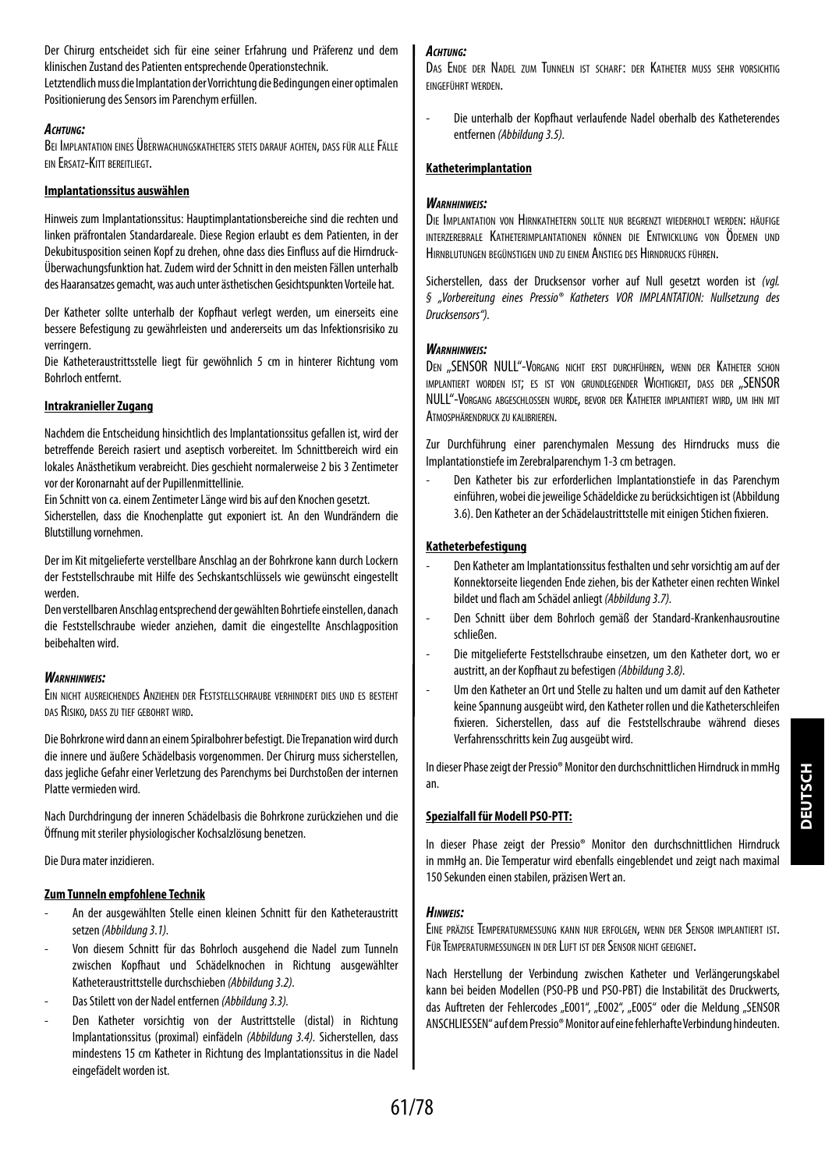Der Chirurg entscheidet sich für eine seiner Erfahrung und Präferenz und dem klinischen Zustand des Patienten entsprechende Operationstechnik.

Letztendlich muss die Implantation der Vorrichtung die Bedingungen einer optimalen Positionierung des Sensors im Parenchym erfüllen.

#### *Achtung:*

Bei Implantation eines Überwachungskatheters stets darauf achten, dass für alle Fälle ein Ersatz-Kitt bereitliegt.

## **Implantationssitus auswählen**

Hinweis zum Implantationssitus: Hauptimplantationsbereiche sind die rechten und linken präfrontalen Standardareale. Diese Region erlaubt es dem Patienten, in der Dekubitusposition seinen Kopf zu drehen, ohne dass dies Einfluss auf die Hirndruck-Überwachungsfunktion hat. Zudem wird der Schnitt in den meisten Fällen unterhalb des Haaransatzes gemacht, was auch unter ästhetischen Gesichtspunkten Vorteile hat.

Der Katheter sollte unterhalb der Kopfhaut verlegt werden, um einerseits eine bessere Befestigung zu gewährleisten und andererseits um das Infektionsrisiko zu verringern.

Die Katheteraustrittsstelle liegt für gewöhnlich 5 cm in hinterer Richtung vom Bohrloch entfernt.

## **Intrakranieller Zugang**

Nachdem die Entscheidung hinsichtlich des Implantationssitus gefallen ist, wird der betreffende Bereich rasiert und aseptisch vorbereitet. Im Schnittbereich wird ein lokales Anästhetikum verabreicht. Dies geschieht normalerweise 2 bis 3 Zentimeter vor der Koronarnaht auf der Pupillenmittellinie.

Ein Schnitt von ca. einem Zentimeter Länge wird bis auf den Knochen gesetzt.

Sicherstellen, dass die Knochenplatte gut exponiert ist. An den Wundrändern die Blutstillung vornehmen.

Der im Kit mitgelieferte verstellbare Anschlag an der Bohrkrone kann durch Lockern der Feststellschraube mit Hilfe des Sechskantschlüssels wie gewünscht eingestellt werden.

Den verstellbaren Anschlag entsprechend der gewählten Bohrtiefe einstellen, danach die Feststellschraube wieder anziehen, damit die eingestellte Anschlagposition beibehalten wird.

## *Warnhinweis:*

Ein nicht ausreichendes Anziehen der Feststellschraube verhindert dies und es besteht das Risiko, dass zu tief gebohrt wird.

Die Bohrkrone wird dann an einem Spiralbohrer befestigt. Die Trepanation wird durch die innere und äußere Schädelbasis vorgenommen. Der Chirurg muss sicherstellen, dass jegliche Gefahr einer Verletzung des Parenchyms bei Durchstoßen der internen Platte vermieden wird.

Nach Durchdringung der inneren Schädelbasis die Bohrkrone zurückziehen und die Öffnung mit steriler physiologischer Kochsalzlösung benetzen.

Die Dura mater inzidieren.

## **Zum Tunneln empfohlene Technik**

- An der ausgewählten Stelle einen kleinen Schnitt für den Katheteraustritt setzen *(Abbildung 3.1).*
- Von diesem Schnitt für das Bohrloch ausgehend die Nadel zum Tunneln zwischen Kopfhaut und Schädelknochen in Richtung ausgewählter Katheteraustrittstelle durchschieben *(Abbildung 3.2).*
- Das Stilett von der Nadel entfernen *(Abbildung 3.3).*
- Den Katheter vorsichtig von der Austrittstelle (distal) in Richtung Implantationssitus (proximal) einfädeln *(Abbildung 3.4).* Sicherstellen, dass mindestens 15 cm Katheter in Richtung des Implantationssitus in die Nadel eingefädelt worden ist.

## *Achtung:*

Das Ende der Nadel zum Tunneln ist scharf: der Katheter muss sehr vorsichtig eingeführt werden.

- Die unterhalb der Kopfhaut verlaufende Nadel oberhalb des Katheterendes entfernen *(Abbildung 3.5).*

## **Katheterimplantation**

## *Warnhinweis:*

Die Implantation von Hirnkathetern sollte nur begrenzt wiederholt werden: häufige interzerebrale Katheterimplantationen können die Entwicklung von Ödemen und Hirnblutungen begünstigen und zu einem Anstieg des Hirndrucks führen.

Sicherstellen, dass der Drucksensor vorher auf Null gesetzt worden ist *(vgl. § "Vorbereitung eines Pressio® Katheters VOR IMPLANTATION: Nullsetzung des Drucksensors").*

## *Warnhinweis:*

DEN .. SENSOR NULL"-VORGANG NICHT ERST DURCHFÜHREN, WENN DER KATHETER SCHON implantiert worden ist; es ist von grundlegender Wichtigkeit, dass der "SENSOR NULL"-Vorgang abgeschlossen wurde, bevor der Katheter implantiert wird, um ihn mit Atmosphärendruck zu kalibrieren.

Zur Durchführung einer parenchymalen Messung des Hirndrucks muss die Implantationstiefe im Zerebralparenchym 1-3 cm betragen.

- Den Katheter bis zur erforderlichen Implantationstiefe in das Parenchym einführen, wobei die jeweilige Schädeldicke zu berücksichtigen ist (Abbildung 3.6). Den Katheter an der Schädelaustrittstelle mit einigen Stichen fixieren.

## **Katheterbefestigung**

- Den Katheter am Implantationssitus festhalten und sehr vorsichtig am auf der Konnektorseite liegenden Ende ziehen, bis der Katheter einen rechten Winkel bildet und flach am Schädel anliegt *(Abbildung 3.7).*
- Den Schnitt über dem Bohrloch gemäß der Standard-Krankenhausroutine schließen.
- Die mitgelieferte Feststellschraube einsetzen, um den Katheter dort, wo er austritt, an der Kopfhaut zu befestigen *(Abbildung 3.8).*
- Um den Katheter an Ort und Stelle zu halten und um damit auf den Katheter keine Spannung ausgeübt wird, den Katheter rollen und die Katheterschleifen fixieren. Sicherstellen, dass auf die Feststellschraube während dieses Verfahrensschritts kein Zug ausgeübt wird.

In dieser Phase zeigt der Pressio® Monitor den durchschnittlichen Hirndruck in mmHg an.

## **Spezialfall für Modell PSO-PTT:**

In dieser Phase zeigt der Pressio® Monitor den durchschnittlichen Hirndruck in mmHg an. Die Temperatur wird ebenfalls eingeblendet und zeigt nach maximal 150 Sekunden einen stabilen, präzisen Wert an.

## *Hinweis:*

Eine präzise Temperaturmessung kann nur erfolgen, wenn der Sensor implantiert ist. Für Temperaturmessungen in der Luft ist der Sensor nicht geeignet.

Nach Herstellung der Verbindung zwischen Katheter und Verlängerungskabel kann bei beiden Modellen (PSO-PB und PSO-PBT) die Instabilität des Druckwerts, das Auftreten der Fehlercodes "E001", "E002", "E005" oder die Meldung "SENSOR ANSCHLIESSEN" auf dem Pressio® Monitor auf eine fehlerhafte Verbindung hindeuten.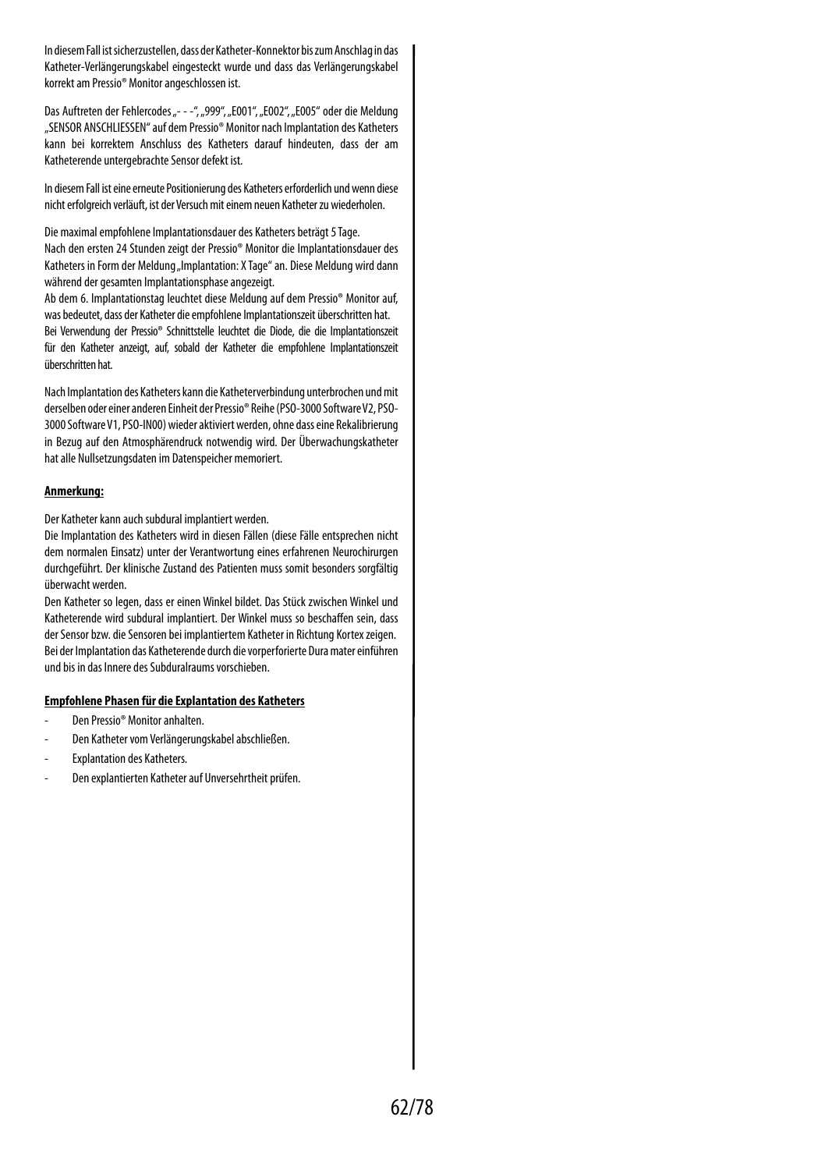In diesem Fall ist sicherzustellen, dass der Katheter-Konnektor bis zum Anschlag in das Katheter-Verlängerungskabel eingesteckt wurde und dass das Verlängerungskabel korrekt am Pressio® Monitor angeschlossen ist.

Das Auftreten der Fehlercodes ..- - -"... 999", .. E001", .. E002", .. E005" oder die Meldung "SENSOR ANSCHLIESSEN" auf dem Pressio® Monitor nach Implantation des Katheters kann bei korrektem Anschluss des Katheters darauf hindeuten, dass der am Katheterende untergebrachte Sensor defekt ist.

In diesem Fall ist eine erneute Positionierung des Katheters erforderlich und wenn diese nicht erfolgreich verläuft, ist der Versuch mit einem neuen Katheter zu wiederholen.

Die maximal empfohlene Implantationsdauer des Katheters beträgt 5 Tage. Nach den ersten 24 Stunden zeigt der Pressio® Monitor die Implantationsdauer des Katheters in Form der Meldung "Implantation: X Tage" an. Diese Meldung wird dann während der gesamten Implantationsphase angezeigt.

Ab dem 6. Implantationstag leuchtet diese Meldung auf dem Pressio® Monitor auf, was bedeutet, dass der Katheter die empfohlene Implantationszeit überschritten hat. Bei Verwendung der Pressio® Schnittstelle leuchtet die Diode, die die Implantationszeit für den Katheter anzeigt, auf, sobald der Katheter die empfohlene Implantationszeit überschritten hat.

Nach Implantation des Katheters kann die Katheterverbindung unterbrochen und mit derselben oder einer anderen Einheit der Pressio® Reihe (PSO-3000 Software V2, PSO-3000 Software V1, PSO-IN00) wieder aktiviert werden, ohne dass eine Rekalibrierung in Bezug auf den Atmosphärendruck notwendig wird. Der Überwachungskatheter hat alle Nullsetzungsdaten im Datenspeicher memoriert.

#### **Anmerkung:**

Der Katheter kann auch subdural implantiert werden.

Die Implantation des Katheters wird in diesen Fällen (diese Fälle entsprechen nicht dem normalen Einsatz) unter der Verantwortung eines erfahrenen Neurochirurgen durchgeführt. Der klinische Zustand des Patienten muss somit besonders sorgfältig überwacht werden.

Den Katheter so legen, dass er einen Winkel bildet. Das Stück zwischen Winkel und Katheterende wird subdural implantiert. Der Winkel muss so beschaffen sein, dass der Sensor bzw. die Sensoren bei implantiertem Katheter in Richtung Kortex zeigen. Bei der Implantation das Katheterende durch die vorperforierte Dura mater einführen und bis in das Innere des Subduralraums vorschieben.

## **Empfohlene Phasen für die Explantation des Katheters**

- Den Pressio® Monitor anhalten.
- Den Katheter vom Verlängerungskabel abschließen.
- Explantation des Katheters.
- Den explantierten Katheter auf Unversehrtheit prüfen.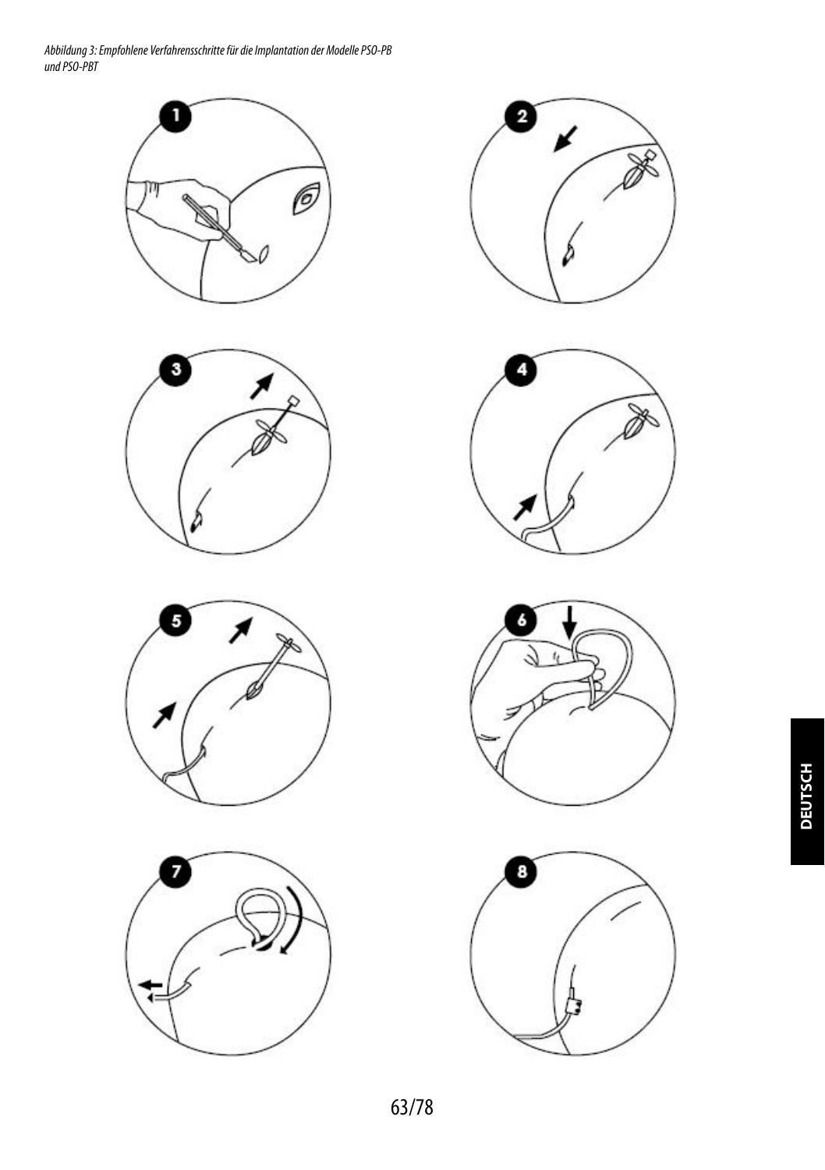*Abbildung 3: Empfohlene Verfahrensschritte für die Implantation der Modelle PSO-PB und PSO-PBT*















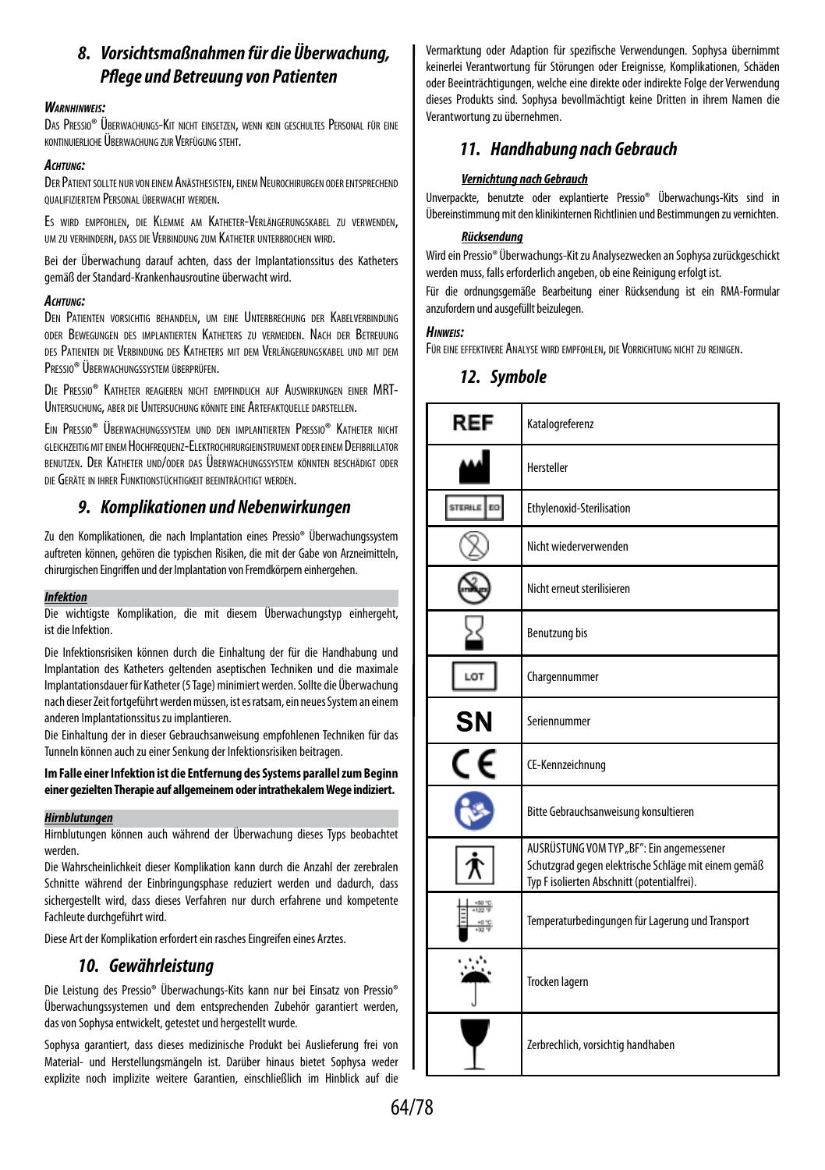## *8. Vorsichtsmaßnahmen für die Überwachung, Pflege und Betreuung von Patienten*

## *Warnhinweis:*

Das Pressio® Überwachungs-Kit nicht einsetzen, wenn kein geschultes Personal für eine kontinuierliche Überwachung zurVerfügung steht.

## *Achtung:*

DER PATIENT SOLLTE NUR VON EINEM ANÄSTHESISTEN, EINEM NEUROCHIRURGEN ODER ENTSPRECHEND qualifiziertem Personal überwacht werden.

Es wird empfohlen, die Klemme am Katheter-Verlängerungskabel zu verwenden, um zu verhindern, dass die Verbindung zum Katheter unterbrochen wird.

Bei der Überwachung darauf achten, dass der Implantationssitus des Katheters gemäß der Standard-Krankenhausroutine überwacht wird.

## *Achtung:*

DEN PATIENTEN VORSICHTIG BEHANDELN, UM EINE UNTERBRECHUNG DER KABELVERBINDUNG oder Bewegungen des implantierten Katheters zu vermeiden. Nach der Betreuung des Patienten die Verbindung des Katheters mit dem Verlängerungskabel und mit dem Pressio® Überwachungssystem überprüfen.

Die Pressio® Katheter reagieren nicht empfindlich auf Auswirkungen einer MRT-Untersuchung, aber die Untersuchung könnte eine Artefaktouelle darstellen.

Ein Pressio® Überwachungssystem und den implantierten Pressio® Katheter nicht gleichzeitigmiteinem Hochfrequenz-Elektrochirurgieinstrument oder einem Defibrillator benutzen. Der Katheter und/oder das Überwachungssystem könnten beschädigt oder die Geräte in ihrer Funktionstüchtigkeit beeinträchtigt werden.

## *9. Komplikationen und Nebenwirkungen*

Zu den Komplikationen, die nach Implantation eines Pressio® Überwachungssystem auftreten können, gehören die typischen Risiken, die mit der Gabe von Arzneimitteln, chirurgischen Eingriffen und der Implantation von Fremdkörpern einhergehen.

## *Infektion*

Die wichtigste Komplikation, die mit diesem Überwachungstyp einhergeht, ist die Infektion.

Die Infektionsrisiken können durch die Einhaltung der für die Handhabung und Implantation des Katheters geltenden aseptischen Techniken und die maximale Implantationsdauer für Katheter (5 Tage) minimiert werden. Sollte die Überwachung nach dieser Zeit fortgeführt werden müssen, ist es ratsam, ein neues System an einem anderen Implantationssitus zu implantieren.

Die Einhaltung der in dieser Gebrauchsanweisung empfohlenen Techniken für das Tunneln können auch zu einer Senkung der Infektionsrisiken beitragen.

**Im Falle einer Infektion ist die Entfernung des Systems parallel zum Beginn einer gezielten Therapie auf allgemeinem oder intrathekalem Wege indiziert.**

## *Hirnblutungen*

Hirnblutungen können auch während der Überwachung dieses Typs beobachtet werden.

Die Wahrscheinlichkeit dieser Komplikation kann durch die Anzahl der zerebralen Schnitte während der Einbringungsphase reduziert werden und dadurch, dass sichergestellt wird, dass dieses Verfahren nur durch erfahrene und kompetente Fachleute durchgeführt wird.

Diese Art der Komplikation erfordert ein rasches Eingreifen eines Arztes.

## *10. Gewährleistung*

Die Leistung des Pressio® Überwachungs-Kits kann nur bei Einsatz von Pressio® Überwachungssystemen und dem entsprechenden Zubehör garantiert werden, dasvon Sophysa entwickelt, getestet und hergestellt wurde.

Sophysa garantiert, dass dieses medizinische Produkt bei Auslieferung frei von Material- und Herstellungsmängeln ist. Darüber hinaus bietet Sophysa weder explizite noch implizite weitere Garantien, einschließlich im Hinblick auf die

Vermarktung oder Adaption für spezifische Verwendungen. Sophysa übernimmt keinerlei Verantwortung für Störungen oder Ereignisse, Komplikationen, Schäden oder Beeinträchtigungen, welche eine direkte oder indirekte Folge der Verwendung dieses Produkts sind. Sophysa bevollmächtigt keine Dritten in ihrem Namen die Verantwortung zu übernehmen.

## *11. Handhabung nach Gebrauch*

## *Vernichtung nach Gebrauch*

Unverpackte, benutzte oder explantierte Pressio® Überwachungs-Kits sind in Übereinstimmung mit den klinikinternen Richtlinien und Bestimmungen zu vernichten.

## *Rücksendung*

Wird ein Pressio® Überwachungs-Kit zu Analysezwecken an Sophysa zurückgeschickt werden muss, falls erforderlich angeben, ob eine Reinigung erfolgt ist.

Für die ordnungsgemäße Bearbeitung einer Rücksendung ist ein RMA-Formular anzufordern und ausgefüllt beizulegen.

## *Hinweis:*

Für eine effektivere Analyse wird empfohlen, die Vorrichtung nicht zu reinigen.

## *12. Symbole*

| REF            | Katalogreferenz                                                                                                                                  |
|----------------|--------------------------------------------------------------------------------------------------------------------------------------------------|
|                | Hersteller                                                                                                                                       |
| STERILE<br>EQ. | Ethylenoxid-Sterilisation                                                                                                                        |
|                | Nicht wiederverwenden                                                                                                                            |
|                | Nicht erneut sterilisieren                                                                                                                       |
|                | Benutzung bis                                                                                                                                    |
| LOT            | Chargennummer                                                                                                                                    |
| SΝ             | Seriennummer                                                                                                                                     |
|                | CE-Kennzeichnung                                                                                                                                 |
|                | Bitte Gebrauchsanweisung konsultieren                                                                                                            |
|                | AUSRÜSTUNG VOM TYP "BF": Ein angemessener<br>Schutzgrad gegen elektrische Schläge mit einem gemäß<br>Typ F isolierten Abschnitt (potentialfrei). |
|                | Temperaturbedingungen für Lagerung und Transport                                                                                                 |
|                | Trocken lagern                                                                                                                                   |
|                | Zerbrechlich, vorsichtig handhaben                                                                                                               |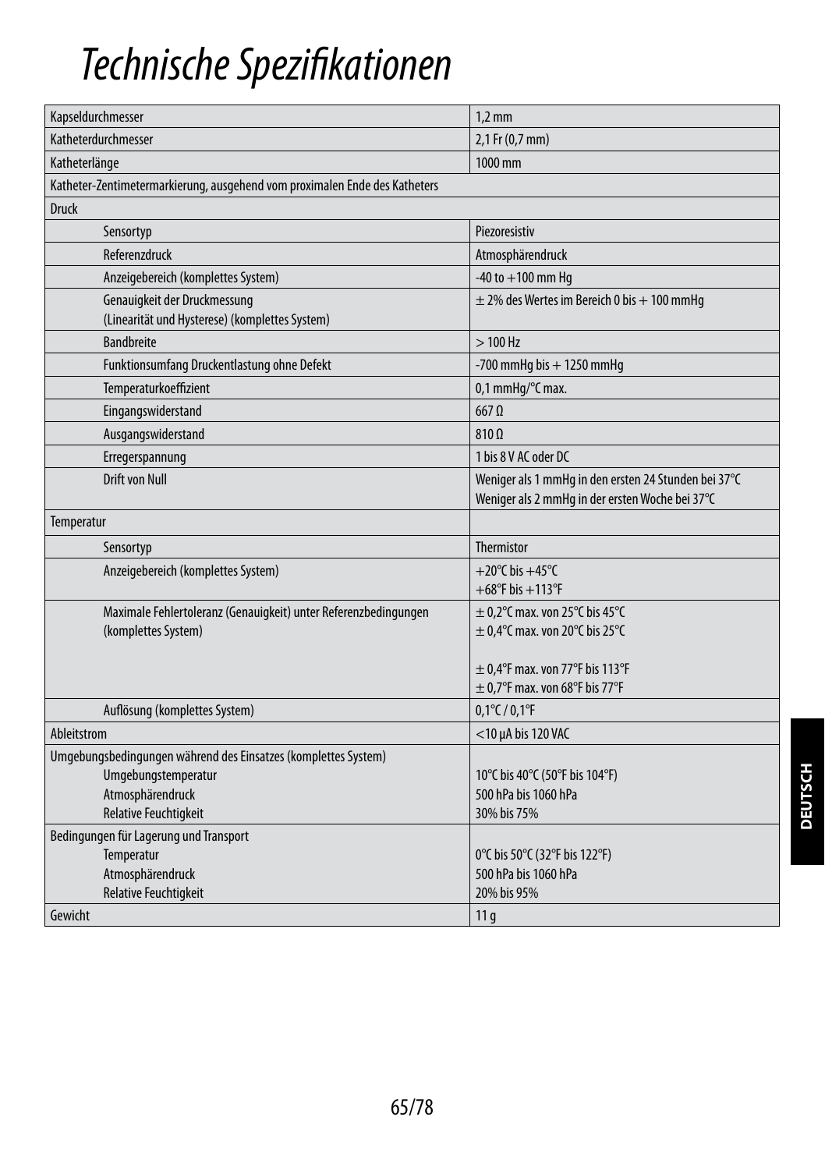## *Technische Spezifikationen*

| Kapseldurchmesser                                                              | $1,2$ mm                                                                                                |  |
|--------------------------------------------------------------------------------|---------------------------------------------------------------------------------------------------------|--|
| Katheterdurchmesser                                                            | 2,1 Fr (0,7 mm)                                                                                         |  |
| Katheterlänge                                                                  | 1000 mm                                                                                                 |  |
| Katheter-Zentimetermarkierung, ausgehend vom proximalen Ende des Katheters     |                                                                                                         |  |
| <b>Druck</b>                                                                   |                                                                                                         |  |
| Sensortyp                                                                      | Piezoresistiv                                                                                           |  |
| Referenzdruck                                                                  | Atmosphärendruck                                                                                        |  |
| Anzeigebereich (komplettes System)                                             | $-40$ to $+100$ mm Hq                                                                                   |  |
| Genauigkeit der Druckmessung<br>(Linearität und Hysterese) (komplettes System) | $\pm$ 2% des Wertes im Bereich 0 bis + 100 mmHg                                                         |  |
| <b>Bandbreite</b>                                                              | $>100$ Hz                                                                                               |  |
| Funktionsumfang Druckentlastung ohne Defekt                                    | $-700$ mmHg bis $+1250$ mmHg                                                                            |  |
| Temperaturkoeffizient                                                          | 0,1 mmHq/°C max.                                                                                        |  |
| Eingangswiderstand                                                             | $667$ $\Omega$                                                                                          |  |
| Ausgangswiderstand                                                             | $810 \Omega$                                                                                            |  |
| Erregerspannung                                                                | 1 bis 8 V AC oder DC                                                                                    |  |
| Drift von Null                                                                 | Weniger als 1 mmHg in den ersten 24 Stunden bei 37°C<br>Weniger als 2 mmHg in der ersten Woche bei 37°C |  |
| Temperatur                                                                     |                                                                                                         |  |
| Sensortyp                                                                      | <b>Thermistor</b>                                                                                       |  |
| Anzeigebereich (komplettes System)                                             | $+20^{\circ}$ C his $+45^{\circ}$ C                                                                     |  |
|                                                                                | $+68^{\circ}$ F bis $+113^{\circ}$ F                                                                    |  |
| Maximale Fehlertoleranz (Genauigkeit) unter Referenzbedingungen                | $\pm$ 0,2°C max. von 25°C bis 45°C                                                                      |  |
| (komplettes System)                                                            | $\pm$ 0,4°C max. von 20°C bis 25°C                                                                      |  |
|                                                                                | $\pm$ 0.4°F max. von 77°F bis 113°F                                                                     |  |
|                                                                                | $\pm$ 0.7°F max. von 68°F bis 77°F                                                                      |  |
| Auflösung (komplettes System)                                                  | $0,1^{\circ}$ C / $0,1^{\circ}$ F                                                                       |  |
| Ableitstrom                                                                    | $<$ 10 $\mu$ A bis 120 VAC                                                                              |  |
| Umgebungsbedingungen während des Einsatzes (komplettes System)                 |                                                                                                         |  |
| Umgebungstemperatur                                                            | 10°C bis 40°C (50°F bis 104°F)                                                                          |  |
| Atmosphärendruck                                                               | 500 hPa bis 1060 hPa                                                                                    |  |
| <b>Relative Feuchtigkeit</b>                                                   | 30% bis 75%                                                                                             |  |
| Bedingungen für Lagerung und Transport                                         |                                                                                                         |  |
| Temperatur                                                                     | 0°C bis 50°C (32°F bis 122°F)                                                                           |  |
| Atmosphärendruck                                                               | 500 hPa bis 1060 hPa                                                                                    |  |
| <b>Relative Feuchtigkeit</b>                                                   | 20% bis 95%                                                                                             |  |
| Gewicht                                                                        | 11 <sub>g</sub>                                                                                         |  |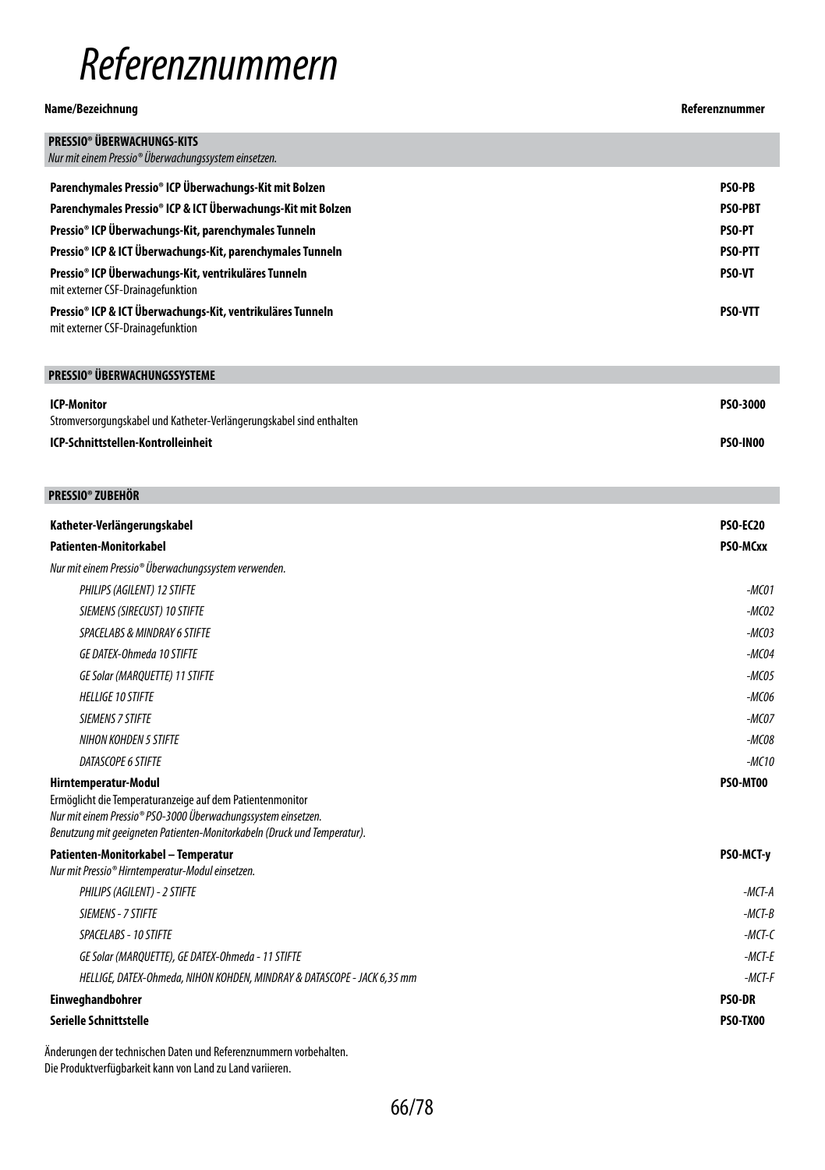## *Referenznummern*

## **Name/Bezeichnung Referenznummer**

| <b>PRESSIO® ÜBERWACHUNGS-KITS</b><br>Nur mit einem Pressio® Überwachungssystem einsetzen.                                  |                 |
|----------------------------------------------------------------------------------------------------------------------------|-----------------|
| Parenchymales Pressio® ICP Überwachungs-Kit mit Bolzen                                                                     | PSO-PB          |
| Parenchymales Pressio® ICP & ICT Überwachungs-Kit mit Bolzen                                                               | PSO-PBT         |
| Pressio® ICP Überwachungs-Kit, parenchymales Tunneln                                                                       | <b>PSO-PT</b>   |
| Pressio® ICP & ICT Überwachungs-Kit, parenchymales Tunneln                                                                 | PSO-PTT         |
| Pressio® ICP Überwachungs-Kit, ventrikuläres Tunneln                                                                       | PSO-VT          |
| mit externer CSF-Drainagefunktion                                                                                          |                 |
| Pressio® ICP & ICT Überwachungs-Kit, ventrikuläres Tunneln<br>mit externer CSF-Drainagefunktion                            | PSO-VTT         |
| PRESSIO® ÜBERWACHUNGSSYSTEME                                                                                               |                 |
| <b>ICP-Monitor</b>                                                                                                         | PS0-3000        |
| Stromversorgungskabel und Katheter-Verlängerungskabel sind enthalten                                                       |                 |
| ICP-Schnittstellen-Kontrolleinheit                                                                                         | PSO-IN00        |
|                                                                                                                            |                 |
| <b>PRESSIO® ZUBEHÖR</b>                                                                                                    |                 |
| Katheter-Verlängerungskabel                                                                                                | <b>PSO-EC20</b> |
| Patienten-Monitorkabel                                                                                                     | PSO-MCxx        |
| Nur mit einem Pressio® Überwachungssystem verwenden.                                                                       |                 |
| PHILIPS (AGILENT) 12 STIFTE                                                                                                | $-MCO1$         |
| SIEMENS (SIRECUST) 10 STIFTE                                                                                               | $-MCO2$         |
| SPACELABS & MINDRAY 6 STIFTE                                                                                               | $-MCO3$         |
| GE DATEX-Ohmeda 10 STIFTE                                                                                                  | $-MCO4$         |
| <b>GE Solar (MARQUETTE) 11 STIFTE</b>                                                                                      | $-MCO5$         |
| <b>HELLIGE 10 STIFTE</b>                                                                                                   | $-MCO6$         |
| <b>SIEMENS 7 STIFTE</b>                                                                                                    | $-MCOZ$         |
| <b>NIHON KOHDEN 5 STIFTE</b>                                                                                               | -MC08           |
| DATASCOPE 6 STIFTE                                                                                                         | $-MC10$         |
| Hirntemperatur-Modul                                                                                                       | PSO-MT00        |
| Ermöglicht die Temperaturanzeige auf dem Patientenmonitor<br>Nur mit einem Pressio® PSO-3000 Überwachungssystem einsetzen. |                 |
| Benutzung mit geeigneten Patienten-Monitorkabeln (Druck und Temperatur).                                                   |                 |
| Patienten-Monitorkabel – Temperatur                                                                                        | PSO-MCT-y       |
| Nur mit Pressio® Hirntemperatur-Modul einsetzen.                                                                           |                 |
| PHILIPS (AGILENT) - 2 STIFTE                                                                                               | $-MCT-A$        |
| SIEMENS - 7 STIFTE                                                                                                         | $-MCT-B$        |
| SPACELABS - 10 STIFTE                                                                                                      | $-MCT-C$        |
| GE Solar (MARQUETTE), GE DATEX-Ohmeda - 11 STIFTE                                                                          | $-MCT-E$        |
| HELLIGE, DATEX-Ohmeda, NIHON KOHDEN, MINDRAY & DATASCOPE - JACK 6,35 mm                                                    | $-MCT-F$        |
| Einweghandbohrer                                                                                                           | PSO-DR          |
| Serielle Schnittstelle                                                                                                     | <b>PSO-TX00</b> |

Änderungen der technischen Daten und Referenznummern vorbehalten. Die Produktverfügbarkeit kann von Land zu Land variieren.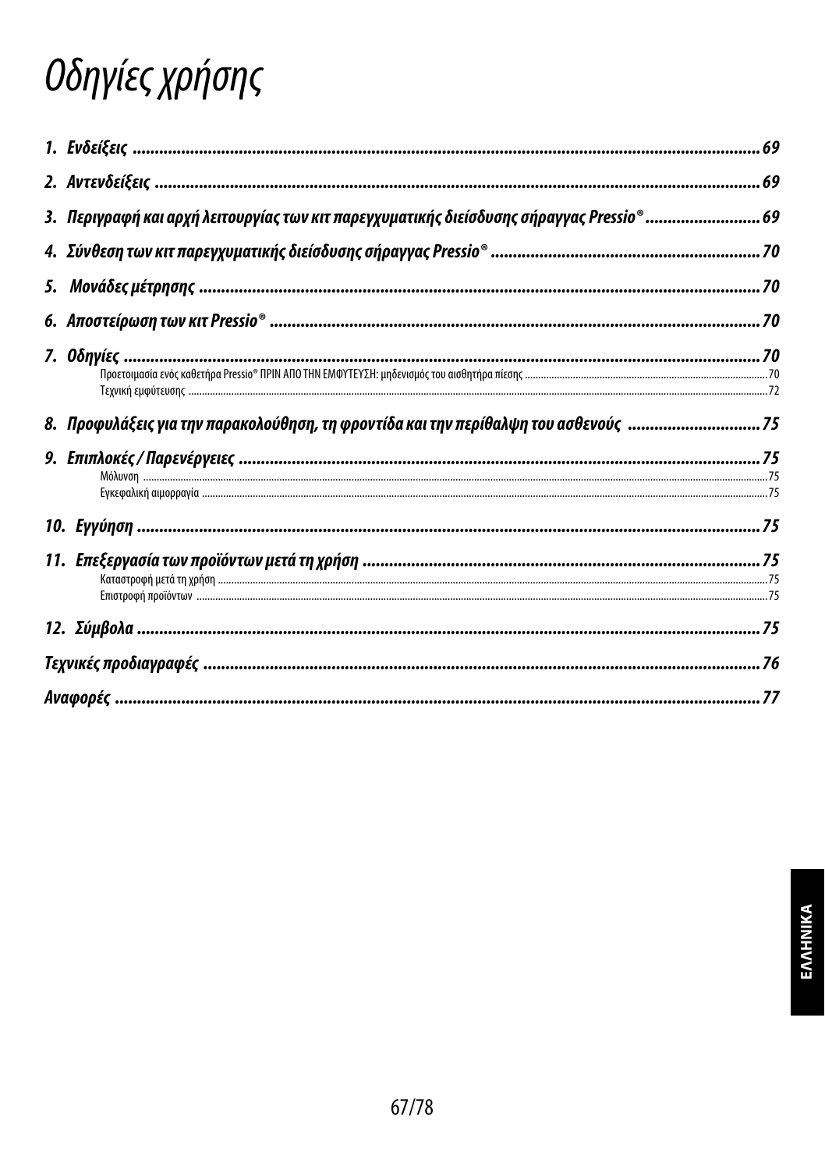# Οδηγίες χρήσης

| 3. Περιγραφή και αρχή λειτουργίας των κιτ παρεγχυματικής διείσδυσης σήραγγας Pressio® 69 |  |
|------------------------------------------------------------------------------------------|--|
|                                                                                          |  |
|                                                                                          |  |
|                                                                                          |  |
|                                                                                          |  |
|                                                                                          |  |
| 8. Προφυλάξεις για την παρακολούθηση, τη φροντίδα και την περίθαλψη του ασθενούς 75      |  |
|                                                                                          |  |
|                                                                                          |  |
|                                                                                          |  |
|                                                                                          |  |
|                                                                                          |  |
|                                                                                          |  |
|                                                                                          |  |
|                                                                                          |  |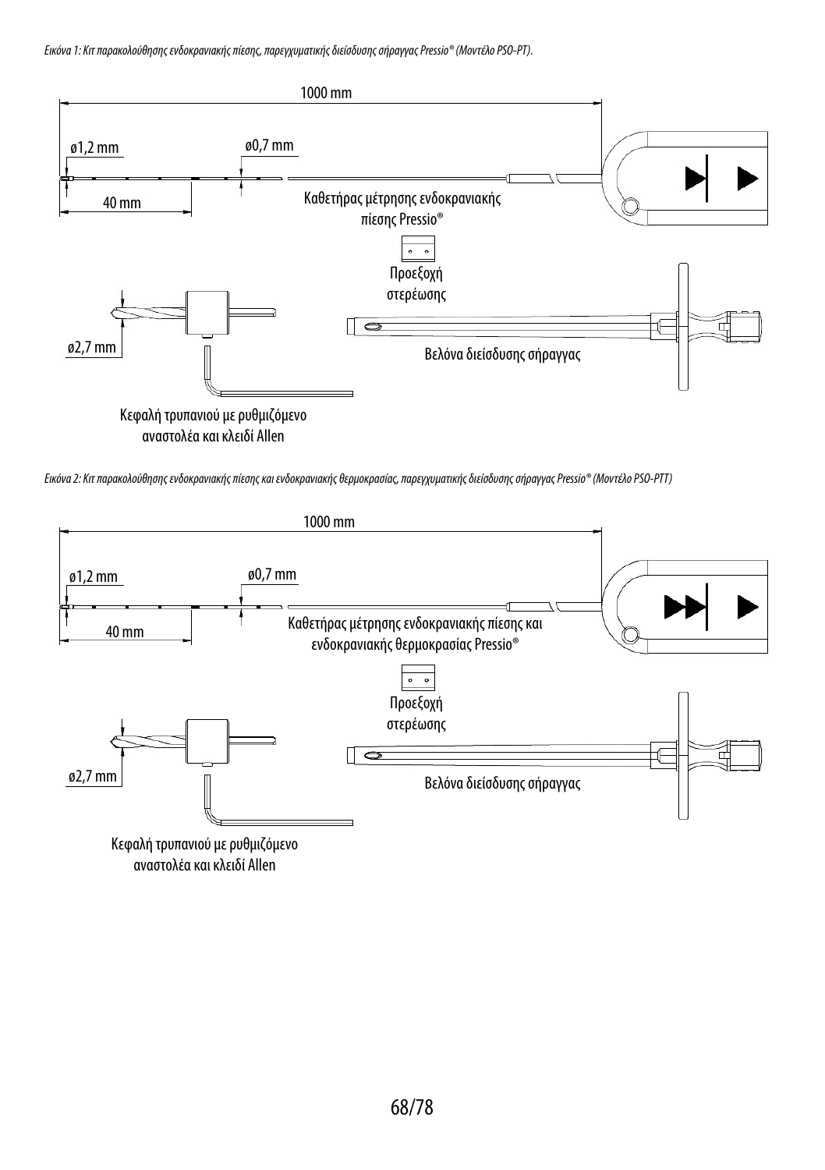*Εικόνα 1: Κιτ παρακολούθησης ενδοκρανιακής πίεσης, παρεγχυματικής διείσδυσης σήραγγας Pressio® (Μοντέλο PSO-PT).*



*Εικόνα 2: Κιτ παρακολούθησης ενδοκρανιακής πίεσης και ενδοκρανιακής θερμοκρασίας, παρεγχυματικής διείσδυσης σήραγγας Pressio® (Μοντέλο PSO-PTΤ)*



αναστολέακαι κλειδί Allen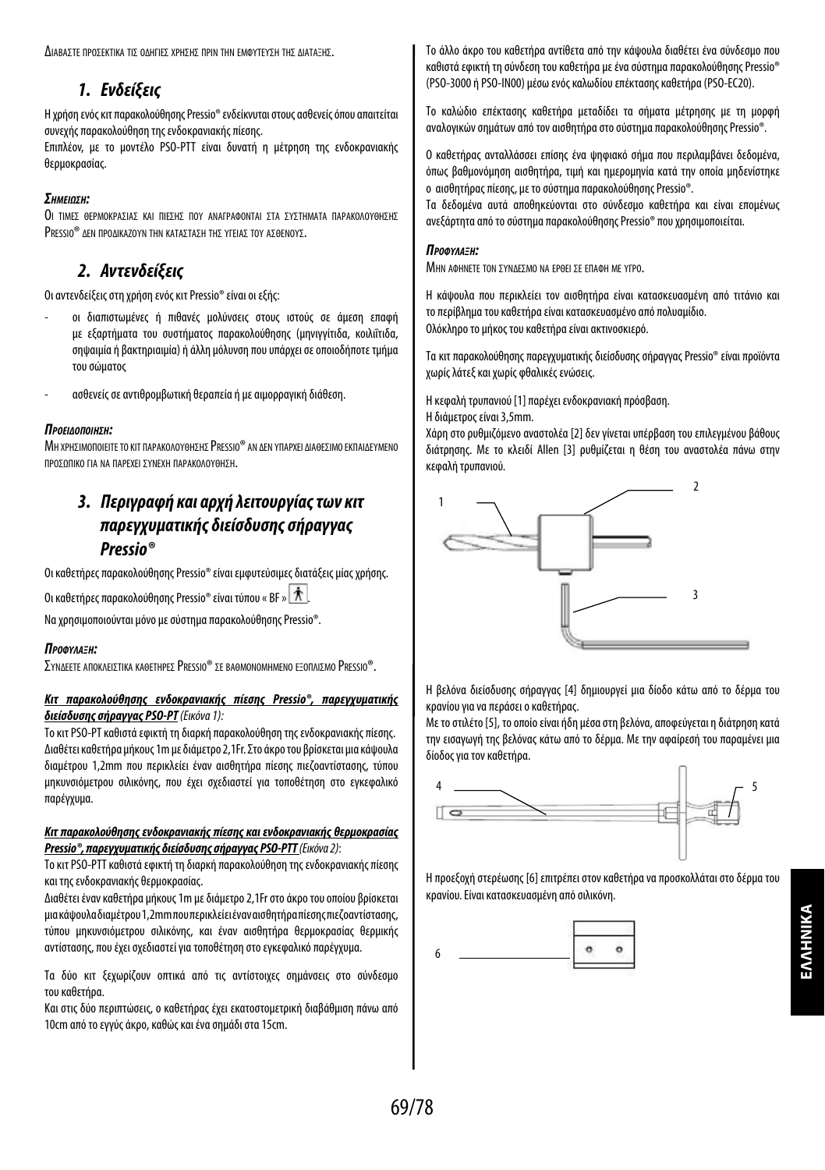Διαβαστε προσεκτικα τις ολητιες χρησης πριν την εμφύτενση της Διαταξής.

## *1. Ενδείξεις*

Η χρήση ενός κιτ παρακολούθησης Pressio® ενδείκνυται στους ασθενείς όπου απαιτείται συνεχής παρακολούθηση της ενδοκρανιακής πίεσης.

Επιπλέον, με το μοντέλο PSO-PTT είναι δυνατή η μέτρηση της ενδοκρανιακής θερμοκρασίας.

## *ΣημείωΣη:*

Οι τιμες ΘΕΡΜΟΚΡΑΣΙΑΣ ΚΑΙ ΠΙΕΣΗΣ ΠΟΥ ΑΝΑΓΡΑΦΟΝΤΑΙ ΣΤΑ ΣΥΣΤΗΜΑΤΑ ΠΑΡΑΚΟΛΟΥΘΗΣΗΣ PRESSIO® ΔΕΝ ΠΡΟΛΙΚΑΖΟΥΝ ΤΗΝ ΚΑΤΑΣΤΑΣΗ ΤΗΣ ΥΓΕΙΑΣ ΤΟΥ ΑΣΘΕΝΟΥΣ.

## *2. Αντενδείξεις*

Οι αντενδείξεις στη χρήση ενός κιτ Pressio® είναι οι εξής:

- οι διαπιστωμένες ή πιθανές μολύνσεις στους ιστούς σε άμεση επαφή με εξαρτήματα του συστήματος παρακολούθησης (μηνιγγίτιδα, κοιλιΐτιδα, σηψαιμία ή βακτηριαιμία) ή άλλη μόλυνση που υπάρχει σε οποιοδήποτε τμήμα του σώματος
- ασθενείς σε αντιθρομβωτική θεραπεία ή με αιμορραγική διάθεση.

## *ΠροείδοΠοίηΣη:*

ΜΗ ΧΡΗΣΙΜΟΠΟΙΕΙΤΕ ΤΟ ΚΙΤ ΠΑΡΑΚΟΛΟΥΘΗΣΗΣ PRESSIO® ΑΝ ΔΕΝ ΥΠΑΡΧΕΙ ΔΙΑΘΕΣΙΜΟ ΕΚΠΑΙΔΕΎΜΕΝΟ προΣΩΠΙΚΟ ΓΙΑ ΝΑ ΠΑΡΕΧΕΙ ΣΥΝΕΧΗ ΠΑΡΑΚΟΛΟΥΘΗΣΗ.

## *3. Περιγραφή και αρχή λειτουργίας των κιτ παρεγχυματικής διείσδυσης σήραγγας Pressio®*

Οι καθετήρες παρακολούθησης Pressio® είναι εμφυτεύσιμες διατάξεις μίας χρήσης.

Οι καθετήρες παρακολούθησης Pressio® είναι τύπου « BF » .

Να χρησιμοποιούνται μόνο με σύστημα παρακολούθησης Pressio®.

## *Προφύλαξη:*

ΣΥΝΔΕΕΤΕ ΑΠΟΚΛΕΙΣΤΙΚΑ ΚΑΘΕΤΗΡΕΣ PRESSIO® ΣΕ ΒΑΘΜΟΝΟΜΗΜΕΝΟ ΕΞΟΠΛΙΣΜΟ PRESSIO®.

## *Κιτ παρακολούθησης ενδοκρανιακής πίεσης Pressio®, παρεγχυματικής διείσδυσης σήραγγας PSO-PT (Εικόνα 1):*

Το κιτ PSO-PT καθιστά εφικτή τη διαρκή παρακολούθηση της ενδοκρανιακής πίεσης. Διαθέτει καθετήρα μήκους 1m με διάμετρο 2,1Fr. Στο άκρο του βρίσκεται μια κάψουλα διαμέτρου 1,2mm που περικλείει έναν αισθητήρα πίεσης πιεζοαντίστασης, τύπου μηκυνσιόμετρου σιλικόνης, που έχει σχεδιαστεί για τοποθέτηση στο εγκεφαλικό παρέγχυμα.

## *Κιτ παρακολούθησης ενδοκρανιακής πίεσης και ενδοκρανιακής θερμοκρασίας Pressio®, παρεγχυματικής διείσδυσης σήραγγας PSO-PTT (Εικόνα 2)*:

Το κιτ PSO-PΤT καθιστά εφικτή τη διαρκή παρακολούθηση της ενδοκρανιακής πίεσης και της ενδοκρανιακής θερμοκρασίας.

Διαθέτει έναν καθετήρα μήκους 1m με διάμετρο 2,1Fr στο άκρο του οποίου βρίσκεται μια κάψουλα διαμέτρου 1,2mm που περικλείει έναν αισθητήρα πίεσης πιεζοαντίστασης, τύπου μηκυνσιόμετρου σιλικόνης, και έναν αισθητήρα θερμοκρασίας θερμικής αντίστασης, που έχει σχεδιαστεί για τοποθέτηση στο εγκεφαλικό παρέγχυμα.

Τα δύο κιτ ξεχωρίζουν οπτικά από τις αντίστοιχες σημάνσεις στο σύνδεσμο τουκαθετήρα.

Και στις δύο περιπτώσεις, ο καθετήρας έχει εκατοστομετρική διαβάθμιση πάνω από 10cm από το εγγύς άκρο, καθώς και ένα σημάδι στα 15cm.

Το άλλο άκρο του καθετήρα αντίθετα από την κάψουλα διαθέτει ένα σύνδεσμο που καθιστά εφικτή τη σύνδεση του καθετήρα με ένα σύστημα παρακολούθησης Pressio® (PSO-3000 ή PSO-IN00) μέσω ενός καλωδίου επέκτασης καθετήρα (PSO-EC20).

Το καλώδιο επέκτασης καθετήρα μεταδίδει τα σήματα μέτρησης με τη μορφή αναλογικών σημάτων από τον αισθητήρα στο σύστημα παρακολούθησης Pressio®.

Ο καθετήρας ανταλλάσσει επίσης ένα ψηφιακό σήμα που περιλαμβάνει δεδομένα, όπως βαθμονόμηση αισθητήρα, τιμή και ημερομηνία κατά την οποία μηδενίστηκε ο αισθητήρας πίεσης, με το σύστημα παρακολούθησης Pressio®.

Τα δεδομένα αυτά αποθηκεύονται στο σύνδεσμο καθετήρα και είναι επομένως ανεξάρτητα από το σύστημα παρακολούθησης Pressio® που χρησιμοποιείται.

## *Προφύλαξη:*

ΜΗΝ ΑΦΗΝΕΤΕ ΤΟΝ ΣΥΝΔΕΣΜΟ ΝΑ ΕΡΘΕΙ ΣΕ ΕΠΑΦΗ ΜΕ ΥΓΡΟ.

Η κάψουλα που περικλείει τον αισθητήρα είναι κατασκευασμένη από τιτάνιο και το περίβλημα του καθετήρα είναι κατασκευασμένο από πολυαμίδιο. Ολόκληρο το μήκος του καθετήρα είναι ακτινοσκιερό.

Τα κιτ παρακολούθησης παρεγχυματικής διείσδυσης σήραγγας Pressio® είναι προϊόντα χωρίς λάτεξ και χωρίς φθαλικές ενώσεις.

Η κεφαλή τρυπανιού [1] παρέχει ενδοκρανιακή πρόσβαση.

Η διάμετρος είναι 3,5mm.

Χάρη στο ρυθμιζόμενο αναστολέα [2] δεν γίνεται υπέρβαση του επιλεγμένου βάθους διάτρησης. Με το κλειδί Allen [3] ρυθμίζεται η θέση του αναστολέα πάνω στην κεφαλή τρυπανιού.



Η βελόνα διείσδυσης σήραγγας [4] δημιουργεί μια δίοδο κάτω από το δέρμα του κρανίου για να περάσει ο καθετήρας.

Με το στιλέτο [5], το οποίο είναι ήδη μέσα στη βελόνα, αποφεύγεται η διάτρηση κατά την εισαγωγή της βελόνας κάτω από το δέρμα. Με την αφαίρεσή του παραμένει μια δίοδος για τον καθετήρα.



Η προεξοχή στερέωσης [6] επιτρέπει στον καθετήρα να προσκολλάται στο δέρμα του κρανίου. Είναι κατασκευασμένη από σιλικόνη.

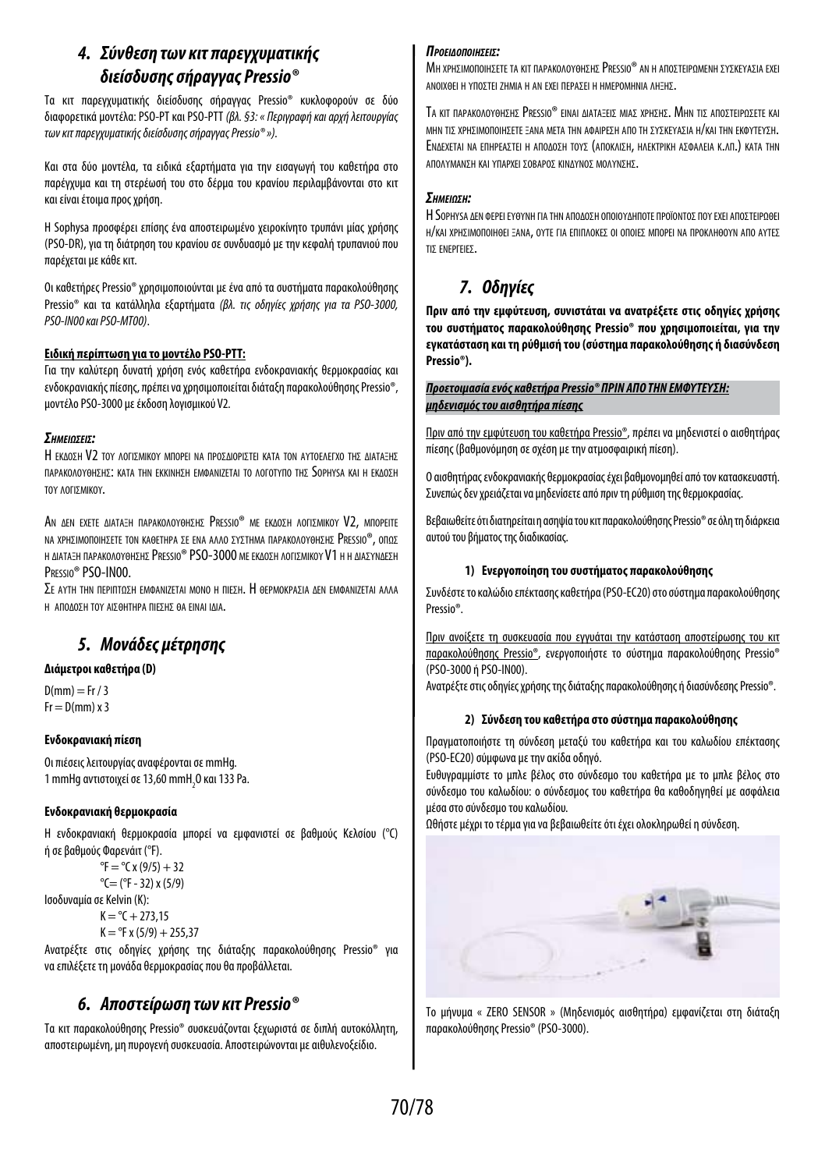## *4. Σύνθεση των κιτ παρεγχυματικής διείσδυσης σήραγγας Pressio®*

Τα κιτ παρεγχυματικής διείσδυσης σήραγγας Pressio® κυκλοφορούν σε δύο διαφορετικά μοντέλα: PSO-PT και PSO-PTT *(βλ. §3: « Περιγραφή και αρχή λειτουργίας των κιτ παρεγχυματικής διείσδυσης σήραγγας Pressio® »).*

Και στα δύο μοντέλα, τα ειδικά εξαρτήματα για την εισαγωγή του καθετήρα στο παρέγχυμα και τη στερέωσή του στο δέρμα του κρανίου περιλαμβάνονται στο κιτ καιείναι έτοιμα προς χρήση.

Η Sophysa προσφέρει επίσης ένα αποστειρωμένο χειροκίνητο τρυπάνι μίας χρήσης (PSO-DR), για τη διάτρηση του κρανίου σε συνδυασμό με την κεφαλή τρυπανιού που παρέχεται με κάθε κιτ.

Οι καθετήρες Pressio® χρησιμοποιούνται με ένα από τα συστήματα παρακολούθησης Pressio® και τα κατάλληλα εξαρτήματα *(βλ. τις οδηγίες χρήσης για τα PSO-3000, PSO-IN00 και PSO-MT00)*.

## **Ειδική περίπτωση για το μοντέλο PSO-PTT:**

Για την καλύτερη δυνατή χρήση ενός καθετήρα ενδοκρανιακής θερμοκρασίας και ενδοκρανιακής πίεσης, πρέπει να χρησιμοποιείται διάταξη παρακολούθησης Pressio®, μοντέλο PSO-3000 με έκδοση λογισμικού V2*.*

## *ΣημείωΣείΣ:*

Η εκλογή V2 τον λομγρωφον Μπορεί να προΣΔιορίΣτει κατά τον Αγτοελείχο της Διαταξής ΠΑΡΑΚΟΛΟΥΘΗΣΗΣ: ΚΑΤΑ ΤΗΝ ΕΚΚΙΝΗΣΗ ΕΜΦΑΝΙΖΕΤΑΙ ΤΟ ΛΟΓΟΤΥΠΟ ΤΗΣ SOPHYSA ΚΑΙ Η ΕΚΛΟΣΗ τον λοΓιγΜικον.

AN ΔΕΝ ΕΧΕΤΕ ΔΙΑΤΑΞΗ ΠΑΡΑΚΟΛΟΥΘΗΣΗΣ PRESSIO® ΜΕ ΕΚΛΟΣΗ ΛΟΓΙΣΜΙΚΟΥ V2, ΜΠΟΡΕΙΤΕ ΝΑ ΧΡΗΣΙΜΟΠΟΙΗΣΕΤΕ ΤΟΝ ΚΑΘΕΤΗΡΑ ΣΕ ΕΝΑ ΑΛΛΟ ΣΥΣΤΗΜΑ ΠΑΡΑΚΟΛΟΥΘΗΣΗΣ PRESSIO®, ΟΠΩΣ Η ΔΙΑΤΑΞΗ ΠΑΡΑΚΟΛΟΥΘΗΣΗΣ PRESSIO® PSO-3000 ΜΕ ΕΚΔΟΣΗ ΔΟΓΙΣΜΙΚΟΎ V1 Η Η ΔΙΑΣΥΝΔΕΣΗ Pressio® PSO-IN00.

Σε αγτη την περιπτοση εμφανισεται μονο η πιεση. Η Θερμοκρασία Δεν εμφανισεται αλλα Η ΑΠΟΛΟΣΗ ΤΟΥ ΑΙΣΘΗΤΗΡΑ ΠΙΕΣΗΣ ΘΑ ΕΙΝΑΙ ΙΔΙΑ.

## *5. Μονάδες μέτρησης*

## **Διάμετροι καθετήρα (D)**

 $D(mm) = Fr / 3$  $Fr = D(mm) \times 3$ 

## **Ενδοκρανιακή πίεση**

Οι πιέσεις λειτουργίας αναφέρονται σε mmHg. 1 mmHg αντιστοιχεί σε 13,60 mmH<sub>2</sub>0 και 133 Pa.

## **Ενδοκρανιακή θερμοκρασία**

Η ενδοκρανιακή θερμοκρασία μπορεί να εμφανιστεί σε βαθμούς Κελσίου (°C) ή σε βαθμούς Φαρενάιτ (°F).

 ${}^{\circ}$ F =  ${}^{\circ}$ C x (9/5) + 32  $^{\circ}$ C= ( $^{\circ}$ F - 32) x (5/9) Ισοδυναμία σε Kelvin (K):  $K = {}^{\circ}C + 273.15$  $K = PF x (5/9) + 255.37$ 

Ανατρέξτε στις οδηγίες χρήσης της διάταξης παρακολούθησης Pressio® για ναεπιλέξετε τη μονάδα θερμοκρασίας που θα προβάλλεται.

## *6. Αποστείρωση των κιτ Pressio®*

Τα κιτ παρακολούθησης Pressio® συσκευάζονται ξεχωριστά σε διπλή αυτοκόλλητη, αποστειρωμένη, μη πυρογενή συσκευασία. Αποστειρώνονται με αιθυλενοξείδιο.

## *ΠροείδοΠοίηΣείΣ:*

ΜΗ χρησιμοποιησετε τα κιτ παρακολογοήσης Pressio® an H αποστειροΜένη σχρκεγάσια εχει ανοιχθει η ύποστει ζημια η αν εχει περασει η ημερομηνια ληξησ.

TA KIT ΠΑΡΑΚΟΛΟΥΘΗΣΗΣ PRESSIO® ΕΙΝΑΙ ΔΙΑΤΑΞΕΙΣ ΜΙΑΣ ΧΡΗΣΗΣ. ΜΗΝ ΤΙΣ ΑΠΟΣΤΕΙΡΟΣΕΤΕ ΚΑΙ ΜΗΝ ΤΙΣ ΧΡΗΣΙΜΟΠΟΙΗΣΕΤΕ ΞΑΝΑ ΜΕΤΑ ΤΗΝ ΑΦΑΙΡΕΣΗ ΑΠΟ ΤΗ ΣΥΣΚΕΥΑΣΙΑ Η/ΚΑΙ ΤΗΝ ΕΚΦΥΤΕΥΣΗ. ΕΝΔΕΧΕΤΑΙ ΝΑ ΕΠΗΡΕΑΣΤΕΙ Η ΑΠΟΔΟΣΗ ΤΟΥΣ (ΑΠΟΚΛΙΣΗ, ΗΛΕΚΤΡΙΚΗ ΑΣΦΑΛΕΙΑ Κ.ΛΠ.) ΚΑΤΑ ΤΗΝ ΑΠΟΛΎΜΑΝΣΗ ΚΑΙ ΥΠΑΡΧΕΙ ΣΟΒΑΡΟΣ ΚΙΝΛΎΝΟΣ ΜΟΛΎΝΣΗΣ.

## *ΣημείωΣη:*

Η Sophysa Δεν φερει εγργυμ Για την απολοχή οποιογλήποτε προϊοντοχ πον εχει αποχτειροφεί Η/ΚΑΙ ΧΡΗΣΙΜΟΠΟΙΗΘΕΙ ΞΑΝΑ, ΟΥΤΕ ΓΙΑ ΕΠΙΠΛΟΚΕΣ ΟΙ ΟΠΟΙΕΣ ΜΠΟΡΕΙ ΝΑ ΠΡΟΚΛΗΘΟΎΝ ΑΠΟ ΑΥΤΕΣ τισ ενεργειεσ.

## *7. Οδηγίες*

**Πριν από την εμφύτευση, συνιστάται να ανατρέξετε στις οδηγίες χρήσης του συστήματος παρακολούθησης Pressio® που χρησιμοποιείται, για την εγκατάσταση και τη ρύθμισή του (σύστημα παρακολούθησης ή διασύνδεση Pressio®).**

## *Προετοιμασία ενός καθετήρα Pressio® ΠΡΙΝ ΑΠΟ ΤΗΝ ΕΜΦΥΤΕΥΣΗ: μηδενισμός του αισθητήρα πίεσης*

Πριν από την εμφύτευση του καθετήρα Pressio®, πρέπει να μηδενιστεί ο αισθητήρας πίεσης (βαθμονόμηση σε σχέση με την ατμοσφαιρική πίεση).

Ο αισθητήρας ενδοκρανιακής θερμοκρασίας έχει βαθμονομηθεί από τον κατασκευαστή. Συνεπώς δεν χρειάζεται να μηδενίσετε από πριν τη ρύθμιση της θερμοκρασίας.

Βεβαιωθείτε ότι διατηρείται η ασηψία του κιτ παρακολούθησης Pressio® σε όλη τηδιάρκεια αυτού του βήματος της διαδικασίας.

## **1) Ενεργοποίηση του συστήματος παρακολούθησης**

Συνδέστε το καλώδιο επέκτασης καθετήρα (PSO-EC20) στο σύστημα παρακολούθησης Pressio®.

Πριν ανοίξετε τη συσκευασία που εγγυάται την κατάσταση αποστείρωσης του κιτ παρακολούθησης Pressio®, ενεργοποιήστε το σύστημα παρακολούθησης Pressio® (PSO-3000 ή PSO-IN00).

Ανατρέξτε στις οδηγίες χρήσης της διάταξης παρακολούθησης ή διασύνδεσης Pressio®.

## **2) Σύνδεση του καθετήρα στο σύστημα παρακολούθησης**

Πραγματοποιήστε τη σύνδεση μεταξύ του καθετήρα και του καλωδίου επέκτασης (PSO-EC20) σύμφωνα με την ακίδα οδηγό.

Ευθυγραμμίστε το μπλε βέλος στο σύνδεσμο του καθετήρα με το μπλε βέλος στο σύνδεσμο του καλωδίου: ο σύνδεσμος του καθετήρα θα καθοδηγηθεί με ασφάλεια μέσα στο σύνδεσμο του καλωδίου.

Ωθήστε μέχρι το τέρμα για να βεβαιωθείτε ότι έχει ολοκληρωθεί η σύνδεση.



Το μήνυμα « ZERO SENSOR » (Μηδενισμός αισθητήρα) εμφανίζεται στη διάταξη παρακολούθησης Pressio® (PSO-3000).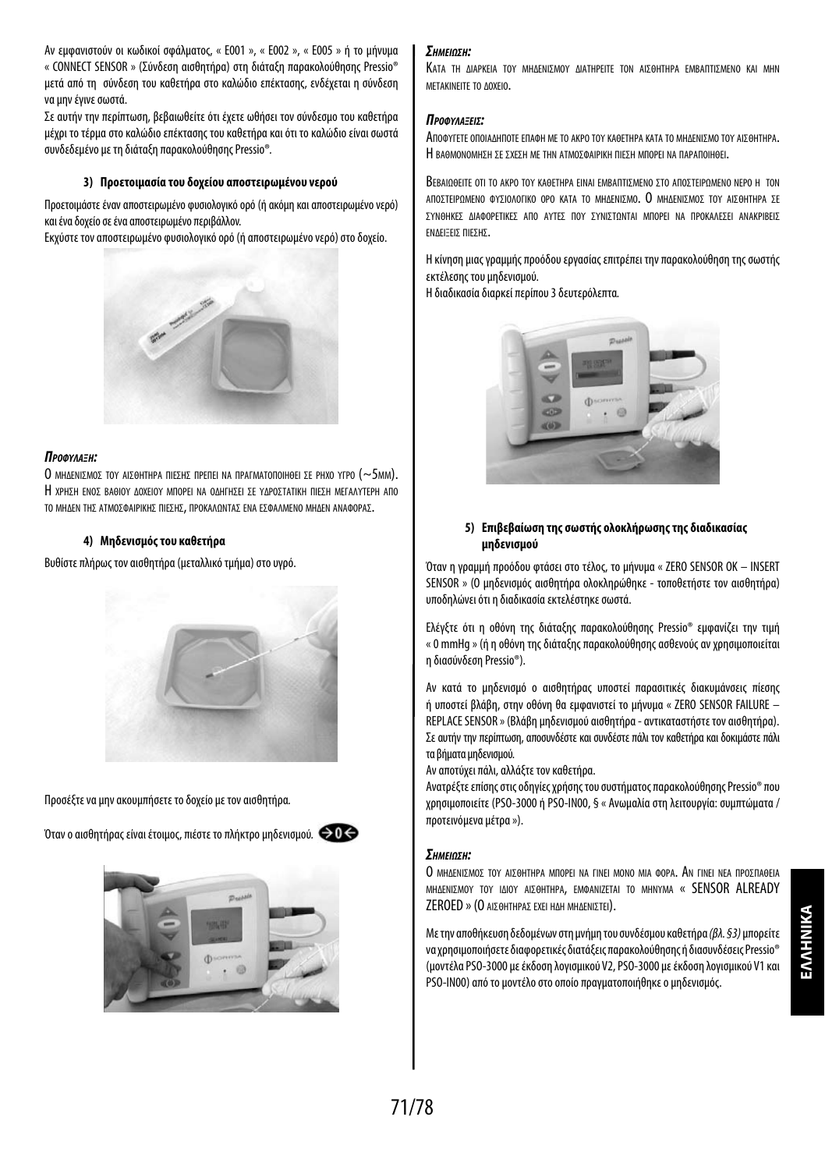Αν εμφανιστούν οι κωδικοί σφάλματος, « E001 », « E002 », « E005 » ή το μήνυμα « CONNECT SENSOR » (Σύνδεση αισθητήρα) στη διάταξη παρακολούθησης Pressio® μετά από τη σύνδεση του καθετήρα στο καλώδιο επέκτασης, ενδέχεται η σύνδεση να μην έγινε σωστά.

Σε αυτήν την περίπτωση, βεβαιωθείτε ότι έχετε ωθήσει τον σύνδεσμο του καθετήρα μέχρι το τέρμα στο καλώδιο επέκτασης του καθετήρα και ότι το καλώδιο είναι σωστά συνδεδεμένο με τη διάταξη παρακολούθησης Pressio®*.*

## **3) Προετοιμασία του δοχείου αποστειρωμένου νερού**

Προετοιμάστε έναν αποστειρωμένο φυσιολογικό ορό (ή ακόμη και αποστειρωμένο νερό) και ένα δοχείο σε ένα αποστειρωμένο περιβάλλον.

Εκχύστε τον αποστειρωμένο φυσιολογικό ορό (ή αποστειρωμένο νερό) στο δοχείο.



#### *Προφύλαξη:*

Ο ΜΗΔΕΝΙΣΜΟΣ ΤΟΥ ΑΙΣΘΗΤΗΡΑ ΠΙΕΣΗΣ ΠΡΕΠΕΙ ΝΑ ΠΡΑΓΜΑΤΟΠΟΙΗΘΕΙ ΣΕ ΡΗΧΟ ΥΓΡΟ (~5MM). Η χρηση ενοσ βαθιού Δοχειού Μπορει να οΔητήΣει Σε ΥΔΡΟΣΤΑΤΙΚΉ ΠΙΕΣΗ ΜΕΓΑΛΎΤΕΡΗ ΑΠΟ το ΜΗΔΕΝ ΤΗΣ ΑΤΜΟΣΦΑΙΡΙΚΗΣ ΠΙΕΣΗΣ, ΠΡΟΚΑΛΩΝΤΑΣ ΕΝΑ ΕΣΦΑΛΜΕΝΟ ΜΗΔΕΝ ΑΝΑΦΟΡΑΣ.

#### **4) Μηδενισμός του καθετήρα**

Βυθίστε πλήρως τον αισθητήρα (μεταλλικό τμήμα) στο υγρό.



Προσέξτε να μην ακουμπήσετε το δοχείο με τον αισθητήρα*.*

Όταν ο αισθητήρας είναι έτοιμος, πιέστε το πλήκτρο μηδενισμού*.*





## *ΣημείωΣη:*

Κατα τη Διαρκεια τον ΜΗΔΕΝΙΣΜΟΥ ΔΙΑΤΗΡΕΙΤΕ ΤΟΝ ΑΙΣΘΗΤΗΡΑ ΕΜΒΑΠΤΙΣΜΕΝΟ ΚΑΙ ΜΗΝ μετακινειτε το Δοχειο.

#### *ΠροφύλαξείΣ:*

Αποφύγετε οποιαΔηποτε επαφη με το ακρο τού καθετηρα κατα το μηΔενισμο τού αισθητηρα. Η RAAMONOMHEH ΣΕ ΣΧΕΣΗ ΜΕ ΤΗΝ ΑΤΜΟΣΦΑΙΡΙΚΗ ΠΙΕΣΗ ΜΠΟΡΕΙ ΝΑ ΠΑΡΑΠΟΙΗΘΕΙ.

Βεβαιωθείτε οτι το ακρο τον καθετήρα είναι εmbaπτιzmeno Στο αποΣτειρωμενο nepo h τοn ΑΠΟΣΤΕΙΡΟΜΕΝΟ ΦΥΣΙΟΛΟΓΙΚΟ ΟΡΟ ΚΑΤΑ ΤΟ ΜΗΛΕΝΙΣΜΟ. Ο ΜΗΛΕΝΙΣΜΟΣ ΤΟΥ ΑΙΣΘΗΤΗΡΑ ΣΕ σύνθηκεσ Διαφορετικεσ απο αύτεσ πού σύνιστωνται μπορει να προκαλεσει ανακριβεισ ενΔειξεισ πιεσησ.

Η κίνηση μιας γραμμής προόδου εργασίας επιτρέπει την παρακολούθηση της σωστής εκτέλεσης του μηδενισμού.

Η διαδικασία διαρκεί περίπου 3 δευτερόλεπτα*.*



## **5) Επιβεβαίωση της σωστής ολοκλήρωσης της διαδικασίας μηδενισμού**

Όταν η γραμμή προόδου φτάσει στο τέλος, το μήνυμα « ZERO SENSOR OK – INSERT SENSOR » (Ο μηδενισμός αισθητήρα ολοκληρώθηκε - τοποθετήστε τον αισθητήρα) υποδηλώνει ότι η διαδικασία εκτελέστηκε σωστά.

Ελέγξτε ότι η οθόνη της διάταξης παρακολούθησης Pressio® εμφανίζει την τιμή «0 mmHg » (ή η οθόνη της διάταξης παρακολούθησης ασθενούς αν χρησιμοποιείται η διασύνδεση Pressio®).

Αν κατά το μηδενισμό ο αισθητήρας υποστεί παρασιτικές διακυμάνσεις πίεσης ή υποστεί βλάβη, στην οθόνη θα εμφανιστεί το μήνυμα « ZERO SENSOR FAILURE – REPLACE SENSOR » (Βλάβη μηδενισμού αισθητήρα - αντικαταστήστε τον αισθητήρα). Σε αυτήν την περίπτωση, αποσυνδέστε και συνδέστε πάλι τον καθετήρα και δοκιμάστε πάλι τα βήματα μηδενισμού.

Αν αποτύχει πάλι, αλλάξτε τον καθετήρα.

Ανατρέξτε επίσης στις οδηγίες χρήσης του συστήματος παρακολούθησης Pressio® που χρησιμοποιείτε (PSO-3000 ή PSO-IN00, § « Ανωμαλία στη λειτουργία: συμπτώματα / προτεινόμενα μέτρα »).

## *ΣημείωΣη:*

Ο ΜΗΛΕΝΙΣΜΟΣ ΤΟΥ ΑΙΣΘΗΤΗΡΑ ΜΠΟΡΕΙ ΝΑ ΓΙΝΕΙ ΜΟΝΟ ΜΙΑ ΦΟΡΑ. ΑΝ ΓΙΝΕΙ ΝΕΑ ΠΡΟΣΠΑΘΕΙΑ ΜΗΔΕΝΙΣΜΟΥ ΤΟΥ ΙΔΙΟΥ ΑΙΣΘΗΤΗΡΑ, ΕΜΦΑΝΙΖΕΤΑΙ ΤΟ ΜΗΝΥΜΑ « SENSOR ALREADY ZEROED » (Ο ΑΙΣΘΗΤΗΡΑΣ ΕΧΕΙ ΗΔΗ ΜΗΔΕΝΙΣΤΕΙ).

Με την αποθήκευση δεδομένων στη μνήμη του συνδέσμου καθετήρα *(βλ. §3)* μπορείτε να χρησιμοποιήσετε διαφορετικές διατάξεις παρακολούθησης ή διασυνδέσεις Pressio® (μοντέλα PSO-3000 με έκδοση λογισμικού V2, PSO-3000 με έκδοση λογισμικού V1 και PSO-IN00) από το μοντέλο στο οποίο πραγματοποιήθηκε ο μηδενισμός.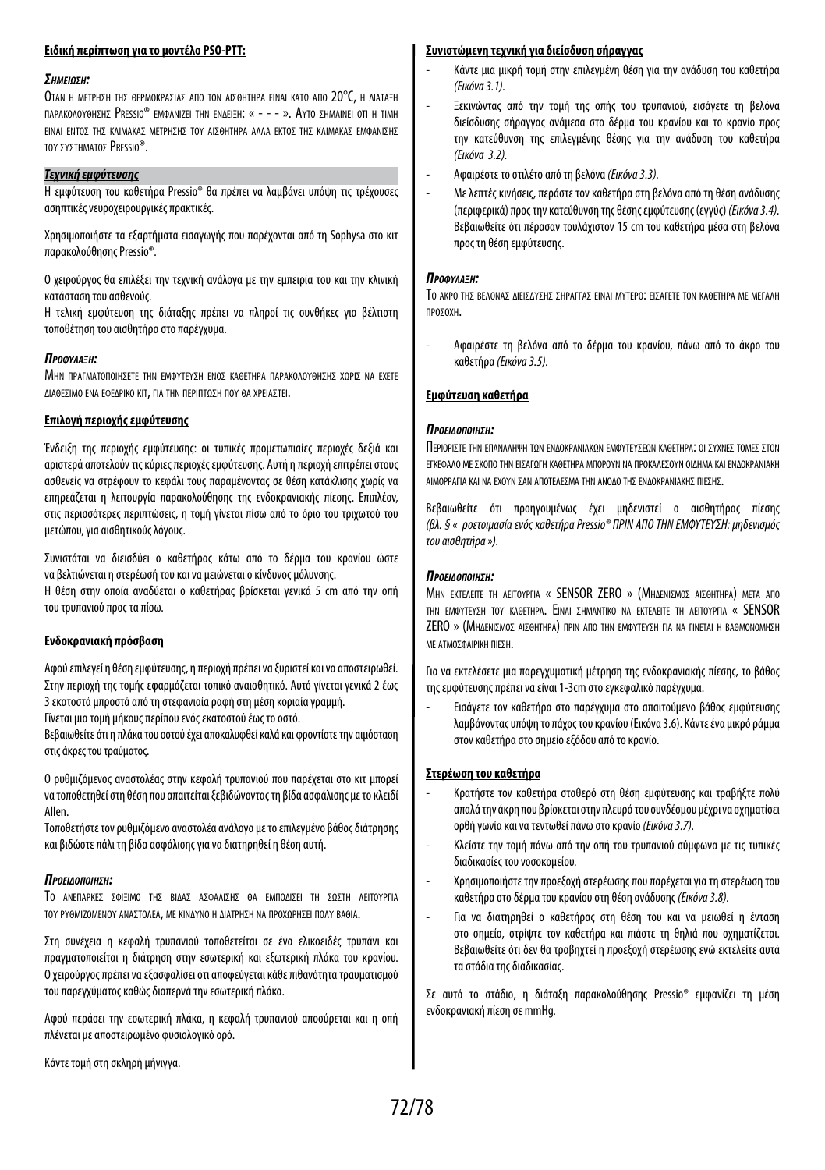## **Ειδική περίπτωση για το μοντέλο PSO-PTT:**

#### *ΣημείωΣη:*

Οταν η ΜΕΤΡΗΣΗ ΤΗΣ ΘΕΡΜΟΚΡΑΣΙΑΣ ΑΠΟ ΤΟΝ ΑΙΣΘΗΤΗΡΑ ΕΙΝΑΙ ΚΑΤΟ ΑΠΟ 20°C, Η ΛΙΑΤΑΞΗ παρακολογομείες Pressio® emmanizei thn enaei=h: « - - - ». Αγτο εμmainei oti h timh ΕΙΝΑΙ ΕΝΤΟΣ ΤΗΣ ΚΛΙΜΑΚΑΣ ΜΕΤΡΗΣΗΣ ΤΟΥ ΑΙΣΘΗΤΗΡΑ ΑΛΛΑ ΕΚΤΟΣ ΤΗΣ ΚΛΙΜΑΚΑΣ ΕΜΦΑΝΙΣΗΣ τον σχοτηματος PRESSIO®.

## *Τεχνική εμφύτευσης*

Η εμφύτευση του καθετήρα Pressio® θα πρέπει να λαμβάνει υπόψη τις τρέχουσες ασηπτικές νευροχειρουργικές πρακτικές.

Χρησιμοποιήστε τα εξαρτήματα εισαγωγής που παρέχονται από τη Sophysa στο κιτ παρακολούθησης Pressio®.

Ο χειρούργος θα επιλέξει την τεχνική ανάλογα με την εμπειρία του και την κλινική κατάσταση του ασθενούς.

Η τελική εμφύτευση της διάταξης πρέπει να πληροί τις συνθήκες για βέλτιστη τοποθέτηση του αισθητήρα στο παρέγχυμα.

#### *Προφύλαξη:*

ΜΗΝ ΠΡΑΓΜΑΤΟΠΟΙΗΣΕΤΕ ΤΗΝ ΕΜΦΥΤΕΥΣΗ ΕΝΟΣ ΚΑΘΕΤΗΡΑ ΠΑΡΑΚΟΛΟΥΘΗΣΗΣ ΧΟΡΙΣ ΝΑ ΕΧΕΤΕ ΔΙΑΘΕΣΙΜΟ ΕΝΑ ΕΦΕΔΡΙΚΟ ΚΙΤ, ΓΙΑ ΤΗΝ ΠΕΡΙΠΤΩΣΗ ΠΟΥ ΘΑ ΧΡΕΙΑΣΤΕΙ.

#### **Επιλογή περιοχής εμφύτευσης**

Ένδειξη της περιοχής εμφύτευσης: οι τυπικές προμετωπιαίες περιοχές δεξιά και αριστερά αποτελούν τις κύριες περιοχές εμφύτευσης. Αυτή η περιοχή επιτρέπει στους ασθενείς να στρέφουν το κεφάλι τους παραμένοντας σε θέση κατάκλισης χωρίς να επηρεάζεται η λειτουργία παρακολούθησης της ενδοκρανιακής πίεσης. Επιπλέον, στις περισσότερες περιπτώσεις, η τομή γίνεται πίσω από το όριο του τριχωτού του μετώπου, για αισθητικούς λόγους.

Συνιστάται να διεισδύει ο καθετήρας κάτω από το δέρμα του κρανίου ώστε να βελτιώνεται η στερέωσή του και να μειώνεται ο κίνδυνος μόλυνσης.

Η θέση στην οποία αναδύεται ο καθετήρας βρίσκεται γενικά 5 cm από την οπή τουτρυπανιού προς τα πίσω.

## **Ενδοκρανιακή πρόσβαση**

Αφού επιλεγεί η θέση εμφύτευσης, η περιοχή πρέπει να ξυριστεί και να αποστειρωθεί. Στην περιοχή της τομής εφαρμόζεται τοπικό αναισθητικό. Αυτό γίνεται γενικά 2 έως 3εκατοστά μπροστά από τη στεφανιαία ραφή στη μέση κοριαία γραμμή.

Γίνεται μια τομή μήκους περίπου ενός εκατοστού έως το οστό.

Βεβαιωθείτε ότι η πλάκα του οστού έχει αποκαλυφθεί καλά και φροντίστε την αιμόσταση στις άκρες του τραύματος.

Ο ρυθμιζόμενος αναστολέας στην κεφαλή τρυπανιού που παρέχεται στο κιτ μπορεί νατοποθετηθεί στη θέση που απαιτείται ξεβιδώνοντας τη βίδα ασφάλισης με το κλειδί Allen.

Τοποθετήστε τον ρυθμιζόμενο αναστολέα ανάλογα με το επιλεγμένο βάθος διάτρησης και βιδώστε πάλι τη βίδα ασφάλισης για να διατηρηθεί η θέση αυτή.

#### *ΠροείδοΠοίηΣη:*

Το ΑΝΕΠΑΡΚΕΣ ΣΦΙΞΙΜΟ ΤΗΣ ΒΙΔΑΣ ΑΣΦΑΛΙΣΗΣ ΘΑ ΕΜΠΟΔΙΣΕΙ ΤΗ ΣΩΣΤΗ ΛΕΙΤΟΥΡΓΙΑ τον ργθΜΙΖΟΜΕΝΟΥ ΑΝΑΣΤΟΛΕΑ, ΜΕ ΚΙΝΔΎΝΟ Η ΔΙΑΤΡΗΣΗ ΝΑ ΠΡΟΧΟΡΗΣΕΙ ΠΟΛΎ ΒΑΘΙΑ.

Στη συνέχεια η κεφαλή τρυπανιού τοποθετείται σε ένα ελικοειδές τρυπάνι και πραγματοποιείται η διάτρηση στην εσωτερική και εξωτερική πλάκα του κρανίου. Ο χειρούργος πρέπει να εξασφαλίσει ότι αποφεύγεται κάθε πιθανότητα τραυματισμού του παρεγχύματος καθώς διαπερνά την εσωτερική πλάκα.

Αφού περάσει την εσωτερική πλάκα, η κεφαλή τρυπανιού αποσύρεται και η οπή πλένεται με αποστειρωμένο φυσιολογικό ορό.

Κάντε τομή στη σκληρή μήνιγγα.

## **Συνιστώμενη τεχνική για διείσδυση σήραγγας**

- Κάντε μια μικρή τομή στην επιλεγμένη θέση για την ανάδυση του καθετήρα *(Εικόνα 3.1).*
- Ξεκινώντας από την τομή της οπής του τρυπανιού, εισάγετε τη βελόνα διείσδυσης σήραγγας ανάμεσα στο δέρμα του κρανίου και το κρανίο προς την κατεύθυνση της επιλεγμένης θέσης για την ανάδυση του καθετήρα *(Εικόνα 3.2).*
- Αφαιρέστε το στιλέτο από τη βελόνα *(Εικόνα 3.3).*
- Με λεπτές κινήσεις, περάστε τον καθετήρα στη βελόνα από τη θέση ανάδυσης (περιφερικά) προς την κατεύθυνση της θέσης εμφύτευσης (εγγύς) *(Εικόνα 3.4).* Βεβαιωθείτε ότι πέρασαν τουλάχιστον 15 cm του καθετήρα μέσα στη βελόνα προς τη θέση εμφύτευσης.

## *Προφύλαξη:*

Το ΑΚΡΟ ΤΗΣ ΒΕΛΟΝΑΣ ΔΙΕΙΣΔΎΣΗΣ ΣΗΡΑΓΓΑΣ ΕΙΝΑΙ ΜΎΤΕΡΟ: ΕΙΣΑΓΕΤΕ ΤΟΝ ΚΑΘΕΤΗΡΑ ΜΕ ΜΕΓΑΛΗ προσοχη.

- Αφαιρέστε τη βελόνα από το δέρμα του κρανίου, πάνω από το άκρο του καθετήρα *(Εικόνα 3.5).*

## **Εμφύτευση καθετήρα**

#### *ΠροείδοΠοίηΣη:*

Περιοριστε την επαναληψη τον ενΔοκρανιακον εμφύτενσεον καθετηρα: οι σύχνες τομες στον ΕΓΚΕΦΑΛΟ ΜΕ ΣΚΟΠΟ ΤΗΝ ΕΙΣΑΓΟΓΗ ΚΑΘΕΤΗΡΑ ΜΠΟΡΟΎΝ ΝΑ ΠΡΟΚΑΛΕΣΟΥΝ ΟΙΛΗΜΑ ΚΑΙ ΕΝΛΟΚΡΑΝΙΑΚΗ αιμορραγια και να εχούν σαν αποτελεσμα την ανοΔο τησ ενΔοκρανιακησ πιεσησ.

Βεβαιωθείτε ότι προηγουμένως έχει μηδενιστεί ο αισθητήρας πίεσης *(βλ. § « ροετοιμασία ενός καθετήρα Pressio® ΠΡΙΝ ΑΠΟ ΤΗΝ ΕΜΦΥΤΕΥΣΗ: μηδενισμός του αισθητήρα »).*

#### *ΠροείδοΠοίηΣη:*

ΜΗΝ ΕΚΤΕΛΕΙΤΕ ΤΗ ΛΕΙΤΟΥΡΓΙΑ « SENSOR ZERO » (ΜΗΛΕΝΙΣΜΟΣ ΑΙΣΘΗΤΗΡΑ) ΜΕΤΑ ΑΠΟ την εμφύτεύση τού καθετηρα. Ειναι σημαντικο να εκτελειτε τη λειτούργια « SENSOR ZERO » (ΜΗΔΕΝΙΣΜΟΣ ΑΙΣΘΗΤΗΡΑ) ΠΡΙΝ ΑΠΟ ΤΗΝ ΕΜΦΥΤΕΥΣΗ ΓΙΑ ΝΑ ΓΙΝΕΤΑΙ Η ΒΑΘΜΟΝΟΜΗΣΗ με ατμοσφαιρικη πιεση.

Για να εκτελέσετε μια παρεγχυματική μέτρηση της ενδοκρανιακής πίεσης, το βάθος της εμφύτευσης πρέπει να είναι 1-3cm στο εγκεφαλικό παρέγχυμα.

- Εισάγετε τον καθετήρα στο παρέγχυμα στο απαιτούμενο βάθος εμφύτευσης λαμβάνοντας υπόψη το πάχος του κρανίου (Εικόνα 3.6). Κάντε ένα μικρό ράμμα στον καθετήρα στο σημείο εξόδου από το κρανίο.

## **Στερέωση του καθετήρα**

- Κρατήστε τον καθετήρα σταθερό στη θέση εμφύτευσης και τραβήξτε πολύ απαλά την άκρη που βρίσκεται στην πλευρά του συνδέσμου μέχρι να σχηματίσει ορθή γωνία και να τεντωθεί πάνω στο κρανίο *(Εικόνα 3.7).*
- Κλείστε την τομή πάνω από την οπή του τρυπανιού σύμφωνα με τις τυπικές διαδικασίες του νοσοκομείου.
- Χρησιμοποιήστε την προεξοχή στερέωσης που παρέχεται για τη στερέωση του καθετήρα στο δέρμα του κρανίου στη θέση ανάδυσης *(Εικόνα 3.8).*
- Για να διατηρηθεί ο καθετήρας στη θέση του και να μειωθεί η ένταση στο σημείο, στρίψτε τον καθετήρα και πιάστε τη θηλιά που σχηματίζεται. Βεβαιωθείτε ότι δεν θα τραβηχτεί η προεξοχή στερέωσης ενώ εκτελείτε αυτά τα στάδια της διαδικασίας.

Σε αυτό το στάδιο, η διάταξη παρακολούθησης Pressio® εμφανίζει τη μέση ενδοκρανιακή πίεση σε mmHg.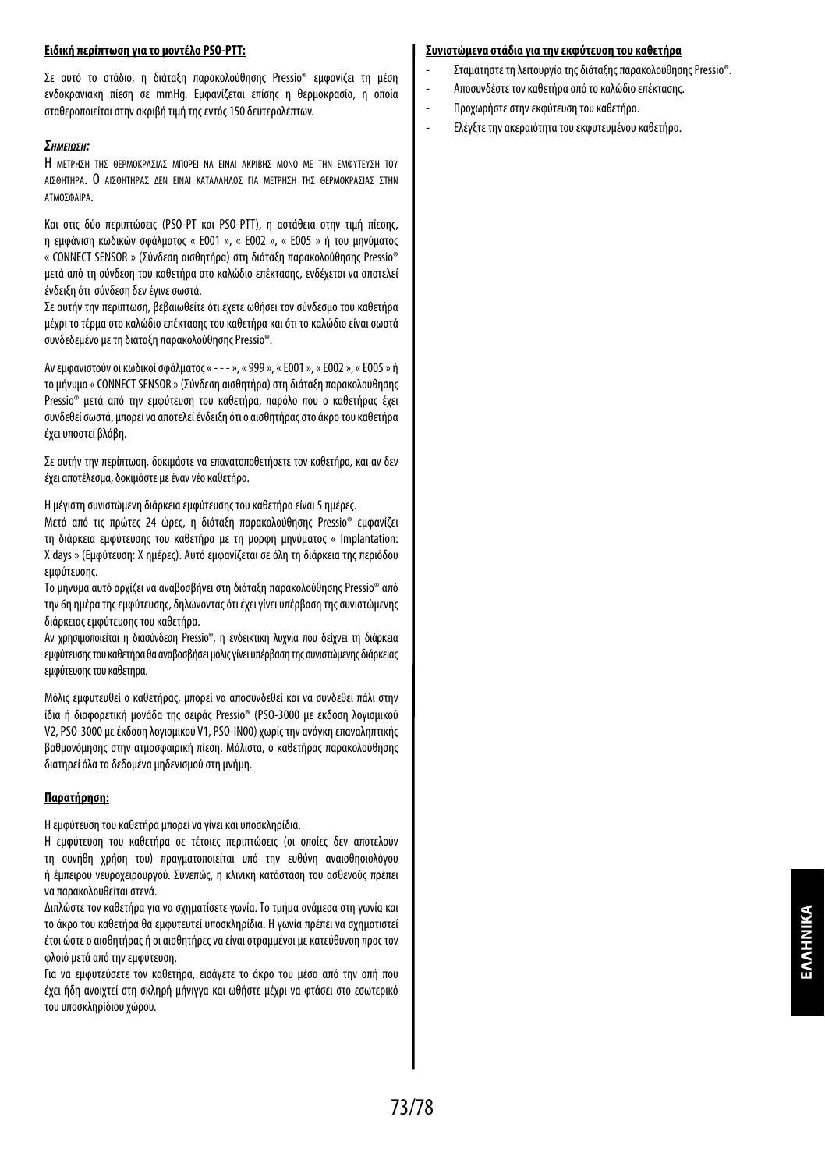# **Ειδική περίπτωση για το μοντέλο PSO-PTT:**

Σε αυτό το στάδιο, η διάταξη παρακολούθησης Pressio® εμφανίζει τη μέση ενδοκρανιακή πίεση σε mmHg. Εμφανίζεται επίσης η θερμοκρασία, η οποία σταθεροποιείται στην ακριβή τιμή της εντός 150 δευτερολέπτων.

# *ΣημείωΣη:*

Η ΜΕΤΡΗΣΗ ΤΗΣ ΘΕΡΜΟΚΡΑΣΙΑΣ ΜΠΟΡΕΙ ΝΑ ΕΙΝΑΙ ΑΚΡΙΒΗΣ ΜΟΝΟ ΜΕ ΤΗΝ ΕΜΦΥΤΕΥΣΗ ΤΟΥ ΑΙΣΘΗΤΗΡΑ. Ο ΑΙΣΘΗΤΗΡΑΣ ΔΕΝ ΕΙΝΑΙ ΚΑΤΑΛΛΗΛΟΣ ΓΙΑ ΜΕΤΡΗΣΗ ΤΗΣ ΘΕΡΜΟΚΡΑΣΙΑΣ ΣΤΗΝ ατμοσφαιρα.

Και στις δύο περιπτώσεις (PSO-PT και PSO-PTT), η αστάθεια στην τιμή πίεσης, η εμφάνιση κωδικών σφάλματος « E001 », « E002 », « E005 » ή του μηνύματος « CONNECT SENSOR » (Σύνδεση αισθητήρα) στη διάταξη παρακολούθησης Pressio® μετά από τη σύνδεση του καθετήρα στο καλώδιο επέκτασης, ενδέχεται να αποτελεί ένδειξη ότι σύνδεση δεν έγινε σωστά.

Σε αυτήν την περίπτωση, βεβαιωθείτε ότι έχετε ωθήσει τον σύνδεσμο του καθετήρα μέχρι το τέρμα στο καλώδιο επέκτασης του καθετήρα και ότι το καλώδιο είναι σωστά συνδεδεμένο με τη διάταξη παρακολούθησης Pressio®.

Αν εμφανιστούν οι κωδικοί σφάλματος « - - - », « 999 », « E001 », « E002 », « E005 » ή το μήνυμα « CONNECT SENSOR » (Σύνδεση αισθητήρα) στη διάταξη παρακολούθησης Pressio® μετά από την εμφύτευση του καθετήρα, παρόλο που ο καθετήρας έχει συνδεθεί σωστά, μπορεί να αποτελεί ένδειξη ότι ο αισθητήρας στο άκρο του καθετήρα έχει υποστεί βλάβη.

Σε αυτήν την περίπτωση, δοκιμάστε να επανατοποθετήσετε τον καθετήρα, και αν δεν έχει αποτέλεσμα, δοκιμάστε με έναν νέο καθετήρα.

Η μέγιστη συνιστώμενη διάρκεια εμφύτευσης του καθετήρα είναι 5 ημέρες.

Μετά από τις πρώτες 24 ώρες, η διάταξη παρακολούθησης Pressio® εμφανίζει τη διάρκεια εμφύτευσης του καθετήρα με τη μορφή μηνύματος « Implantation: Xdays » (Εμφύτευση: Χ ημέρες). Αυτό εμφανίζεται σε όλη τη διάρκεια της περιόδου εμφύτευσης.

Το μήνυμα αυτό αρχίζει να αναβοσβήνει στη διάταξη παρακολούθησης Pressio® από την 6η ημέρα της εμφύτευσης, δηλώνοντας ότι έχει γίνει υπέρβαση της συνιστώμενης διάρκειας εμφύτευσης του καθετήρα.

Αν χρησιμοποιείται η διασύνδεση Pressio®, η ενδεικτική λυχνία που δείχνει τη διάρκεια εμφύτευσης του καθετήρα θα αναβοσβήσει μόλις γίνει υπέρβαση της συνιστώμενης διάρκειας εμφύτευσης του καθετήρα.

Μόλις εμφυτευθεί ο καθετήρας, μπορεί να αποσυνδεθεί και να συνδεθεί πάλι στην ίδια ή διαφορετική μονάδα της σειράς Pressio® (PSO-3000 με έκδοση λογισμικού V2, PSO-3000 με έκδοση λογισμικού V1, PSO-IN00) χωρίς την ανάγκη επαναληπτικής βαθμονόμησης στην ατμοσφαιρική πίεση. Μάλιστα, ο καθετήρας παρακολούθησης διατηρεί όλα τα δεδομένα μηδενισμού στη μνήμη.

# **Παρατήρηση:**

Η εμφύτευση του καθετήρα μπορεί να γίνει και υποσκληρίδια.

Η εμφύτευση του καθετήρα σε τέτοιες περιπτώσεις (οι οποίες δεν αποτελούν τη συνήθη χρήση του) πραγματοποιείται υπό την ευθύνη αναισθησιολόγου ή έμπειρου νευροχειρουργού. Συνεπώς, η κλινική κατάσταση του ασθενούς πρέπει να παρακολουθείται στενά.

Διπλώστε τον καθετήρα για να σχηματίσετε γωνία. Το τμήμα ανάμεσα στη γωνία και το άκρο του καθετήρα θα εμφυτευτεί υποσκληρίδια. Η γωνία πρέπει να σχηματιστεί έτσι ώστε ο αισθητήρας ή οι αισθητήρες να είναι στραμμένοι με κατεύθυνση προς τον φλοιό μετά από την εμφύτευση.

Για να εμφυτεύσετε τον καθετήρα, εισάγετε το άκρο του μέσα από την οπή που έχει ήδη ανοιχτεί στη σκληρή μήνιγγα και ωθήστε μέχρι να φτάσει στο εσωτερικό τουυποσκληρίδιου χώρου.

#### **Συνιστώμενα στάδια για την εκφύτευση του καθετήρα**

- Σταματήστε τη λειτουργία της διάταξης παρακολούθησης Pressio®.
- Αποσυνδέστε τον καθετήρα από το καλώδιο επέκτασης.
- Προχωρήστε στην εκφύτευση του καθετήρα.
- Ελέγξτε την ακεραιότητα του εκφυτευμένου καθετήρα.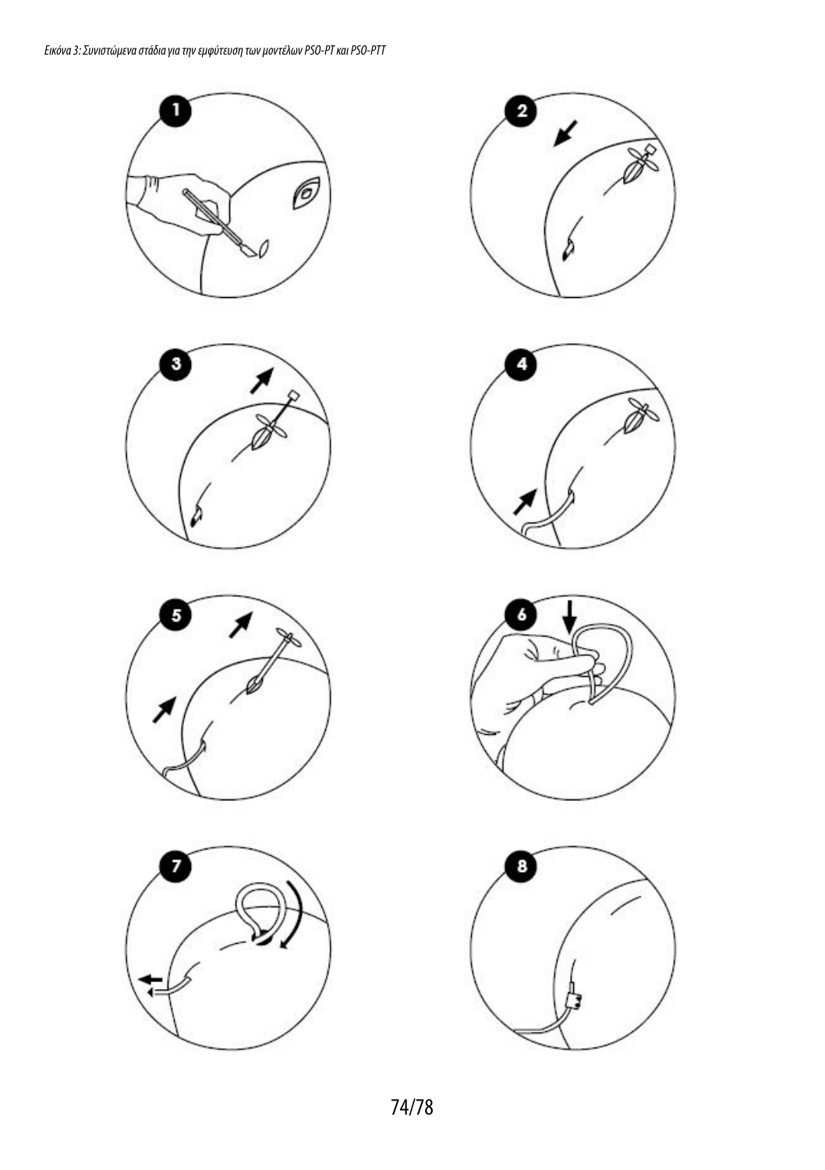









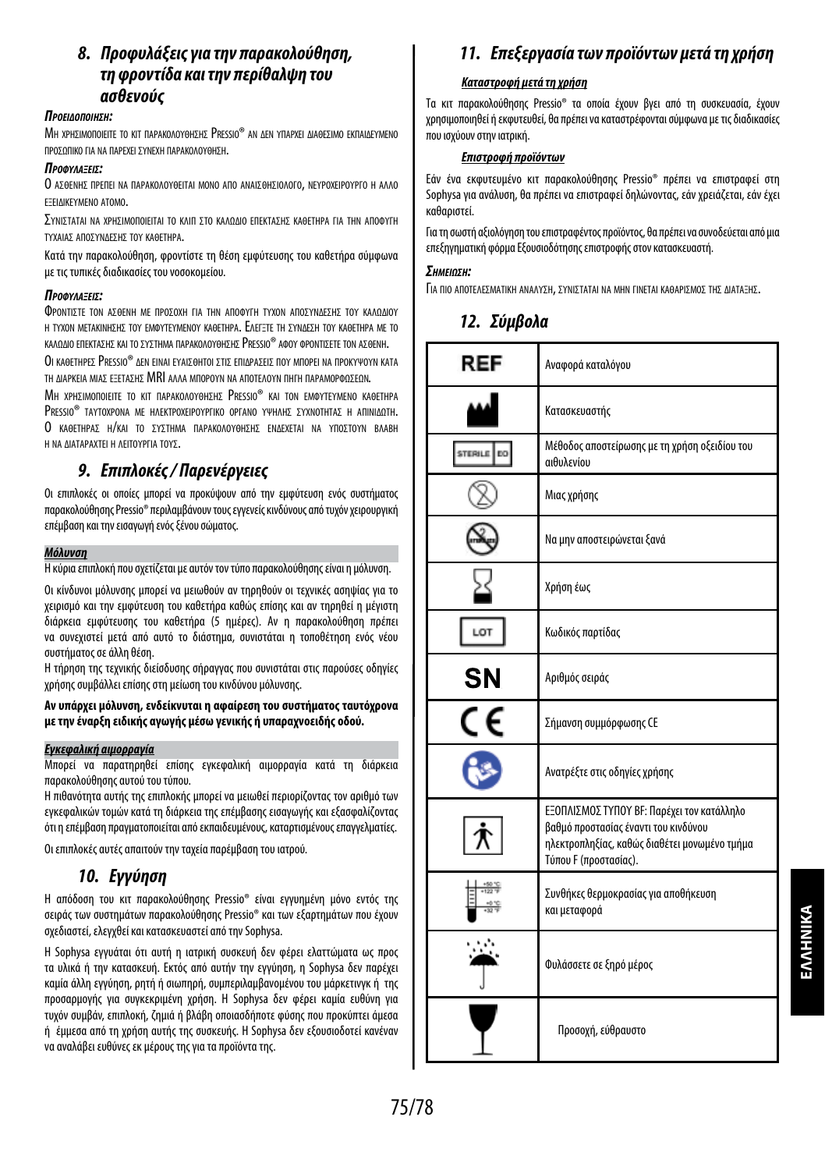# *8. Προφυλάξεις για την παρακολούθηση, τη φροντίδα και την περίθαλψη του ασθενούς*

# *ΠροείδοΠοίηΣη:*

ΜΗ χρησιμοποιείτε το κιτ παρακολογθησης Pressio® an Δεν γπαρχει Διαθεσιμο εκπαιΔεγμένο προσωπικο για να παρεχει σύνεχη παρακολούθηση.

# *ΠροφύλαξείΣ:*

Ο ΑΣΘΕΝΗΣ ΠΡΕΠΕΙ ΝΑ ΠΑΡΑΚΟΛΟΥΘΕΙΤΑΙ ΜΟΝΟ ΑΠΟ ΑΝΑΙΣΘΗΣΙΟΛΟΓΟ, ΝΕΥΡΟΧΕΙΡΟΥΡΓΟ Η ΑΛΛΟ εξειλικενΜεΝΟ ΑΤΟΜΟ.

ΣΥΝΙΣΤΑΤΑΙ ΝΑ ΧΡΗΣΙΜΟΠΟΙΕΙΤΑΙ ΤΟ ΚΛΙΠ ΣΤΟ ΚΑΛΟΛΙΟ ΕΠΕΚΤΑΣΗΣ ΚΑΘΕΤΗΡΑ ΓΙΑ ΤΗΝ ΑΠΟΦΥΓΗ τύχαιασ αποσύνΔεσησ τού καθετηρα.

Κατά την παρακολούθηση, φροντίστε τη θέση εμφύτευσης του καθετήρα σύμφωνα μετις τυπικές διαδικασίες του νοσοκομείου.

#### *ΠροφύλαξείΣ:*

ΦροΝΤΙΣΤΕ ΤΟΝ ΑΣΘΕΝΗ ΜΕ ΠΡΟΣΟΧΗ ΓΙΑ ΤΗΝ ΑΠΟΦΥΓΗ ΤΥΧΟΝ ΑΠΟΣΥΝΛΕΣΗΣ ΤΟΥ ΚΑΛΟΛΙΟΥ Η ΤΥΧΟΝ ΜΕΤΑΚΙΝΗΣΗΣ ΤΟΥ ΕΜΦΥΤΕΥΜΕΝΟΥ ΚΑΘΕΤΗΡΑ. ΕΛΕΓΞΤΕ ΤΗ ΣΥΝΔΕΣΗ ΤΟΥ ΚΑΘΕΤΗΡΑ ΜΕ ΤΟ καλολιο επεκτασησ και το σχοτημα παρακολογοήσηση Pressio® αφον φροντισετε τον ασθενή.

Οι καθετηρες Pressio® Δεν ειναι εγαιΣθητοι ΣτιΣ επιΔραΣειΣ πον Μπορει να προκγψογν κατα τη Διαρκεια ΜΙΑΣ ΕΞΕΤΑΣΗΣ MRI ΑΛΛΑ ΜΠΟΡΟΥΝ ΝΑ ΑΠΟΤΕΛΟΥΝ ΠΗΓΗ ΠΑΡΑΜΟΡΦΩΣΕΩΝ.

ΜΗ ΧΡΗΣΙΜΟΠΟΙΕΙΤΕ ΤΟ ΚΙΤ ΠΑΡΑΚΟΛΟΥΘΗΣΗΣ PRESSIO® ΚΑΙ ΤΟΝ ΕΜΦΥΤΕΥΜΕΝΟ ΚΑΘΕΤΗΡΑ PRESSIO® ΤΑΥΤΟΧΡΟΝΑ ΜΕ ΗΛΕΚΤΡΟΧΕΙΡΟΥΡΓΙΚΟ ΟΡΓΑΝΟ ΥΨΗΛΗΣ ΣΥΧΝΟΤΗΤΑΣ Η ΑΠΙΝΙΔΩΤΗ. Ο καρετηρασ Η/και το σχετηνα παρακολογθησησ ενΔεχεται να γποζτογν Βλαβη Η ΝΑ ΛΙΑΤΑΡΑΧΤΕΙ Η ΛΕΙΤΟΥΡΓΙΑ ΤΟΥΣ.

# *9. Επιπλοκές / Παρενέργειες*

Οι επιπλοκές οι οποίες μπορεί να προκύψουν από την εμφύτευση ενός συστήματος παρακολούθησης Pressio® περιλαμβάνουν τους εγγενείς κινδύνους από τυχόν χειρουργική επέμβαση και την εισαγωγή ενός ξένου σώματος.

### *Μόλυνση*

Η κύρια επιπλοκή που σχετίζεται με αυτόν τον τύπο παρακολούθησης είναι η μόλυνση.

Οι κίνδυνοι μόλυνσης μπορεί να μειωθούν αν τηρηθούν οι τεχνικές ασηψίας για το χειρισμό και την εμφύτευση του καθετήρα καθώς επίσης και αν τηρηθεί η μέγιστη διάρκεια εμφύτευσης του καθετήρα (5 ημέρες). Αν η παρακολούθηση πρέπει να συνεχιστεί μετά από αυτό το διάστημα, συνιστάται η τοποθέτηση ενός νέου συστήματος σε άλλη θέση.

Η τήρηση της τεχνικής διείσδυσης σήραγγας που συνιστάται στις παρούσες οδηγίες χρήσης συμβάλλει επίσης στη μείωση του κινδύνου μόλυνσης.

# **Αν υπάρχει μόλυνση, ενδείκνυται η αφαίρεση του συστήματος ταυτόχρονα με την έναρξη ειδικής αγωγής μέσω γενικής ή υπαραχνοειδής οδού.**

# *Εγκεφαλική αιμορραγία*

Μπορεί να παρατηρηθεί επίσης εγκεφαλική αιμορραγία κατά τη διάρκεια παρακολούθησης αυτού του τύπου.

Η πιθανότητα αυτής της επιπλοκής μπορεί να μειωθεί περιορίζοντας τον αριθμό των εγκεφαλικών τομών κατά τη διάρκεια της επέμβασης εισαγωγής και εξασφαλίζοντας ότι η επέμβαση πραγματοποιείται από εκπαιδευμένους, καταρτισμένους επαγγελματίες.

Οι επιπλοκές αυτές απαιτούν την ταχεία παρέμβαση του ιατρού.

# *10. Εγγύηση*

Η απόδοση του κιτ παρακολούθησης Pressio® είναι εγγυημένη μόνο εντός της σειράς των συστημάτων παρακολούθησης Pressio® και των εξαρτημάτων που έχουν σχεδιαστεί, ελεγχθεί και κατασκευαστεί από την Sophysa.

Η Sophysa εγγυάται ότι αυτή η ιατρική συσκευή δεν φέρει ελαττώματα ως προς τα υλικά ή την κατασκευή. Εκτός από αυτήν την εγγύηση, η Sophysa δεν παρέχει καμία άλλη εγγύηση, ρητή ή σιωπηρή, συμπεριλαμβανομένου του μάρκετινγκ ή της προσαρμογής για συγκεκριμένη χρήση. Η Sophysa δεν φέρει καμία ευθύνη για τυχόν συμβάν, επιπλοκή, ζημιά ή βλάβη οποιασδήποτε φύσης που προκύπτει άμεσα ή έμμεσα από τη χρήση αυτής της συσκευής. Η Sophysa δεν εξουσιοδοτεί κανέναν νααναλάβει ευθύνες εκ μέρους της για τα προϊόντα της.

# *11. Επεξεργασία των προϊόντων μετά τη χρήση*

# *Καταστροφή μετά τη χρήση*

Τα κιτ παρακολούθησης Pressio® τα οποία έχουν βγει από τη συσκευασία, έχουν χρησιμοποιηθεί ή εκφυτευθεί, θα πρέπει να καταστρέφονται σύμφωνα με τις διαδικασίες που ισχύουν στην ιατρική.

# *Επιστροφή προϊόντων*

Εάν ένα εκφυτευμένο κιτ παρακολούθησης Pressio® πρέπει να επιστραφεί στη Sophysa για ανάλυση, θα πρέπει να επιστραφεί δηλώνοντας, εάν χρειάζεται, εάν έχει καθαριστεί.

Για τη σωστή αξιολόγηση του επιστραφέντος προϊόντος, θα πρέπει να συνοδεύεται από μια επεξηγηματική φόρμα Εξουσιοδότησης επιστροφής στον κατασκευαστή.

#### *ΣημείωΣη:*

Για πιο αποτελεχωατική αναλύχη, σχηματαται να ΜΗΝ ΓΙΝΕΤΑΙ ΚΑΘΑΡΙΣΜΟΣ ΤΗΣ ΔΙΑΤΑΞΗΣ.

# *12. Σύμβολα*

| REF                         | Αναφορά καταλόγου                                                                                                                                            |
|-----------------------------|--------------------------------------------------------------------------------------------------------------------------------------------------------------|
|                             | Κατασκευαστής                                                                                                                                                |
| <b>STERILE</b><br><b>EO</b> | Μέθοδος αποστείρωσης με τη χρήση οξειδίου του<br>αιθυλενίου                                                                                                  |
|                             | Μιας χρήσης                                                                                                                                                  |
|                             | Να μην αποστειρώνεται ξανά                                                                                                                                   |
|                             | Χρήση έως                                                                                                                                                    |
| LOT                         | Κωδικός παρτίδας                                                                                                                                             |
| SΝ                          | Αριθμός σειράς                                                                                                                                               |
|                             | Σήμανση συμμόρφωσης CE                                                                                                                                       |
|                             | Ανατρέξτε στις οδηγίες χρήσης                                                                                                                                |
|                             | ΕΞΟΠΛΙΣΜΟΣ ΤΥΠΟΥ ΒΕ: Παρέχει τον κατάλληλο<br>βαθμό προστασίας έναντι του κινδύνου<br>ηλεκτροπληξίας, καθώς διαθέτει μονωμένο τμήμα<br>Τύπου F (προστασίας). |
|                             | Συνθήκες θερμοκρασίας για αποθήκευση<br>και μεταφορά                                                                                                         |
|                             | Φυλάσσετε σε ξηρό μέρος                                                                                                                                      |
|                             | Προσοχή, εύθραυστο                                                                                                                                           |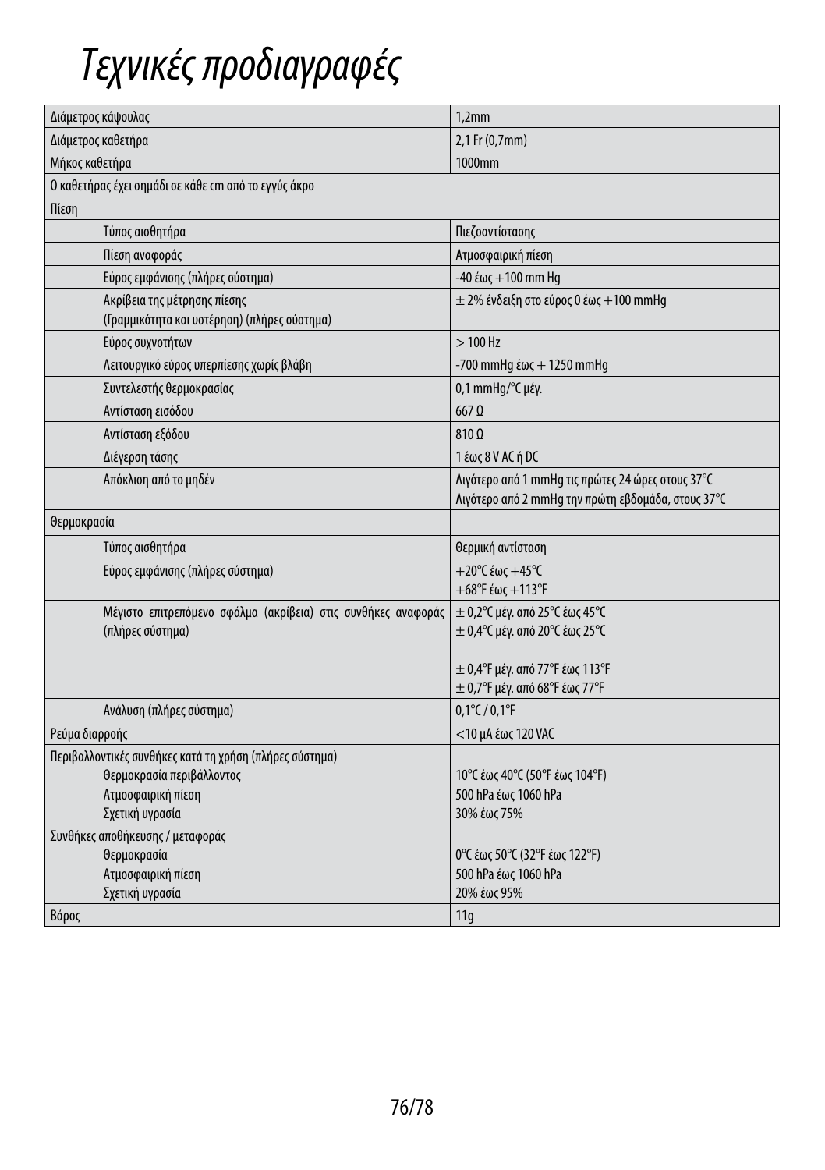# *Τεχνικές προδιαγραφές*

| Διάμετρος κάψουλας                                                           | 1,2mm                                                                                                   |  |
|------------------------------------------------------------------------------|---------------------------------------------------------------------------------------------------------|--|
| Διάμετρος καθετήρα                                                           | 2,1 Fr (0,7mm)                                                                                          |  |
| Μήκος καθετήρα                                                               | 1000mm                                                                                                  |  |
| Ο καθετήρας έχει σημάδι σε κάθε cm από το εγγύς άκρο                         |                                                                                                         |  |
| Πίεση                                                                        |                                                                                                         |  |
| Τύπος αισθητήρα                                                              | Πιεζοαντίστασης                                                                                         |  |
| Πίεση αναφοράς                                                               | Ατμοσφαιρική πίεση                                                                                      |  |
| Εύρος εμφάνισης (πλήρες σύστημα)                                             | $-40$ έως $+100$ mm Hg                                                                                  |  |
| Ακρίβεια της μέτρησης πίεσης<br>(Γραμμικότητα και υστέρηση) (πλήρες σύστημα) | $\pm$ 2% ένδειξη στο εύρος 0 έως +100 mmHg                                                              |  |
| Εύρος συχνοτήτων                                                             | $>100$ Hz                                                                                               |  |
| Λειτουργικό εύρος υπερπίεσης χωρίς βλάβη                                     | -700 mmHg $\text{\&} \omega \text{\&} + 1250$ mmHg                                                      |  |
| Συντελεστής θερμοκρασίας                                                     | 0,1 mmHg/°C μέγ.                                                                                        |  |
| Αντίσταση εισόδου                                                            | $667$ $\Omega$                                                                                          |  |
| Αντίσταση εξόδου                                                             | $810 \Omega$                                                                                            |  |
| Διέγερση τάσης                                                               | 1 έως 8 V AC ή DC                                                                                       |  |
| Απόκλιση από το μηδέν                                                        | Λιγότερο από 1 mmHq τις πρώτες 24 ώρες στους 37°C<br>Λιγότερο από 2 mmHq την πρώτη εβδομάδα, στους 37°C |  |
| θερμοκρασία                                                                  |                                                                                                         |  |
| Τύπος αισθητήρα                                                              | θερμική αντίσταση                                                                                       |  |
| Εύρος εμφάνισης (πλήρες σύστημα)                                             | $+20^{\circ}$ C έως $+45^{\circ}$ C                                                                     |  |
|                                                                              | $+68$ °F έως $+113$ °F                                                                                  |  |
| Μέγιστο επιτρεπόμενο σφάλμα (ακρίβεια) στις συνθήκες αναφοράς                | ± 0,2° Cμέγ. από 25° Cέως 45° C                                                                         |  |
| (πλήρες σύστημα)                                                             | $\pm$ 0,4°C μέγ. από 20°C έως 25°C                                                                      |  |
|                                                                              | $\pm$ 0,4°F μέγ. από 77°F έως 113°F                                                                     |  |
|                                                                              | $\pm$ 0,7°F μέγ. από 68°F έως 77°F                                                                      |  |
| Ανάλυση (πλήρες σύστημα)                                                     | $0,1^{\circ}$ C / $0,1^{\circ}$ F                                                                       |  |
| Ρεύμα διαρροής                                                               | <10 μΑ έως 120 VAC                                                                                      |  |
| Περιβαλλοντικές συνθήκες κατά τη χρήση (πλήρες σύστημα)                      |                                                                                                         |  |
| Θερμοκρασία περιβάλλοντος                                                    | 10°C έως 40°C (50°F έως 104°F)                                                                          |  |
| Ατμοσφαιρική πίεση                                                           | 500 hPa έως 1060 hPa                                                                                    |  |
| Σχετική υγρασία                                                              | 30% έως 75%                                                                                             |  |
| Συνθήκες αποθήκευσης / μεταφοράς                                             |                                                                                                         |  |
| θερμοκρασία                                                                  | 0°C έως 50°C (32°F έως 122°F)                                                                           |  |
| Ατμοσφαιρική πίεση                                                           | 500 hPa έως 1060 hPa                                                                                    |  |
| Σχετική υγρασία                                                              | 20% έως 95%                                                                                             |  |
| Βάρος                                                                        | 11q                                                                                                     |  |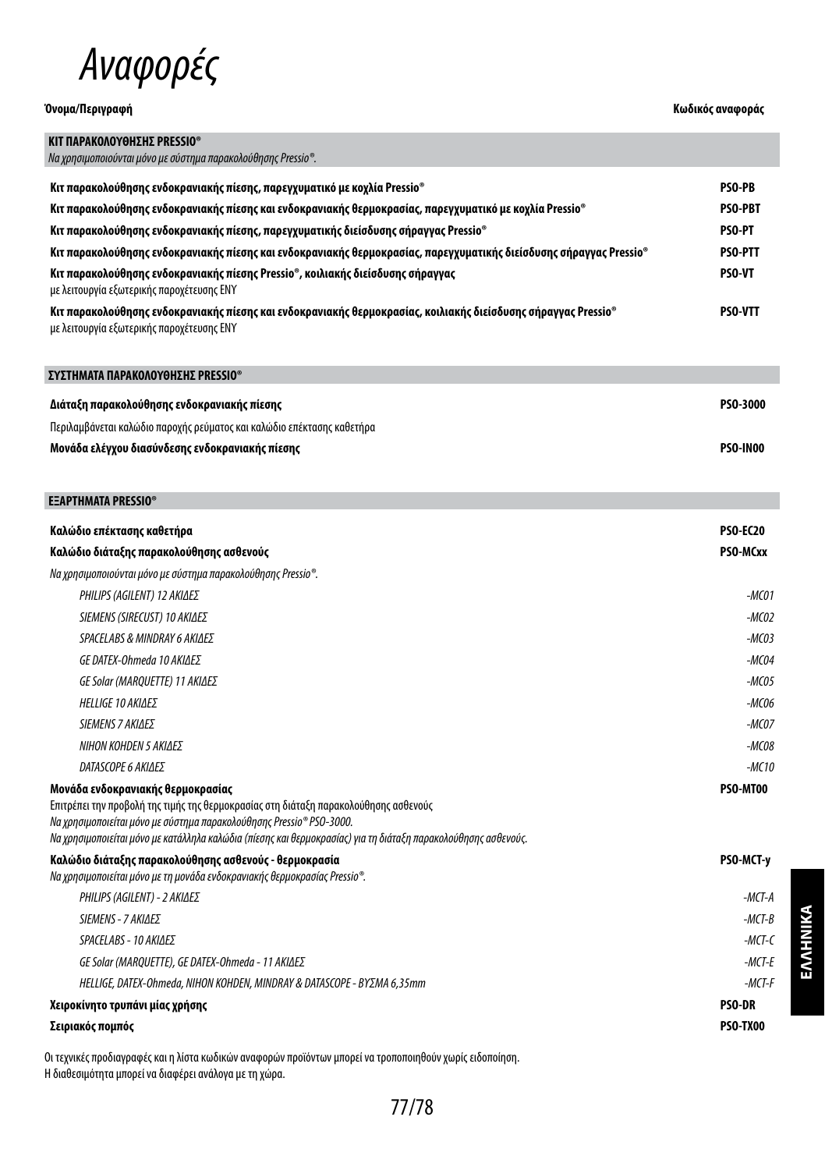

**ΣΥΣΤΗΜΑΤΑ ΠΑΡΑΚΟΛΟΥΘΗΣΗΣ PRESSIO®**

# **Όνομα/Περιγραφή Κωδικός αναφοράς**

| ΚΙΤ ΠΑΡΑΚΟΛΟΥΘΗΣΗΣ PRESSIO®<br>- Να χρησιμοποιούνται μόνο με σύστημα παρακολούθησης Pressio®.                                                               |                |
|-------------------------------------------------------------------------------------------------------------------------------------------------------------|----------------|
| Κιτ παρακολούθησης ενδοκρανιακής πίεσης, παρεγχυματικό με κοχλία Pressio®                                                                                   | <b>PSO-PB</b>  |
| Κιτ παρακολούθησης ενδοκρανιακής πίεσης και ενδοκρανιακής θερμοκρασίας, παρεγχυματικό με κοχλία Pressio®                                                    | <b>PSO-PBT</b> |
| Κιτ παρακολούθησης ενδοκρανιακής πίεσης, παρεγχυματικής διείσδυσης σήραγγας Pressio®                                                                        | <b>PSO-PT</b>  |
| Κιτ παρακολούθησης ενδοκρανιακής πίεσης και ενδοκρανιακής θερμοκρασίας, παρεγχυματικής διείσδυσης σήραγγας Pressio®                                         | <b>PSO-PTT</b> |
| Κιτ παρακολούθησης ενδοκρανιακής πίεσης Pressio®, κοιλιακής διείσδυσης σήραγγας<br>με λειτουργία εξωτερικής παροχέτευσης ΕΝΥ                                | <b>PSO-VT</b>  |
| Κιτ παρακολούθησης ενδοκρανιακής πίεσης και ενδοκρανιακής θερμοκρασίας, κοιλιακής διείσδυσης σήραγγας Pressio®<br>με λειτουργία εξωτερικής παροχέτευσης ΕΝΥ | <b>PSO-VTT</b> |

| Διάταξη παρακολούθησης ενδοκρανιακής πίεσης                            | <b>PSO-3000</b> |
|------------------------------------------------------------------------|-----------------|
| Περιλαμβάνεται καλώδιο παροχής ρεύματος και καλώδιο επέκτασης καθετήρα |                 |
| Μονάδα ελέγχου διασύνδεσης ενδοκρανιακής πίεσης                        | <b>PSO-IN00</b> |

| <b>EEAPTHMATA PRESSIO<sup>®</sup></b>                                                                                                                                                                                                                                                                               |                   |
|---------------------------------------------------------------------------------------------------------------------------------------------------------------------------------------------------------------------------------------------------------------------------------------------------------------------|-------------------|
| Καλώδιο επέκτασης καθετήρα                                                                                                                                                                                                                                                                                          | <b>PSO-EC20</b>   |
| Καλώδιο διάταξης παρακολούθησης ασθενούς                                                                                                                                                                                                                                                                            | PSO-MCxx          |
| Na χρησιμοποιούνται μόνο με σύστημα παρακολούθησης Pressio®.                                                                                                                                                                                                                                                        |                   |
| PHILIPS (AGILENT) 12 AKIΔEΣ                                                                                                                                                                                                                                                                                         | $-MCO1$           |
| SIEMENS (SIRECUST) 10 ΑΚΙΔΕΣ                                                                                                                                                                                                                                                                                        | -MCO <sub>2</sub> |
| SPACELABS & MINDRAY 6 ΑΚΙΔΕΣ                                                                                                                                                                                                                                                                                        | $-MCO3$           |
| GE DATEX-Ohmeda 10 ΑΚΙΔΕΣ                                                                                                                                                                                                                                                                                           | $-MCO4$           |
| GE Solar (MAROUETTE) 11 ΑΚΙΔΕΣ                                                                                                                                                                                                                                                                                      | $-MCO5$           |
| <b>HELLIGE 10 AKIAES</b>                                                                                                                                                                                                                                                                                            | $-MCO6$           |
| <b>SIEMENS 7 ΑΚΙΔΕΣ</b>                                                                                                                                                                                                                                                                                             | -MC07             |
| ΝΙΗΟΝ ΚΟΗDEN 5 ΑΚΙΛΕΣ                                                                                                                                                                                                                                                                                               | -MC08             |
| DATASCOPE 6 ΑΚΙΔΕΣ                                                                                                                                                                                                                                                                                                  | -MC10             |
| Μονάδα ενδοκρανιακής θερμοκρασίας<br>Επιτρέπει την προβολή της τιμής της θερμοκρασίας στη διάταξη παρακολούθησης ασθενούς<br>Na χρησιμοποιείται μόνο με σύστημα παρακολούθησης Pressio® PSO-3000.<br>Να χρησιμοποιείται μόνο με κατάλληλα καλώδια (πίεσης και θερμοκρασίας) για τη διάταξη παρακολούθησης ασθενούς. | PSO-MT00          |

| Καλώδιο διάταξης παρακολούθησης ασθενούς - θερμοκρασία<br>Na χρησιμοποιείται μόνο με τη μονάδα ενδοκρανιακής θερμοκρασίας Pressio®. | <b>PSO-MCT-v</b> |
|-------------------------------------------------------------------------------------------------------------------------------------|------------------|
| PHILIPS (AGILENT) - 2 ΑΚΙΔΕΣ                                                                                                        | -MCT-A           |
| SIEMENS - 7 ΑΚΙΔΕΣ                                                                                                                  | $-MCT-B$         |
| SPACELABS - 10 ΑΚΙΛΕΣ                                                                                                               | -MCT-C           |
| GE Solar (MAROUETTE). GE DATEX-Ohmeda - 11 ΑΚΙΔΕΣ                                                                                   | -MCT-E           |
| HELLIGE. DATEX-Ohmeda. NIHON KOHDEN. MINDRAY & DATASCOPE - ΒΥΣΜΑ 6.35mm                                                             | -MCT-F           |
| Χειροκίνητο τρυπάνι μίας χρήσης                                                                                                     | <b>PSO-DR</b>    |
| Σειριακός πομπός                                                                                                                    | PSO-TX00         |

Οι τεχνικές προδιαγραφές και η λίστα κωδικών αναφορών προϊόντων μπορεί να τροποποιηθούν χωρίς ειδοποίηση. Η διαθεσιμότητα μπορεί να διαφέρει ανάλογα με τη χώρα.